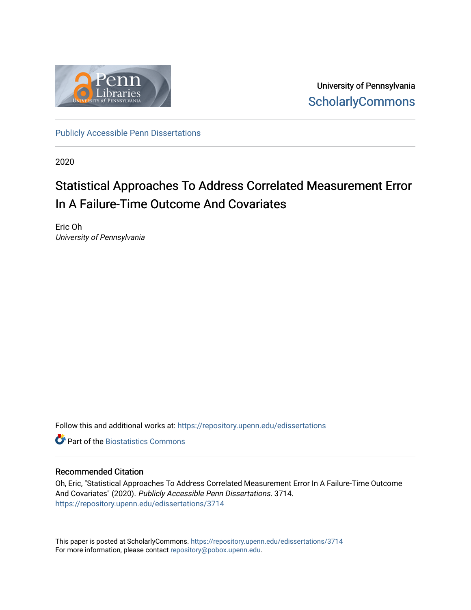

University of Pennsylvania **ScholarlyCommons** 

[Publicly Accessible Penn Dissertations](https://repository.upenn.edu/edissertations)

2020

# Statistical Approaches To Address Correlated Measurement Error In A Failure-Time Outcome And Covariates

Eric Oh University of Pennsylvania

Follow this and additional works at: [https://repository.upenn.edu/edissertations](https://repository.upenn.edu/edissertations?utm_source=repository.upenn.edu%2Fedissertations%2F3714&utm_medium=PDF&utm_campaign=PDFCoverPages) 

**Part of the Biostatistics Commons** 

# Recommended Citation

Oh, Eric, "Statistical Approaches To Address Correlated Measurement Error In A Failure-Time Outcome And Covariates" (2020). Publicly Accessible Penn Dissertations. 3714. [https://repository.upenn.edu/edissertations/3714](https://repository.upenn.edu/edissertations/3714?utm_source=repository.upenn.edu%2Fedissertations%2F3714&utm_medium=PDF&utm_campaign=PDFCoverPages) 

This paper is posted at ScholarlyCommons.<https://repository.upenn.edu/edissertations/3714> For more information, please contact [repository@pobox.upenn.edu.](mailto:repository@pobox.upenn.edu)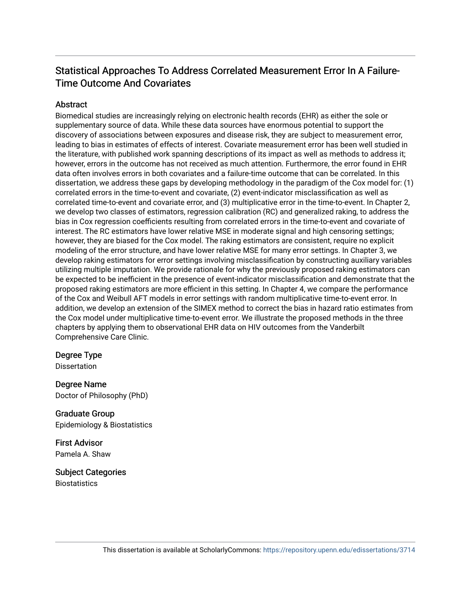# Statistical Approaches To Address Correlated Measurement Error In A Failure-Time Outcome And Covariates

# **Abstract**

Biomedical studies are increasingly relying on electronic health records (EHR) as either the sole or supplementary source of data. While these data sources have enormous potential to support the discovery of associations between exposures and disease risk, they are subject to measurement error, leading to bias in estimates of effects of interest. Covariate measurement error has been well studied in the literature, with published work spanning descriptions of its impact as well as methods to address it; however, errors in the outcome has not received as much attention. Furthermore, the error found in EHR data often involves errors in both covariates and a failure-time outcome that can be correlated. In this dissertation, we address these gaps by developing methodology in the paradigm of the Cox model for: (1) correlated errors in the time-to-event and covariate, (2) event-indicator misclassification as well as correlated time-to-event and covariate error, and (3) multiplicative error in the time-to-event. In Chapter 2, we develop two classes of estimators, regression calibration (RC) and generalized raking, to address the bias in Cox regression coefficients resulting from correlated errors in the time-to-event and covariate of interest. The RC estimators have lower relative MSE in moderate signal and high censoring settings; however, they are biased for the Cox model. The raking estimators are consistent, require no explicit modeling of the error structure, and have lower relative MSE for many error settings. In Chapter 3, we develop raking estimators for error settings involving misclassification by constructing auxiliary variables utilizing multiple imputation. We provide rationale for why the previously proposed raking estimators can be expected to be inefficient in the presence of event-indicator misclassification and demonstrate that the proposed raking estimators are more efficient in this setting. In Chapter 4, we compare the performance of the Cox and Weibull AFT models in error settings with random multiplicative time-to-event error. In addition, we develop an extension of the SIMEX method to correct the bias in hazard ratio estimates from the Cox model under multiplicative time-to-event error. We illustrate the proposed methods in the three chapters by applying them to observational EHR data on HIV outcomes from the Vanderbilt Comprehensive Care Clinic.

# Degree Type

Dissertation

Degree Name Doctor of Philosophy (PhD)

Graduate Group Epidemiology & Biostatistics

First Advisor Pamela A. Shaw

Subject Categories **Biostatistics**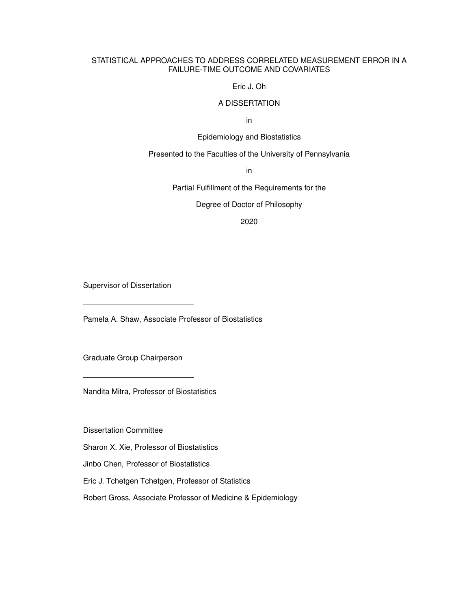# STATISTICAL APPROACHES TO ADDRESS CORRELATED MEASUREMENT ERROR IN A FAILURE-TIME OUTCOME AND COVARIATES

Eric J. Oh

## A DISSERTATION

in

Epidemiology and Biostatistics

Presented to the Faculties of the University of Pennsylvania

in

Partial Fulfillment of the Requirements for the

Degree of Doctor of Philosophy

2020

Supervisor of Dissertation

Pamela A. Shaw, Associate Professor of Biostatistics

Graduate Group Chairperson

Nandita Mitra, Professor of Biostatistics

Dissertation Committee

Sharon X. Xie, Professor of Biostatistics

Jinbo Chen, Professor of Biostatistics

Eric J. Tchetgen Tchetgen, Professor of Statistics

Robert Gross, Associate Professor of Medicine & Epidemiology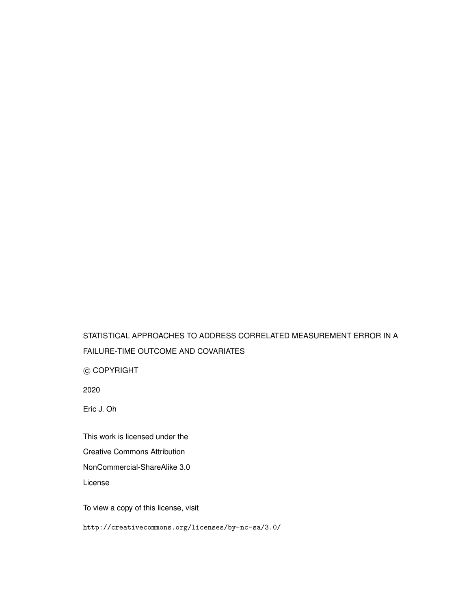# STATISTICAL APPROACHES TO ADDRESS CORRELATED MEASUREMENT ERROR IN A FAILURE-TIME OUTCOME AND COVARIATES

c COPYRIGHT

2020

Eric J. Oh

This work is licensed under the Creative Commons Attribution NonCommercial-ShareAlike 3.0

License

To view a copy of this license, visit

http://creativecommons.org/licenses/by-nc-sa/3.0/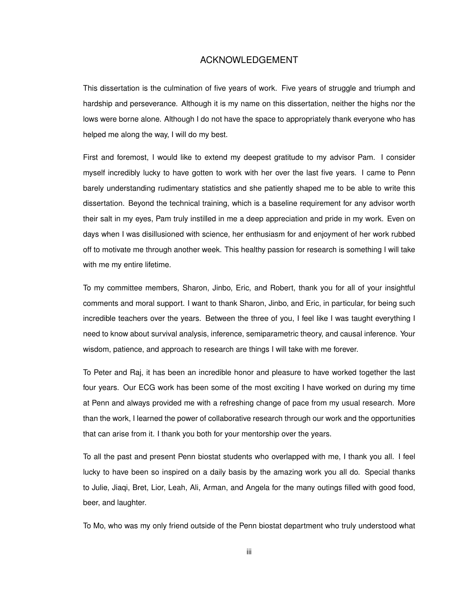## ACKNOWLEDGEMENT

This dissertation is the culmination of five years of work. Five years of struggle and triumph and hardship and perseverance. Although it is my name on this dissertation, neither the highs nor the lows were borne alone. Although I do not have the space to appropriately thank everyone who has helped me along the way, I will do my best.

First and foremost, I would like to extend my deepest gratitude to my advisor Pam. I consider myself incredibly lucky to have gotten to work with her over the last five years. I came to Penn barely understanding rudimentary statistics and she patiently shaped me to be able to write this dissertation. Beyond the technical training, which is a baseline requirement for any advisor worth their salt in my eyes, Pam truly instilled in me a deep appreciation and pride in my work. Even on days when I was disillusioned with science, her enthusiasm for and enjoyment of her work rubbed off to motivate me through another week. This healthy passion for research is something I will take with me my entire lifetime.

To my committee members, Sharon, Jinbo, Eric, and Robert, thank you for all of your insightful comments and moral support. I want to thank Sharon, Jinbo, and Eric, in particular, for being such incredible teachers over the years. Between the three of you, I feel like I was taught everything I need to know about survival analysis, inference, semiparametric theory, and causal inference. Your wisdom, patience, and approach to research are things I will take with me forever.

To Peter and Raj, it has been an incredible honor and pleasure to have worked together the last four years. Our ECG work has been some of the most exciting I have worked on during my time at Penn and always provided me with a refreshing change of pace from my usual research. More than the work, I learned the power of collaborative research through our work and the opportunities that can arise from it. I thank you both for your mentorship over the years.

To all the past and present Penn biostat students who overlapped with me, I thank you all. I feel lucky to have been so inspired on a daily basis by the amazing work you all do. Special thanks to Julie, Jiaqi, Bret, Lior, Leah, Ali, Arman, and Angela for the many outings filled with good food, beer, and laughter.

To Mo, who was my only friend outside of the Penn biostat department who truly understood what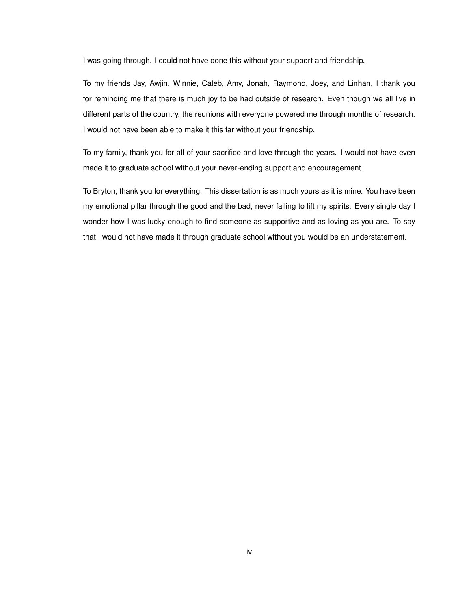I was going through. I could not have done this without your support and friendship.

To my friends Jay, Awjin, Winnie, Caleb, Amy, Jonah, Raymond, Joey, and Linhan, I thank you for reminding me that there is much joy to be had outside of research. Even though we all live in different parts of the country, the reunions with everyone powered me through months of research. I would not have been able to make it this far without your friendship.

To my family, thank you for all of your sacrifice and love through the years. I would not have even made it to graduate school without your never-ending support and encouragement.

To Bryton, thank you for everything. This dissertation is as much yours as it is mine. You have been my emotional pillar through the good and the bad, never failing to lift my spirits. Every single day I wonder how I was lucky enough to find someone as supportive and as loving as you are. To say that I would not have made it through graduate school without you would be an understatement.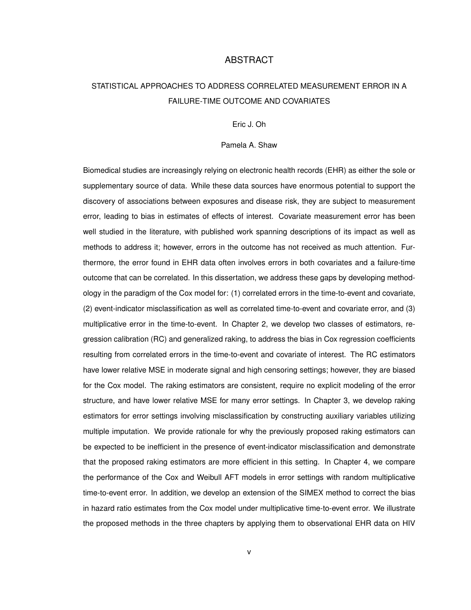## ABSTRACT

# STATISTICAL APPROACHES TO ADDRESS CORRELATED MEASUREMENT ERROR IN A FAILURE-TIME OUTCOME AND COVARIATES

#### Eric J. Oh

#### Pamela A. Shaw

Biomedical studies are increasingly relying on electronic health records (EHR) as either the sole or supplementary source of data. While these data sources have enormous potential to support the discovery of associations between exposures and disease risk, they are subject to measurement error, leading to bias in estimates of effects of interest. Covariate measurement error has been well studied in the literature, with published work spanning descriptions of its impact as well as methods to address it; however, errors in the outcome has not received as much attention. Furthermore, the error found in EHR data often involves errors in both covariates and a failure-time outcome that can be correlated. In this dissertation, we address these gaps by developing methodology in the paradigm of the Cox model for: (1) correlated errors in the time-to-event and covariate, (2) event-indicator misclassification as well as correlated time-to-event and covariate error, and (3) multiplicative error in the time-to-event. In Chapter 2, we develop two classes of estimators, regression calibration (RC) and generalized raking, to address the bias in Cox regression coefficients resulting from correlated errors in the time-to-event and covariate of interest. The RC estimators have lower relative MSE in moderate signal and high censoring settings; however, they are biased for the Cox model. The raking estimators are consistent, require no explicit modeling of the error structure, and have lower relative MSE for many error settings. In Chapter 3, we develop raking estimators for error settings involving misclassification by constructing auxiliary variables utilizing multiple imputation. We provide rationale for why the previously proposed raking estimators can be expected to be inefficient in the presence of event-indicator misclassification and demonstrate that the proposed raking estimators are more efficient in this setting. In Chapter 4, we compare the performance of the Cox and Weibull AFT models in error settings with random multiplicative time-to-event error. In addition, we develop an extension of the SIMEX method to correct the bias in hazard ratio estimates from the Cox model under multiplicative time-to-event error. We illustrate the proposed methods in the three chapters by applying them to observational EHR data on HIV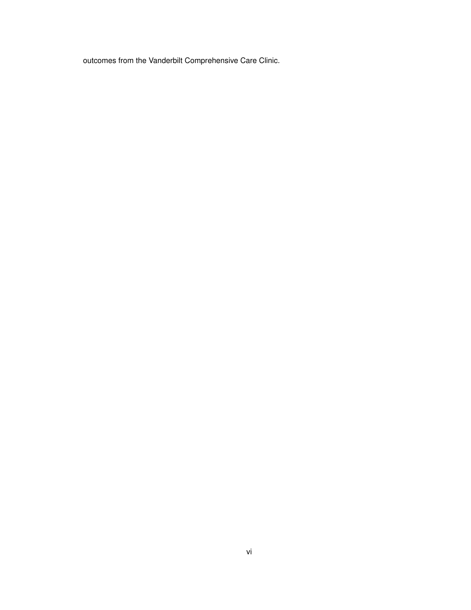outcomes from the Vanderbilt Comprehensive Care Clinic.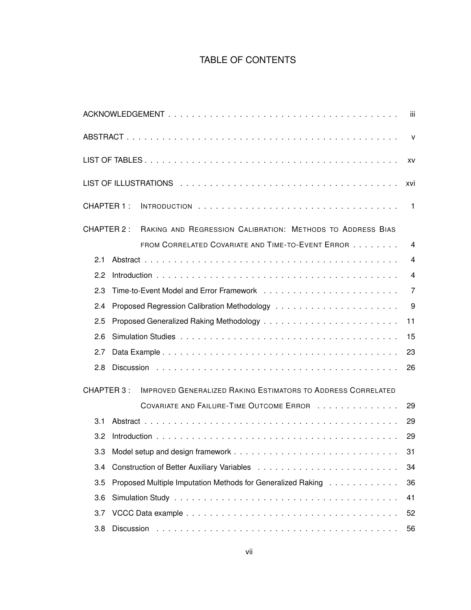# TABLE OF CONTENTS

|                                                                                   | iii            |  |  |  |  |
|-----------------------------------------------------------------------------------|----------------|--|--|--|--|
|                                                                                   |                |  |  |  |  |
|                                                                                   | XV             |  |  |  |  |
|                                                                                   | xvi            |  |  |  |  |
| CHAPTER 1:                                                                        | $\overline{1}$ |  |  |  |  |
| CHAPTER 2:<br>RAKING AND REGRESSION CALIBRATION: METHODS TO ADDRESS BIAS          |                |  |  |  |  |
| FROM CORRELATED COVARIATE AND TIME-TO-EVENT ERROR                                 | $\overline{4}$ |  |  |  |  |
| 2.1                                                                               | $\overline{4}$ |  |  |  |  |
| 2.2                                                                               | $\overline{4}$ |  |  |  |  |
| 2.3                                                                               | 7              |  |  |  |  |
| 2.4                                                                               | 9              |  |  |  |  |
| 2.5                                                                               | 11             |  |  |  |  |
| 15<br>2.6                                                                         |                |  |  |  |  |
| 23<br>2.7                                                                         |                |  |  |  |  |
| 2.8                                                                               | 26             |  |  |  |  |
| CHAPTER 3:<br><b>IMPROVED GENERALIZED RAKING ESTIMATORS TO ADDRESS CORRELATED</b> |                |  |  |  |  |
| COVARIATE AND FAILURE-TIME OUTCOME ERROR                                          | 29             |  |  |  |  |
| 3.1                                                                               | 29             |  |  |  |  |
| 3.2                                                                               | 29             |  |  |  |  |
| 3.3                                                                               | 31             |  |  |  |  |
| 3.4                                                                               | 34             |  |  |  |  |
| Proposed Multiple Imputation Methods for Generalized Raking<br>3.5                | 36             |  |  |  |  |
| 3.6<br>41                                                                         |                |  |  |  |  |
| 3.7<br>52                                                                         |                |  |  |  |  |
| 3.8                                                                               | 56             |  |  |  |  |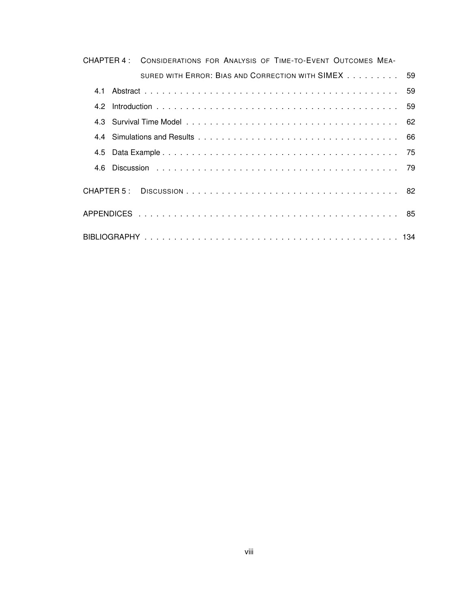|    | CHAPTER 4: CONSIDERATIONS FOR ANALYSIS OF TIME-TO-EVENT OUTCOMES MEA- |  |
|----|-----------------------------------------------------------------------|--|
|    | SURED WITH ERROR: BIAS AND CORRECTION WITH SIMEX 59                   |  |
| 41 |                                                                       |  |
|    |                                                                       |  |
|    |                                                                       |  |
|    |                                                                       |  |
|    |                                                                       |  |
|    |                                                                       |  |
|    |                                                                       |  |
|    |                                                                       |  |
|    |                                                                       |  |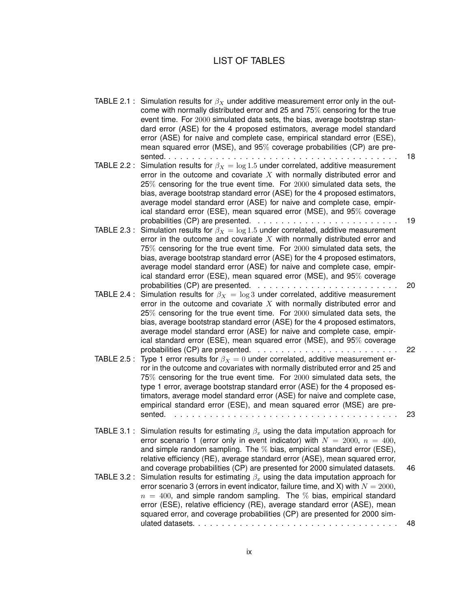# LIST OF TABLES

| TABLE 2.1: Simulation results for $\beta_X$ under additive measurement error only in the out-<br>come with normally distributed error and 25 and 75% censoring for the true<br>event time. For 2000 simulated data sets, the bias, average bootstrap stan-<br>dard error (ASE) for the 4 proposed estimators, average model standard<br>error (ASE) for naive and complete case, empirical standard error (ESE),<br>mean squared error (MSE), and 95% coverage probabilities (CP) are pre-                                  | 18                                                                                                                                                                                                                           |
|-----------------------------------------------------------------------------------------------------------------------------------------------------------------------------------------------------------------------------------------------------------------------------------------------------------------------------------------------------------------------------------------------------------------------------------------------------------------------------------------------------------------------------|------------------------------------------------------------------------------------------------------------------------------------------------------------------------------------------------------------------------------|
| Simulation results for $\beta_X = \log 1.5$ under correlated, additive measurement<br><b>TABLE 2.2 :</b><br>error in the outcome and covariate $X$ with normally distributed error and<br>25% censoring for the true event time. For 2000 simulated data sets, the<br>bias, average bootstrap standard error (ASE) for the 4 proposed estimators,<br>average model standard error (ASE) for naive and complete case, empir-<br>ical standard error (ESE), mean squared error (MSE), and 95% coverage                        |                                                                                                                                                                                                                              |
| Simulation results for $\beta_X = \log 1.5$ under correlated, additive measurement<br><b>TABLE 2.3 :</b><br>error in the outcome and covariate $X$ with normally distributed error and<br>75% censoring for the true event time. For 2000 simulated data sets, the<br>bias, average bootstrap standard error (ASE) for the 4 proposed estimators,<br>average model standard error (ASE) for naive and complete case, empir-                                                                                                 | 19                                                                                                                                                                                                                           |
| Simulation results for $\beta_X = \log 3$ under correlated, additive measurement<br><b>TABLE 2.4 :</b><br>error in the outcome and covariate $X$ with normally distributed error and<br>25% censoring for the true event time. For 2000 simulated data sets, the<br>bias, average bootstrap standard error (ASE) for the 4 proposed estimators,<br>average model standard error (ASE) for naive and complete case, empir-                                                                                                   | 20                                                                                                                                                                                                                           |
| TABLE 2.5 : Type 1 error results for $\beta_X = 0$ under correlated, additive measurement er-<br>ror in the outcome and covariates with normally distributed error and 25 and<br>75% censoring for the true event time. For 2000 simulated data sets, the<br>type 1 error, average bootstrap standard error (ASE) for the 4 proposed es-<br>timators, average model standard error (ASE) for naive and complete case,<br>empirical standard error (ESE), and mean squared error (MSE) are pre-<br>sented.<br>and a straight | 22<br>23                                                                                                                                                                                                                     |
| TABLE 3.1 : Simulation results for estimating $\beta_x$ using the data imputation approach for<br>error scenario 1 (error only in event indicator) with $N = 2000$ , $n = 400$ ,<br>and simple random sampling. The $%$ bias, empirical standard error (ESE),<br>relative efficiency (RE), average standard error (ASE), mean squared error,                                                                                                                                                                                |                                                                                                                                                                                                                              |
| <b>TABLE 3.2 :</b><br>Simulation results for estimating $\beta_x$ using the data imputation approach for<br>error scenario 3 (errors in event indicator, failure time, and X) with $N = 2000$ ,<br>$n = 400$ , and simple random sampling. The % bias, empirical standard<br>error (ESE), relative efficiency (RE), average standard error (ASE), mean<br>squared error, and coverage probabilities (CP) are presented for 2000 sim-                                                                                        | 46<br>48                                                                                                                                                                                                                     |
|                                                                                                                                                                                                                                                                                                                                                                                                                                                                                                                             | ical standard error (ESE), mean squared error (MSE), and 95% coverage<br>ical standard error (ESE), mean squared error (MSE), and 95% coverage<br>and coverage probabilities (CP) are presented for 2000 simulated datasets. |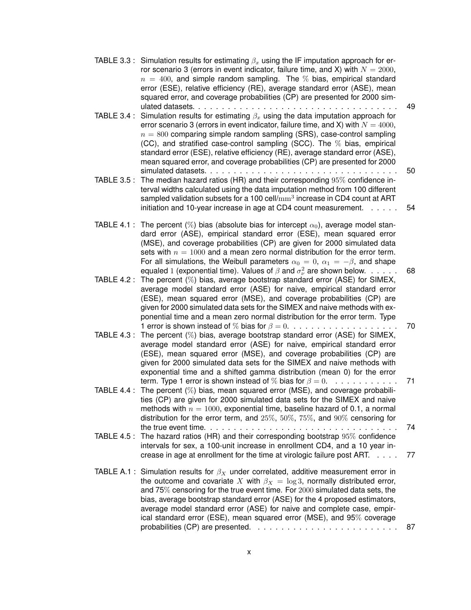|                    | TABLE 3.3 : Simulation results for estimating $\beta_x$ using the IF imputation approach for er-<br>ror scenario 3 (errors in event indicator, failure time, and X) with $N = 2000$ ,<br>$n = 400$ , and simple random sampling. The % bias, empirical standard<br>error (ESE), relative efficiency (RE), average standard error (ASE), mean<br>squared error, and coverage probabilities (CP) are presented for 2000 sim-<br>ulated datasets.                                                                               | 49       |
|--------------------|------------------------------------------------------------------------------------------------------------------------------------------------------------------------------------------------------------------------------------------------------------------------------------------------------------------------------------------------------------------------------------------------------------------------------------------------------------------------------------------------------------------------------|----------|
|                    | TABLE 3.4 : Simulation results for estimating $\beta_x$ using the data imputation approach for<br>error scenario 3 (errors in event indicator, failure time, and X) with $N = 4000$ ,<br>$n = 800$ comparing simple random sampling (SRS), case-control sampling<br>(CC), and stratified case-control sampling (SCC). The $\%$ bias, empirical<br>standard error (ESE), relative efficiency (RE), average standard error (ASE),<br>mean squared error, and coverage probabilities (CP) are presented for 2000                | 50       |
|                    | TABLE 3.5 : The median hazard ratios (HR) and their corresponding 95% confidence in-<br>terval widths calculated using the data imputation method from 100 different<br>sampled validation subsets for a 100 cell/ $\text{mm}^3$ increase in CD4 count at ART<br>initiation and 10-year increase in age at CD4 count measurement.                                                                                                                                                                                            | 54       |
|                    | TABLE 4.1 : The percent (%) bias (absolute bias for intercept $\alpha_0$ ), average model stan-<br>dard error (ASE), empirical standard error (ESE), mean squared error<br>(MSE), and coverage probabilities (CP) are given for 2000 simulated data<br>sets with $n = 1000$ and a mean zero normal distribution for the error term.<br>For all simulations, the Weibull parameters $\alpha_0 = 0$ , $\alpha_1 = -\beta$ , and shape<br>equaled 1 (exponential time). Values of $\beta$ and $\sigma_{\nu}^2$ are shown below. | 68       |
|                    | TABLE 4.2 : The percent (%) bias, average bootstrap standard error (ASE) for SIMEX,<br>average model standard error (ASE) for naive, empirical standard error<br>(ESE), mean squared error (MSE), and coverage probabilities (CP) are<br>given for 2000 simulated data sets for the SIMEX and naive methods with ex-<br>ponential time and a mean zero normal distribution for the error term. Type                                                                                                                          | 70       |
| <b>TABLE 4.3:</b>  | The percent $(\%)$ bias, average bootstrap standard error (ASE) for SIMEX,<br>average model standard error (ASE) for naive, empirical standard error<br>(ESE), mean squared error (MSE), and coverage probabilities (CP) are<br>given for 2000 simulated data sets for the SIMEX and naive methods with<br>exponential time and a shifted gamma distribution (mean 0) for the error<br>term. Type 1 error is shown instead of % bias for $\beta = 0$ .                                                                       | 71       |
|                    | TABLE 4.4 : The percent (%) bias, mean squared error (MSE), and coverage probabili-<br>ties (CP) are given for 2000 simulated data sets for the SIMEX and naive<br>methods with $n = 1000$ , exponential time, baseline hazard of 0.1, a normal<br>distribution for the error term, and $25\%, 50\%, 75\%,$ and $90\%$ censoring for                                                                                                                                                                                         |          |
| <b>TABLE 4.5 :</b> | The hazard ratios (HR) and their corresponding bootstrap 95% confidence<br>intervals for sex, a 100-unit increase in enrollment CD4, and a 10 year in-<br>crease in age at enrollment for the time at virologic failure post ART.<br>and and                                                                                                                                                                                                                                                                                 | 74<br>77 |
|                    | TABLE A.1 : Simulation results for $\beta_X$ under correlated, additive measurement error in<br>the outcome and covariate X with $\beta_X = \log 3$ , normally distributed error,<br>and 75% censoring for the true event time. For 2000 simulated data sets, the<br>bias, average bootstrap standard error (ASE) for the 4 proposed estimators,<br>average model standard error (ASE) for naive and complete case, empir-<br>ical standard error (ESE), mean squared error (MSE), and 95% coverage                          | 87       |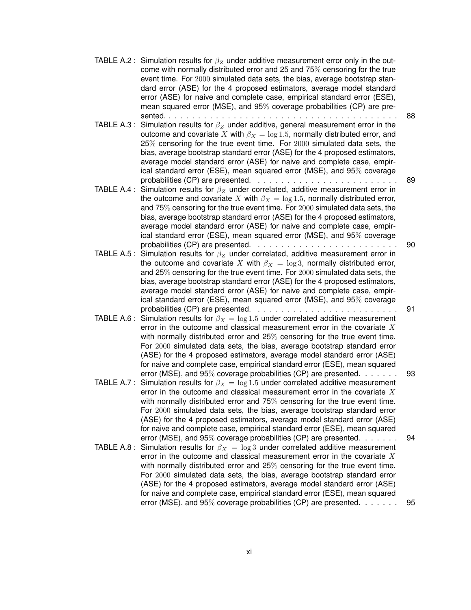TABLE A.2 : Simulation results for  $\beta_Z$  under additive measurement error only in the outcome with normally distributed error and 25 and 75% censoring for the true event time. For 2000 simulated data sets, the bias, average bootstrap standard error (ASE) for the 4 proposed estimators, average model standard error (ASE) for naive and complete case, empirical standard error (ESE), mean squared error (MSE), and 95% coverage probabilities (CP) are presented. . . . . . . . . . . . . . . . . . . . . . . . . . . . . . . . . . . . . . . . 88 TABLE A.3 : Simulation results for  $\beta_Z$  under additive, general measurement error in the outcome and covariate X with  $\beta_X = \log 1.5$ , normally distributed error, and 25% censoring for the true event time. For 2000 simulated data sets, the bias, average bootstrap standard error (ASE) for the 4 proposed estimators, average model standard error (ASE) for naive and complete case, empirical standard error (ESE), mean squared error (MSE), and 95% coverage probabilities (CP) are presented. . . . . . . . . . . . . . . . . . . . . . . . . 89 TABLE A.4 : Simulation results for  $\beta_Z$  under correlated, additive measurement error in the outcome and covariate X with  $\beta_X = \log 1.5$ , normally distributed error, and 75% censoring for the true event time. For 2000 simulated data sets, the bias, average bootstrap standard error (ASE) for the 4 proposed estimators, average model standard error (ASE) for naive and complete case, empirical standard error (ESE), mean squared error (MSE), and 95% coverage probabilities (CP) are presented. . . . . . . . . . . . . . . . . . . . . . . . . 90 TABLE A.5 : Simulation results for  $\beta_Z$  under correlated, additive measurement error in the outcome and covariate X with  $\beta_X = \log 3$ , normally distributed error, and 25% censoring for the true event time. For 2000 simulated data sets, the bias, average bootstrap standard error (ASE) for the 4 proposed estimators, average model standard error (ASE) for naive and complete case, empirical standard error (ESE), mean squared error (MSE), and 95% coverage probabilities (CP) are presented. . . . . . . . . . . . . . . . . . . . . . . . . 91 TABLE A.6 : Simulation results for  $\beta_X = \log 1.5$  under correlated additive measurement error in the outcome and classical measurement error in the covariate  $X$ with normally distributed error and 25% censoring for the true event time. For 2000 simulated data sets, the bias, average bootstrap standard error (ASE) for the 4 proposed estimators, average model standard error (ASE) for naive and complete case, empirical standard error (ESE), mean squared error (MSE), and 95% coverage probabilities (CP) are presented. . . . . . . 93 TABLE A.7 : Simulation results for  $\beta_X = \log 1.5$  under correlated additive measurement error in the outcome and classical measurement error in the covariate  $X$ with normally distributed error and 75% censoring for the true event time. For 2000 simulated data sets, the bias, average bootstrap standard error (ASE) for the 4 proposed estimators, average model standard error (ASE) for naive and complete case, empirical standard error (ESE), mean squared error (MSE), and 95% coverage probabilities (CP) are presented. . . . . . . 94 TABLE A.8 : Simulation results for  $\beta_X = \log 3$  under correlated additive measurement error in the outcome and classical measurement error in the covariate  $X$ with normally distributed error and 25% censoring for the true event time. For 2000 simulated data sets, the bias, average bootstrap standard error (ASE) for the 4 proposed estimators, average model standard error (ASE) for naive and complete case, empirical standard error (ESE), mean squared error (MSE), and 95% coverage probabilities (CP) are presented. . . . . . . 95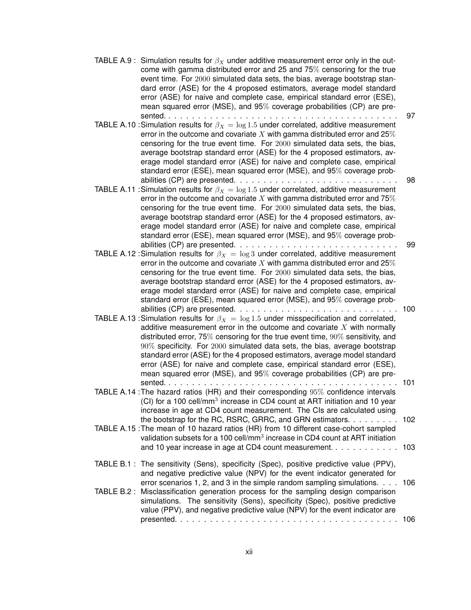- TABLE A.9 : Simulation results for  $\beta_X$  under additive measurement error only in the outcome with gamma distributed error and 25 and 75% censoring for the true event time. For 2000 simulated data sets, the bias, average bootstrap standard error (ASE) for the 4 proposed estimators, average model standard error (ASE) for naive and complete case, empirical standard error (ESE), mean squared error (MSE), and 95% coverage probabilities (CP) are presented. . . . . . . . . . . . . . . . . . . . . . . . . . . . . . . . . . . . . . . . 97
- TABLE A.10 : Simulation results for  $\beta_X = \log 1.5$  under correlated, additive measurement error in the outcome and covariate  $X$  with gamma distributed error and 25% censoring for the true event time. For 2000 simulated data sets, the bias, average bootstrap standard error (ASE) for the 4 proposed estimators, average model standard error (ASE) for naive and complete case, empirical standard error (ESE), mean squared error (MSE), and 95% coverage probabilities (CP) are presented. . . . . . . . . . . . . . . . . . . . . . . . . . . . 98
- TABLE A.11 : Simulation results for  $\beta_X = \log 1.5$  under correlated, additive measurement error in the outcome and covariate  $X$  with gamma distributed error and 75% censoring for the true event time. For 2000 simulated data sets, the bias, average bootstrap standard error (ASE) for the 4 proposed estimators, average model standard error (ASE) for naive and complete case, empirical standard error (ESE), mean squared error (MSE), and 95% coverage probabilities (CP) are presented. . . . . . . . . . . . . . . . . . . . . . . . . . . . 99
- TABLE A.12 : Simulation results for  $\beta_X = \log 3$  under correlated, additive measurement error in the outcome and covariate  $X$  with gamma distributed error and 25% censoring for the true event time. For 2000 simulated data sets, the bias, average bootstrap standard error (ASE) for the 4 proposed estimators, average model standard error (ASE) for naive and complete case, empirical standard error (ESE), mean squared error (MSE), and 95% coverage probabilities (CP) are presented. . . . . . . . . . . . . . . . . . . . . . . . . . . . 100
- TABLE A.13 : Simulation results for  $\beta_X = \log 1.5$  under misspecification and correlated, additive measurement error in the outcome and covariate  $X$  with normally distributed error, 75% censoring for the true event time, 90% sensitivity, and 90% specificity. For 2000 simulated data sets, the bias, average bootstrap standard error (ASE) for the 4 proposed estimators, average model standard error (ASE) for naive and complete case, empirical standard error (ESE), mean squared error (MSE), and 95% coverage probabilities (CP) are presented. . . . . . . . . . . . . . . . . . . . . . . . . . . . . . . . . . . . . . . . 101
- TABLE A.14 :The hazard ratios (HR) and their corresponding 95% confidence intervals (CI) for a 100 cell/mm<sup>3</sup> increase in CD4 count at ART initiation and 10 year increase in age at CD4 count measurement. The CIs are calculated using the bootstrap for the RC, RSRC, GRRC, and GRN estimators. . . . . . . . . 102
- TABLE A.15 :The mean of 10 hazard ratios (HR) from 10 different case-cohort sampled validation subsets for a 100 cell/mm $^3$  increase in CD4 count at ART initiation and 10 year increase in age at CD4 count measurement. . . . . . . . . . . . 103
- TABLE B.1 : The sensitivity (Sens), specificity (Spec), positive predictive value (PPV), and negative predictive value (NPV) for the event indicator generated for error scenarios 1, 2, and 3 in the simple random sampling simulations. . . . 106
- TABLE B.2 : Misclassification generation process for the sampling design comparison simulations. The sensitivity (Sens), specificity (Spec), positive predictive value (PPV), and negative predictive value (NPV) for the event indicator are presented. . . . . . . . . . . . . . . . . . . . . . . . . . . . . . . . . . . . . . 106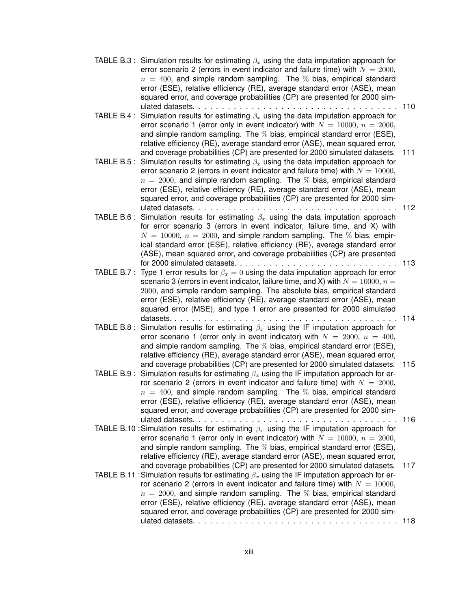| TABLE B.3 : Simulation results for estimating $\beta_x$ using the data imputation approach for<br>error scenario 2 (errors in event indicator and failure time) with $N = 2000$ ,<br>$n = 400$ , and simple random sampling. The % bias, empirical standard<br>error (ESE), relative efficiency (RE), average standard error (ASE), mean<br>squared error, and coverage probabilities (CP) are presented for 2000 sim-                                                                                  |     |
|---------------------------------------------------------------------------------------------------------------------------------------------------------------------------------------------------------------------------------------------------------------------------------------------------------------------------------------------------------------------------------------------------------------------------------------------------------------------------------------------------------|-----|
| ulated datasets.<br>TABLE B.4 : Simulation results for estimating $\beta_x$ using the data imputation approach for<br>error scenario 1 (error only in event indicator) with $N = 10000$ , $n = 2000$ ,<br>and simple random sampling. The $%$ bias, empirical standard error (ESE),                                                                                                                                                                                                                     | 110 |
| relative efficiency (RE), average standard error (ASE), mean squared error,<br>and coverage probabilities (CP) are presented for 2000 simulated datasets.<br>TABLE B.5 : Simulation results for estimating $\beta_x$ using the data imputation approach for<br>error scenario 2 (errors in event indicator and failure time) with $N = 10000$ ,                                                                                                                                                         | 111 |
| $n = 2000$ , and simple random sampling. The % bias, empirical standard<br>error (ESE), relative efficiency (RE), average standard error (ASE), mean<br>squared error, and coverage probabilities (CP) are presented for 2000 sim-<br>ulated datasets.<br>TABLE B.6 : Simulation results for estimating $\beta_x$ using the data imputation approach                                                                                                                                                    | 112 |
| for error scenario 3 (errors in event indicator, failure time, and X) with<br>$N = 10000$ , $n = 2000$ , and simple random sampling. The % bias, empir-<br>ical standard error (ESE), relative efficiency (RE), average standard error<br>(ASE), mean squared error, and coverage probabilities (CP) are presented                                                                                                                                                                                      |     |
| TABLE B.7 : Type 1 error results for $\beta_x = 0$ using the data imputation approach for error<br>scenario 3 (errors in event indicator, failure time, and X) with $N = 10000$ , $n =$<br>2000, and simple random sampling. The absolute bias, empirical standard<br>error (ESE), relative efficiency (RE), average standard error (ASE), mean<br>squared error (MSE), and type 1 error are presented for 2000 simulated                                                                               | 113 |
| datasets<br>and a construction of the second<br>TABLE B.8 : Simulation results for estimating $\beta_x$ using the IF imputation approach for<br>error scenario 1 (error only in event indicator) with $N = 2000$ , $n = 400$ ,<br>and simple random sampling. The $%$ bias, empirical standard error (ESE),<br>relative efficiency (RE), average standard error (ASE), mean squared error,                                                                                                              | 114 |
| and coverage probabilities (CP) are presented for 2000 simulated datasets.<br>TABLE B.9 : Simulation results for estimating $\beta_x$ using the IF imputation approach for er-<br>ror scenario 2 (errors in event indicator and failure time) with $N = 2000$ ,<br>$n = 400$ , and simple random sampling. The % bias, empirical standard<br>error (ESE), relative efficiency (RE), average standard error (ASE), mean<br>squared error, and coverage probabilities (CP) are presented for 2000 sim-    | 115 |
| TABLE B.10 : Simulation results for estimating $\beta_x$ using the IF imputation approach for<br>error scenario 1 (error only in event indicator) with $N = 10000$ , $n = 2000$ ,<br>and simple random sampling. The $%$ bias, empirical standard error (ESE),<br>relative efficiency (RE), average standard error (ASE), mean squared error,                                                                                                                                                           | 116 |
| and coverage probabilities (CP) are presented for 2000 simulated datasets.<br>TABLE B.11 : Simulation results for estimating $\beta_x$ using the IF imputation approach for er-<br>ror scenario 2 (errors in event indicator and failure time) with $N = 10000$ ,<br>$n = 2000$ , and simple random sampling. The % bias, empirical standard<br>error (ESE), relative efficiency (RE), average standard error (ASE), mean<br>squared error, and coverage probabilities (CP) are presented for 2000 sim- | 117 |
|                                                                                                                                                                                                                                                                                                                                                                                                                                                                                                         | 118 |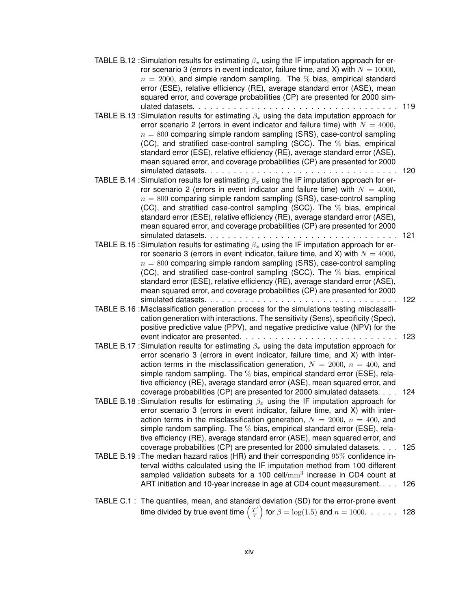|  | TABLE B.12 : Simulation results for estimating $\beta_x$ using the IF imputation approach for er-<br>ror scenario 3 (errors in event indicator, failure time, and X) with $N = 10000$ ,<br>$n = 2000$ , and simple random sampling. The % bias, empirical standard<br>error (ESE), relative efficiency (RE), average standard error (ASE), mean<br>squared error, and coverage probabilities (CP) are presented for 2000 sim-                                                                                                  |            |
|--|--------------------------------------------------------------------------------------------------------------------------------------------------------------------------------------------------------------------------------------------------------------------------------------------------------------------------------------------------------------------------------------------------------------------------------------------------------------------------------------------------------------------------------|------------|
|  | ulated datasets.<br>TABLE B.13 : Simulation results for estimating $\beta_x$ using the data imputation approach for<br>error scenario 2 (errors in event indicator and failure time) with $N = 4000$ ,<br>$n = 800$ comparing simple random sampling (SRS), case-control sampling<br>(CC), and stratified case-control sampling (SCC). The % bias, empirical<br>standard error (ESE), relative efficiency (RE), average standard error (ASE),<br>mean squared error, and coverage probabilities (CP) are presented for 2000    | 119        |
|  | simulated datasets.<br>TABLE B.14 : Simulation results for estimating $\beta_x$ using the IF imputation approach for er-<br>ror scenario 2 (errors in event indicator and failure time) with $N = 4000$ ,<br>$n = 800$ comparing simple random sampling (SRS), case-control sampling<br>(CC), and stratified case-control sampling (SCC). The % bias, empirical<br>standard error (ESE), relative efficiency (RE), average standard error (ASE),<br>mean squared error, and coverage probabilities (CP) are presented for 2000 | 120        |
|  | simulated datasets.<br>TABLE B.15 : Simulation results for estimating $\beta_x$ using the IF imputation approach for er-<br>ror scenario 3 (errors in event indicator, failure time, and X) with $N = 4000$ ,<br>$n = 800$ comparing simple random sampling (SRS), case-control sampling<br>(CC), and stratified case-control sampling (SCC). The % bias, empirical<br>standard error (ESE), relative efficiency (RE), average standard error (ASE),                                                                           | 121        |
|  | mean squared error, and coverage probabilities (CP) are presented for 2000<br>$simulated datasets.$<br>TABLE B.16 : Misclassification generation process for the simulations testing misclassifi-<br>cation generation with interactions. The sensitivity (Sens), specificity (Spec),<br>positive predictive value (PPV), and negative predictive value (NPV) for the                                                                                                                                                          | 122        |
|  | TABLE B.17 : Simulation results for estimating $\beta_x$ using the data imputation approach for<br>error scenario 3 (errors in event indicator, failure time, and X) with inter-<br>action terms in the misclassification generation, $N = 2000$ , $n = 400$ , and<br>simple random sampling. The $\%$ bias, empirical standard error (ESE), rela-<br>tive efficiency (RE), average standard error (ASE), mean squared error, and                                                                                              | 123        |
|  | coverage probabilities (CP) are presented for 2000 simulated datasets.<br>TABLE B.18 : Simulation results for estimating $\beta_x$ using the IF imputation approach for<br>error scenario 3 (errors in event indicator, failure time, and X) with inter-<br>action terms in the misclassification generation, $N = 2000$ , $n = 400$ , and<br>simple random sampling. The % bias, empirical standard error (ESE), rela-                                                                                                        | 124        |
|  | tive efficiency (RE), average standard error (ASE), mean squared error, and<br>coverage probabilities (CP) are presented for 2000 simulated datasets.<br>TABLE B.19 : The median hazard ratios (HR) and their corresponding 95% confidence in-<br>terval widths calculated using the IF imputation method from 100 different<br>sampled validation subsets for a 100 cell/ $\text{mm}^3$ increase in CD4 count at<br>ART initiation and 10-year increase in age at CD4 count measurement.                                      | 125<br>126 |
|  | TABLE C.1: The quantiles, mean, and standard deviation (SD) for the error-prone event<br>time divided by true event time $\left(\frac{T'}{T}\right)$ for $\beta = \log(1.5)$ and $n = 1000$ . 128                                                                                                                                                                                                                                                                                                                              |            |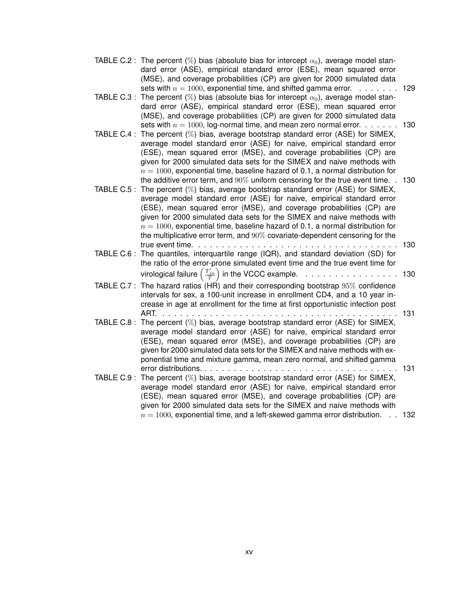- TABLE C.2 : The percent (%) bias (absolute bias for intercept  $\alpha_0$ ), average model standard error (ASE), empirical standard error (ESE), mean squared error (MSE), and coverage probabilities (CP) are given for 2000 simulated data sets with  $n = 1000$ , exponential time, and shifted gamma error. . . . . . . . 129
- TABLE C.3 : The percent (%) bias (absolute bias for intercept  $\alpha_0$ ), average model standard error (ASE), empirical standard error (ESE), mean squared error (MSE), and coverage probabilities (CP) are given for 2000 simulated data sets with  $n = 1000$ , log-normal time, and mean zero normal error. . . . . . . 130
- TABLE C.4 : The percent (%) bias, average bootstrap standard error (ASE) for SIMEX, average model standard error (ASE) for naive, empirical standard error (ESE), mean squared error (MSE), and coverage probabilities (CP) are given for 2000 simulated data sets for the SIMEX and naive methods with  $n = 1000$ , exponential time, baseline hazard of 0.1, a normal distribution for the additive error term, and 90% uniform censoring for the true event time. . 130
- TABLE  $C.5$ : The percent  $(\%)$  bias, average bootstrap standard error (ASE) for SIMEX, average model standard error (ASE) for naive, empirical standard error (ESE), mean squared error (MSE), and coverage probabilities (CP) are given for 2000 simulated data sets for the SIMEX and naive methods with  $n = 1000$ , exponential time, baseline hazard of 0.1, a normal distribution for the multiplicative error term, and 90% covariate-dependent censoring for the true event time. . . . . . . . . . . . . . . . . . . . . . . . . . . . . . . . . . . 130
- TABLE C.6 : The quantiles, interquartile range (IQR), and standard deviation (SD) for the ratio of the error-prone simulated event time and the true event time for virological failure  $\left(\frac{T'_{\lambda b}}{T}\right)$  in the VCCC example.  $\,\,\ldots\,\,\ldots\,\,\ldots\,\,\ldots\,\,\ldots\,\,\ldots\,\,\,\ldots\,\,$  130
- TABLE C.7 : The hazard ratios (HR) and their corresponding bootstrap 95% confidence intervals for sex, a 100-unit increase in enrollment CD4, and a 10 year increase in age at enrollment for the time at first opportunistic infection post ART. . . . . . . . . . . . . . . . . . . . . . . . . . . . . . . . . . . . . . . . . 131
- TABLE C.8 : The percent (%) bias, average bootstrap standard error (ASE) for SIMEX, average model standard error (ASE) for naive, empirical standard error (ESE), mean squared error (MSE), and coverage probabilities (CP) are given for 2000 simulated data sets for the SIMEX and naive methods with exponential time and mixture gamma, mean zero normal, and shifted gamma error distributions. . . . . . . . . . . . . . . . . . . . . . . . . . . . . . . . . . 131
- TABLE C.9 : The percent (%) bias, average bootstrap standard error (ASE) for SIMEX, average model standard error (ASE) for naive, empirical standard error (ESE), mean squared error (MSE), and coverage probabilities (CP) are given for 2000 simulated data sets for the SIMEX and naive methods with  $n = 1000$ , exponential time, and a left-skewed gamma error distribution.  $\therefore$  132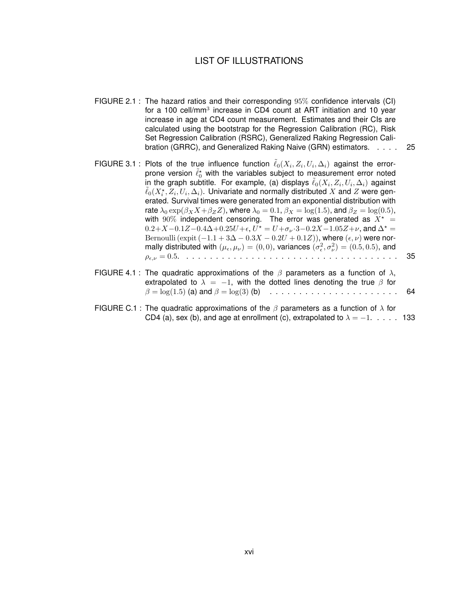# LIST OF ILLUSTRATIONS

FIGURE 2.1 : The hazard ratios and their corresponding 95% confidence intervals (CI) for a 100 cell/mm<sup>3</sup> increase in CD4 count at ART initiation and 10 year increase in age at CD4 count measurement. Estimates and their CIs are calculated using the bootstrap for the Regression Calibration (RC), Risk Set Regression Calibration (RSRC), Generalized Raking Regression Calibration (GRRC), and Generalized Raking Naive (GRN) estimators. . . . . 25

| FIGURE 3.1 : Plots of the true influence function $\tilde{\ell}_0(X_i, Z_i, U_i, \Delta_i)$ against the error-<br>prone version $\tilde{\ell}_0^*$ with the variables subject to measurement error noted<br>in the graph subtitle. For example, (a) displays $\tilde{\ell}_0(X_i, Z_i, U_i, \Delta_i)$ against<br>$\tilde{\ell}_0(X_*^{\star}, Z_i, U_i, \Delta_i)$ . Univariate and normally distributed X and Z were gen-<br>erated. Survival times were generated from an exponential distribution with<br>rate $\lambda_0 \exp(\beta_X X + \beta_Z Z)$ , where $\lambda_0 = 0.1$ , $\beta_X = \log(1.5)$ , and $\beta_Z = \log(0.5)$ ,<br>with 90% independent censoring. The error was generated as $X^* =$<br>$0.2+X-0.1Z-0.4\Delta+0.25U+\epsilon$ , $U^* = U+\sigma_{\nu} \cdot 3-0.2X-1.05Z+\nu$ , and $\Delta^* =$<br>Bernoulli (expit $(-1.1 + 3\Delta - 0.3X - 0.2U + 0.1Z)$ ), where $(\epsilon, \nu)$ were nor-<br>mally distributed with $(\mu_{\epsilon}, \mu_{\nu}) = (0, 0)$ , variances $(\sigma_{\epsilon}^2, \sigma_{\nu}^2) = (0.5, 0.5)$ , and | -35 |
|-----------------------------------------------------------------------------------------------------------------------------------------------------------------------------------------------------------------------------------------------------------------------------------------------------------------------------------------------------------------------------------------------------------------------------------------------------------------------------------------------------------------------------------------------------------------------------------------------------------------------------------------------------------------------------------------------------------------------------------------------------------------------------------------------------------------------------------------------------------------------------------------------------------------------------------------------------------------------------------------------------------------------------------------------------------------------|-----|
| FIGURE 4.1 : The quadratic approximations of the $\beta$ parameters as a function of $\lambda$ ,<br>extrapolated to $\lambda = -1$ , with the dotted lines denoting the true $\beta$ for<br>$\beta = \log(1.5)$ (a) and $\beta = \log(3)$ (b) $\ldots \ldots \ldots \ldots \ldots \ldots \ldots$                                                                                                                                                                                                                                                                                                                                                                                                                                                                                                                                                                                                                                                                                                                                                                      | 64  |

FIGURE C.1 : The quadratic approximations of the  $\beta$  parameters as a function of  $\lambda$  for CD4 (a), sex (b), and age at enrollment (c), extrapolated to  $\lambda = -1$ . . . . . . 133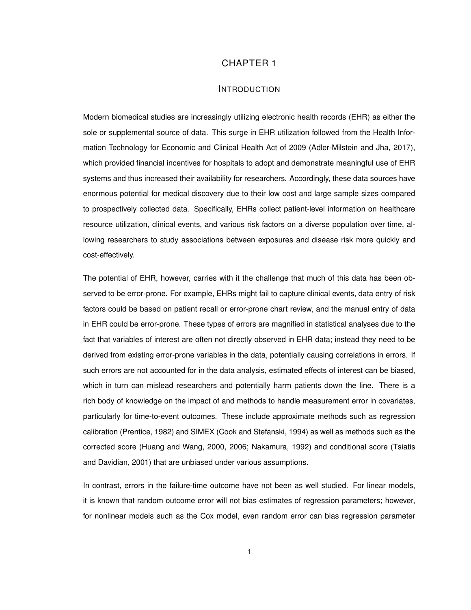# CHAPTER 1

### INTRODUCTION

Modern biomedical studies are increasingly utilizing electronic health records (EHR) as either the sole or supplemental source of data. This surge in EHR utilization followed from the Health Information Technology for Economic and Clinical Health Act of 2009 (Adler-Milstein and Jha, 2017), which provided financial incentives for hospitals to adopt and demonstrate meaningful use of EHR systems and thus increased their availability for researchers. Accordingly, these data sources have enormous potential for medical discovery due to their low cost and large sample sizes compared to prospectively collected data. Specifically, EHRs collect patient-level information on healthcare resource utilization, clinical events, and various risk factors on a diverse population over time, allowing researchers to study associations between exposures and disease risk more quickly and cost-effectively.

The potential of EHR, however, carries with it the challenge that much of this data has been observed to be error-prone. For example, EHRs might fail to capture clinical events, data entry of risk factors could be based on patient recall or error-prone chart review, and the manual entry of data in EHR could be error-prone. These types of errors are magnified in statistical analyses due to the fact that variables of interest are often not directly observed in EHR data; instead they need to be derived from existing error-prone variables in the data, potentially causing correlations in errors. If such errors are not accounted for in the data analysis, estimated effects of interest can be biased, which in turn can mislead researchers and potentially harm patients down the line. There is a rich body of knowledge on the impact of and methods to handle measurement error in covariates, particularly for time-to-event outcomes. These include approximate methods such as regression calibration (Prentice, 1982) and SIMEX (Cook and Stefanski, 1994) as well as methods such as the corrected score (Huang and Wang, 2000, 2006; Nakamura, 1992) and conditional score (Tsiatis and Davidian, 2001) that are unbiased under various assumptions.

In contrast, errors in the failure-time outcome have not been as well studied. For linear models, it is known that random outcome error will not bias estimates of regression parameters; however, for nonlinear models such as the Cox model, even random error can bias regression parameter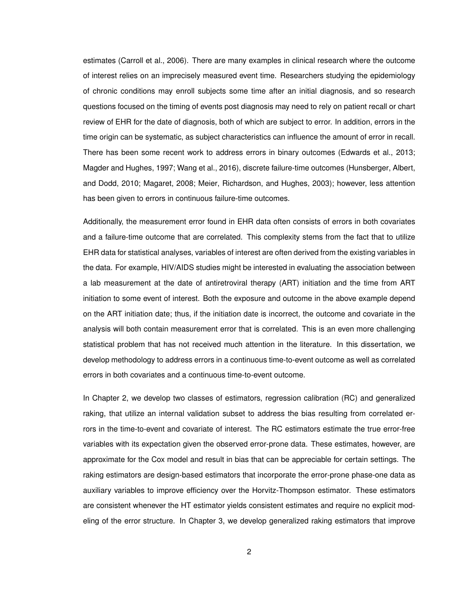estimates (Carroll et al., 2006). There are many examples in clinical research where the outcome of interest relies on an imprecisely measured event time. Researchers studying the epidemiology of chronic conditions may enroll subjects some time after an initial diagnosis, and so research questions focused on the timing of events post diagnosis may need to rely on patient recall or chart review of EHR for the date of diagnosis, both of which are subject to error. In addition, errors in the time origin can be systematic, as subject characteristics can influence the amount of error in recall. There has been some recent work to address errors in binary outcomes (Edwards et al., 2013; Magder and Hughes, 1997; Wang et al., 2016), discrete failure-time outcomes (Hunsberger, Albert, and Dodd, 2010; Magaret, 2008; Meier, Richardson, and Hughes, 2003); however, less attention has been given to errors in continuous failure-time outcomes.

Additionally, the measurement error found in EHR data often consists of errors in both covariates and a failure-time outcome that are correlated. This complexity stems from the fact that to utilize EHR data for statistical analyses, variables of interest are often derived from the existing variables in the data. For example, HIV/AIDS studies might be interested in evaluating the association between a lab measurement at the date of antiretroviral therapy (ART) initiation and the time from ART initiation to some event of interest. Both the exposure and outcome in the above example depend on the ART initiation date; thus, if the initiation date is incorrect, the outcome and covariate in the analysis will both contain measurement error that is correlated. This is an even more challenging statistical problem that has not received much attention in the literature. In this dissertation, we develop methodology to address errors in a continuous time-to-event outcome as well as correlated errors in both covariates and a continuous time-to-event outcome.

In Chapter 2, we develop two classes of estimators, regression calibration (RC) and generalized raking, that utilize an internal validation subset to address the bias resulting from correlated errors in the time-to-event and covariate of interest. The RC estimators estimate the true error-free variables with its expectation given the observed error-prone data. These estimates, however, are approximate for the Cox model and result in bias that can be appreciable for certain settings. The raking estimators are design-based estimators that incorporate the error-prone phase-one data as auxiliary variables to improve efficiency over the Horvitz-Thompson estimator. These estimators are consistent whenever the HT estimator yields consistent estimates and require no explicit modeling of the error structure. In Chapter 3, we develop generalized raking estimators that improve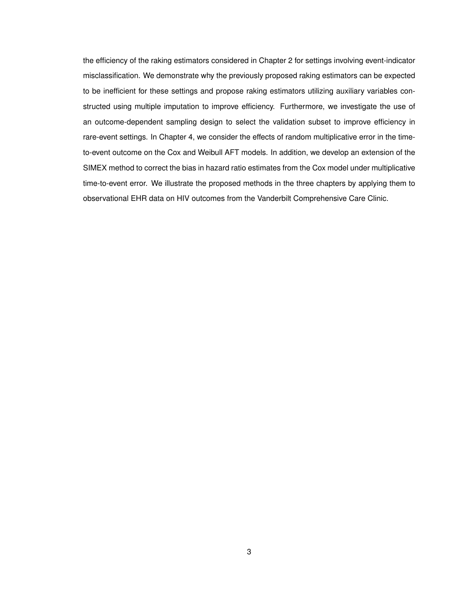the efficiency of the raking estimators considered in Chapter 2 for settings involving event-indicator misclassification. We demonstrate why the previously proposed raking estimators can be expected to be inefficient for these settings and propose raking estimators utilizing auxiliary variables constructed using multiple imputation to improve efficiency. Furthermore, we investigate the use of an outcome-dependent sampling design to select the validation subset to improve efficiency in rare-event settings. In Chapter 4, we consider the effects of random multiplicative error in the timeto-event outcome on the Cox and Weibull AFT models. In addition, we develop an extension of the SIMEX method to correct the bias in hazard ratio estimates from the Cox model under multiplicative time-to-event error. We illustrate the proposed methods in the three chapters by applying them to observational EHR data on HIV outcomes from the Vanderbilt Comprehensive Care Clinic.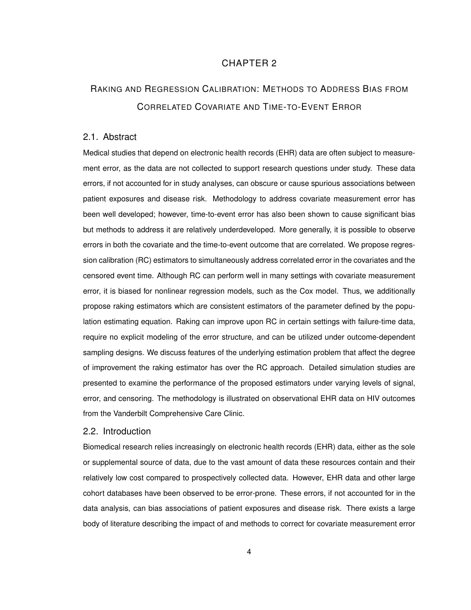# CHAPTER 2

# RAKING AND REGRESSION CALIBRATION: METHODS TO ADDRESS BIAS FROM CORRELATED COVARIATE AND TIME-TO-EVENT ERROR

# 2.1. Abstract

Medical studies that depend on electronic health records (EHR) data are often subject to measurement error, as the data are not collected to support research questions under study. These data errors, if not accounted for in study analyses, can obscure or cause spurious associations between patient exposures and disease risk. Methodology to address covariate measurement error has been well developed; however, time-to-event error has also been shown to cause significant bias but methods to address it are relatively underdeveloped. More generally, it is possible to observe errors in both the covariate and the time-to-event outcome that are correlated. We propose regression calibration (RC) estimators to simultaneously address correlated error in the covariates and the censored event time. Although RC can perform well in many settings with covariate measurement error, it is biased for nonlinear regression models, such as the Cox model. Thus, we additionally propose raking estimators which are consistent estimators of the parameter defined by the population estimating equation. Raking can improve upon RC in certain settings with failure-time data, require no explicit modeling of the error structure, and can be utilized under outcome-dependent sampling designs. We discuss features of the underlying estimation problem that affect the degree of improvement the raking estimator has over the RC approach. Detailed simulation studies are presented to examine the performance of the proposed estimators under varying levels of signal, error, and censoring. The methodology is illustrated on observational EHR data on HIV outcomes from the Vanderbilt Comprehensive Care Clinic.

## 2.2. Introduction

Biomedical research relies increasingly on electronic health records (EHR) data, either as the sole or supplemental source of data, due to the vast amount of data these resources contain and their relatively low cost compared to prospectively collected data. However, EHR data and other large cohort databases have been observed to be error-prone. These errors, if not accounted for in the data analysis, can bias associations of patient exposures and disease risk. There exists a large body of literature describing the impact of and methods to correct for covariate measurement error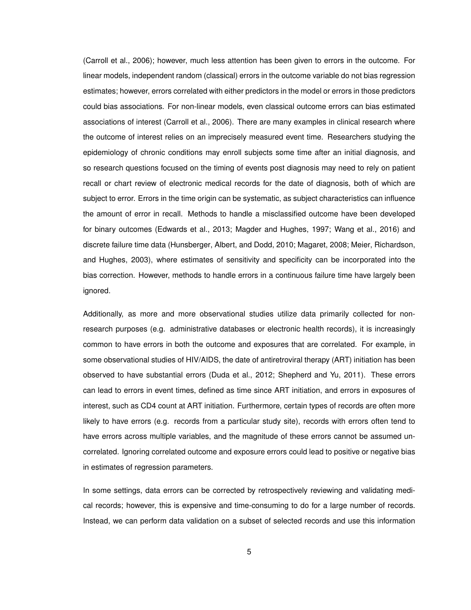(Carroll et al., 2006); however, much less attention has been given to errors in the outcome. For linear models, independent random (classical) errors in the outcome variable do not bias regression estimates; however, errors correlated with either predictors in the model or errors in those predictors could bias associations. For non-linear models, even classical outcome errors can bias estimated associations of interest (Carroll et al., 2006). There are many examples in clinical research where the outcome of interest relies on an imprecisely measured event time. Researchers studying the epidemiology of chronic conditions may enroll subjects some time after an initial diagnosis, and so research questions focused on the timing of events post diagnosis may need to rely on patient recall or chart review of electronic medical records for the date of diagnosis, both of which are subject to error. Errors in the time origin can be systematic, as subject characteristics can influence the amount of error in recall. Methods to handle a misclassified outcome have been developed for binary outcomes (Edwards et al., 2013; Magder and Hughes, 1997; Wang et al., 2016) and discrete failure time data (Hunsberger, Albert, and Dodd, 2010; Magaret, 2008; Meier, Richardson, and Hughes, 2003), where estimates of sensitivity and specificity can be incorporated into the bias correction. However, methods to handle errors in a continuous failure time have largely been ignored.

Additionally, as more and more observational studies utilize data primarily collected for nonresearch purposes (e.g. administrative databases or electronic health records), it is increasingly common to have errors in both the outcome and exposures that are correlated. For example, in some observational studies of HIV/AIDS, the date of antiretroviral therapy (ART) initiation has been observed to have substantial errors (Duda et al., 2012; Shepherd and Yu, 2011). These errors can lead to errors in event times, defined as time since ART initiation, and errors in exposures of interest, such as CD4 count at ART initiation. Furthermore, certain types of records are often more likely to have errors (e.g. records from a particular study site), records with errors often tend to have errors across multiple variables, and the magnitude of these errors cannot be assumed uncorrelated. Ignoring correlated outcome and exposure errors could lead to positive or negative bias in estimates of regression parameters.

In some settings, data errors can be corrected by retrospectively reviewing and validating medical records; however, this is expensive and time-consuming to do for a large number of records. Instead, we can perform data validation on a subset of selected records and use this information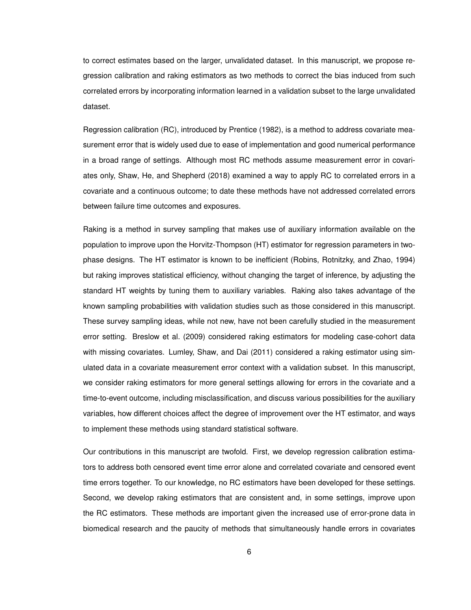to correct estimates based on the larger, unvalidated dataset. In this manuscript, we propose regression calibration and raking estimators as two methods to correct the bias induced from such correlated errors by incorporating information learned in a validation subset to the large unvalidated dataset.

Regression calibration (RC), introduced by Prentice (1982), is a method to address covariate measurement error that is widely used due to ease of implementation and good numerical performance in a broad range of settings. Although most RC methods assume measurement error in covariates only, Shaw, He, and Shepherd (2018) examined a way to apply RC to correlated errors in a covariate and a continuous outcome; to date these methods have not addressed correlated errors between failure time outcomes and exposures.

Raking is a method in survey sampling that makes use of auxiliary information available on the population to improve upon the Horvitz-Thompson (HT) estimator for regression parameters in twophase designs. The HT estimator is known to be inefficient (Robins, Rotnitzky, and Zhao, 1994) but raking improves statistical efficiency, without changing the target of inference, by adjusting the standard HT weights by tuning them to auxiliary variables. Raking also takes advantage of the known sampling probabilities with validation studies such as those considered in this manuscript. These survey sampling ideas, while not new, have not been carefully studied in the measurement error setting. Breslow et al. (2009) considered raking estimators for modeling case-cohort data with missing covariates. Lumley, Shaw, and Dai (2011) considered a raking estimator using simulated data in a covariate measurement error context with a validation subset. In this manuscript, we consider raking estimators for more general settings allowing for errors in the covariate and a time-to-event outcome, including misclassification, and discuss various possibilities for the auxiliary variables, how different choices affect the degree of improvement over the HT estimator, and ways to implement these methods using standard statistical software.

Our contributions in this manuscript are twofold. First, we develop regression calibration estimators to address both censored event time error alone and correlated covariate and censored event time errors together. To our knowledge, no RC estimators have been developed for these settings. Second, we develop raking estimators that are consistent and, in some settings, improve upon the RC estimators. These methods are important given the increased use of error-prone data in biomedical research and the paucity of methods that simultaneously handle errors in covariates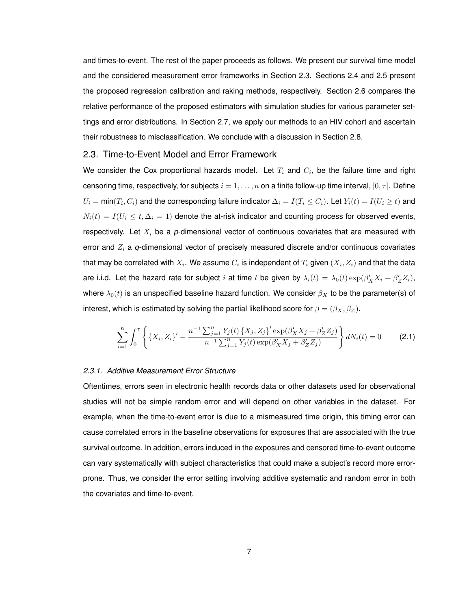and times-to-event. The rest of the paper proceeds as follows. We present our survival time model and the considered measurement error frameworks in Section 2.3. Sections 2.4 and 2.5 present the proposed regression calibration and raking methods, respectively. Section 2.6 compares the relative performance of the proposed estimators with simulation studies for various parameter settings and error distributions. In Section 2.7, we apply our methods to an HIV cohort and ascertain their robustness to misclassification. We conclude with a discussion in Section 2.8.

# 2.3. Time-to-Event Model and Error Framework

We consider the Cox proportional hazards model. Let  $T_i$  and  $C_i$ , be the failure time and right censoring time, respectively, for subjects  $i = 1, \ldots, n$  on a finite follow-up time interval,  $[0, \tau]$ . Define  $U_i = \textsf{min}(T_i, C_i)$  and the corresponding failure indicator  $\Delta_i = I(T_i \leq C_i).$  Let  $Y_i(t) = I(U_i \geq t)$  and  $N_i(t) = I(U_i \le t, \Delta_i = 1)$  denote the at-risk indicator and counting process for observed events, respectively. Let  $X_i$  be a  $p$ -dimensional vector of continuous covariates that are measured with error and  $Z_i$  a q-dimensional vector of precisely measured discrete and/or continuous covariates that may be correlated with  $X_i.$  We assume  $C_i$  is independent of  $T_i$  given  $(X_i, Z_i)$  and that the data are i.i.d. Let the hazard rate for subject  $i$  at time  $t$  be given by  $\lambda_i(t) = \lambda_0(t) \exp(\beta'_X X_i + \beta'_Z Z_i)$ , where  $\lambda_0(t)$  is an unspecified baseline hazard function. We consider  $\beta_X$  to be the parameter(s) of interest, which is estimated by solving the partial likelihood score for  $\beta = (\beta_X, \beta_Z)$ .

$$
\sum_{i=1}^{n} \int_{0}^{\tau} \left\{ \left\{ X_{i}, Z_{i} \right\}' - \frac{n^{-1} \sum_{j=1}^{n} Y_{j}(t) \left\{ X_{j}, Z_{j} \right\}' \exp(\beta_{X}' X_{j} + \beta_{Z}' Z_{j})}{n^{-1} \sum_{j=1}^{n} Y_{j}(t) \exp(\beta_{X}' X_{j} + \beta_{Z}' Z_{j})} \right\} dN_{i}(t) = 0 \tag{2.1}
$$

#### *2.3.1. Additive Measurement Error Structure*

Oftentimes, errors seen in electronic health records data or other datasets used for observational studies will not be simple random error and will depend on other variables in the dataset. For example, when the time-to-event error is due to a mismeasured time origin, this timing error can cause correlated errors in the baseline observations for exposures that are associated with the true survival outcome. In addition, errors induced in the exposures and censored time-to-event outcome can vary systematically with subject characteristics that could make a subject's record more errorprone. Thus, we consider the error setting involving additive systematic and random error in both the covariates and time-to-event.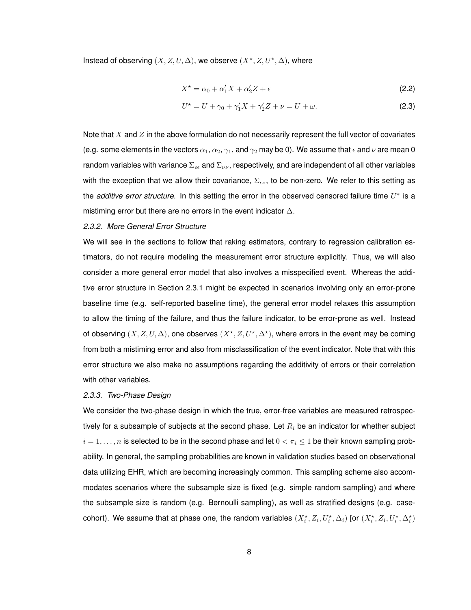Instead of observing  $(X, Z, U, \Delta)$ , we observe  $(X^*, Z, U^*, \Delta)$ , where

$$
X^* = \alpha_0 + \alpha'_1 X + \alpha'_2 Z + \epsilon \tag{2.2}
$$

$$
U^* = U + \gamma_0 + \gamma_1' X + \gamma_2' Z + \nu = U + \omega.
$$
 (2.3)

Note that  $X$  and  $Z$  in the above formulation do not necessarily represent the full vector of covariates (e.g. some elements in the vectors  $\alpha_1, \alpha_2, \gamma_1$ , and  $\gamma_2$  may be 0). We assume that  $\epsilon$  and  $\nu$  are mean 0 random variables with variance  $\Sigma_{\epsilon\epsilon}$  and  $\Sigma_{\nu\nu}$ , respectively, and are independent of all other variables with the exception that we allow their covariance,  $\Sigma_{\epsilon\nu}$ , to be non-zero. We refer to this setting as the *additive error structure*. In this setting the error in the observed censored failure time  $U^*$  is a mistiming error but there are no errors in the event indicator  $\Delta$ .

#### *2.3.2. More General Error Structure*

We will see in the sections to follow that raking estimators, contrary to regression calibration estimators, do not require modeling the measurement error structure explicitly. Thus, we will also consider a more general error model that also involves a misspecified event. Whereas the additive error structure in Section 2.3.1 might be expected in scenarios involving only an error-prone baseline time (e.g. self-reported baseline time), the general error model relaxes this assumption to allow the timing of the failure, and thus the failure indicator, to be error-prone as well. Instead of observing  $(X, Z, U, \Delta)$ , one observes  $(X^*, Z, U^*, \Delta^*)$ , where errors in the event may be coming from both a mistiming error and also from misclassification of the event indicator. Note that with this error structure we also make no assumptions regarding the additivity of errors or their correlation with other variables.

### *2.3.3. Two-Phase Design*

We consider the two-phase design in which the true, error-free variables are measured retrospectively for a subsample of subjects at the second phase. Let  $R_i$  be an indicator for whether subject  $i = 1, \ldots, n$  is selected to be in the second phase and let  $0 < \pi_i \leq 1$  be their known sampling probability. In general, the sampling probabilities are known in validation studies based on observational data utilizing EHR, which are becoming increasingly common. This sampling scheme also accommodates scenarios where the subsample size is fixed (e.g. simple random sampling) and where the subsample size is random (e.g. Bernoulli sampling), as well as stratified designs (e.g. casecohort). We assume that at phase one, the random variables  $(X_i^*,Z_i,U_i^*,\Delta_i)$  [or  $(X_i^*,Z_i,U_i^*,\Delta_i^*)$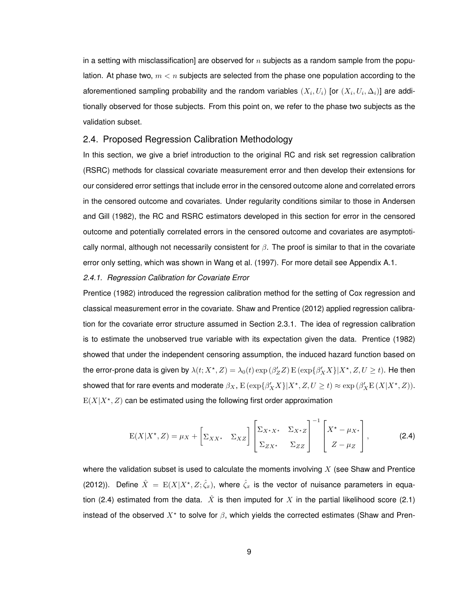in a setting with misclassification] are observed for n subjects as a random sample from the population. At phase two,  $m < n$  subjects are selected from the phase one population according to the aforementioned sampling probability and the random variables  $(X_i,U_i)$  [or  $(X_i,U_i,\Delta_i)$ ] are additionally observed for those subjects. From this point on, we refer to the phase two subjects as the validation subset.

## 2.4. Proposed Regression Calibration Methodology

In this section, we give a brief introduction to the original RC and risk set regression calibration (RSRC) methods for classical covariate measurement error and then develop their extensions for our considered error settings that include error in the censored outcome alone and correlated errors in the censored outcome and covariates. Under regularity conditions similar to those in Andersen and Gill (1982), the RC and RSRC estimators developed in this section for error in the censored outcome and potentially correlated errors in the censored outcome and covariates are asymptotically normal, although not necessarily consistent for  $\beta$ . The proof is similar to that in the covariate error only setting, which was shown in Wang et al. (1997). For more detail see Appendix A.1.

#### *2.4.1. Regression Calibration for Covariate Error*

Prentice (1982) introduced the regression calibration method for the setting of Cox regression and classical measurement error in the covariate. Shaw and Prentice (2012) applied regression calibration for the covariate error structure assumed in Section 2.3.1. The idea of regression calibration is to estimate the unobserved true variable with its expectation given the data. Prentice (1982) showed that under the independent censoring assumption, the induced hazard function based on the error-prone data is given by  $\lambda(t;X^\star,Z)=\lambda_0(t)\exp\left(\beta_Z'Z\right)\mathrm{E}\left(\exp\{\beta_X'X\}|X^\star,Z,U\geq t\right)$ . He then showed that for rare events and moderate  $\beta_X$ ,  $E(\exp{\{\beta'_X X\}}|X^{\star}, Z, U \geq t) \approx \exp{(\beta'_X E(X|X^{\star}, Z))}$ .  $E(X|X^*, Z)$  can be estimated using the following first order approximation

$$
E(X|X^*,Z) = \mu_X + \left[\Sigma_{XX^*} \quad \Sigma_{XZ}\right] \left[\begin{matrix} \Sigma_{X^*X^*} & \Sigma_{X^*Z} \\ \Sigma_{ZX^*} & \Sigma_{ZZ} \end{matrix}\right]^{-1} \left[\begin{matrix} X^* - \mu_{X^*} \\ Z - \mu_Z \end{matrix}\right],\tag{2.4}
$$

where the validation subset is used to calculate the moments involving  $X$  (see Shaw and Prentice (2012)). Define  $\hat{X} = \text{E}(X|X^\star, Z; \hat{\zeta}_x)$ , where  $\hat{\zeta}_x$  is the vector of nuisance parameters in equation (2.4) estimated from the data.  $\hat{X}$  is then imputed for X in the partial likelihood score (2.1) instead of the observed  $X^*$  to solve for  $\beta$ , which yields the corrected estimates (Shaw and Pren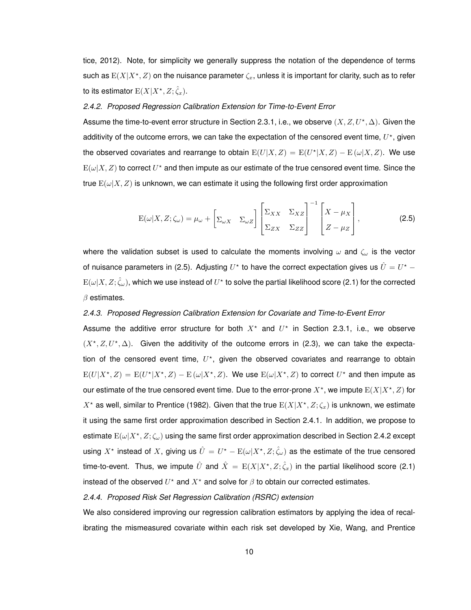tice, 2012). Note, for simplicity we generally suppress the notation of the dependence of terms such as  $\mathrm{E}(X|X^\star, Z)$  on the nuisance parameter  $\zeta_x$ , unless it is important for clarity, such as to refer to its estimator  $\operatorname{E}(X|X^\star,Z;\hat{\zeta}_x).$ 

### *2.4.2. Proposed Regression Calibration Extension for Time-to-Event Error*

Assume the time-to-event error structure in Section 2.3.1, i.e., we observe  $(X, Z, U^*, \Delta)$ . Given the additivity of the outcome errors, we can take the expectation of the censored event time,  $U^*$ , given the observed covariates and rearrange to obtain  $E(U|X,Z) = E(U^*|X,Z) - E(\omega|X,Z)$ . We use  $E(\omega|X, Z)$  to correct  $U^\star$  and then impute as our estimate of the true censored event time. Since the true  $E(\omega|X, Z)$  is unknown, we can estimate it using the following first order approximation

$$
E(\omega|X, Z; \zeta_{\omega}) = \mu_{\omega} + \left[\Sigma_{\omega X} \quad \Sigma_{\omega Z}\right] \begin{bmatrix} \Sigma_{XX} & \Sigma_{XZ} \\ \Sigma_{ZX} & \Sigma_{ZZ} \end{bmatrix}^{-1} \begin{bmatrix} X - \mu_X \\ Z - \mu_Z \end{bmatrix},
$$
(2.5)

where the validation subset is used to calculate the moments involving  $\omega$  and  $\zeta_{\omega}$  is the vector of nuisance parameters in (2.5). Adjusting  $U^\star$  to have the correct expectation gives us  $\hat{U}=U^\star-\hat{U}$  ${\rm E}(\omega|X,Z; \hat{\zeta}_\omega)$ , which we use instead of  $U^\star$  to solve the partial likelihood score (2.1) for the corrected  $\beta$  estimates.

## *2.4.3. Proposed Regression Calibration Extension for Covariate and Time-to-Event Error*

Assume the additive error structure for both  $X^*$  and  $U^*$  in Section 2.3.1, i.e., we observe  $(X^*, Z, U^*, \Delta)$ . Given the additivity of the outcome errors in (2.3), we can take the expectation of the censored event time,  $U^*$ , given the observed covariates and rearrange to obtain  $E(U|X^*,Z) = E(U^*|X^*,Z) - E(\omega|X^*,Z)$ . We use  $E(\omega|X^*,Z)$  to correct  $U^*$  and then impute as our estimate of the true censored event time. Due to the error-prone  $X^*$ , we impute  $E(X|X^*, Z)$  for  $X^{\star}$  as well, similar to Prentice (1982). Given that the true  $\mathrm{E}(X|X^{\star},Z;\zeta_x)$  is unknown, we estimate it using the same first order approximation described in Section 2.4.1. In addition, we propose to estimate  $\mathrm{E}(\omega|X^\star, Z; \zeta_\omega)$  using the same first order approximation described in Section 2.4.2 except using  $X^\star$  instead of  $X,$  giving us  $\hat{U}=U^\star-\mathrm{E}(\omega|X^\star,Z;\hat{\zeta}_\omega)$  as the estimate of the true censored time-to-event. Thus, we impute  $\hat{U}$  and  $\hat{X} = \text{E}(X|X^\star, Z; \hat{\zeta}_x)$  in the partial likelihood score (2.1) instead of the observed  $U^*$  and  $X^*$  and solve for  $\beta$  to obtain our corrected estimates.

#### *2.4.4. Proposed Risk Set Regression Calibration (RSRC) extension*

We also considered improving our regression calibration estimators by applying the idea of recalibrating the mismeasured covariate within each risk set developed by Xie, Wang, and Prentice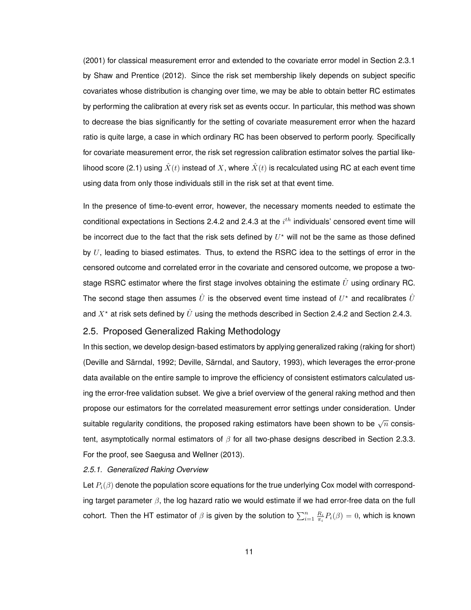(2001) for classical measurement error and extended to the covariate error model in Section 2.3.1 by Shaw and Prentice (2012). Since the risk set membership likely depends on subject specific covariates whose distribution is changing over time, we may be able to obtain better RC estimates by performing the calibration at every risk set as events occur. In particular, this method was shown to decrease the bias significantly for the setting of covariate measurement error when the hazard ratio is quite large, a case in which ordinary RC has been observed to perform poorly. Specifically for covariate measurement error, the risk set regression calibration estimator solves the partial likelihood score (2.1) using  $\hat{X}(t)$  instead of X, where  $\hat{X}(t)$  is recalculated using RC at each event time using data from only those individuals still in the risk set at that event time.

In the presence of time-to-event error, however, the necessary moments needed to estimate the conditional expectations in Sections 2.4.2 and 2.4.3 at the  $i^{th}$  individuals' censored event time will be incorrect due to the fact that the risk sets defined by  $U^*$  will not be the same as those defined by  $U$ , leading to biased estimates. Thus, to extend the RSRC idea to the settings of error in the censored outcome and correlated error in the covariate and censored outcome, we propose a twostage RSRC estimator where the first stage involves obtaining the estimate  $\hat{U}$  using ordinary RC. The second stage then assumes  $\hat{U}$  is the observed event time instead of  $U^\star$  and recalibrates  $\hat{U}$ and  $X^*$  at risk sets defined by  $\hat{U}$  using the methods described in Section 2.4.2 and Section 2.4.3.

# 2.5. Proposed Generalized Raking Methodology

In this section, we develop design-based estimators by applying generalized raking (raking for short) (Deville and Särndal, 1992; Deville, Särndal, and Sautory, 1993), which leverages the error-prone data available on the entire sample to improve the efficiency of consistent estimators calculated using the error-free validation subset. We give a brief overview of the general raking method and then propose our estimators for the correlated measurement error settings under consideration. Under suitable regularity conditions, the proposed raking estimators have been shown to be  $\sqrt{n}$  consistent, asymptotically normal estimators of  $\beta$  for all two-phase designs described in Section 2.3.3. For the proof, see Saegusa and Wellner (2013).

### *2.5.1. Generalized Raking Overview*

Let  $P_i(\beta)$  denote the population score equations for the true underlying Cox model with corresponding target parameter  $\beta$ , the log hazard ratio we would estimate if we had error-free data on the full cohort. Then the HT estimator of  $\beta$  is given by the solution to  $\sum_{i=1}^n \frac{R_i}{\pi_i} P_i(\beta) = 0$ , which is known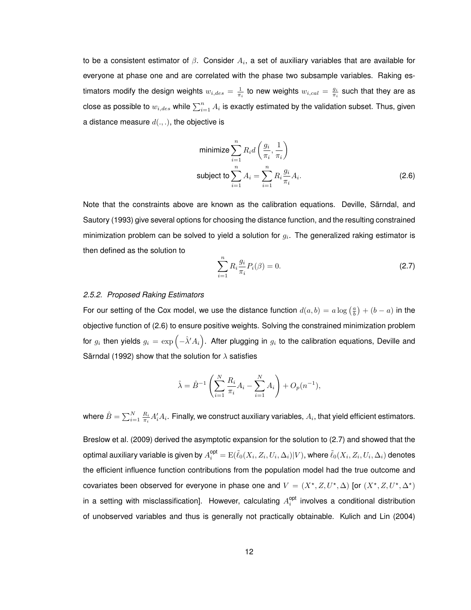to be a consistent estimator of  $\beta$ . Consider  $A_i$ , a set of auxiliary variables that are available for everyone at phase one and are correlated with the phase two subsample variables. Raking estimators modify the design weights  $w_{i,des} = \frac{1}{\pi_i}$  to new weights  $w_{i,cal} = \frac{g_i}{\pi_i}$  such that they are as close as possible to  $w_{i,des}$  while  $\sum_{i=1}^n A_i$  is exactly estimated by the validation subset. Thus, given a distance measure  $d(.,.)$ , the objective is

minimize 
$$
\sum_{i=1}^{n} R_i d\left(\frac{g_i}{\pi_i}, \frac{1}{\pi_i}\right)
$$
  
subject to  $\sum_{i=1}^{n} A_i = \sum_{i=1}^{n} R_i \frac{g_i}{\pi_i} A_i$ . (2.6)

Note that the constraints above are known as the calibration equations. Deville, Särndal, and Sautory (1993) give several options for choosing the distance function, and the resulting constrained minimization problem can be solved to yield a solution for  $g_i$ . The generalized raking estimator is then defined as the solution to

$$
\sum_{i=1}^{n} R_i \frac{g_i}{\pi_i} P_i(\beta) = 0.
$$
 (2.7)

#### *2.5.2. Proposed Raking Estimators*

For our setting of the Cox model, we use the distance function  $d(a,b) = a \log \left(\frac{a}{b}\right) + (b-a)$  in the objective function of (2.6) to ensure positive weights. Solving the constrained minimization problem for  $g_i$  then yields  $g_i = \exp \left( -\hat{\lambda}' A_i \right)$ . After plugging in  $g_i$  to the calibration equations, Deville and Särndal (1992) show that the solution for  $\lambda$  satisfies

$$
\hat{\lambda} = \hat{B}^{-1} \left( \sum_{i=1}^{N} \frac{R_i}{\pi_i} A_i - \sum_{i=1}^{N} A_i \right) + O_p(n^{-1}),
$$

where  $\hat{B}=\sum_{i=1}^N\frac{R_i}{\pi_i}A_i'A_i.$  Finally, we construct auxiliary variables,  $A_i,$  that yield efficient estimators.

Breslow et al. (2009) derived the asymptotic expansion for the solution to (2.7) and showed that the optimal auxiliary variable is given by  $A_i^{\sf opt} = {\rm E}(\tilde\ell_0(X_i,Z_i,U_i,\Delta_i)|V)$ , where  $\tilde\ell_0(X_i,Z_i,U_i,\Delta_i)$  denotes the efficient influence function contributions from the population model had the true outcome and covariates been observed for everyone in phase one and  $V = (X^*, Z, U^*, \Delta)$  [or  $(X^*, Z, U^*, \Delta^*)$ in a setting with misclassification]. However, calculating  $A_i^{\mathsf{opt}}$  involves a conditional distribution of unobserved variables and thus is generally not practically obtainable. Kulich and Lin (2004)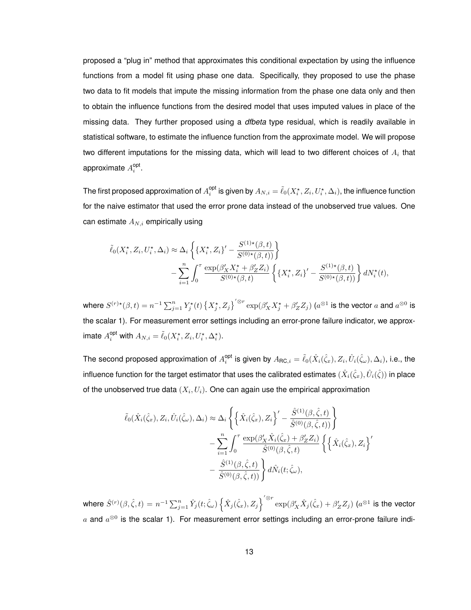proposed a "plug in" method that approximates this conditional expectation by using the influence functions from a model fit using phase one data. Specifically, they proposed to use the phase two data to fit models that impute the missing information from the phase one data only and then to obtain the influence functions from the desired model that uses imputed values in place of the missing data. They further proposed using a *dfbeta* type residual, which is readily available in statistical software, to estimate the influence function from the approximate model. We will propose two different imputations for the missing data, which will lead to two different choices of  $A_i$  that approximate  $A_i^{\mathsf{opt}}$ .

The first proposed approximation of  $A_i^{\sf opt}$  is given by  $A_{N,i}=\tilde\ell_0(X_i^\star,Z_i,U_i^\star,\Delta_i),$  the influence function for the naive estimator that used the error prone data instead of the unobserved true values. One can estimate  $A_{N,i}$  empirically using

$$
\tilde{\ell}_{0}(X_{i}^{\star}, Z_{i}, U_{i}^{\star}, \Delta_{i}) \approx \Delta_{i} \left\{ \left\{ X_{i}^{\star}, Z_{i} \right\}' - \frac{S^{(1)\star}(\beta, t)}{S^{(0)\star}(\beta, t)} \right\} \n- \sum_{i=1}^{n} \int_{0}^{\tau} \frac{\exp(\beta_{X}' X_{i}^{\star} + \beta_{Z}' Z_{i})}{S^{(0)\star}(\beta, t)} \left\{ \left\{ X_{i}^{\star}, Z_{i} \right\}' - \frac{S^{(1)\star}(\beta, t)}{S^{(0)\star}(\beta, t)} \right\} dN_{i}^{\star}(t),
$$

where  $S^{(r)*}(\beta,t)=n^{-1}\sum_{j=1}^nY^*_j(t)\left\{X_j^{\star},Z_j\right\}^{'\otimes r}\exp(\beta'_XX_j^{\star}+\beta'_ZZ_j)\ (a^{\otimes 1}$  is the vector  $a$  and  $a^{\otimes 0}$  is the scalar 1). For measurement error settings including an error-prone failure indicator, we approximate  $A_i^{\text{opt}}$  with  $A_{N,i} = \tilde{\ell}_0(X_i^{\star}, Z_i, U_i^{\star}, \Delta_i^{\star}).$ 

The second proposed approximation of  $A_i^{\sf opt}$  is given by  $A_{{\sf RC},i}=\tilde\ell_0(\hat X_i(\hat\zeta_x),Z_i,\hat U_i(\hat\zeta_\omega),\Delta_i)$ , i.e., the influence function for the target estimator that uses the calibrated estimates  $(\hat{X}_i(\hat{\zeta}_x),\hat{U}_i(\hat{\zeta}))$  in place of the unobserved true data  $(X_i, U_i)$ . One can again use the empirical approximation

$$
\tilde{\ell}_{0}(\hat{X}_{i}(\hat{\zeta}_{x}), Z_{i}, \hat{U}_{i}(\hat{\zeta}_{\omega}), \Delta_{i}) \approx \Delta_{i} \left\{ \left\{ \hat{X}_{i}(\hat{\zeta}_{x}), Z_{i} \right\}' - \frac{\hat{S}^{(1)}(\beta, \hat{\zeta}, t)}{\hat{S}^{(0)}(\beta, \hat{\zeta}, t)} \right\} \n- \sum_{i=1}^{n} \int_{0}^{\tau} \frac{\exp(\beta_{X}' \hat{X}_{i}(\hat{\zeta}_{x}) + \beta_{Z}' Z_{i})}{\hat{S}^{(0)}(\beta, \hat{\zeta}, t)} \left\{ \left\{ \hat{X}_{i}(\hat{\zeta}_{x}), Z_{i} \right\}' - \frac{\hat{S}^{(1)}(\beta, \hat{\zeta}, t)}{\hat{S}^{(0)}(\beta, \hat{\zeta}, t)} \right\} d\hat{N}_{i}(t; \hat{\zeta}_{\omega}),
$$

where  $\hat{S}^{(r)}(\beta,\hat{\zeta},t)=n^{-1}\sum_{j=1}^n \hat{Y}_j(t;\hat{\zeta}_\omega)\left\{\hat{X}_j(\hat{\zeta}_x),Z_j\right\}^{'\otimes r}\exp(\beta'_X\hat{X}_j(\hat{\zeta}_x)+\beta'_Z Z_j)$  ( $a^{\otimes 1}$  is the vector a and  $a^{\otimes 0}$  is the scalar 1). For measurement error settings including an error-prone failure indi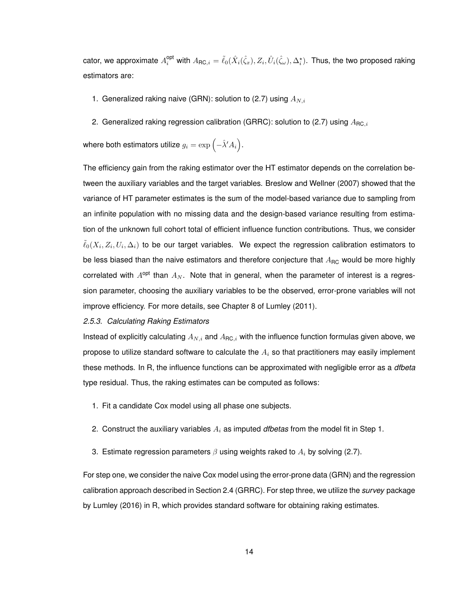cator, we approximate  $A_i^{\sf opt}$  with  $A_{\sf RC},_i=\tilde\ell_0(\hat X_i(\hat\zeta_x),Z_i,\hat U_i(\hat\zeta_\omega),\Delta_i^\star).$  Thus, the two proposed raking estimators are:

- 1. Generalized raking naive (GRN): solution to (2.7) using  $A_{N,i}$
- 2. Generalized raking regression calibration (GRRC): solution to (2.7) using  $A_{RC,i}$

where both estimators utilize  $g_i = \exp\left(-\hat{\lambda}' A_i\right)$ .

The efficiency gain from the raking estimator over the HT estimator depends on the correlation between the auxiliary variables and the target variables. Breslow and Wellner (2007) showed that the variance of HT parameter estimates is the sum of the model-based variance due to sampling from an infinite population with no missing data and the design-based variance resulting from estimation of the unknown full cohort total of efficient influence function contributions. Thus, we consider  $\tilde{\ell}_0(X_i, Z_i, U_i, \Delta_i)$  to be our target variables. We expect the regression calibration estimators to be less biased than the naive estimators and therefore conjecture that  $A_{\text{RC}}$  would be more highly correlated with  $A^{opt}$  than  $A_N$ . Note that in general, when the parameter of interest is a regression parameter, choosing the auxiliary variables to be the observed, error-prone variables will not improve efficiency. For more details, see Chapter 8 of Lumley (2011).

### *2.5.3. Calculating Raking Estimators*

Instead of explicitly calculating  $A_{N,i}$  and  $A_{\text{RC},i}$  with the influence function formulas given above, we propose to utilize standard software to calculate the  $A_i$  so that practitioners may easily implement these methods. In R, the influence functions can be approximated with negligible error as a *dfbeta* type residual. Thus, the raking estimates can be computed as follows:

- 1. Fit a candidate Cox model using all phase one subjects.
- 2. Construct the auxiliary variables A<sup>i</sup> as imputed *dfbetas* from the model fit in Step 1.
- 3. Estimate regression parameters  $\beta$  using weights raked to  $A_i$  by solving (2.7).

For step one, we consider the naive Cox model using the error-prone data (GRN) and the regression calibration approach described in Section 2.4 (GRRC). For step three, we utilize the *survey* package by Lumley (2016) in R, which provides standard software for obtaining raking estimates.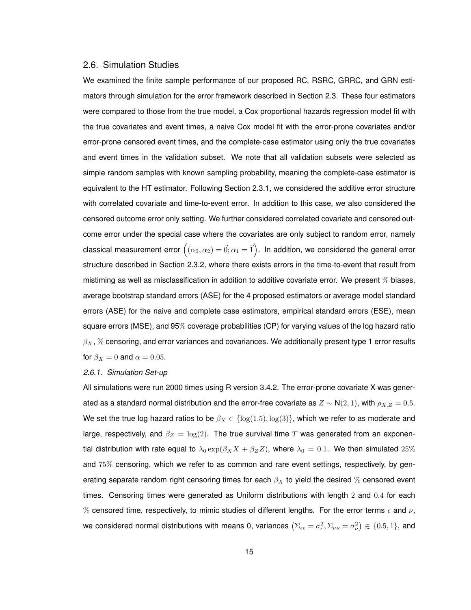### 2.6. Simulation Studies

We examined the finite sample performance of our proposed RC, RSRC, GRRC, and GRN estimators through simulation for the error framework described in Section 2.3. These four estimators were compared to those from the true model, a Cox proportional hazards regression model fit with the true covariates and event times, a naive Cox model fit with the error-prone covariates and/or error-prone censored event times, and the complete-case estimator using only the true covariates and event times in the validation subset. We note that all validation subsets were selected as simple random samples with known sampling probability, meaning the complete-case estimator is equivalent to the HT estimator. Following Section 2.3.1, we considered the additive error structure with correlated covariate and time-to-event error. In addition to this case, we also considered the censored outcome error only setting. We further considered correlated covariate and censored outcome error under the special case where the covariates are only subject to random error, namely classical measurement error  $\big((\alpha_0,\alpha_2)=\vec{0};\alpha_1=\vec{1}\big).$  In addition, we considered the general error structure described in Section 2.3.2, where there exists errors in the time-to-event that result from mistiming as well as misclassification in addition to additive covariate error. We present % biases, average bootstrap standard errors (ASE) for the 4 proposed estimators or average model standard errors (ASE) for the naive and complete case estimators, empirical standard errors (ESE), mean square errors (MSE), and 95% coverage probabilities (CP) for varying values of the log hazard ratio  $\beta_X$ , % censoring, and error variances and covariances. We additionally present type 1 error results for  $\beta_X = 0$  and  $\alpha = 0.05$ .

#### *2.6.1. Simulation Set-up*

All simulations were run 2000 times using R version 3.4.2. The error-prone covariate X was generated as a standard normal distribution and the error-free covariate as  $Z \sim N(2, 1)$ , with  $\rho_{X,Z} = 0.5$ . We set the true log hazard ratios to be  $\beta_X \in \{\log(1.5), \log(3)\}\$ , which we refer to as moderate and large, respectively, and  $\beta_Z = \log(2)$ . The true survival time T was generated from an exponential distribution with rate equal to  $\lambda_0 \exp(\beta_X X + \beta_Z Z)$ , where  $\lambda_0 = 0.1$ . We then simulated 25% and 75% censoring, which we refer to as common and rare event settings, respectively, by generating separate random right censoring times for each  $\beta_X$  to yield the desired % censored event times. Censoring times were generated as Uniform distributions with length 2 and 0.4 for each % censored time, respectively, to mimic studies of different lengths. For the error terms  $\epsilon$  and  $\nu$ , we considered normal distributions with means 0, variances  $\left(\Sigma_{\epsilon\epsilon}=\sigma_\epsilon^2,\Sigma_{\nu\nu}=\sigma_\nu^2\right)\in\{0.5,1\},$  and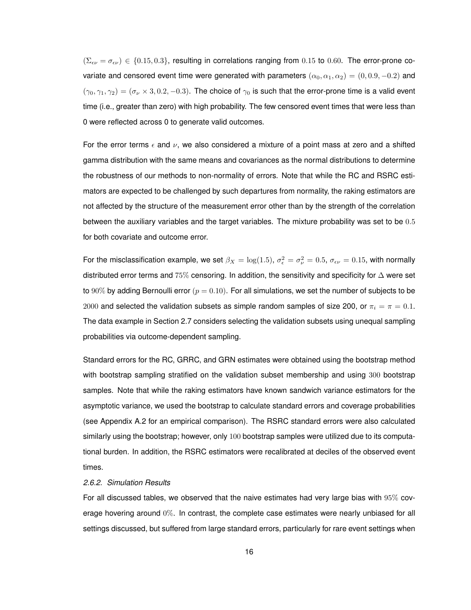$(\Sigma_{\epsilon\nu} = \sigma_{\epsilon\nu}) \in \{0.15, 0.3\}$ , resulting in correlations ranging from 0.15 to 0.60. The error-prone covariate and censored event time were generated with parameters  $(\alpha_0, \alpha_1, \alpha_2) = (0, 0.9, -0.2)$  and  $(\gamma_0, \gamma_1, \gamma_2) = (\sigma_\nu \times 3, 0.2, -0.3)$ . The choice of  $\gamma_0$  is such that the error-prone time is a valid event time (i.e., greater than zero) with high probability. The few censored event times that were less than 0 were reflected across 0 to generate valid outcomes.

For the error terms  $\epsilon$  and  $\nu$ , we also considered a mixture of a point mass at zero and a shifted gamma distribution with the same means and covariances as the normal distributions to determine the robustness of our methods to non-normality of errors. Note that while the RC and RSRC estimators are expected to be challenged by such departures from normality, the raking estimators are not affected by the structure of the measurement error other than by the strength of the correlation between the auxiliary variables and the target variables. The mixture probability was set to be 0.5 for both covariate and outcome error.

For the misclassification example, we set  $\beta_X = \log(1.5)$ ,  $\sigma_\epsilon^2 = \sigma_\nu^2 = 0.5$ ,  $\sigma_{\epsilon\nu} = 0.15$ , with normally distributed error terms and 75% censoring. In addition, the sensitivity and specificity for  $\Delta$  were set to 90% by adding Bernoulli error ( $p = 0.10$ ). For all simulations, we set the number of subjects to be 2000 and selected the validation subsets as simple random samples of size 200, or  $\pi_i = \pi = 0.1$ . The data example in Section 2.7 considers selecting the validation subsets using unequal sampling probabilities via outcome-dependent sampling.

Standard errors for the RC, GRRC, and GRN estimates were obtained using the bootstrap method with bootstrap sampling stratified on the validation subset membership and using 300 bootstrap samples. Note that while the raking estimators have known sandwich variance estimators for the asymptotic variance, we used the bootstrap to calculate standard errors and coverage probabilities (see Appendix A.2 for an empirical comparison). The RSRC standard errors were also calculated similarly using the bootstrap; however, only 100 bootstrap samples were utilized due to its computational burden. In addition, the RSRC estimators were recalibrated at deciles of the observed event times.

## *2.6.2. Simulation Results*

For all discussed tables, we observed that the naive estimates had very large bias with 95% coverage hovering around 0%. In contrast, the complete case estimates were nearly unbiased for all settings discussed, but suffered from large standard errors, particularly for rare event settings when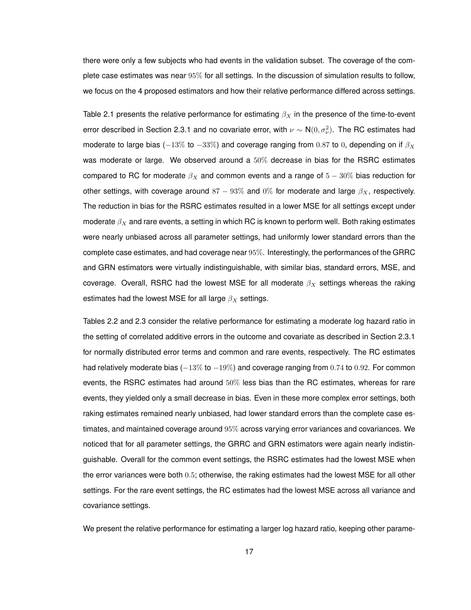there were only a few subjects who had events in the validation subset. The coverage of the complete case estimates was near 95% for all settings. In the discussion of simulation results to follow, we focus on the 4 proposed estimators and how their relative performance differed across settings.

Table 2.1 presents the relative performance for estimating  $\beta_X$  in the presence of the time-to-event error described in Section 2.3.1 and no covariate error, with  $\nu \sim {\sf N}(0,\sigma_\nu^2).$  The RC estimates had moderate to large bias ( $-13\%$  to  $-33\%$ ) and coverage ranging from 0.87 to 0, depending on if  $\beta_X$ was moderate or large. We observed around a 50% decrease in bias for the RSRC estimates compared to RC for moderate  $\beta_X$  and common events and a range of  $5 - 30\%$  bias reduction for other settings, with coverage around  $87 - 93\%$  and  $0\%$  for moderate and large  $\beta_X$ , respectively. The reduction in bias for the RSRC estimates resulted in a lower MSE for all settings except under moderate  $\beta_X$  and rare events, a setting in which RC is known to perform well. Both raking estimates were nearly unbiased across all parameter settings, had uniformly lower standard errors than the complete case estimates, and had coverage near 95%. Interestingly, the performances of the GRRC and GRN estimators were virtually indistinguishable, with similar bias, standard errors, MSE, and coverage. Overall, RSRC had the lowest MSE for all moderate  $\beta_X$  settings whereas the raking estimates had the lowest MSE for all large  $\beta_X$  settings.

Tables 2.2 and 2.3 consider the relative performance for estimating a moderate log hazard ratio in the setting of correlated additive errors in the outcome and covariate as described in Section 2.3.1 for normally distributed error terms and common and rare events, respectively. The RC estimates had relatively moderate bias (−13% to −19%) and coverage ranging from 0.74 to 0.92. For common events, the RSRC estimates had around 50% less bias than the RC estimates, whereas for rare events, they yielded only a small decrease in bias. Even in these more complex error settings, both raking estimates remained nearly unbiased, had lower standard errors than the complete case estimates, and maintained coverage around 95% across varying error variances and covariances. We noticed that for all parameter settings, the GRRC and GRN estimators were again nearly indistinguishable. Overall for the common event settings, the RSRC estimates had the lowest MSE when the error variances were both 0.5; otherwise, the raking estimates had the lowest MSE for all other settings. For the rare event settings, the RC estimates had the lowest MSE across all variance and covariance settings.

We present the relative performance for estimating a larger log hazard ratio, keeping other parame-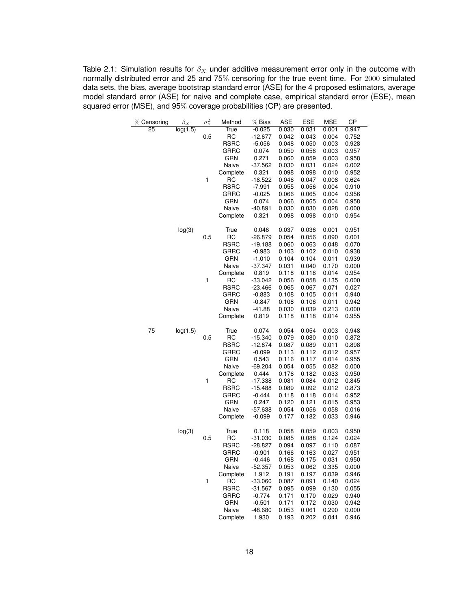Table 2.1: Simulation results for  $\beta_X$  under additive measurement error only in the outcome with normally distributed error and 25 and 75% censoring for the true event time. For 2000 simulated data sets, the bias, average bootstrap standard error (ASE) for the 4 proposed estimators, average model standard error (ASE) for naive and complete case, empirical standard error (ESE), mean squared error (MSE), and 95% coverage probabilities (CP) are presented.

| % Censoring | $\beta_X$ | $\sigma_{\nu}^2$ | Method      | $%$ Bias  | ASE   | ESE   | <b>MSE</b> | СP    |
|-------------|-----------|------------------|-------------|-----------|-------|-------|------------|-------|
| 25          | log(1.5)  |                  | True        | $-0.025$  | 0.030 | 0.031 | 0.001      | 0.947 |
|             |           | 0.5              | <b>RC</b>   | $-12.677$ | 0.042 | 0.043 | 0.004      | 0.752 |
|             |           |                  | <b>RSRC</b> | $-5.056$  | 0.048 | 0.050 | 0.003      | 0.928 |
|             |           |                  | GRRC        | 0.074     | 0.059 | 0.058 | 0.003      | 0.957 |
|             |           |                  | GRN         | 0.271     | 0.060 | 0.059 | 0.003      | 0.958 |
|             |           |                  | Naive       | $-37.562$ | 0.030 | 0.031 | 0.024      | 0.002 |
|             |           |                  | Complete    | 0.321     | 0.098 | 0.098 | 0.010      | 0.952 |
|             |           | 1                | RC          | $-18.522$ | 0.046 | 0.047 | 0.008      | 0.624 |
|             |           |                  | <b>RSRC</b> | $-7.991$  | 0.055 | 0.056 | 0.004      | 0.910 |
|             |           |                  | GRRC        | $-0.025$  | 0.066 | 0.065 | 0.004      | 0.956 |
|             |           |                  | GRN         | 0.074     | 0.066 | 0.065 | 0.004      | 0.958 |
|             |           |                  | Naive       | $-40.891$ | 0.030 | 0.030 | 0.028      | 0.000 |
|             |           |                  |             |           |       |       |            |       |
|             |           |                  | Complete    | 0.321     | 0.098 | 0.098 | 0.010      | 0.954 |
|             | log(3)    |                  | True        | 0.046     | 0.037 | 0.036 | 0.001      | 0.951 |
|             |           | 0.5              | RC          | $-26.879$ | 0.054 | 0.056 | 0.090      | 0.001 |
|             |           |                  | <b>RSRC</b> | -19.188   | 0.060 | 0.063 | 0.048      | 0.070 |
|             |           |                  | GRRC        | $-0.983$  | 0.103 | 0.102 | 0.010      | 0.938 |
|             |           |                  | GRN         | $-1.010$  | 0.104 | 0.104 | 0.011      | 0.939 |
|             |           |                  | Naive       | $-37.347$ | 0.031 | 0.040 | 0.170      | 0.000 |
|             |           |                  | Complete    | 0.819     | 0.118 | 0.118 | 0.014      | 0.954 |
|             |           | 1                | RC          | $-33.042$ | 0.056 | 0.058 | 0.135      | 0.000 |
|             |           |                  | <b>RSRC</b> | $-23.466$ | 0.065 | 0.067 | 0.071      | 0.027 |
|             |           |                  | GRRC        | $-0.883$  | 0.108 | 0.105 | 0.011      | 0.940 |
|             |           |                  | GRN         | $-0.847$  | 0.108 | 0.106 | 0.011      | 0.942 |
|             |           |                  | Naive       | -41.88    | 0.030 | 0.039 | 0.213      | 0.000 |
|             |           |                  | Complete    | 0.819     | 0.118 | 0.118 | 0.014      | 0.955 |
|             |           |                  |             |           |       |       |            |       |
| 75          | log(1.5)  |                  | True        | 0.074     | 0.054 | 0.054 | 0.003      | 0.948 |
|             |           | 0.5              | <b>RC</b>   | $-15.340$ | 0.079 | 0.080 | 0.010      | 0.872 |
|             |           |                  | <b>RSRC</b> | $-12.874$ | 0.087 | 0.089 | 0.011      | 0.898 |
|             |           |                  | GRRC        | $-0.099$  | 0.113 | 0.112 | 0.012      | 0.957 |
|             |           |                  | GRN         | 0.543     | 0.116 | 0.117 | 0.014      | 0.955 |
|             |           |                  | Naive       | $-69.204$ | 0.054 | 0.055 | 0.082      | 0.000 |
|             |           |                  | Complete    | 0.444     | 0.176 | 0.182 | 0.033      | 0.950 |
|             |           | 1                | RC          | $-17.338$ | 0.081 | 0.084 | 0.012      | 0.845 |
|             |           |                  | <b>RSRC</b> | $-15.488$ | 0.089 | 0.092 | 0.012      | 0.873 |
|             |           |                  | GRRC        | $-0.444$  | 0.118 | 0.118 | 0.014      | 0.952 |
|             |           |                  | GRN         | 0.247     | 0.120 | 0.121 | 0.015      | 0.953 |
|             |           |                  | Naive       | $-57.638$ | 0.054 | 0.056 | 0.058      | 0.016 |
|             |           |                  | Complete    | $-0.099$  | 0.177 | 0.182 | 0.033      | 0.946 |
|             |           |                  |             |           |       |       |            |       |
|             | log(3)    |                  | True        | 0.118     | 0.058 | 0.059 | 0.003      | 0.950 |
|             |           | 0.5              | RC          | $-31.030$ | 0.085 | 0.088 | 0.124      | 0.024 |
|             |           |                  | <b>RSRC</b> | $-28.827$ | 0.094 | 0.097 | 0.110      | 0.087 |
|             |           |                  | GRRC        | $-0.901$  | 0.166 | 0.163 | 0.027      | 0.951 |
|             |           |                  | GRN         | $-0.446$  | 0.168 | 0.175 | 0.031      | 0.950 |
|             |           |                  | Naive       | -52.357   | 0.053 | 0.062 | 0.335      | 0.000 |
|             |           |                  | Complete    | 1.912     | 0.191 | 0.197 | 0.039      | 0.946 |
|             |           | 1                | RC          | $-33.060$ | 0.087 | 0.091 | 0.140      | 0.024 |
|             |           |                  | <b>RSRC</b> | $-31.567$ | 0.095 | 0.099 | 0.130      | 0.055 |
|             |           |                  | GRRC        | $-0.774$  | 0.171 | 0.170 | 0.029      | 0.940 |
|             |           |                  | <b>GRN</b>  | $-0.501$  | 0.171 | 0.172 | 0.030      | 0.942 |
|             |           |                  | Naive       | -48.680   | 0.053 | 0.061 | 0.290      | 0.000 |
|             |           |                  | Complete    | 1.930     | 0.193 | 0.202 | 0.041      | 0.946 |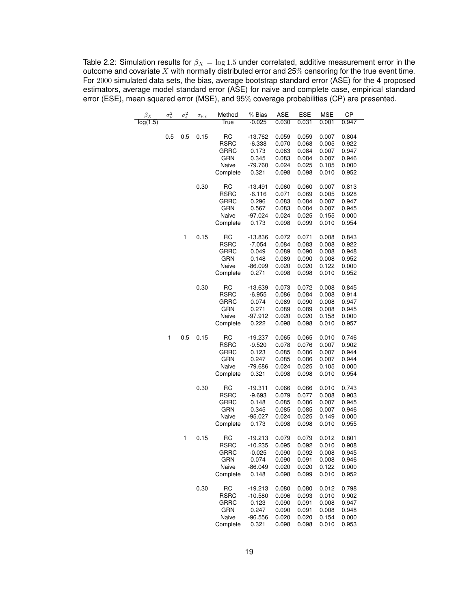Table 2.2: Simulation results for  $\beta_X = \log 1.5$  under correlated, additive measurement error in the outcome and covariate  $X$  with normally distributed error and 25% censoring for the true event time. For 2000 simulated data sets, the bias, average bootstrap standard error (ASE) for the 4 proposed estimators, average model standard error (ASE) for naive and complete case, empirical standard error (ESE), mean squared error (MSE), and 95% coverage probabilities (CP) are presented.

| $\beta_X$ | $\sigma_{\nu}^2$ | $\sigma^2_{\epsilon}$ | $\sigma_{\nu,\epsilon}$ | Method                                                              | $%$ Bias                                                        | <b>ASE</b>                                         | <b>ESE</b>                                         | <b>MSE</b>                                         | <b>CP</b>                                          |
|-----------|------------------|-----------------------|-------------------------|---------------------------------------------------------------------|-----------------------------------------------------------------|----------------------------------------------------|----------------------------------------------------|----------------------------------------------------|----------------------------------------------------|
| log(1.5)  |                  |                       |                         | True                                                                | $-0.025$                                                        | 0.030                                              | 0.031                                              | 0.001                                              | 0.947                                              |
|           | 0.5              | 0.5                   | 0.15                    | <b>RC</b><br><b>RSRC</b><br>GRRC<br><b>GRN</b><br>Naive<br>Complete | -13.762<br>$-6.338$<br>0.173<br>0.345<br>$-79.760$<br>0.321     | 0.059<br>0.070<br>0.083<br>0.083<br>0.024<br>0.098 | 0.059<br>0.068<br>0.084<br>0.084<br>0.025<br>0.098 | 0.007<br>0.005<br>0.007<br>0.007<br>0.105<br>0.010 | 0.804<br>0.922<br>0.947<br>0.946<br>0.000<br>0.952 |
|           |                  |                       | 0.30                    | RC<br><b>RSRC</b><br>GRRC<br>GRN<br>Naive<br>Complete               | -13.491<br>$-6.116$<br>0.296<br>0.567<br>$-97.024$<br>0.173     | 0.060<br>0.071<br>0.083<br>0.083<br>0.024<br>0.098 | 0.060<br>0.069<br>0.084<br>0.084<br>0.025<br>0.099 | 0.007<br>0.005<br>0.007<br>0.007<br>0.155<br>0.010 | 0.813<br>0.928<br>0.947<br>0.945<br>0.000<br>0.954 |
|           |                  | $\mathbf{1}$          | 0.15                    | RC<br><b>RSRC</b><br>GRRC<br>GRN<br>Naive<br>Complete               | -13.836<br>$-7.054$<br>0.049<br>0.148<br>-86.099<br>0.271       | 0.072<br>0.084<br>0.089<br>0.089<br>0.020<br>0.098 | 0.071<br>0.083<br>0.090<br>0.090<br>0.020<br>0.098 | 0.008<br>0.008<br>0.008<br>0.008<br>0.122<br>0.010 | 0.843<br>0.922<br>0.948<br>0.952<br>0.000<br>0.952 |
|           |                  |                       | 0.30                    | RC<br><b>RSRC</b><br>GRRC<br><b>GRN</b><br>Naive<br>Complete        | $-13.639$<br>$-6.955$<br>0.074<br>0.271<br>$-97.912$<br>0.222   | 0.073<br>0.086<br>0.089<br>0.089<br>0.020<br>0.098 | 0.072<br>0.084<br>0.090<br>0.089<br>0.020<br>0.098 | 0.008<br>0.008<br>0.008<br>0.008<br>0.158<br>0.010 | 0.845<br>0.914<br>0.947<br>0.945<br>0.000<br>0.957 |
|           | 1                | 0.5                   | 0.15                    | RC<br><b>RSRC</b><br>GRRC<br>GRN<br>Naive<br>Complete               | $-19.237$<br>$-9.520$<br>0.123<br>0.247<br>-79.686<br>0.321     | 0.065<br>0.078<br>0.085<br>0.085<br>0.024<br>0.098 | 0.065<br>0.076<br>0.086<br>0.086<br>0.025<br>0.098 | 0.010<br>0.007<br>0.007<br>0.007<br>0.105<br>0.010 | 0.746<br>0.902<br>0.944<br>0.944<br>0.000<br>0.954 |
|           |                  |                       | 0.30                    | RC<br>RSRC<br>GRRC<br>GRN<br>Naive<br>Complete                      | $-19.311$<br>$-9.693$<br>0.148<br>0.345<br>$-95.027$<br>0.173   | 0.066<br>0.079<br>0.085<br>0.085<br>0.024<br>0.098 | 0.066<br>0.077<br>0.086<br>0.085<br>0.025<br>0.098 | 0.010<br>0.008<br>0.007<br>0.007<br>0.149<br>0.010 | 0.743<br>0.903<br>0.945<br>0.946<br>0.000<br>0.955 |
|           |                  | 1                     | 0.15                    | <b>RC</b><br><b>RSRC</b><br>GRRC<br>GRN<br>Naive<br>Complete        | $-19.213$<br>-10.235<br>$-0.025$<br>0.074<br>$-86.049$<br>0.148 | 0.079<br>0.095<br>0.090<br>0.090<br>0.020<br>0.098 | 0.079<br>0.092<br>0.092<br>0.091<br>0.020<br>0.099 | 0.012<br>0.010<br>0.008<br>0.008<br>0.122<br>0.010 | 0.801<br>0.908<br>0.945<br>0.946<br>0.000<br>0.952 |
|           |                  |                       | 0.30                    | <b>RC</b><br><b>RSRC</b><br>GRRC<br>GRN<br>Naive<br>Complete        | -19.213<br>$-10.580$<br>0.123<br>0.247<br>$-96.556$<br>0.321    | 0.080<br>0.096<br>0.090<br>0.090<br>0.020<br>0.098 | 0.080<br>0.093<br>0.091<br>0.091<br>0.020<br>0.098 | 0.012<br>0.010<br>0.008<br>0.008<br>0.154<br>0.010 | 0.798<br>0.902<br>0.947<br>0.948<br>0.000<br>0.953 |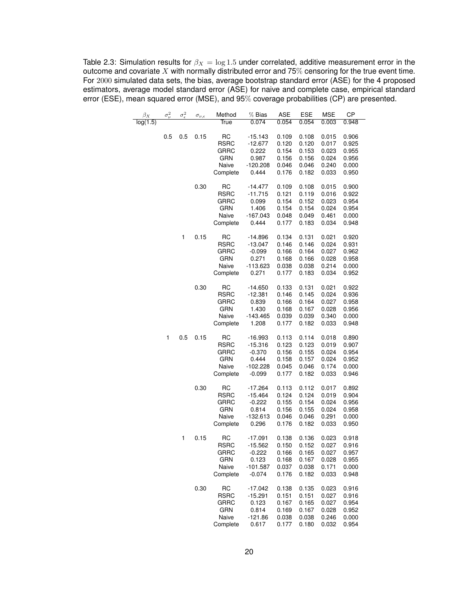Table 2.3: Simulation results for  $\beta_X = \log 1.5$  under correlated, additive measurement error in the outcome and covariate  $X$  with normally distributed error and 75% censoring for the true event time. For 2000 simulated data sets, the bias, average bootstrap standard error (ASE) for the 4 proposed estimators, average model standard error (ASE) for naive and complete case, empirical standard error (ESE), mean squared error (MSE), and 95% coverage probabilities (CP) are presented.

| $\beta_X$ | $\sigma_{\nu}^2$ | $\sigma^2_{\epsilon}$ | $\sigma_{\nu,\epsilon}$ | Method       | $%$ Bias            | <b>ASE</b>     | ESE            | <b>MSE</b>     | СP             |
|-----------|------------------|-----------------------|-------------------------|--------------|---------------------|----------------|----------------|----------------|----------------|
| log(1.5)  |                  |                       |                         | True         | 0.074               | 0.054          | 0.054          | 0.003          | 0.948          |
|           | 0.5              | 0.5                   | 0.15                    | <b>RC</b>    | -15.143             | 0.109          | 0.108          | 0.015          | 0.906          |
|           |                  |                       |                         | <b>RSRC</b>  | $-12.677$           | 0.120          | 0.120          | 0.017          | 0.925          |
|           |                  |                       |                         | GRRC         | 0.222               | 0.154          | 0.153          | 0.023          | 0.955          |
|           |                  |                       |                         | GRN          | 0.987               | 0.156          | 0.156          | 0.024          | 0.956          |
|           |                  |                       |                         | Naive        | -120.208            | 0.046          | 0.046          | 0.240          | 0.000          |
|           |                  |                       |                         | Complete     | 0.444               | 0.176          | 0.182          | 0.033          | 0.950          |
|           |                  |                       | 0.30                    | RC           | $-14.477$           | 0.109          | 0.108          | 0.015          | 0.900          |
|           |                  |                       |                         | <b>RSRC</b>  | $-11.715$           | 0.121          | 0.119          | 0.016          | 0.922          |
|           |                  |                       |                         | GRRC<br>GRN  | 0.099<br>1.406      | 0.154<br>0.154 | 0.152<br>0.154 | 0.023<br>0.024 | 0.954<br>0.954 |
|           |                  |                       |                         | Naive        | $-167.043$          | 0.048          | 0.049          | 0.461          | 0.000          |
|           |                  |                       |                         | Complete     | 0.444               | 0.177          | 0.183          | 0.034          | 0.948          |
|           |                  |                       |                         |              |                     |                |                |                |                |
|           |                  | 1                     | 0.15                    | RC           | -14.896             | 0.134          | 0.131          | 0.021          | 0.920          |
|           |                  |                       |                         | <b>RSRC</b>  | -13.047             | 0.146          | 0.146          | 0.024          | 0.931          |
|           |                  |                       |                         | GRRC         | $-0.099$            | 0.166          | 0.164          | 0.027          | 0.962          |
|           |                  |                       |                         | GRN<br>Naive | 0.271               | 0.168          | 0.166          | 0.028          | 0.958          |
|           |                  |                       |                         | Complete     | $-113.623$<br>0.271 | 0.038<br>0.177 | 0.038<br>0.183 | 0.214<br>0.034 | 0.000<br>0.952 |
|           |                  |                       |                         |              |                     |                |                |                |                |
|           |                  |                       | 0.30                    | RC           | $-14.650$           | 0.133          | 0.131          | 0.021          | 0.922          |
|           |                  |                       |                         | <b>RSRC</b>  | $-12.381$           | 0.146          | 0.145          | 0.024          | 0.936          |
|           |                  |                       |                         | GRRC         | 0.839               | 0.166          | 0.164          | 0.027          | 0.958          |
|           |                  |                       |                         | <b>GRN</b>   | 1.430               | 0.168          | 0.167          | 0.028          | 0.956          |
|           |                  |                       |                         | Naive        | -143.465            | 0.039          | 0.039          | 0.340          | 0.000          |
|           |                  |                       |                         | Complete     | 1.208               | 0.177          | 0.182          | 0.033          | 0.948          |
|           | 1                | 0.5                   | 0.15                    | RC           | -16.993             | 0.113          | 0.114          | 0.018          | 0.890          |
|           |                  |                       |                         | <b>RSRC</b>  | -15.316             | 0.123          | 0.123          | 0.019          | 0.907          |
|           |                  |                       |                         | GRRC         | $-0.370$            | 0.156          | 0.155          | 0.024          | 0.954          |
|           |                  |                       |                         | GRN          | 0.444               | 0.158          | 0.157          | 0.024          | 0.952          |
|           |                  |                       |                         | Naive        | -102.228            | 0.045          | 0.046          | 0.174          | 0.000          |
|           |                  |                       |                         | Complete     | $-0.099$            | 0.177          | 0.182          | 0.033          | 0.946          |
|           |                  |                       | 0.30                    | RC           | -17.264             | 0.113          | 0.112          | 0.017          | 0.892          |
|           |                  |                       |                         | <b>RSRC</b>  | $-15.464$           | 0.124          | 0.124          | 0.019          | 0.904          |
|           |                  |                       |                         | GRRC         | $-0.222$            | 0.155          | 0.154          | 0.024          | 0.956          |
|           |                  |                       |                         | GRN          | 0.814               | 0.156          | 0.155          | 0.024          | 0.958          |
|           |                  |                       |                         | Naive        | -132.613            | 0.046          | 0.046          | 0.291          | 0.000          |
|           |                  |                       |                         | Complete     | 0.296               | 0.176          | 0.182          | 0.033          | 0.950          |
|           |                  | 1                     | 0.15                    | RC           | -17.091             | 0.138          | 0.136          | 0.023          | 0.918          |
|           |                  |                       |                         | <b>RSRC</b>  | $-15.562$           | 0.150          | 0.152          | 0.027          | 0.916          |
|           |                  |                       |                         | GRRC         | $-0.222$            | 0.166          | 0.165          | 0.027          | 0.957          |
|           |                  |                       |                         | <b>GRN</b>   | 0.123               | 0.168          | 0.167          | 0.028          | 0.955          |
|           |                  |                       |                         | Naive        | $-101.587$          | 0.037          | 0.038          | 0.171          | 0.000          |
|           |                  |                       |                         | Complete     | $-0.074$            | 0.176          | 0.182          | 0.033          | 0.948          |
|           |                  |                       | 0.30                    | <b>RC</b>    | $-17.042$           | 0.138          | 0.135          | 0.023          | 0.916          |
|           |                  |                       |                         | <b>RSRC</b>  | $-15.291$           | 0.151          | 0.151          | 0.027          | 0.916          |
|           |                  |                       |                         | <b>GRRC</b>  | 0.123               | 0.167          | 0.165          | 0.027          | 0.954          |
|           |                  |                       |                         | <b>GRN</b>   | 0.814               | 0.169          | 0.167          | 0.028          | 0.952          |
|           |                  |                       |                         | Naive        | $-121.86$           | 0.038          | 0.038          | 0.246          | 0.000          |
|           |                  |                       |                         | Complete     | 0.617               | 0.177          | 0.180          | 0.032          | 0.954          |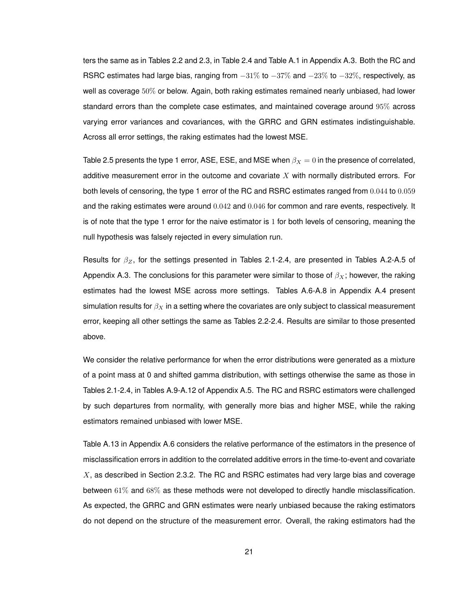ters the same as in Tables 2.2 and 2.3, in Table 2.4 and Table A.1 in Appendix A.3. Both the RC and RSRC estimates had large bias, ranging from  $-31\%$  to  $-37\%$  and  $-23\%$  to  $-32\%$ , respectively, as well as coverage 50% or below. Again, both raking estimates remained nearly unbiased, had lower standard errors than the complete case estimates, and maintained coverage around 95% across varying error variances and covariances, with the GRRC and GRN estimates indistinguishable. Across all error settings, the raking estimates had the lowest MSE.

Table 2.5 presents the type 1 error, ASE, ESE, and MSE when  $\beta_X = 0$  in the presence of correlated, additive measurement error in the outcome and covariate  $X$  with normally distributed errors. For both levels of censoring, the type 1 error of the RC and RSRC estimates ranged from 0.044 to 0.059 and the raking estimates were around 0.042 and 0.046 for common and rare events, respectively. It is of note that the type 1 error for the naive estimator is 1 for both levels of censoring, meaning the null hypothesis was falsely rejected in every simulation run.

Results for  $\beta_Z$ , for the settings presented in Tables 2.1-2.4, are presented in Tables A.2-A.5 of Appendix A.3. The conclusions for this parameter were similar to those of  $\beta_X$ ; however, the raking estimates had the lowest MSE across more settings. Tables A.6-A.8 in Appendix A.4 present simulation results for  $\beta_X$  in a setting where the covariates are only subject to classical measurement error, keeping all other settings the same as Tables 2.2-2.4. Results are similar to those presented above.

We consider the relative performance for when the error distributions were generated as a mixture of a point mass at 0 and shifted gamma distribution, with settings otherwise the same as those in Tables 2.1-2.4, in Tables A.9-A.12 of Appendix A.5. The RC and RSRC estimators were challenged by such departures from normality, with generally more bias and higher MSE, while the raking estimators remained unbiased with lower MSE.

Table A.13 in Appendix A.6 considers the relative performance of the estimators in the presence of misclassification errors in addition to the correlated additive errors in the time-to-event and covariate  $X$ , as described in Section 2.3.2. The RC and RSRC estimates had very large bias and coverage between 61% and 68% as these methods were not developed to directly handle misclassification. As expected, the GRRC and GRN estimates were nearly unbiased because the raking estimators do not depend on the structure of the measurement error. Overall, the raking estimators had the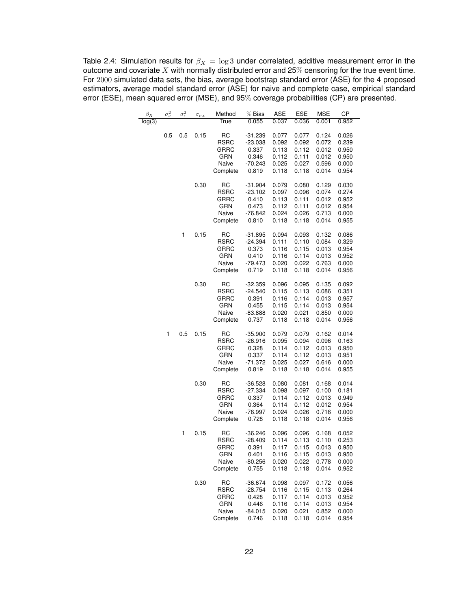Table 2.4: Simulation results for  $\beta_X = \log 3$  under correlated, additive measurement error in the outcome and covariate  $X$  with normally distributed error and 25% censoring for the true event time. For 2000 simulated data sets, the bias, average bootstrap standard error (ASE) for the 4 proposed estimators, average model standard error (ASE) for naive and complete case, empirical standard error (ESE), mean squared error (MSE), and 95% coverage probabilities (CP) are presented.

| $\beta_X$ | $\sigma_{\nu}^2$ | $\sigma^2_{\epsilon}$ | $\sigma_{\nu,\epsilon}$ | Method                                                       | $\%$ Bias                                                      | <b>ASE</b>                                         | <b>ESE</b>                                         | <b>MSE</b>                                         | СP                                                 |
|-----------|------------------|-----------------------|-------------------------|--------------------------------------------------------------|----------------------------------------------------------------|----------------------------------------------------|----------------------------------------------------|----------------------------------------------------|----------------------------------------------------|
| log(3)    |                  |                       |                         | True                                                         | 0.055                                                          | 0.037                                              | 0.036                                              | 0.001                                              | 0.952                                              |
|           | 0.5              | 0.5                   | 0.15                    | RC<br><b>RSRC</b><br>GRRC<br>GRN                             | $-31.239$<br>-23.038<br>0.337<br>0.346                         | 0.077<br>0.092<br>0.113<br>0.112                   | 0.077<br>0.092<br>0.112<br>0.111                   | 0.124<br>0.072<br>0.012<br>0.012                   | 0.026<br>0.239<br>0.950<br>0.950                   |
|           |                  |                       |                         | Naive<br>Complete                                            | $-70.243$<br>0.819                                             | 0.025<br>0.118                                     | 0.027<br>0.118                                     | 0.596<br>0.014                                     | 0.000<br>0.954                                     |
|           |                  |                       | 0.30                    | RC<br><b>RSRC</b><br>GRRC<br>GRN<br>Naive<br>Complete        | -31.904<br>$-23.102$<br>0.410<br>0.473<br>-76.842<br>0.810     | 0.079<br>0.097<br>0.113<br>0.112<br>0.024<br>0.118 | 0.080<br>0.096<br>0.111<br>0.111<br>0.026<br>0.118 | 0.129<br>0.074<br>0.012<br>0.012<br>0.713<br>0.014 | 0.030<br>0.274<br>0.952<br>0.954<br>0.000<br>0.955 |
|           |                  | 1                     | 0.15                    | <b>RC</b><br><b>RSRC</b><br>GRRC<br>GRN<br>Naive<br>Complete | -31.895<br>-24.394<br>0.373<br>0.410<br>$-79.473$<br>0.719     | 0.094<br>0.111<br>0.116<br>0.116<br>0.020<br>0.118 | 0.093<br>0.110<br>0.115<br>0.114<br>0.022<br>0.118 | 0.132<br>0.084<br>0.013<br>0.013<br>0.763<br>0.014 | 0.086<br>0.329<br>0.954<br>0.952<br>0.000<br>0.956 |
|           |                  |                       | 0.30                    | RC<br><b>RSRC</b><br>GRRC<br>GRN<br>Naive<br>Complete        | -32.359<br>$-24.540$<br>0.391<br>0.455<br>$-83.888$<br>0.737   | 0.096<br>0.115<br>0.116<br>0.115<br>0.020<br>0.118 | 0.095<br>0.113<br>0.114<br>0.114<br>0.021<br>0.118 | 0.135<br>0.086<br>0.013<br>0.013<br>0.850<br>0.014 | 0.092<br>0.351<br>0.957<br>0.954<br>0.000<br>0.956 |
|           | 1                | 0.5                   | 0.15                    | RC<br><b>RSRC</b><br>GRRC<br>GRN<br>Naive<br>Complete        | $-35.900$<br>$-26.916$<br>0.328<br>0.337<br>-71.372<br>0.819   | 0.079<br>0.095<br>0.114<br>0.114<br>0.025<br>0.118 | 0.079<br>0.094<br>0.112<br>0.112<br>0.027<br>0.118 | 0.162<br>0.096<br>0.013<br>0.013<br>0.616<br>0.014 | 0.014<br>0.163<br>0.950<br>0.951<br>0.000<br>0.955 |
|           |                  |                       | 0.30                    | RC<br><b>RSRC</b><br>GRRC<br>GRN<br>Naive<br>Complete        | $-36.528$<br>$-27.334$<br>0.337<br>0.364<br>$-76.997$<br>0.728 | 0.080<br>0.098<br>0.114<br>0.114<br>0.024<br>0.118 | 0.081<br>0.097<br>0.112<br>0.112<br>0.026<br>0.118 | 0.168<br>0.100<br>0.013<br>0.012<br>0.716<br>0.014 | 0.014<br>0.181<br>0.949<br>0.954<br>0.000<br>0.956 |
|           |                  | 1                     | 0.15                    | RC<br><b>RSRC</b><br>GRRC<br>GRN<br>Naive<br>Complete        | $-36.246$<br>$-28.409$<br>0.391<br>0.401<br>-80.256<br>0.755   | 0.096<br>0.114<br>0.117<br>0.116<br>0.020<br>0.118 | 0.096<br>0.113<br>0.115<br>0.115<br>0.022<br>0.118 | 0.168<br>0.110<br>0.013<br>0.013<br>0.778<br>0.014 | 0.052<br>0.253<br>0.950<br>0.950<br>0.000<br>0.952 |
|           |                  |                       | 0.30                    | RC<br><b>RSRC</b><br>GRRC<br>GRN<br>Naive<br>Complete        | -36.674<br>$-28.754$<br>0.428<br>0.446<br>$-84.015$<br>0.746   | 0.098<br>0.116<br>0.117<br>0.116<br>0.020<br>0.118 | 0.097<br>0.115<br>0.114<br>0.114<br>0.021<br>0.118 | 0.172<br>0.113<br>0.013<br>0.013<br>0.852<br>0.014 | 0.056<br>0.264<br>0.952<br>0.954<br>0.000<br>0.954 |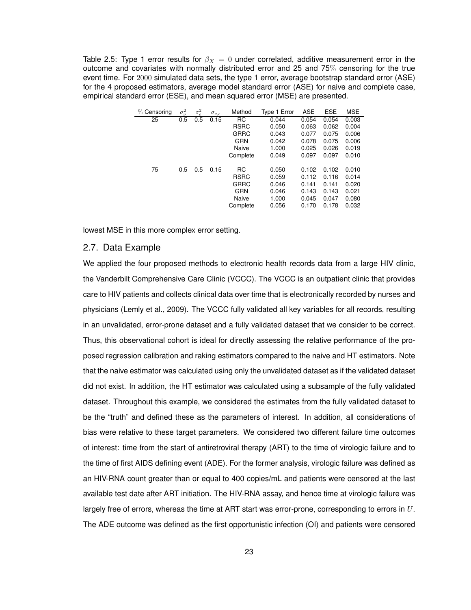Table 2.5: Type 1 error results for  $\beta_X = 0$  under correlated, additive measurement error in the outcome and covariates with normally distributed error and 25 and 75% censoring for the true event time. For 2000 simulated data sets, the type 1 error, average bootstrap standard error (ASE) for the 4 proposed estimators, average model standard error (ASE) for naive and complete case, empirical standard error (ESE), and mean squared error (MSE) are presented.

| $%$ Censoring | $\sigma_{\nu}^2$ | $\sigma_{\epsilon}^2$ | $\sigma_{\nu,\epsilon}$ | Method      | Type 1 Error | ASE   | <b>ESE</b> | MSE   |
|---------------|------------------|-----------------------|-------------------------|-------------|--------------|-------|------------|-------|
| 25            | 0.5              | 0.5                   | 0.15                    | <b>RC</b>   | 0.044        | 0.054 | 0.054      | 0.003 |
|               |                  |                       |                         | <b>RSRC</b> | 0.050        | 0.063 | 0.062      | 0.004 |
|               |                  |                       |                         | GRRC        | 0.043        | 0.077 | 0.075      | 0.006 |
|               |                  |                       |                         | GRN         | 0.042        | 0.078 | 0.075      | 0.006 |
|               |                  |                       |                         | Naive       | 1.000        | 0.025 | 0.026      | 0.019 |
|               |                  |                       |                         | Complete    | 0.049        | 0.097 | 0.097      | 0.010 |
|               |                  |                       |                         |             |              |       |            |       |
| 75            | 0.5              | 0.5                   | 0.15                    | <b>RC</b>   | 0.050        | 0.102 | 0.102      | 0.010 |
|               |                  |                       |                         | <b>RSRC</b> | 0.059        | 0.112 | 0.116      | 0.014 |
|               |                  |                       |                         | GRRC        | 0.046        | 0.141 | 0.141      | 0.020 |
|               |                  |                       |                         | <b>GRN</b>  | 0.046        | 0.143 | 0.143      | 0.021 |
|               |                  |                       |                         | Naive       | 1.000        | 0.045 | 0.047      | 0.080 |
|               |                  |                       |                         | Complete    | 0.056        | 0.170 | 0.178      | 0.032 |

lowest MSE in this more complex error setting.

#### 2.7. Data Example

We applied the four proposed methods to electronic health records data from a large HIV clinic, the Vanderbilt Comprehensive Care Clinic (VCCC). The VCCC is an outpatient clinic that provides care to HIV patients and collects clinical data over time that is electronically recorded by nurses and physicians (Lemly et al., 2009). The VCCC fully validated all key variables for all records, resulting in an unvalidated, error-prone dataset and a fully validated dataset that we consider to be correct. Thus, this observational cohort is ideal for directly assessing the relative performance of the proposed regression calibration and raking estimators compared to the naive and HT estimators. Note that the naive estimator was calculated using only the unvalidated dataset as if the validated dataset did not exist. In addition, the HT estimator was calculated using a subsample of the fully validated dataset. Throughout this example, we considered the estimates from the fully validated dataset to be the "truth" and defined these as the parameters of interest. In addition, all considerations of bias were relative to these target parameters. We considered two different failure time outcomes of interest: time from the start of antiretroviral therapy (ART) to the time of virologic failure and to the time of first AIDS defining event (ADE). For the former analysis, virologic failure was defined as an HIV-RNA count greater than or equal to 400 copies/mL and patients were censored at the last available test date after ART initiation. The HIV-RNA assay, and hence time at virologic failure was largely free of errors, whereas the time at ART start was error-prone, corresponding to errors in  $U$ . The ADE outcome was defined as the first opportunistic infection (OI) and patients were censored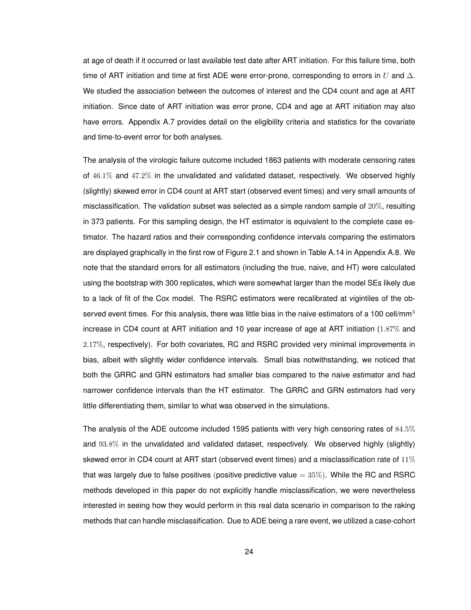at age of death if it occurred or last available test date after ART initiation. For this failure time, both time of ART initiation and time at first ADE were error-prone, corresponding to errors in U and  $\Delta$ . We studied the association between the outcomes of interest and the CD4 count and age at ART initiation. Since date of ART initiation was error prone, CD4 and age at ART initiation may also have errors. Appendix A.7 provides detail on the eligibility criteria and statistics for the covariate and time-to-event error for both analyses.

The analysis of the virologic failure outcome included 1863 patients with moderate censoring rates of 46.1% and 47.2% in the unvalidated and validated dataset, respectively. We observed highly (slightly) skewed error in CD4 count at ART start (observed event times) and very small amounts of misclassification. The validation subset was selected as a simple random sample of 20%, resulting in 373 patients. For this sampling design, the HT estimator is equivalent to the complete case estimator. The hazard ratios and their corresponding confidence intervals comparing the estimators are displayed graphically in the first row of Figure 2.1 and shown in Table A.14 in Appendix A.8. We note that the standard errors for all estimators (including the true, naive, and HT) were calculated using the bootstrap with 300 replicates, which were somewhat larger than the model SEs likely due to a lack of fit of the Cox model. The RSRC estimators were recalibrated at vigintiles of the observed event times. For this analysis, there was little bias in the naive estimators of a 100 cell/mm $^3$ increase in CD4 count at ART initiation and 10 year increase of age at ART initiation (1.87% and 2.17%, respectively). For both covariates, RC and RSRC provided very minimal improvements in bias, albeit with slightly wider confidence intervals. Small bias notwithstanding, we noticed that both the GRRC and GRN estimators had smaller bias compared to the naive estimator and had narrower confidence intervals than the HT estimator. The GRRC and GRN estimators had very little differentiating them, similar to what was observed in the simulations.

The analysis of the ADE outcome included 1595 patients with very high censoring rates of  $84.5\%$ and 93.8% in the unvalidated and validated dataset, respectively. We observed highly (slightly) skewed error in CD4 count at ART start (observed event times) and a misclassification rate of  $11\%$ that was largely due to false positives (positive predictive value  $= 35\%$ ). While the RC and RSRC methods developed in this paper do not explicitly handle misclassification, we were nevertheless interested in seeing how they would perform in this real data scenario in comparison to the raking methods that can handle misclassification. Due to ADE being a rare event, we utilized a case-cohort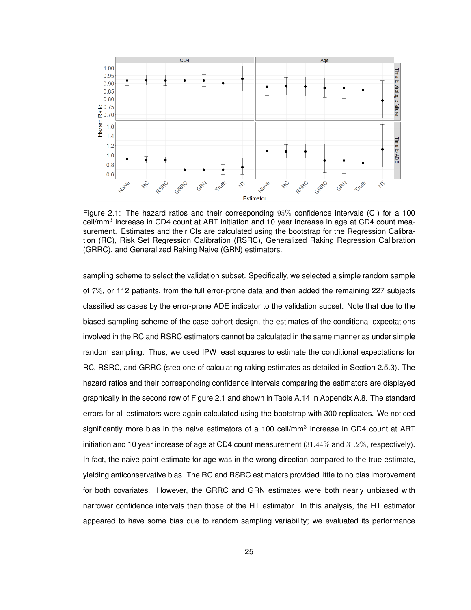

Figure 2.1: The hazard ratios and their corresponding 95% confidence intervals (CI) for a 100 cell/mm<sup>3</sup> increase in CD4 count at ART initiation and 10 year increase in age at CD4 count measurement. Estimates and their CIs are calculated using the bootstrap for the Regression Calibration (RC), Risk Set Regression Calibration (RSRC), Generalized Raking Regression Calibration (GRRC), and Generalized Raking Naive (GRN) estimators.

sampling scheme to select the validation subset. Specifically, we selected a simple random sample of 7%, or 112 patients, from the full error-prone data and then added the remaining 227 subjects classified as cases by the error-prone ADE indicator to the validation subset. Note that due to the biased sampling scheme of the case-cohort design, the estimates of the conditional expectations involved in the RC and RSRC estimators cannot be calculated in the same manner as under simple random sampling. Thus, we used IPW least squares to estimate the conditional expectations for RC, RSRC, and GRRC (step one of calculating raking estimates as detailed in Section 2.5.3). The hazard ratios and their corresponding confidence intervals comparing the estimators are displayed graphically in the second row of Figure 2.1 and shown in Table A.14 in Appendix A.8. The standard errors for all estimators were again calculated using the bootstrap with 300 replicates. We noticed significantly more bias in the naive estimators of a 100 cell/mm<sup>3</sup> increase in CD4 count at ART initiation and 10 year increase of age at CD4 count measurement (31.44% and 31.2%, respectively). In fact, the naive point estimate for age was in the wrong direction compared to the true estimate, yielding anticonservative bias. The RC and RSRC estimators provided little to no bias improvement for both covariates. However, the GRRC and GRN estimates were both nearly unbiased with narrower confidence intervals than those of the HT estimator. In this analysis, the HT estimator appeared to have some bias due to random sampling variability; we evaluated its performance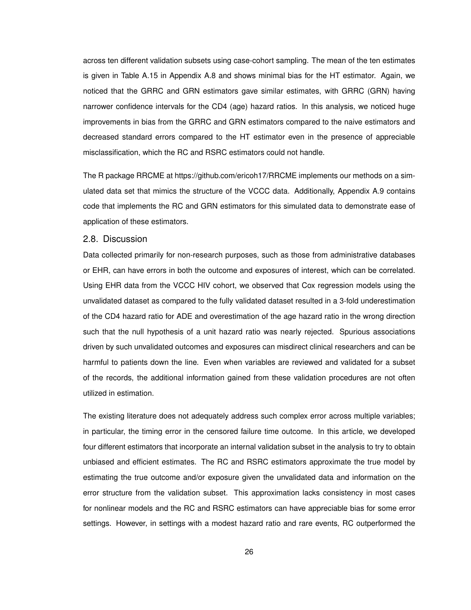across ten different validation subsets using case-cohort sampling. The mean of the ten estimates is given in Table A.15 in Appendix A.8 and shows minimal bias for the HT estimator. Again, we noticed that the GRRC and GRN estimators gave similar estimates, with GRRC (GRN) having narrower confidence intervals for the CD4 (age) hazard ratios. In this analysis, we noticed huge improvements in bias from the GRRC and GRN estimators compared to the naive estimators and decreased standard errors compared to the HT estimator even in the presence of appreciable misclassification, which the RC and RSRC estimators could not handle.

The R package RRCME at https://github.com/ericoh17/RRCME implements our methods on a simulated data set that mimics the structure of the VCCC data. Additionally, Appendix A.9 contains code that implements the RC and GRN estimators for this simulated data to demonstrate ease of application of these estimators.

#### 2.8. Discussion

Data collected primarily for non-research purposes, such as those from administrative databases or EHR, can have errors in both the outcome and exposures of interest, which can be correlated. Using EHR data from the VCCC HIV cohort, we observed that Cox regression models using the unvalidated dataset as compared to the fully validated dataset resulted in a 3-fold underestimation of the CD4 hazard ratio for ADE and overestimation of the age hazard ratio in the wrong direction such that the null hypothesis of a unit hazard ratio was nearly rejected. Spurious associations driven by such unvalidated outcomes and exposures can misdirect clinical researchers and can be harmful to patients down the line. Even when variables are reviewed and validated for a subset of the records, the additional information gained from these validation procedures are not often utilized in estimation.

The existing literature does not adequately address such complex error across multiple variables; in particular, the timing error in the censored failure time outcome. In this article, we developed four different estimators that incorporate an internal validation subset in the analysis to try to obtain unbiased and efficient estimates. The RC and RSRC estimators approximate the true model by estimating the true outcome and/or exposure given the unvalidated data and information on the error structure from the validation subset. This approximation lacks consistency in most cases for nonlinear models and the RC and RSRC estimators can have appreciable bias for some error settings. However, in settings with a modest hazard ratio and rare events, RC outperformed the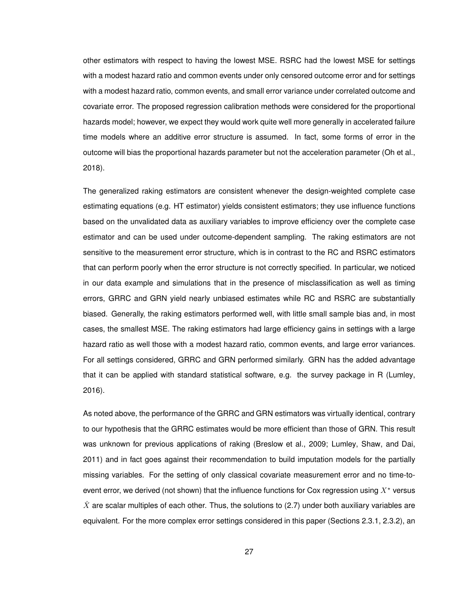other estimators with respect to having the lowest MSE. RSRC had the lowest MSE for settings with a modest hazard ratio and common events under only censored outcome error and for settings with a modest hazard ratio, common events, and small error variance under correlated outcome and covariate error. The proposed regression calibration methods were considered for the proportional hazards model; however, we expect they would work quite well more generally in accelerated failure time models where an additive error structure is assumed. In fact, some forms of error in the outcome will bias the proportional hazards parameter but not the acceleration parameter (Oh et al., 2018).

The generalized raking estimators are consistent whenever the design-weighted complete case estimating equations (e.g. HT estimator) yields consistent estimators; they use influence functions based on the unvalidated data as auxiliary variables to improve efficiency over the complete case estimator and can be used under outcome-dependent sampling. The raking estimators are not sensitive to the measurement error structure, which is in contrast to the RC and RSRC estimators that can perform poorly when the error structure is not correctly specified. In particular, we noticed in our data example and simulations that in the presence of misclassification as well as timing errors, GRRC and GRN yield nearly unbiased estimates while RC and RSRC are substantially biased. Generally, the raking estimators performed well, with little small sample bias and, in most cases, the smallest MSE. The raking estimators had large efficiency gains in settings with a large hazard ratio as well those with a modest hazard ratio, common events, and large error variances. For all settings considered, GRRC and GRN performed similarly. GRN has the added advantage that it can be applied with standard statistical software, e.g. the survey package in R (Lumley, 2016).

As noted above, the performance of the GRRC and GRN estimators was virtually identical, contrary to our hypothesis that the GRRC estimates would be more efficient than those of GRN. This result was unknown for previous applications of raking (Breslow et al., 2009; Lumley, Shaw, and Dai, 2011) and in fact goes against their recommendation to build imputation models for the partially missing variables. For the setting of only classical covariate measurement error and no time-toevent error, we derived (not shown) that the influence functions for Cox regression using  $X^*$  versus  $\hat{X}$  are scalar multiples of each other. Thus, the solutions to (2.7) under both auxiliary variables are equivalent. For the more complex error settings considered in this paper (Sections 2.3.1, 2.3.2), an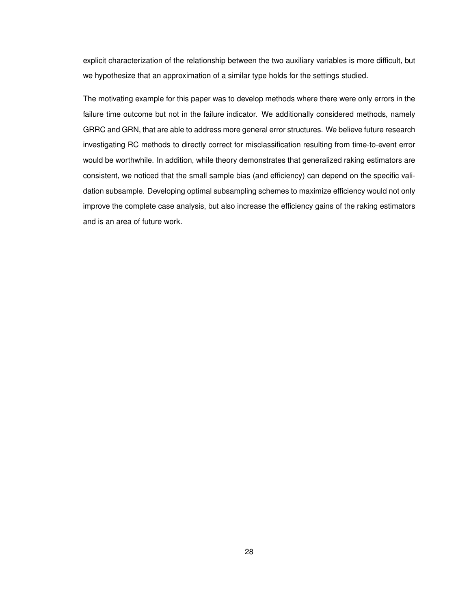explicit characterization of the relationship between the two auxiliary variables is more difficult, but we hypothesize that an approximation of a similar type holds for the settings studied.

The motivating example for this paper was to develop methods where there were only errors in the failure time outcome but not in the failure indicator. We additionally considered methods, namely GRRC and GRN, that are able to address more general error structures. We believe future research investigating RC methods to directly correct for misclassification resulting from time-to-event error would be worthwhile. In addition, while theory demonstrates that generalized raking estimators are consistent, we noticed that the small sample bias (and efficiency) can depend on the specific validation subsample. Developing optimal subsampling schemes to maximize efficiency would not only improve the complete case analysis, but also increase the efficiency gains of the raking estimators and is an area of future work.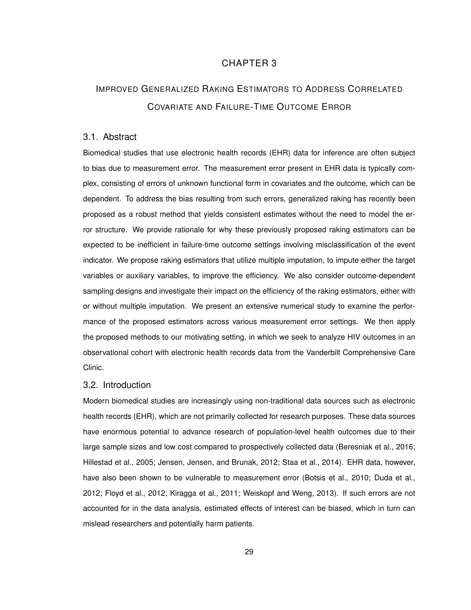# CHAPTER 3

# IMPROVED GENERALIZED RAKING ESTIMATORS TO ADDRESS CORRELATED COVARIATE AND FAILURE-TIME OUTCOME ERROR

# 3.1. Abstract

Biomedical studies that use electronic health records (EHR) data for inference are often subject to bias due to measurement error. The measurement error present in EHR data is typically complex, consisting of errors of unknown functional form in covariates and the outcome, which can be dependent. To address the bias resulting from such errors, generalized raking has recently been proposed as a robust method that yields consistent estimates without the need to model the error structure. We provide rationale for why these previously proposed raking estimators can be expected to be inefficient in failure-time outcome settings involving misclassification of the event indicator. We propose raking estimators that utilize multiple imputation, to impute either the target variables or auxiliary variables, to improve the efficiency. We also consider outcome-dependent sampling designs and investigate their impact on the efficiency of the raking estimators, either with or without multiple imputation. We present an extensive numerical study to examine the performance of the proposed estimators across various measurement error settings. We then apply the proposed methods to our motivating setting, in which we seek to analyze HIV outcomes in an observational cohort with electronic health records data from the Vanderbilt Comprehensive Care Clinic.

# 3.2. Introduction

Modern biomedical studies are increasingly using non-traditional data sources such as electronic health records (EHR), which are not primarily collected for research purposes. These data sources have enormous potential to advance research of population-level health outcomes due to their large sample sizes and low cost compared to prospectively collected data (Beresniak et al., 2016; Hillestad et al., 2005; Jensen, Jensen, and Brunak, 2012; Staa et al., 2014). EHR data, however, have also been shown to be vulnerable to measurement error (Botsis et al., 2010; Duda et al., 2012; Floyd et al., 2012; Kiragga et al., 2011; Weiskopf and Weng, 2013). If such errors are not accounted for in the data analysis, estimated effects of interest can be biased, which in turn can mislead researchers and potentially harm patients.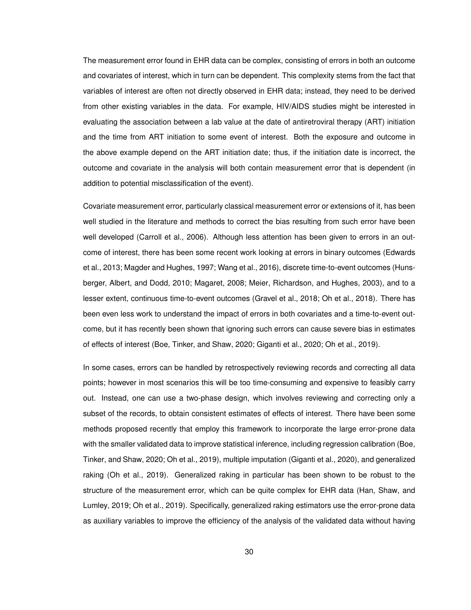The measurement error found in EHR data can be complex, consisting of errors in both an outcome and covariates of interest, which in turn can be dependent. This complexity stems from the fact that variables of interest are often not directly observed in EHR data; instead, they need to be derived from other existing variables in the data. For example, HIV/AIDS studies might be interested in evaluating the association between a lab value at the date of antiretroviral therapy (ART) initiation and the time from ART initiation to some event of interest. Both the exposure and outcome in the above example depend on the ART initiation date; thus, if the initiation date is incorrect, the outcome and covariate in the analysis will both contain measurement error that is dependent (in addition to potential misclassification of the event).

Covariate measurement error, particularly classical measurement error or extensions of it, has been well studied in the literature and methods to correct the bias resulting from such error have been well developed (Carroll et al., 2006). Although less attention has been given to errors in an outcome of interest, there has been some recent work looking at errors in binary outcomes (Edwards et al., 2013; Magder and Hughes, 1997; Wang et al., 2016), discrete time-to-event outcomes (Hunsberger, Albert, and Dodd, 2010; Magaret, 2008; Meier, Richardson, and Hughes, 2003), and to a lesser extent, continuous time-to-event outcomes (Gravel et al., 2018; Oh et al., 2018). There has been even less work to understand the impact of errors in both covariates and a time-to-event outcome, but it has recently been shown that ignoring such errors can cause severe bias in estimates of effects of interest (Boe, Tinker, and Shaw, 2020; Giganti et al., 2020; Oh et al., 2019).

In some cases, errors can be handled by retrospectively reviewing records and correcting all data points; however in most scenarios this will be too time-consuming and expensive to feasibly carry out. Instead, one can use a two-phase design, which involves reviewing and correcting only a subset of the records, to obtain consistent estimates of effects of interest. There have been some methods proposed recently that employ this framework to incorporate the large error-prone data with the smaller validated data to improve statistical inference, including regression calibration (Boe, Tinker, and Shaw, 2020; Oh et al., 2019), multiple imputation (Giganti et al., 2020), and generalized raking (Oh et al., 2019). Generalized raking in particular has been shown to be robust to the structure of the measurement error, which can be quite complex for EHR data (Han, Shaw, and Lumley, 2019; Oh et al., 2019). Specifically, generalized raking estimators use the error-prone data as auxiliary variables to improve the efficiency of the analysis of the validated data without having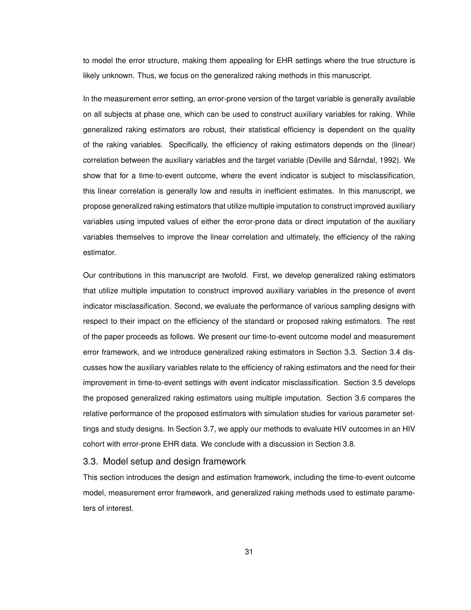to model the error structure, making them appealing for EHR settings where the true structure is likely unknown. Thus, we focus on the generalized raking methods in this manuscript.

In the measurement error setting, an error-prone version of the target variable is generally available on all subjects at phase one, which can be used to construct auxiliary variables for raking. While generalized raking estimators are robust, their statistical efficiency is dependent on the quality of the raking variables. Specifically, the efficiency of raking estimators depends on the (linear) correlation between the auxiliary variables and the target variable (Deville and Särndal, 1992). We show that for a time-to-event outcome, where the event indicator is subject to misclassification, this linear correlation is generally low and results in inefficient estimates. In this manuscript, we propose generalized raking estimators that utilize multiple imputation to construct improved auxiliary variables using imputed values of either the error-prone data or direct imputation of the auxiliary variables themselves to improve the linear correlation and ultimately, the efficiency of the raking estimator.

Our contributions in this manuscript are twofold. First, we develop generalized raking estimators that utilize multiple imputation to construct improved auxiliary variables in the presence of event indicator misclassification. Second, we evaluate the performance of various sampling designs with respect to their impact on the efficiency of the standard or proposed raking estimators. The rest of the paper proceeds as follows. We present our time-to-event outcome model and measurement error framework, and we introduce generalized raking estimators in Section 3.3. Section 3.4 discusses how the auxiliary variables relate to the efficiency of raking estimators and the need for their improvement in time-to-event settings with event indicator misclassification. Section 3.5 develops the proposed generalized raking estimators using multiple imputation. Section 3.6 compares the relative performance of the proposed estimators with simulation studies for various parameter settings and study designs. In Section 3.7, we apply our methods to evaluate HIV outcomes in an HIV cohort with error-prone EHR data. We conclude with a discussion in Section 3.8.

# 3.3. Model setup and design framework

This section introduces the design and estimation framework, including the time-to-event outcome model, measurement error framework, and generalized raking methods used to estimate parameters of interest.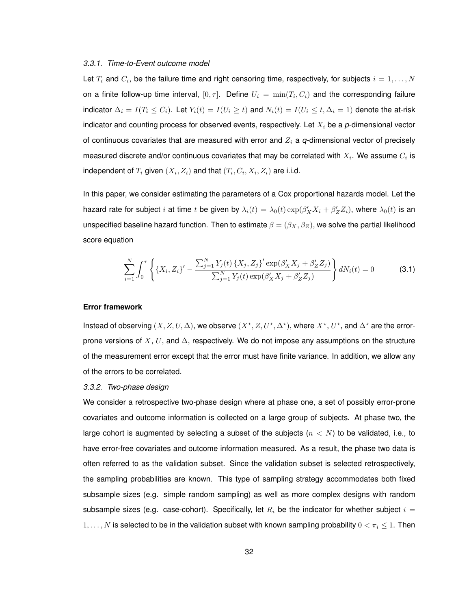#### *3.3.1. Time-to-Event outcome model*

Let  $T_i$  and  $C_i$ , be the failure time and right censoring time, respectively, for subjects  $i=1,\ldots,N$ on a finite follow-up time interval,  $[0,\tau].$  Define  $U_i = \min(T_i, C_i)$  and the corresponding failure indicator  $\Delta_i = I(T_i \leq C_i)$ . Let  $Y_i(t) = I(U_i \geq t)$  and  $N_i(t) = I(U_i \leq t, \Delta_i = 1)$  denote the at-risk indicator and counting process for observed events, respectively. Let  $X_i$  be a  $p$ -dimensional vector of continuous covariates that are measured with error and  $Z_i$  a  $q$ -dimensional vector of precisely measured discrete and/or continuous covariates that may be correlated with  $X_i.$  We assume  $C_i$  is independent of  $T_i$  given  $(X_i,Z_i)$  and that  $(T_i,C_i,X_i,Z_i)$  are i.i.d.

In this paper, we consider estimating the parameters of a Cox proportional hazards model. Let the hazard rate for subject  $i$  at time  $t$  be given by  $\lambda_i(t)=\lambda_0(t)\exp(\beta'_XX_i+\beta'_ZZ_i)$ , where  $\lambda_0(t)$  is an unspecified baseline hazard function. Then to estimate  $\beta = (\beta_X, \beta_Z)$ , we solve the partial likelihood score equation

$$
\sum_{i=1}^{N} \int_{0}^{\tau} \left\{ \{X_{i}, Z_{i}\}' - \frac{\sum_{j=1}^{N} Y_{j}(t) \{X_{j}, Z_{j}\}' \exp(\beta_{X}' X_{j} + \beta_{Z}' Z_{j})}{\sum_{j=1}^{N} Y_{j}(t) \exp(\beta_{X}' X_{j} + \beta_{Z}' Z_{j})} \right\} dN_{i}(t) = 0 \tag{3.1}
$$

#### **Error framework**

Instead of observing  $(X, Z, U, \Delta)$ , we observe  $(X^*, Z, U^*, \Delta^*)$ , where  $X^*, U^*,$  and  $\Delta^*$  are the errorprone versions of X, U, and  $\Delta$ , respectively. We do not impose any assumptions on the structure of the measurement error except that the error must have finite variance. In addition, we allow any of the errors to be correlated.

#### *3.3.2. Two-phase design*

We consider a retrospective two-phase design where at phase one, a set of possibly error-prone covariates and outcome information is collected on a large group of subjects. At phase two, the large cohort is augmented by selecting a subset of the subjects  $(n < N)$  to be validated, i.e., to have error-free covariates and outcome information measured. As a result, the phase two data is often referred to as the validation subset. Since the validation subset is selected retrospectively, the sampling probabilities are known. This type of sampling strategy accommodates both fixed subsample sizes (e.g. simple random sampling) as well as more complex designs with random subsample sizes (e.g. case-cohort). Specifically, let  $R_i$  be the indicator for whether subject  $i =$  $1, \ldots, N$  is selected to be in the validation subset with known sampling probability  $0 < \pi_i \leq 1$ . Then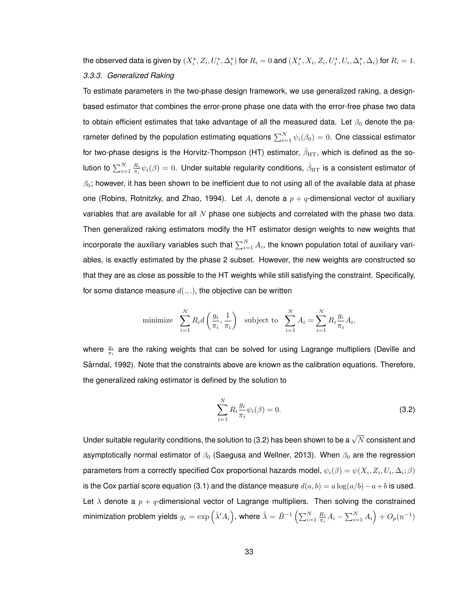the observed data is given by  $(X_i^\star, Z_i, U_i^\star, \Delta_i^\star)$  for  $R_i=0$  and  $(X_i^\star, X_i, Z_i, U_i^\star, U_i, \Delta_i^\star, \Delta_i)$  for  $R_i=1.$ *3.3.3. Generalized Raking*

To estimate parameters in the two-phase design framework, we use generalized raking, a designbased estimator that combines the error-prone phase one data with the error-free phase two data to obtain efficient estimates that take advantage of all the measured data. Let  $\beta_0$  denote the parameter defined by the population estimating equations  $\sum_{i=1}^{N} \psi_i(\beta_0) = 0$ . One classical estimator for two-phase designs is the Horvitz-Thompson (HT) estimator,  $\hat{\beta}_{\mathrm{HT}}$ , which is defined as the solution to  $\sum_{i=1}^N\frac{R_i}{\pi_i}\psi_i(\beta)=0.$  Under suitable regularity conditions,  $\hat\beta_{\rm HT}$  is a consistent estimator of  $\beta_0$ ; however, it has been shown to be inefficient due to not using all of the available data at phase one (Robins, Rotnitzky, and Zhao, 1994). Let  $A_i$  denote a  $p + q$ -dimensional vector of auxiliary variables that are available for all  $N$  phase one subjects and correlated with the phase two data. Then generalized raking estimators modify the HT estimator design weights to new weights that incorporate the auxiliary variables such that  $\sum_{i=1}^NA_i,$  the known population total of auxiliary variables, is exactly estimated by the phase 2 subset. However, the new weights are constructed so that they are as close as possible to the HT weights while still satisfying the constraint. Specifically, for some distance measure  $d(., .)$ , the objective can be written

minimize 
$$
\sum_{i=1}^{N} R_i d\left(\frac{g_i}{\pi_i}, \frac{1}{\pi_i}\right)
$$
 subject to  $\sum_{i=1}^{N} A_i = \sum_{i=1}^{N} R_i \frac{g_i}{\pi_i} A_i$ ,

where  $\frac{g_i}{\pi_i}$  are the raking weights that can be solved for using Lagrange multipliers (Deville and Särndal, 1992). Note that the constraints above are known as the calibration equations. Therefore, the generalized raking estimator is defined by the solution to

$$
\sum_{i=1}^{N} R_i \frac{g_i}{\pi_i} \psi_i(\beta) = 0.
$$
\n(3.2)

Under suitable regularity conditions, the solution to (3.2) has been shown to be a  $\sqrt{N}$  consistent and asymptotically normal estimator of  $\beta_0$  (Saegusa and Wellner, 2013). When  $\beta_0$  are the regression parameters from a correctly specified Cox proportional hazards model,  $\psi_i(\beta)=\psi(X_i,Z_i,U_i,\Delta_i;\beta)$ is the Cox partial score equation (3.1) and the distance measure  $d(a, b) = a \log(a/b) - a + b$  is used. Let  $\lambda$  denote a  $p + q$ -dimensional vector of Lagrange multipliers. Then solving the constrained minimization problem yields  $g_i=\exp\Big(\hat\lambda'A_i\Big)$ , where  $\hat\lambda=\hat B^{-1}\left(\sum_{i=1}^N\frac{R_i}{\pi_i}A_i-\sum_{i=1}^NA_i\right)+O_p(n^{-1})$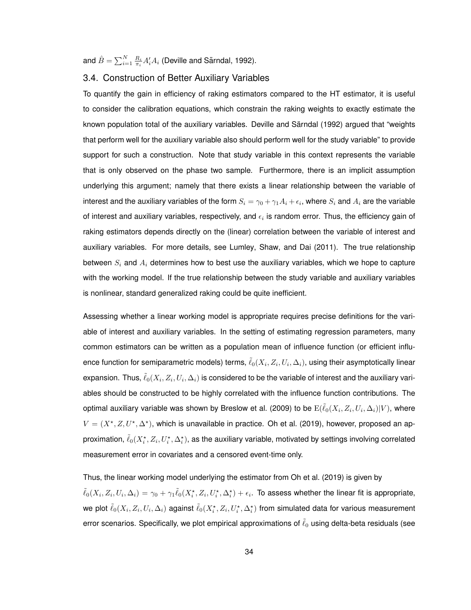and  $\hat{B} = \sum_{i=1}^N \frac{R_i}{\pi_i} A_i'A_i$  (Deville and Särndal, 1992).

# 3.4. Construction of Better Auxiliary Variables

To quantify the gain in efficiency of raking estimators compared to the HT estimator, it is useful to consider the calibration equations, which constrain the raking weights to exactly estimate the known population total of the auxiliary variables. Deville and Särndal (1992) argued that "weights that perform well for the auxiliary variable also should perform well for the study variable" to provide support for such a construction. Note that study variable in this context represents the variable that is only observed on the phase two sample. Furthermore, there is an implicit assumption underlying this argument; namely that there exists a linear relationship between the variable of interest and the auxiliary variables of the form  $S_i = \gamma_0 + \gamma_1 A_i + \epsilon_i,$  where  $S_i$  and  $A_i$  are the variable of interest and auxiliary variables, respectively, and  $\epsilon_i$  is random error. Thus, the efficiency gain of raking estimators depends directly on the (linear) correlation between the variable of interest and auxiliary variables. For more details, see Lumley, Shaw, and Dai (2011). The true relationship between  $S_i$  and  $A_i$  determines how to best use the auxiliary variables, which we hope to capture with the working model. If the true relationship between the study variable and auxiliary variables is nonlinear, standard generalized raking could be quite inefficient.

Assessing whether a linear working model is appropriate requires precise definitions for the variable of interest and auxiliary variables. In the setting of estimating regression parameters, many common estimators can be written as a population mean of influence function (or efficient influence function for semiparametric models) terms,  $\tilde\ell_0(X_i,Z_i,U_i,\Delta_i)$ , using their asymptotically linear expansion. Thus,  $\tilde{\ell}_0(X_i, Z_i, U_i, \Delta_i)$  is considered to be the variable of interest and the auxiliary variables should be constructed to be highly correlated with the influence function contributions. The optimal auxiliary variable was shown by Breslow et al. (2009) to be  $\mathrm{E}(\tilde{\ell}_0(X_i, Z_i, U_i, \Delta_i)|V)$ , where  $V = (X^*, Z, U^*, \Delta^*)$ , which is unavailable in practice. Oh et al. (2019), however, proposed an approximation,  $\tilde{\ell}_0(X_i^\star, Z_i, U_i^\star, \Delta_i^\star),$  as the auxiliary variable, motivated by settings involving correlated measurement error in covariates and a censored event-time only.

Thus, the linear working model underlying the estimator from Oh et al. (2019) is given by

 $\tilde\ell_0(X_i,Z_i,U_i,\Delta_i)=\gamma_0+\gamma_1\tilde\ell_0(X_i^\star,Z_i,U_i^\star,\Delta_i^\star)+\epsilon_i.$  To assess whether the linear fit is appropriate, we plot  $\tilde\ell_0(X_i,Z_i,U_i,\Delta_i)$  against  $\tilde\ell_0(X_i^\star,Z_i,U_i^\star,\Delta_i^\star)$  from simulated data for various measurement error scenarios. Specifically, we plot empirical approximations of  $\tilde{\ell}_0$  using delta-beta residuals (see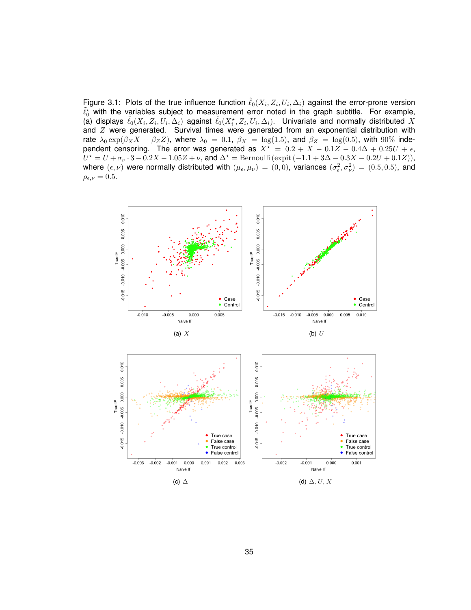Figure 3.1: Plots of the true influence function  $\tilde{\ell}_0(X_i, Z_i, U_i, \Delta_i)$  against the error-prone version  $\tilde{\ell}_0^{\star}$  with the variables subject to measurement error noted in the graph subtitle. For example, (a) displays  $\tilde{\ell}_0(X_i, Z_i, U_i, \Delta_i)$  against  $\tilde{\ell}_0(X_i^\star, Z_i, U_i, \Delta_i)$ . Univariate and normally distributed  $X$ and  $Z$  were generated. Survival times were generated from an exponential distribution with rate  $\lambda_0 \exp(\beta_X X + \beta_Z Z)$ , where  $\lambda_0 = 0.1$ ,  $\beta_X = \log(1.5)$ , and  $\beta_Z = \log(0.5)$ , with 90% independent censoring. The error was generated as  $X^* = 0.2 + X - 0.1Z - 0.4\Delta + 0.25U + \epsilon$ ,  $U^* = U + \sigma_{\nu} \cdot 3 - 0.2X - 1.05Z + \nu$ , and  $\Delta^* = \text{Bernoulli}(\text{expit}(-1.1 + 3\Delta - 0.3X - 0.2U + 0.1Z)),$ where  $(\epsilon, \nu)$  were normally distributed with  $(\mu_{\epsilon}, \mu_{\nu}) = (0,0)$ , variances  $(\sigma_{\epsilon}^2, \sigma_{\nu}^2) = (0.5,0.5)$ , and  $\rho_{\epsilon,\nu} = 0.5.$ 

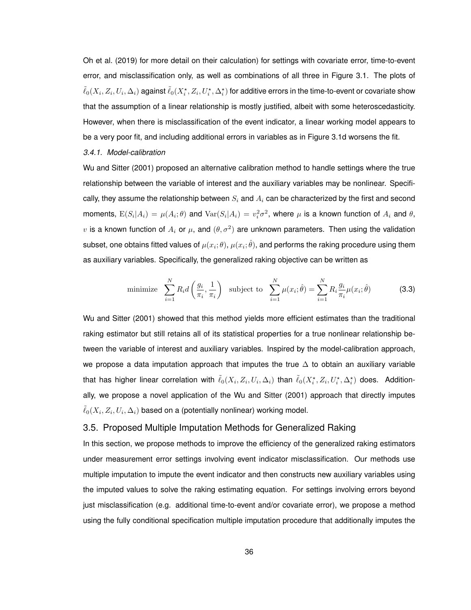Oh et al. (2019) for more detail on their calculation) for settings with covariate error, time-to-event error, and misclassification only, as well as combinations of all three in Figure 3.1. The plots of  $\tilde\ell_0(X_i,Z_i,U_i,\Delta_i)$  against  $\tilde\ell_0(X_i^*,Z_i,U_i^*,\Delta_i^*)$  for additive errors in the time-to-event or covariate show that the assumption of a linear relationship is mostly justified, albeit with some heteroscedasticity. However, when there is misclassification of the event indicator, a linear working model appears to be a very poor fit, and including additional errors in variables as in Figure 3.1d worsens the fit.

# *3.4.1. Model-calibration*

Wu and Sitter (2001) proposed an alternative calibration method to handle settings where the true relationship between the variable of interest and the auxiliary variables may be nonlinear. Specifically, they assume the relationship between  $S_i$  and  $A_i$  can be characterized by the first and second moments,  $E(S_i|A_i) = \mu(A_i; \theta)$  and  $Var(S_i|A_i) = v_i^2 \sigma^2$ , where  $\mu$  is a known function of  $A_i$  and  $\theta$ , v is a known function of  $A_i$  or  $\mu$ , and  $(\theta, \sigma^2)$  are unknown parameters. Then using the validation subset, one obtains fitted values of  $\mu(x_i;\theta),$   $\mu(x_i;\hat{\theta}),$  and performs the raking procedure using them as auxiliary variables. Specifically, the generalized raking objective can be written as

minimize 
$$
\sum_{i=1}^{N} R_i d\left(\frac{g_i}{\pi_i}, \frac{1}{\pi_i}\right)
$$
 subject to 
$$
\sum_{i=1}^{N} \mu(x_i; \hat{\theta}) = \sum_{i=1}^{N} R_i \frac{g_i}{\pi_i} \mu(x_i; \hat{\theta})
$$
 (3.3)

Wu and Sitter (2001) showed that this method yields more efficient estimates than the traditional raking estimator but still retains all of its statistical properties for a true nonlinear relationship between the variable of interest and auxiliary variables. Inspired by the model-calibration approach, we propose a data imputation approach that imputes the true  $\Delta$  to obtain an auxiliary variable that has higher linear correlation with  $\tilde\ell_0(X_i,Z_i,U_i,\Delta_i)$  than  $\tilde\ell_0(X_i^\star,Z_i,U_i^\star,\Delta_i^\star)$  does. Additionally, we propose a novel application of the Wu and Sitter (2001) approach that directly imputes  $\tilde{\ell}_0(X_i, Z_i, U_i, \Delta_i)$  based on a (potentially nonlinear) working model.

# 3.5. Proposed Multiple Imputation Methods for Generalized Raking

In this section, we propose methods to improve the efficiency of the generalized raking estimators under measurement error settings involving event indicator misclassification. Our methods use multiple imputation to impute the event indicator and then constructs new auxiliary variables using the imputed values to solve the raking estimating equation. For settings involving errors beyond just misclassification (e.g. additional time-to-event and/or covariate error), we propose a method using the fully conditional specification multiple imputation procedure that additionally imputes the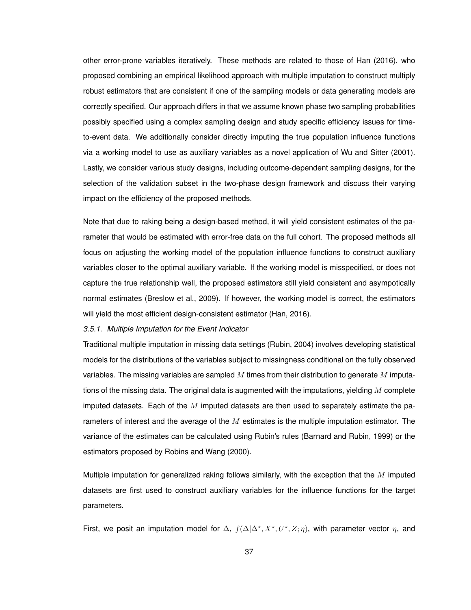other error-prone variables iteratively. These methods are related to those of Han (2016), who proposed combining an empirical likelihood approach with multiple imputation to construct multiply robust estimators that are consistent if one of the sampling models or data generating models are correctly specified. Our approach differs in that we assume known phase two sampling probabilities possibly specified using a complex sampling design and study specific efficiency issues for timeto-event data. We additionally consider directly imputing the true population influence functions via a working model to use as auxiliary variables as a novel application of Wu and Sitter (2001). Lastly, we consider various study designs, including outcome-dependent sampling designs, for the selection of the validation subset in the two-phase design framework and discuss their varying impact on the efficiency of the proposed methods.

Note that due to raking being a design-based method, it will yield consistent estimates of the parameter that would be estimated with error-free data on the full cohort. The proposed methods all focus on adjusting the working model of the population influence functions to construct auxiliary variables closer to the optimal auxiliary variable. If the working model is misspecified, or does not capture the true relationship well, the proposed estimators still yield consistent and asympotically normal estimates (Breslow et al., 2009). If however, the working model is correct, the estimators will yield the most efficient design-consistent estimator (Han, 2016).

#### *3.5.1. Multiple Imputation for the Event Indicator*

Traditional multiple imputation in missing data settings (Rubin, 2004) involves developing statistical models for the distributions of the variables subject to missingness conditional on the fully observed variables. The missing variables are sampled  $M$  times from their distribution to generate  $M$  imputations of the missing data. The original data is augmented with the imputations, yielding  $M$  complete imputed datasets. Each of the  $M$  imputed datasets are then used to separately estimate the parameters of interest and the average of the  $M$  estimates is the multiple imputation estimator. The variance of the estimates can be calculated using Rubin's rules (Barnard and Rubin, 1999) or the estimators proposed by Robins and Wang (2000).

Multiple imputation for generalized raking follows similarly, with the exception that the  $M$  imputed datasets are first used to construct auxiliary variables for the influence functions for the target parameters.

First, we posit an imputation model for  $\Delta$ ,  $f(\Delta|\Delta^{\star}, X^{\star}, U^{\star}, Z; \eta)$ , with parameter vector  $\eta$ , and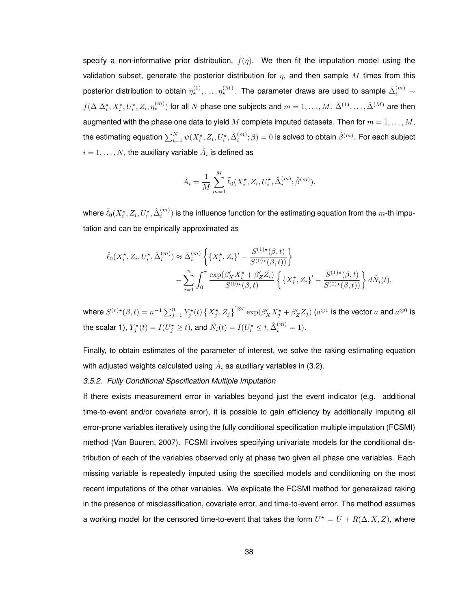specify a non-informative prior distribution,  $f(n)$ . We then fit the imputation model using the validation subset, generate the posterior distribution for  $\eta$ , and then sample M times from this posterior distribution to obtain  $\eta_\star^{(1)},\ldots,\eta_\star^{(M)}.$  The parameter draws are used to sample  $\hat\Delta_i^{(m)}\sim$  $f(\Delta|\Delta_i^\star,X_i^\star,U_i^\star,Z_i;\eta_\star^{(m)})$  for all  $N$  phase one subjects and  $m=1,\ldots,M.$   $\hat\Delta^{(1)},\ldots,\hat\Delta^{(M)}$  are then augmented with the phase one data to yield M complete imputed datasets. Then for  $m = 1, \ldots, M$ , the estimating equation  $\sum_{i=1}^N\psi(X^*_i,Z_i,U^*_i,\hat\Delta^{(m)}_i;\beta)=0$  is solved to obtain  $\hat\beta^{(m)}.$  For each subject  $i=1,\ldots,N,$  the auxiliary variable  $\hat{A}_i$  is defined as

$$
\hat{A}_i = \frac{1}{M} \sum_{m=1}^{M} \tilde{\ell}_0(X_i^{\star}, Z_i, U_i^{\star}, \hat{\Delta}_i^{(m)}; \hat{\beta}^{(m)}),
$$

where  $\tilde\ell_0(X_i^\star, Z_i, U_i^\star, \hat\Delta_i^{(m)})$  is the influence function for the estimating equation from the  $m$ -th imputation and can be empirically approximated as

$$
\tilde{\ell}_0(X_i^{\star}, Z_i, U_i^{\star}, \hat{\Delta}_i^{(m)}) \approx \hat{\Delta}_i^{(m)} \left\{ \{X_i^{\star}, Z_i\}' - \frac{S^{(1)\star}(\beta, t)}{S^{(0)\star}(\beta, t)} \right\} \n- \sum_{i=1}^n \int_0^{\tau} \frac{\exp(\beta'_X X_i^{\star} + \beta'_Z Z_i)}{S^{(0)\star}(\beta, t)} \left\{ \{X_i^{\star}, Z_i\}' - \frac{S^{(1)\star}(\beta, t)}{S^{(0)\star}(\beta, t)} \right\} d\hat{N}_i(t),
$$

where  $S^{(r)\star}(\beta,t)=n^{-1}\sum_{j=1}^nY^{\star}_j(t)\left\{X^{\star}_j,Z_j\right\}^{'\otimes r}\exp(\beta^{\prime}_XX^{\star}_j+\beta^{\prime}_Z Z_j)\ (a^{\otimes 1}$  is the vector  $a$  and  $a^{\otimes 0}$  is the scalar 1),  $Y_j^\star(t)=I(U_j^\star\geq t),$  and  $\hat{N}_i(t)=I(U_i^\star\leq t,\hat{\Delta}_i^{(m)}=1).$ 

Finally, to obtain estimates of the parameter of interest, we solve the raking estimating equation with adjusted weights calculated using  $\hat{A}_i$  as auxiliary variables in (3.2).

# *3.5.2. Fully Conditional Specification Multiple Imputation*

If there exists measurement error in variables beyond just the event indicator (e.g. additional time-to-event and/or covariate error), it is possible to gain efficiency by additionally imputing all error-prone variables iteratively using the fully conditional specification multiple imputation (FCSMI) method (Van Buuren, 2007). FCSMI involves specifying univariate models for the conditional distribution of each of the variables observed only at phase two given all phase one variables. Each missing variable is repeatedly imputed using the specified models and conditioning on the most recent imputations of the other variables. We explicate the FCSMI method for generalized raking in the presence of misclassification, covariate error, and time-to-event error. The method assumes a working model for the censored time-to-event that takes the form  $U^* = U + R(\Delta, X, Z)$ , where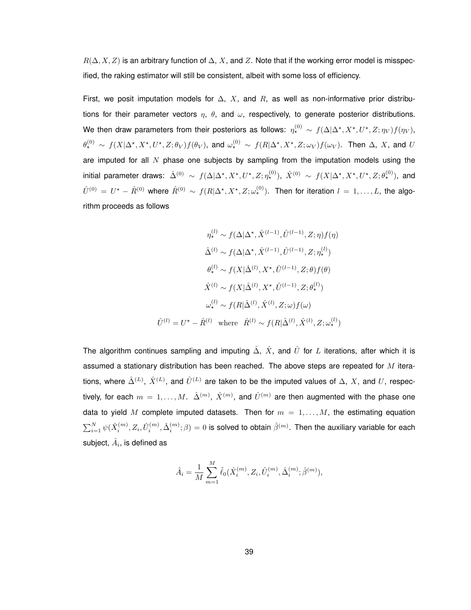$R(\Delta, X, Z)$  is an arbitrary function of  $\Delta, X$ , and Z. Note that if the working error model is misspecified, the raking estimator will still be consistent, albeit with some loss of efficiency.

First, we posit imputation models for  $\Delta$ , X, and R, as well as non-informative prior distributions for their parameter vectors  $\eta$ ,  $\theta$ , and  $\omega$ , respectively, to generate posterior distributions. We then draw parameters from their posteriors as follows:  $\eta^{(0)}_*\sim f(\Delta|\Delta^\star,X^\star,U^\star,Z;\eta_V)f(\eta_V),$  $\theta_\star^{(0)}\ \sim\ f(X|\Delta^\star,X^\star,U^\star,Z;\theta_V)f(\theta_V),$  and  $\omega_\star^{(0)}\ \sim\ f(R|\Delta^\star,X^\star,Z;\omega_V)f(\omega_V).$  Then  $\Delta,\ X,$  and  $U$ are imputed for all  $N$  phase one subjects by sampling from the imputation models using the initial parameter draws:  $\hat\Delta^{(0)}\sim f(\Delta| \Delta^\star, X^\star, U^\star, Z; \eta^{(0)}_\star),\ \hat X^{(0)}\sim f(X| \Delta^\star, X^\star, U^\star, Z; \theta^{(0)}_\star),$  and  $\hat{U}^{(0)}=U^\star-\hat{R}^{(0)}$  where  $\hat{R}^{(0)}\sim f(R|\Delta^\star,X^\star,Z;\omega_\star^{(0)})$ . Then for iteration  $l=1,\ldots,L,$  the algorithm proceeds as follows

$$
\eta_{\star}^{(l)} \sim f(\Delta|\Delta^{\star}, \hat{X}^{(l-1)}, \hat{U}^{(l-1)}, Z; \eta) f(\eta)
$$

$$
\hat{\Delta}^{(l)} \sim f(\Delta|\Delta^{\star}, \hat{X}^{(l-1)}, \hat{U}^{(l-1)}, Z; \eta_{\star}^{(l)})
$$

$$
\theta_{\star}^{(l)} \sim f(X|\hat{\Delta}^{(l)}, X^{\star}, \hat{U}^{(l-1)}, Z; \theta) f(\theta)
$$

$$
\hat{X}^{(l)} \sim f(X|\hat{\Delta}^{(l)}, X^{\star}, \hat{U}^{(l-1)}, Z; \theta_{\star}^{(l)})
$$

$$
\omega_{\star}^{(l)} \sim f(R|\hat{\Delta}^{(l)}, \hat{X}^{(l)}, Z; \omega) f(\omega)
$$

$$
\hat{U}^{(l)} = U^{\star} - \hat{R}^{(l)}
$$
 where  $\hat{R}^{(l)} \sim f(R|\hat{\Delta}^{(l)}, \hat{X}^{(l)}, Z; \omega_{\star}^{(l)})$ 

The algorithm continues sampling and imputing  $\hat{\Delta}$ ,  $\hat{X}$ , and  $\hat{U}$  for L iterations, after which it is assumed a stationary distribution has been reached. The above steps are repeated for  $M$  iterations, where  $\hat{\Delta}^{(L)},\ \hat{X}^{(L)},$  and  $\hat{U}^{(L)}$  are taken to be the imputed values of  $\Delta,\ X,$  and  $U,$  respectively, for each  $m=1,\ldots,M.$   $\hat{\Delta}^{(m)},$   $\hat{X}^{(m)},$  and  $\hat{U}^{(m)}$  are then augmented with the phase one data to yield M complete imputed datasets. Then for  $m = 1, \ldots, M$ , the estimating equation  $\sum_{i=1}^N\psi(\hat X_i^{(m)},Z_i,\hat U_i^{(m)},\hat\Delta_i^{(m)};\beta)=0$  is solved to obtain  $\hat\beta^{(m)}.$  Then the auxiliary variable for each subject,  $\hat{A}_{i}$ , is defined as

$$
\hat{A}_i = \frac{1}{M} \sum_{m=1}^{M} \tilde{\ell}_0(\hat{X}_i^{(m)}, Z_i, \hat{U}_i^{(m)}, \hat{\Delta}_i^{(m)}; \hat{\beta}^{(m)}),
$$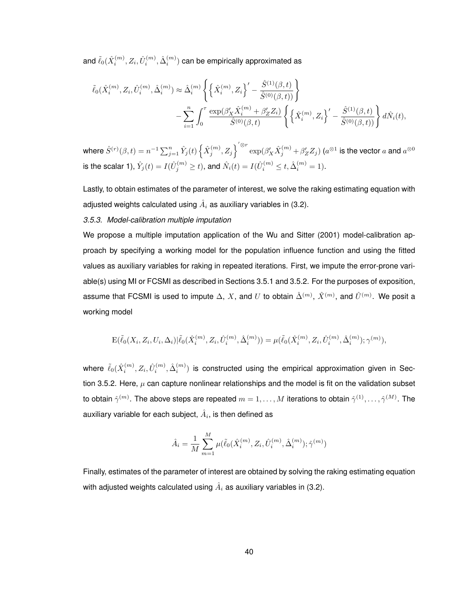and  $\tilde{\ell}_0(\hat{X}^{(m)}_i, Z_i, \hat{U}^{(m)}_i, \hat{\Delta}^{(m)}_i)$  can be empirically approximated as

$$
\tilde{\ell}_{0}(\hat{X}_{i}^{(m)}, Z_{i}, \hat{U}_{i}^{(m)}, \hat{\Delta}_{i}^{(m)}) \approx \hat{\Delta}_{i}^{(m)} \left\{ \left\{ \hat{X}_{i}^{(m)}, Z_{i} \right\}' - \frac{\hat{S}^{(1)}(\beta, t)}{\hat{S}^{(0)}(\beta, t)} \right\} - \sum_{i=1}^{n} \int_{0}^{\tau} \frac{\exp(\beta_{X}' \hat{X}_{i}^{(m)} + \beta_{Z}' Z_{i})}{\hat{S}^{(0)}(\beta, t)} \left\{ \left\{ \hat{X}_{i}^{(m)}, Z_{i} \right\}' - \frac{\hat{S}^{(1)}(\beta, t)}{\hat{S}^{(0)}(\beta, t)} \right\} d\hat{N}_{i}(t),
$$

where  $\hat{S}^{(r)}(\beta,t)=n^{-1}\sum_{j=1}^n \hat{Y}_j(t)\left\{\hat{X}_j^{(m)},Z_j\right\}^{'\otimes r}\exp(\beta'_X\hat{X}_j^{(m)}+\beta'_Z Z_j)\left(a^{\otimes 1}\right.$  is the vector  $a$  and  $a^{\otimes 0}$ is the scalar 1),  $\hat{Y}_j(t)=I(\hat{U}_j^{(m)}\geq t)$ , and  $\hat{N}_i(t)=I(\hat{U}_i^{(m)}\leq t,\hat{\Delta}_i^{(m)}=1).$ 

Lastly, to obtain estimates of the parameter of interest, we solve the raking estimating equation with adjusted weights calculated using  $\hat{A}_i$  as auxiliary variables in (3.2).

## *3.5.3. Model-calibration multiple imputation*

We propose a multiple imputation application of the Wu and Sitter (2001) model-calibration approach by specifying a working model for the population influence function and using the fitted values as auxiliary variables for raking in repeated iterations. First, we impute the error-prone variable(s) using MI or FCSMI as described in Sections 3.5.1 and 3.5.2. For the purposes of exposition, assume that FCSMI is used to impute  $\Delta,$   $X,$  and  $U$  to obtain  $\hat\Delta^{(m)},$   $\hat X^{(m)},$  and  $\hat U^{(m)}.$  We posit a working model

$$
\mathbf{E}(\tilde{\ell}_{0}(X_{i}, Z_{i}, U_{i}, \Delta_{i}) | \tilde{\ell}_{0}(\hat{X}_{i}^{(m)}, Z_{i}, \hat{U}_{i}^{(m)}, \hat{\Delta}_{i}^{(m)})) = \mu(\tilde{\ell}_{0}(\hat{X}_{i}^{(m)}, Z_{i}, \hat{U}_{i}^{(m)}, \hat{\Delta}_{i}^{(m)}); \gamma^{(m)}),
$$

where  $\tilde\ell_0(\hat X_i^{(m)},Z_i,\hat U_i^{(m)},\hat\Delta_i^{(m)})$  is constructed using the empirical approximation given in Section 3.5.2. Here,  $\mu$  can capture nonlinear relationships and the model is fit on the validation subset to obtain  $\hat{\gamma}^{(m)}.$  The above steps are repeated  $m=1,\ldots,M$  iterations to obtain  $\hat{\gamma}^{(1)},\ldots,\hat{\gamma}^{(M)}.$  The auxiliary variable for each subject,  $\hat{A}_{i}$ , is then defined as

$$
\hat{A}_i = \frac{1}{M}\sum_{m=1}^{M}\mu(\tilde{\ell}_0(\hat{X}_i^{(m)}, Z_i, \hat{U}_i^{(m)}, \hat{\Delta}_i^{(m)}); \hat{\gamma}^{(m)})
$$

Finally, estimates of the parameter of interest are obtained by solving the raking estimating equation with adjusted weights calculated using  $\hat{A}_i$  as auxiliary variables in (3.2).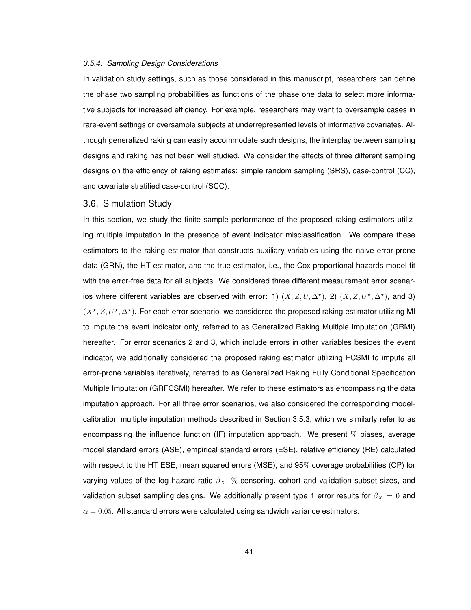## *3.5.4. Sampling Design Considerations*

In validation study settings, such as those considered in this manuscript, researchers can define the phase two sampling probabilities as functions of the phase one data to select more informative subjects for increased efficiency. For example, researchers may want to oversample cases in rare-event settings or oversample subjects at underrepresented levels of informative covariates. Although generalized raking can easily accommodate such designs, the interplay between sampling designs and raking has not been well studied. We consider the effects of three different sampling designs on the efficiency of raking estimates: simple random sampling (SRS), case-control (CC), and covariate stratified case-control (SCC).

# 3.6. Simulation Study

In this section, we study the finite sample performance of the proposed raking estimators utilizing multiple imputation in the presence of event indicator misclassification. We compare these estimators to the raking estimator that constructs auxiliary variables using the naive error-prone data (GRN), the HT estimator, and the true estimator, i.e., the Cox proportional hazards model fit with the error-free data for all subjects. We considered three different measurement error scenarios where different variables are observed with error: 1)  $(X, Z, U, \Delta^*)$ , 2)  $(X, Z, U^*, \Delta^*)$ , and 3)  $(X^*, Z, U^*, \Delta^*)$ . For each error scenario, we considered the proposed raking estimator utilizing MI to impute the event indicator only, referred to as Generalized Raking Multiple Imputation (GRMI) hereafter. For error scenarios 2 and 3, which include errors in other variables besides the event indicator, we additionally considered the proposed raking estimator utilizing FCSMI to impute all error-prone variables iteratively, referred to as Generalized Raking Fully Conditional Specification Multiple Imputation (GRFCSMI) hereafter. We refer to these estimators as encompassing the data imputation approach. For all three error scenarios, we also considered the corresponding modelcalibration multiple imputation methods described in Section 3.5.3, which we similarly refer to as encompassing the influence function (IF) imputation approach. We present % biases, average model standard errors (ASE), empirical standard errors (ESE), relative efficiency (RE) calculated with respect to the HT ESE, mean squared errors (MSE), and 95% coverage probabilities (CP) for varying values of the log hazard ratio  $\beta_X$ , % censoring, cohort and validation subset sizes, and validation subset sampling designs. We additionally present type 1 error results for  $\beta_X = 0$  and  $\alpha = 0.05$ . All standard errors were calculated using sandwich variance estimators.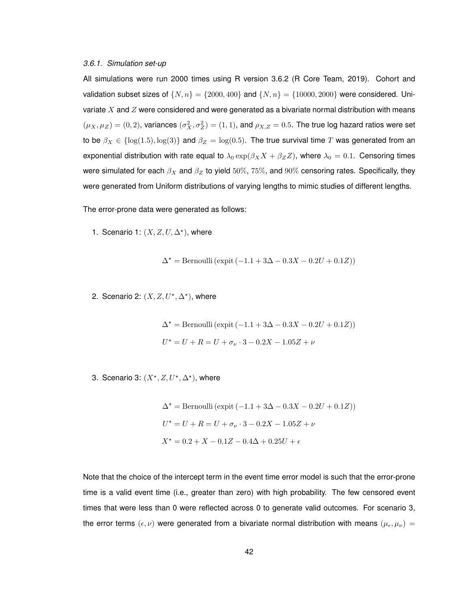#### *3.6.1. Simulation set-up*

All simulations were run 2000 times using R version 3.6.2 (R Core Team, 2019). Cohort and validation subset sizes of  $\{N, n\} = \{2000, 400\}$  and  $\{N, n\} = \{10000, 2000\}$  were considered. Univariate  $X$  and  $Z$  were considered and were generated as a bivariate normal distribution with means  $(\mu_X, \mu_Z) = (0, 2)$ , variances  $(\sigma_X^2, \sigma_Z^2) = (1, 1)$ , and  $\rho_{X,Z} = 0.5$ . The true log hazard ratios were set to be  $\beta_X \in \{\log(1.5), \log(3)\}\$  and  $\beta_Z = \log(0.5)$ . The true survival time T was generated from an exponential distribution with rate equal to  $\lambda_0 \exp(\beta_X X + \beta_Z Z)$ , where  $\lambda_0 = 0.1$ . Censoring times were simulated for each  $\beta_X$  and  $\beta_Z$  to yield 50%, 75%, and 90% censoring rates. Specifically, they were generated from Uniform distributions of varying lengths to mimic studies of different lengths.

The error-prone data were generated as follows:

1. Scenario 1:  $(X, Z, U, \Delta^*)$ , where

$$
\Delta^* = \text{Bernoulli}(\text{expit}(-1.1 + 3\Delta - 0.3X - 0.2U + 0.1Z))
$$

2. Scenario 2:  $(X, Z, U^*, \Delta^*)$ , where

$$
\Delta^* = \text{Bernoulli}(\text{expit}(-1.1 + 3\Delta - 0.3X - 0.2U + 0.1Z))
$$
  

$$
U^* = U + R = U + \sigma_{\nu} \cdot 3 - 0.2X - 1.05Z + \nu
$$

3. Scenario 3:  $(X^*, Z, U^*, \Delta^*)$ , where

$$
\Delta^* = \text{Bernoulli}(\text{expit}(-1.1 + 3\Delta - 0.3X - 0.2U + 0.1Z))
$$
  

$$
U^* = U + R = U + \sigma_\nu \cdot 3 - 0.2X - 1.05Z + \nu
$$
  

$$
X^* = 0.2 + X - 0.1Z - 0.4\Delta + 0.25U + \epsilon
$$

Note that the choice of the intercept term in the event time error model is such that the error-prone time is a valid event time (i.e., greater than zero) with high probability. The few censored event times that were less than 0 were reflected across 0 to generate valid outcomes. For scenario 3, the error terms  $(\epsilon, \nu)$  were generated from a bivariate normal distribution with means  $(\mu_{\epsilon}, \mu_{\nu})$  =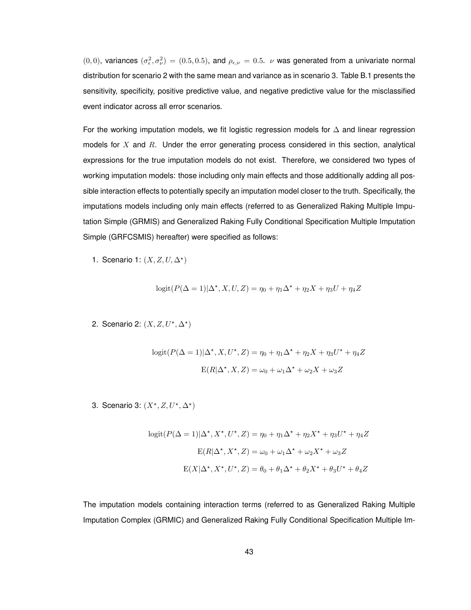$(0,0)$ , variances  $(\sigma_{\epsilon}^2, \sigma_{\nu}^2) = (0.5, 0.5)$ , and  $\rho_{\epsilon,\nu} = 0.5$ .  $\nu$  was generated from a univariate normal distribution for scenario 2 with the same mean and variance as in scenario 3. Table B.1 presents the sensitivity, specificity, positive predictive value, and negative predictive value for the misclassified event indicator across all error scenarios.

For the working imputation models, we fit logistic regression models for  $\Delta$  and linear regression models for  $X$  and  $R$ . Under the error generating process considered in this section, analytical expressions for the true imputation models do not exist. Therefore, we considered two types of working imputation models: those including only main effects and those additionally adding all possible interaction effects to potentially specify an imputation model closer to the truth. Specifically, the imputations models including only main effects (referred to as Generalized Raking Multiple Imputation Simple (GRMIS) and Generalized Raking Fully Conditional Specification Multiple Imputation Simple (GRFCSMIS) hereafter) were specified as follows:

1. Scenario 1:  $(X, Z, U, \Delta^*)$ 

$$
logit(P(\Delta=1)|\Delta^*, X, U, Z) = \eta_0 + \eta_1 \Delta^* + \eta_2 X + \eta_3 U + \eta_4 Z
$$

2. Scenario 2:  $(X, Z, U^*, \Delta^*)$ 

$$
logit(P(\Delta = 1)|\Delta^*, X, U^*, Z) = \eta_0 + \eta_1 \Delta^* + \eta_2 X + \eta_3 U^* + \eta_4 Z
$$

$$
E(R|\Delta^*, X, Z) = \omega_0 + \omega_1 \Delta^* + \omega_2 X + \omega_3 Z
$$

3. Scenario 3:  $(X^*, Z, U^*, \Delta^*)$ 

$$
logit(P(\Delta = 1)|\Delta^*, X^*, U^*, Z) = \eta_0 + \eta_1 \Delta^* + \eta_2 X^* + \eta_3 U^* + \eta_4 Z
$$

$$
E(R|\Delta^*, X^*, Z) = \omega_0 + \omega_1 \Delta^* + \omega_2 X^* + \omega_3 Z
$$

$$
E(X|\Delta^*, X^*, U^*, Z) = \theta_0 + \theta_1 \Delta^* + \theta_2 X^* + \theta_3 U^* + \theta_4 Z
$$

The imputation models containing interaction terms (referred to as Generalized Raking Multiple Imputation Complex (GRMIC) and Generalized Raking Fully Conditional Specification Multiple Im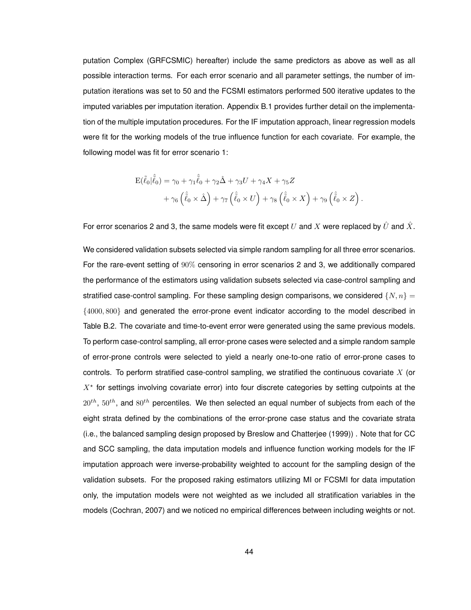putation Complex (GRFCSMIC) hereafter) include the same predictors as above as well as all possible interaction terms. For each error scenario and all parameter settings, the number of imputation iterations was set to 50 and the FCSMI estimators performed 500 iterative updates to the imputed variables per imputation iteration. Appendix B.1 provides further detail on the implementation of the multiple imputation procedures. For the IF imputation approach, linear regression models were fit for the working models of the true influence function for each covariate. For example, the following model was fit for error scenario 1:

$$
\begin{split} \mathcal{E}(\tilde{\ell}_{0}|\hat{\tilde{\ell}}_{0}) &= \gamma_{0} + \gamma_{1}\hat{\tilde{\ell}}_{0} + \gamma_{2}\hat{\Delta} + \gamma_{3}U + \gamma_{4}X + \gamma_{5}Z \\ &+ \gamma_{6}\left(\hat{\tilde{\ell}}_{0} \times \hat{\Delta}\right) + \gamma_{7}\left(\hat{\tilde{\ell}}_{0} \times U\right) + \gamma_{8}\left(\hat{\tilde{\ell}}_{0} \times X\right) + \gamma_{9}\left(\hat{\tilde{\ell}}_{0} \times Z\right). \end{split}
$$

For error scenarios 2 and 3, the same models were fit except U and X were replaced by  $\hat{U}$  and  $\hat{X}$ .

We considered validation subsets selected via simple random sampling for all three error scenarios. For the rare-event setting of 90% censoring in error scenarios 2 and 3, we additionally compared the performance of the estimators using validation subsets selected via case-control sampling and stratified case-control sampling. For these sampling design comparisons, we considered  $\{N, n\} =$ {4000, 800} and generated the error-prone event indicator according to the model described in Table B.2. The covariate and time-to-event error were generated using the same previous models. To perform case-control sampling, all error-prone cases were selected and a simple random sample of error-prone controls were selected to yield a nearly one-to-one ratio of error-prone cases to controls. To perform stratified case-control sampling, we stratified the continuous covariate  $X$  (or  $X^*$  for settings involving covariate error) into four discrete categories by setting cutpoints at the  $20^{th}$ ,  $50^{th}$ , and  $80^{th}$  percentiles. We then selected an equal number of subjects from each of the eight strata defined by the combinations of the error-prone case status and the covariate strata (i.e., the balanced sampling design proposed by Breslow and Chatterjee (1999)) . Note that for CC and SCC sampling, the data imputation models and influence function working models for the IF imputation approach were inverse-probability weighted to account for the sampling design of the validation subsets. For the proposed raking estimators utilizing MI or FCSMI for data imputation only, the imputation models were not weighted as we included all stratification variables in the models (Cochran, 2007) and we noticed no empirical differences between including weights or not.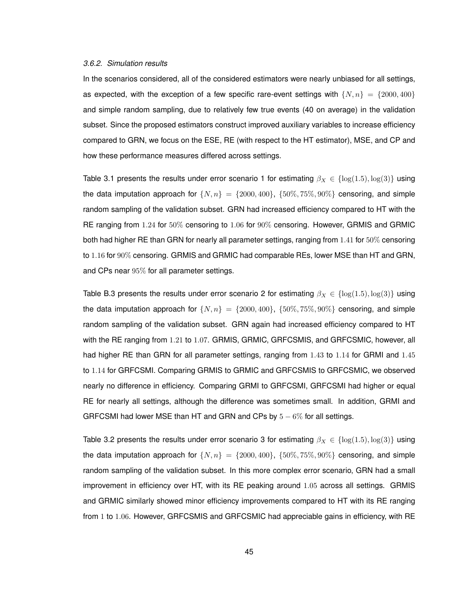#### *3.6.2. Simulation results*

In the scenarios considered, all of the considered estimators were nearly unbiased for all settings, as expected, with the exception of a few specific rare-event settings with  $\{N, n\} = \{2000, 400\}$ and simple random sampling, due to relatively few true events (40 on average) in the validation subset. Since the proposed estimators construct improved auxiliary variables to increase efficiency compared to GRN, we focus on the ESE, RE (with respect to the HT estimator), MSE, and CP and how these performance measures differed across settings.

Table 3.1 presents the results under error scenario 1 for estimating  $\beta_X \in \{\log(1.5), \log(3)\}\$  using the data imputation approach for  $\{N, n\} = \{2000, 400\}$ ,  $\{50\%, 75\%, 90\%\}$  censoring, and simple random sampling of the validation subset. GRN had increased efficiency compared to HT with the RE ranging from 1.24 for 50% censoring to 1.06 for 90% censoring. However, GRMIS and GRMIC both had higher RE than GRN for nearly all parameter settings, ranging from 1.41 for 50% censoring to 1.16 for 90% censoring. GRMIS and GRMIC had comparable REs, lower MSE than HT and GRN, and CPs near 95% for all parameter settings.

Table B.3 presents the results under error scenario 2 for estimating  $\beta_X \in \{\log(1.5), \log(3)\}\$ using the data imputation approach for  $\{N, n\} = \{2000, 400\}$ ,  $\{50\%, 75\%, 90\%\}$  censoring, and simple random sampling of the validation subset. GRN again had increased efficiency compared to HT with the RE ranging from 1.21 to 1.07. GRMIS, GRMIC, GRFCSMIS, and GRFCSMIC, however, all had higher RE than GRN for all parameter settings, ranging from 1.43 to 1.14 for GRMI and 1.45 to 1.14 for GRFCSMI. Comparing GRMIS to GRMIC and GRFCSMIS to GRFCSMIC, we observed nearly no difference in efficiency. Comparing GRMI to GRFCSMI, GRFCSMI had higher or equal RE for nearly all settings, although the difference was sometimes small. In addition, GRMI and GRFCSMI had lower MSE than HT and GRN and CPs by  $5-6\%$  for all settings.

Table 3.2 presents the results under error scenario 3 for estimating  $\beta_X \in \{\log(1.5), \log(3)\}\$ using the data imputation approach for  $\{N, n\} = \{2000, 400\}$ ,  $\{50\%, 75\%, 90\%\}$  censoring, and simple random sampling of the validation subset. In this more complex error scenario, GRN had a small improvement in efficiency over HT, with its RE peaking around 1.05 across all settings. GRMIS and GRMIC similarly showed minor efficiency improvements compared to HT with its RE ranging from 1 to 1.06. However, GRFCSMIS and GRFCSMIC had appreciable gains in efficiency, with RE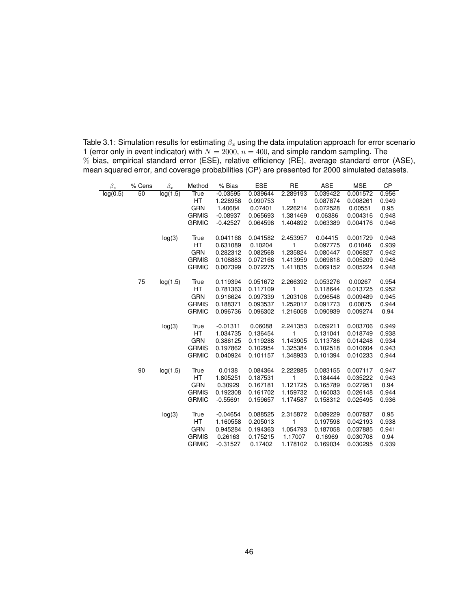| Table 3.1: Simulation results for estimating $\beta_x$ using the data imputation approach for error scenario |
|--------------------------------------------------------------------------------------------------------------|
| 1 (error only in event indicator) with $N = 2000$ , $n = 400$ , and simple random sampling. The              |
| % bias, empirical standard error (ESE), relative efficiency (RE), average standard error (ASE),              |
| mean squared error, and coverage probabilities (CP) are presented for 2000 simulated datasets.               |

| $\frac{\beta_z}{\cdot}$ | % Cens | $\beta_x$ | Method       | % Bias     | <b>ESE</b> | <b>RE</b> | <b>ASE</b> | <b>MSE</b> | CP    |
|-------------------------|--------|-----------|--------------|------------|------------|-----------|------------|------------|-------|
| log(0.5)                | 50     | log(1.5)  | True         | $-0.03595$ | 0.039644   | 2.289193  | 0.039422   | 0.001572   | 0.956 |
|                         |        |           | HT           | 1.228958   | 0.090753   | 1         | 0.087874   | 0.008261   | 0.949 |
|                         |        |           | <b>GRN</b>   | 1.40684    | 0.07401    | 1.226214  | 0.072528   | 0.00551    | 0.95  |
|                         |        |           | <b>GRMIS</b> | $-0.08937$ | 0.065693   | 1.381469  | 0.06386    | 0.004316   | 0.948 |
|                         |        |           | <b>GRMIC</b> | $-0.42527$ | 0.064598   | 1.404892  | 0.063389   | 0.004176   | 0.946 |
|                         |        | log(3)    | True         | 0.041168   | 0.041582   | 2.453957  | 0.04415    | 0.001729   | 0.948 |
|                         |        |           | <b>HT</b>    | 0.631089   | 0.10204    | 1         | 0.097775   | 0.01046    | 0.939 |
|                         |        |           | <b>GRN</b>   | 0.282312   | 0.082568   | 1.235824  | 0.080447   | 0.006827   | 0.942 |
|                         |        |           | <b>GRMIS</b> | 0.108883   | 0.072166   | 1.413959  | 0.069818   | 0.005209   | 0.948 |
|                         |        |           | <b>GRMIC</b> | 0.007399   | 0.072275   | 1.411835  | 0.069152   | 0.005224   | 0.948 |
|                         | 75     | log(1.5)  | True         | 0.119394   | 0.051672   | 2.266392  | 0.053276   | 0.00267    | 0.954 |
|                         |        |           | <b>HT</b>    | 0.781363   | 0.117109   | 1         | 0.118644   | 0.013725   | 0.952 |
|                         |        |           | <b>GRN</b>   | 0.916624   | 0.097339   | 1.203106  | 0.096548   | 0.009489   | 0.945 |
|                         |        |           | <b>GRMIS</b> | 0.188371   | 0.093537   | 1.252017  | 0.091773   | 0.00875    | 0.944 |
|                         |        |           | <b>GRMIC</b> | 0.096736   | 0.096302   | 1.216058  | 0.090939   | 0.009274   | 0.94  |
|                         |        | log(3)    | True         | $-0.01311$ | 0.06088    | 2.241353  | 0.059211   | 0.003706   | 0.949 |
|                         |        |           | HT           | 1.034735   | 0.136454   | 1         | 0.131041   | 0.018749   | 0.938 |
|                         |        |           | <b>GRN</b>   | 0.386125   | 0.119288   | 1.143905  | 0.113786   | 0.014248   | 0.934 |
|                         |        |           | <b>GRMIS</b> | 0.197862   | 0.102954   | 1.325384  | 0.102518   | 0.010604   | 0.943 |
|                         |        |           | <b>GRMIC</b> | 0.040924   | 0.101157   | 1.348933  | 0.101394   | 0.010233   | 0.944 |
|                         | 90     | log(1.5)  | True         | 0.0138     | 0.084364   | 2.222885  | 0.083155   | 0.007117   | 0.947 |
|                         |        |           | <b>HT</b>    | 1.805251   | 0.187531   | 1         | 0.184444   | 0.035222   | 0.943 |
|                         |        |           | <b>GRN</b>   | 0.30929    | 0.167181   | 1.121725  | 0.165789   | 0.027951   | 0.94  |
|                         |        |           | <b>GRMIS</b> | 0.192308   | 0.161702   | 1.159732  | 0.160033   | 0.026148   | 0.944 |
|                         |        |           | <b>GRMIC</b> | $-0.55691$ | 0.159657   | 1.174587  | 0.158312   | 0.025495   | 0.936 |
|                         |        | log(3)    | True         | $-0.04654$ | 0.088525   | 2.315872  | 0.089229   | 0.007837   | 0.95  |
|                         |        |           | <b>HT</b>    | 1.160558   | 0.205013   | 1         | 0.197598   | 0.042193   | 0.938 |
|                         |        |           | GRN          | 0.945284   | 0.194363   | 1.054793  | 0.187058   | 0.037885   | 0.941 |
|                         |        |           | <b>GRMIS</b> | 0.26163    | 0.175215   | 1.17007   | 0.16969    | 0.030708   | 0.94  |
|                         |        |           | <b>GRMIC</b> | $-0.31527$ | 0.17402    | 1.178102  | 0.169034   | 0.030295   | 0.939 |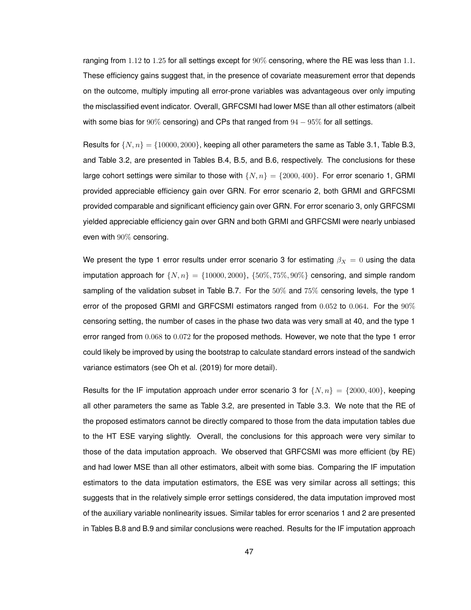ranging from 1.12 to 1.25 for all settings except for 90% censoring, where the RE was less than 1.1. These efficiency gains suggest that, in the presence of covariate measurement error that depends on the outcome, multiply imputing all error-prone variables was advantageous over only imputing the misclassified event indicator. Overall, GRFCSMI had lower MSE than all other estimators (albeit with some bias for 90% censoring) and CPs that ranged from  $94 - 95\%$  for all settings.

Results for  $\{N, n\} = \{10000, 2000\}$ , keeping all other parameters the same as Table 3.1, Table B.3, and Table 3.2, are presented in Tables B.4, B.5, and B.6, respectively. The conclusions for these large cohort settings were similar to those with  $\{N, n\} = \{2000, 400\}$ . For error scenario 1, GRMI provided appreciable efficiency gain over GRN. For error scenario 2, both GRMI and GRFCSMI provided comparable and significant efficiency gain over GRN. For error scenario 3, only GRFCSMI yielded appreciable efficiency gain over GRN and both GRMI and GRFCSMI were nearly unbiased even with 90% censoring.

We present the type 1 error results under error scenario 3 for estimating  $\beta_X = 0$  using the data imputation approach for  $\{N, n\} = \{10000, 2000\}$ ,  $\{50\%, 75\%, 90\%\}$  censoring, and simple random sampling of the validation subset in Table B.7. For the 50% and 75% censoring levels, the type 1 error of the proposed GRMI and GRFCSMI estimators ranged from 0.052 to 0.064. For the 90% censoring setting, the number of cases in the phase two data was very small at 40, and the type 1 error ranged from 0.068 to 0.072 for the proposed methods. However, we note that the type 1 error could likely be improved by using the bootstrap to calculate standard errors instead of the sandwich variance estimators (see Oh et al. (2019) for more detail).

Results for the IF imputation approach under error scenario 3 for  $\{N, n\} = \{2000, 400\}$ , keeping all other parameters the same as Table 3.2, are presented in Table 3.3. We note that the RE of the proposed estimators cannot be directly compared to those from the data imputation tables due to the HT ESE varying slightly. Overall, the conclusions for this approach were very similar to those of the data imputation approach. We observed that GRFCSMI was more efficient (by RE) and had lower MSE than all other estimators, albeit with some bias. Comparing the IF imputation estimators to the data imputation estimators, the ESE was very similar across all settings; this suggests that in the relatively simple error settings considered, the data imputation improved most of the auxiliary variable nonlinearity issues. Similar tables for error scenarios 1 and 2 are presented in Tables B.8 and B.9 and similar conclusions were reached. Results for the IF imputation approach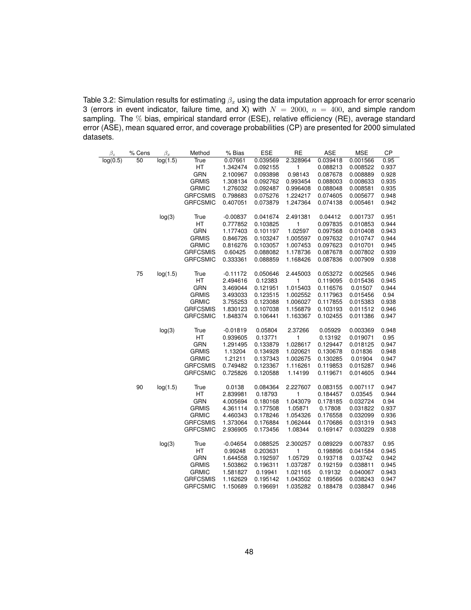Table 3.2: Simulation results for estimating  $\beta_x$  using the data imputation approach for error scenario 3 (errors in event indicator, failure time, and X) with  $N = 2000$ ,  $n = 400$ , and simple random sampling. The % bias, empirical standard error (ESE), relative efficiency (RE), average standard error (ASE), mean squared error, and coverage probabilities (CP) are presented for 2000 simulated datasets.

| $\beta_z$ | % Cens | $\beta_x$ | Method          | % Bias     | <b>ESE</b> | <b>RE</b>    | <b>ASE</b> | <b>MSE</b> | <b>CP</b> |
|-----------|--------|-----------|-----------------|------------|------------|--------------|------------|------------|-----------|
| log(0.5)  | 50     | log(1.5)  | True            | 0.07661    | 0.039569   | 2.328964     | 0.039418   | 0.001566   | 0.95      |
|           |        |           | <b>HT</b>       | 1.342474   | 0.092155   | 1            | 0.088213   | 0.008522   | 0.937     |
|           |        |           | <b>GRN</b>      | 2.100967   | 0.093898   | 0.98143      | 0.087678   | 0.008889   | 0.928     |
|           |        |           | <b>GRMIS</b>    | 1.308134   | 0.092762   | 0.993454     | 0.088003   | 0.008633   | 0.935     |
|           |        |           | <b>GRMIC</b>    | 1.276032   | 0.092487   | 0.996408     | 0.088048   | 0.008581   | 0.935     |
|           |        |           | <b>GRFCSMIS</b> | 0.798683   | 0.075276   | 1.224217     | 0.074605   | 0.005677   | 0.948     |
|           |        |           | <b>GRFCSMIC</b> | 0.407051   | 0.073879   | 1.247364     | 0.074138   | 0.005461   | 0.942     |
|           |        | log(3)    | True            | $-0.00837$ | 0.041674   | 2.491381     | 0.04412    | 0.001737   | 0.951     |
|           |        |           | HT              | 0.777852   | 0.103825   | 1            | 0.097835   | 0.010853   | 0.944     |
|           |        |           | <b>GRN</b>      | 1.177403   | 0.101197   | 1.02597      | 0.097568   | 0.010408   | 0.943     |
|           |        |           | <b>GRMIS</b>    | 0.846726   | 0.103247   | 1.005597     | 0.097632   | 0.010747   | 0.944     |
|           |        |           | <b>GRMIC</b>    | 0.816276   | 0.103057   | 1.007453     | 0.097623   | 0.010701   | 0.945     |
|           |        |           | <b>GRFCSMIS</b> | 0.60425    | 0.088082   | 1.178736     | 0.087678   | 0.007802   | 0.939     |
|           |        |           | <b>GRFCSMIC</b> | 0.333361   | 0.088859   | 1.168426     | 0.087836   | 0.007909   | 0.938     |
|           | 75     | log(1.5)  | True            | $-0.11172$ | 0.050646   | 2.445003     | 0.053272   | 0.002565   | 0.946     |
|           |        |           | HT              | 2.494616   | 0.12383    | $\mathbf{1}$ | 0.119095   | 0.015436   | 0.945     |
|           |        |           | <b>GRN</b>      | 3.469044   | 0.121951   | 1.015403     | 0.116576   | 0.01507    | 0.944     |
|           |        |           | <b>GRMIS</b>    | 3.493033   | 0.123515   | 1.002552     | 0.117963   | 0.015456   | 0.94      |
|           |        |           | <b>GRMIC</b>    | 3.755253   | 0.123088   | 1.006027     | 0.117855   | 0.015383   | 0.938     |
|           |        |           | <b>GRFCSMIS</b> | 1.830123   | 0.107038   | 1.156879     | 0.103193   | 0.011512   | 0.946     |
|           |        |           | <b>GRFCSMIC</b> | 1.848374   | 0.106441   | 1.163367     | 0.102455   | 0.011386   | 0.947     |
|           |        | log(3)    | True            | $-0.01819$ | 0.05804    | 2.37266      | 0.05929    | 0.003369   | 0.948     |
|           |        |           | HT              | 0.939605   | 0.13771    | 1            | 0.13192    | 0.019071   | 0.95      |
|           |        |           | <b>GRN</b>      | 1.291495   | 0.133879   | 1.028617     | 0.129447   | 0.018125   | 0.947     |
|           |        |           | <b>GRMIS</b>    | 1.13204    | 0.134928   | 1.020621     | 0.130678   | 0.01836    | 0.948     |
|           |        |           | <b>GRMIC</b>    | 1.21211    | 0.137343   | 1.002675     | 0.130285   | 0.01904    | 0.947     |
|           |        |           | <b>GRFCSMIS</b> | 0.749482   | 0.123367   | 1.116261     | 0.119853   | 0.015287   | 0.946     |
|           |        |           | <b>GRFCSMIC</b> | 0.725826   | 0.120588   | 1.14199      | 0.119671   | 0.014605   | 0.944     |
|           | 90     | log(1.5)  | True            | 0.0138     | 0.084364   | 2.227607     | 0.083155   | 0.007117   | 0.947     |
|           |        |           | НT              | 2.839981   | 0.18793    | 1            | 0.184457   | 0.03545    | 0.944     |
|           |        |           | <b>GRN</b>      | 4.005694   | 0.180168   | 1.043079     | 0.178185   | 0.032724   | 0.94      |
|           |        |           | <b>GRMIS</b>    | 4.361114   | 0.177508   | 1.05871      | 0.17808    | 0.031822   | 0.937     |
|           |        |           | <b>GRMIC</b>    | 4.460343   | 0.178246   | 1.054326     | 0.176558   | 0.032099   | 0.936     |
|           |        |           | <b>GRFCSMIS</b> | 1.373064   | 0.176884   | 1.062444     | 0.170686   | 0.031319   | 0.943     |
|           |        |           | <b>GRFCSMIC</b> | 2.936905   | 0.173456   | 1.08344      | 0.169147   | 0.030229   | 0.938     |
|           |        | log(3)    | True            | $-0.04654$ | 0.088525   | 2.300257     | 0.089229   | 0.007837   | 0.95      |
|           |        |           | НT              | 0.99248    | 0.203631   | 1            | 0.198896   | 0.041584   | 0.945     |
|           |        |           | <b>GRN</b>      | 1.644558   | 0.192597   | 1.05729      | 0.193718   | 0.03742    | 0.942     |
|           |        |           | <b>GRMIS</b>    | 1.503862   | 0.196311   | 1.037287     | 0.192159   | 0.038811   | 0.945     |
|           |        |           | <b>GRMIC</b>    | 1.581827   | 0.19941    | 1.021165     | 0.19132    | 0.040067   | 0.943     |
|           |        |           | <b>GRFCSMIS</b> | 1.162629   | 0.195142   | 1.043502     | 0.189566   | 0.038243   | 0.947     |
|           |        |           | GRFCSMIC        | 1.150689   | 0.196691   | 1.035282     | 0.188478   | 0.038847   | 0.946     |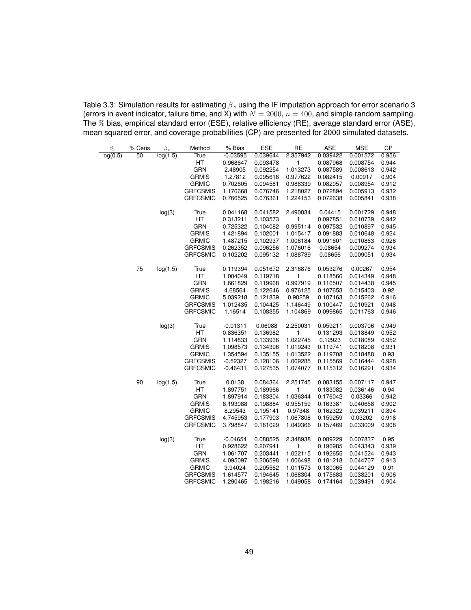Table 3.3: Simulation results for estimating  $\beta_x$  using the IF imputation approach for error scenario 3 (errors in event indicator, failure time, and X) with  $N = 2000$ ,  $n = 400$ , and simple random sampling. The % bias, empirical standard error (ESE), relative efficiency (RE), average standard error (ASE), mean squared error, and coverage probabilities (CP) are presented for 2000 simulated datasets.

| $\beta_z$ | % Cens | $\beta_x$ | Method          | % Bias     | <b>ESE</b> | <b>RE</b> | <b>ASE</b> | <b>MSE</b> | <b>CP</b> |
|-----------|--------|-----------|-----------------|------------|------------|-----------|------------|------------|-----------|
| log(0.5)  | 50     | log(1.5)  | True            | $-0.03595$ | 0.039644   | 2.357942  | 0.039422   | 0.001572   | 0.956     |
|           |        |           | HT              | 0.968647   | 0.093478   | 1         | 0.087968   | 0.008754   | 0.944     |
|           |        |           | GRN             | 2.48905    | 0.092254   | 1.013273  | 0.087589   | 0.008613   | 0.942     |
|           |        |           | <b>GRMIS</b>    | 1.27812    | 0.095618   | 0.977622  | 0.082415   | 0.00917    | 0.904     |
|           |        |           | <b>GRMIC</b>    | 0.702605   | 0.094581   | 0.988339  | 0.082057   | 0.008954   | 0.912     |
|           |        |           | <b>GRFCSMIS</b> | 1.176668   | 0.076746   | 1.218027  | 0.072894   | 0.005913   | 0.932     |
|           |        |           | <b>GRFCSMIC</b> | 0.766525   | 0.076361   | 1.224153  | 0.072638   | 0.005841   | 0.938     |
|           |        |           |                 |            |            |           |            |            |           |
|           |        | log(3)    | True            | 0.041168   | 0.041582   | 2.490834  | 0.04415    | 0.001729   | 0.948     |
|           |        |           | HT              | 0.313211   | 0.103573   | 1         | 0.097851   | 0.010739   | 0.942     |
|           |        |           | <b>GRN</b>      | 0.725322   | 0.104082   | 0.995114  | 0.097532   | 0.010897   | 0.945     |
|           |        |           | <b>GRMIS</b>    | 1.421894   | 0.102001   | 1.015417  | 0.091883   | 0.010648   | 0.924     |
|           |        |           | <b>GRMIC</b>    | 1.487215   | 0.102937   | 1.006184  | 0.091601   | 0.010863   | 0.926     |
|           |        |           | <b>GRFCSMIS</b> | 0.262352   | 0.096256   | 1.076016  | 0.08654    | 0.009274   | 0.934     |
|           |        |           | <b>GRFCSMIC</b> | 0.102202   | 0.095132   | 1.088739  | 0.08656    | 0.009051   | 0.934     |
|           |        |           |                 |            |            |           |            |            |           |
|           | 75     | log(1.5)  | True            | 0.119394   | 0.051672   | 2.316876  | 0.053276   | 0.00267    | 0.954     |
|           |        |           | HT              | 1.004049   | 0.119718   | 1         | 0.118566   | 0.014349   | 0.948     |
|           |        |           | GRN             | 1.661829   | 0.119968   | 0.997919  | 0.116507   | 0.014438   | 0.945     |
|           |        |           | <b>GRMIS</b>    | 4.68564    | 0.122646   | 0.976125  | 0.107653   | 0.015403   | 0.92      |
|           |        |           | <b>GRMIC</b>    | 5.039218   | 0.121839   | 0.98259   | 0.107163   | 0.015262   | 0.916     |
|           |        |           | <b>GRFCSMIS</b> | 1.012435   | 0.104425   | 1.146449  | 0.100447   | 0.010921   | 0.948     |
|           |        |           | <b>GRFCSMIC</b> | 1.16514    | 0.108355   | 1.104869  | 0.099865   | 0.011763   | 0.946     |
|           |        |           |                 |            |            |           |            |            |           |
|           |        | log(3)    | True            | $-0.01311$ | 0.06088    | 2.250031  | 0.059211   | 0.003706   | 0.949     |
|           |        |           | HT              | 0.836351   | 0.136982   | 1         | 0.131293   | 0.018849   | 0.952     |
|           |        |           | GRN             | 1.114833   | 0.133936   | 1.022745  | 0.12923    | 0.018089   | 0.952     |
|           |        |           | <b>GRMIS</b>    | 1.098573   | 0.134396   | 1.019243  | 0.119741   | 0.018208   | 0.931     |
|           |        |           | <b>GRMIC</b>    | 1.354594   | 0.135155   | 1.013522  | 0.119708   | 0.018488   | 0.93      |
|           |        |           | <b>GRFCSMIS</b> | $-0.52327$ | 0.128106   | 1.069285  | 0.115569   | 0.016444   | 0.928     |
|           |        |           | <b>GRFCSMIC</b> | $-0.46431$ | 0.127535   | 1.074077  | 0.115312   | 0.016291   | 0.934     |
|           | 90     | log(1.5)  | True            | 0.0138     | 0.084364   | 2.251745  | 0.083155   | 0.007117   | 0.947     |
|           |        |           | НT              | 1.897751   | 0.189966   | 1         | 0.183082   | 0.036146   | 0.94      |
|           |        |           |                 |            |            |           |            |            |           |
|           |        |           | <b>GRN</b>      | 1.897914   | 0.183304   | 1.036344  | 0.176042   | 0.03366    | 0.942     |
|           |        |           | <b>GRMIS</b>    | 8.193088   | 0.198884   | 0.955159  | 0.163381   | 0.040658   | 0.902     |
|           |        |           | <b>GRMIC</b>    | 8.29543    | 0.195141   | 0.97348   | 0.162322   | 0.039211   | 0.894     |
|           |        |           | <b>GRFCSMIS</b> | 4.745953   | 0.177903   | 1.067808  | 0.159259   | 0.03202    | 0.918     |
|           |        |           | <b>GRFCSMIC</b> | 3.798847   | 0.181029   | 1.049366  | 0.157469   | 0.033009   | 0.908     |
|           |        | log(3)    | True            | $-0.04654$ | 0.088525   | 2.348938  | 0.089229   | 0.007837   | 0.95      |
|           |        |           | НT              | 0.928622   | 0.207941   | 1         | 0.196985   | 0.043343   | 0.939     |
|           |        |           | <b>GRN</b>      | 1.061707   | 0.203441   | 1.022115  | 0.192655   | 0.041524   | 0.943     |
|           |        |           | <b>GRMIS</b>    | 4.095097   | 0.206598   | 1.006498  | 0.181218   | 0.044707   | 0.913     |
|           |        |           | <b>GRMIC</b>    | 3.94024    | 0.205562   | 1.011573  | 0.180065   | 0.044129   | 0.91      |
|           |        |           | <b>GRFCSMIS</b> | 1.614577   | 0.194645   | 1.068304  | 0.175683   | 0.038201   | 0.906     |
|           |        |           | GRFCSMIC        | 1.290465   | 0.198216   | 1.049058  | 0.174164   | 0.039491   | 0.904     |
|           |        |           |                 |            |            |           |            |            |           |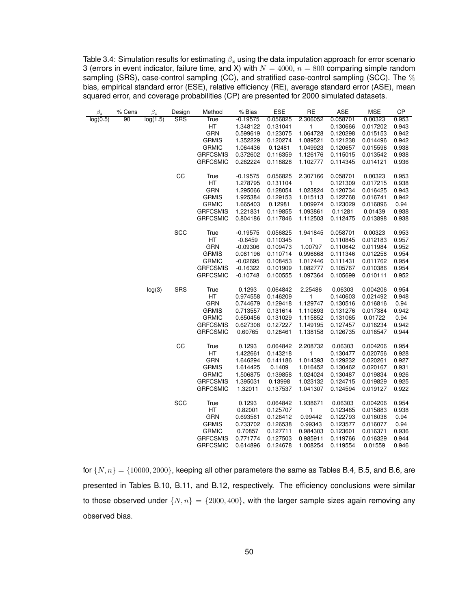Table 3.4: Simulation results for estimating  $\beta_x$  using the data imputation approach for error scenario 3 (errors in event indicator, failure time, and X) with  $N = 4000$ ,  $n = 800$  comparing simple random sampling (SRS), case-control sampling (CC), and stratified case-control sampling (SCC). The % bias, empirical standard error (ESE), relative efficiency (RE), average standard error (ASE), mean squared error, and coverage probabilities (CP) are presented for 2000 simulated datasets.

| $\beta_z$ | % Cens | $\beta_x$ | Design     | Method          | % Bias     | <b>ESE</b> | <b>RE</b> | <b>ASE</b> | <b>MSE</b> | CP    |
|-----------|--------|-----------|------------|-----------------|------------|------------|-----------|------------|------------|-------|
| log(0.5)  | 90     | log(1.5)  | <b>SRS</b> | True            | $-0.19575$ | 0.056825   | 2.306052  | 0.058701   | 0.00323    | 0.953 |
|           |        |           |            | НT              | 1.348122   | 0.131041   | 1         | 0.130666   | 0.017202   | 0.943 |
|           |        |           |            | <b>GRN</b>      | 0.599619   | 0.123075   | 1.064728  | 0.120298   | 0.015153   | 0.942 |
|           |        |           |            | <b>GRMIS</b>    | 1.352229   | 0.120274   | 1.089521  | 0.121238   | 0.014496   | 0.942 |
|           |        |           |            | <b>GRMIC</b>    | 1.064436   | 0.12481    | 1.049923  | 0.120657   | 0.015596   | 0.938 |
|           |        |           |            | <b>GRFCSMIS</b> | 0.372602   | 0.116359   | 1.126176  | 0.115015   | 0.013542   | 0.938 |
|           |        |           |            | <b>GRFCSMIC</b> | 0.262224   | 0.118828   | 1.102777  | 0.114345   | 0.014121   | 0.936 |
|           |        |           | CC         | True            | $-0.19575$ | 0.056825   | 2.307166  | 0.058701   | 0.00323    | 0.953 |
|           |        |           |            | HT.             | 1.278795   | 0.131104   | 1         | 0.121309   | 0.017215   | 0.938 |
|           |        |           |            | GRN             | 1.295066   | 0.128054   | 1.023824  | 0.120734   | 0.016425   | 0.943 |
|           |        |           |            | <b>GRMIS</b>    | 1.925384   | 0.129153   | 1.015113  | 0.122768   | 0.016741   | 0.942 |
|           |        |           |            | <b>GRMIC</b>    | 1.665403   | 0.12981    | 1.009974  | 0.123029   | 0.016896   | 0.94  |
|           |        |           |            | <b>GRFCSMIS</b> | 1.221831   | 0.119855   | 1.093861  | 0.11281    | 0.01439    | 0.938 |
|           |        |           |            | <b>GRFCSMIC</b> | 0.804186   | 0.117846   | 1.112503  | 0.112475   | 0.013898   | 0.938 |
|           |        |           | SCC        | True            | $-0.19575$ | 0.056825   | 1.941845  | 0.058701   | 0.00323    | 0.953 |
|           |        |           |            | HT              | $-0.6459$  | 0.110345   | 1         | 0.110845   | 0.012183   | 0.957 |
|           |        |           |            | GRN             | $-0.09306$ | 0.109473   | 1.00797   | 0.110642   | 0.011984   | 0.952 |
|           |        |           |            | <b>GRMIS</b>    | 0.081196   | 0.110714   | 0.996668  | 0.111346   | 0.012258   | 0.954 |
|           |        |           |            | <b>GRMIC</b>    | $-0.02695$ | 0.108453   | 1.017446  | 0.111431   | 0.011762   | 0.954 |
|           |        |           |            | <b>GRFCSMIS</b> | $-0.16322$ | 0.101909   | 1.082777  | 0.105767   | 0.010386   | 0.954 |
|           |        |           |            | <b>GRFCSMIC</b> | $-0.10748$ | 0.100555   | 1.097364  | 0.105699   | 0.010111   | 0.952 |
|           |        | log(3)    | <b>SRS</b> | True            | 0.1293     | 0.064842   | 2.25486   | 0.06303    | 0.004206   | 0.954 |
|           |        |           |            | HT              | 0.974558   | 0.146209   | 1         | 0.140603   | 0.021492   | 0.948 |
|           |        |           |            | <b>GRN</b>      | 0.744679   | 0.129418   | 1.129747  | 0.130516   | 0.016816   | 0.94  |
|           |        |           |            | <b>GRMIS</b>    | 0.713557   | 0.131614   | 1.110893  | 0.131276   | 0.017384   | 0.942 |
|           |        |           |            | <b>GRMIC</b>    | 0.650456   | 0.131029   | 1.115852  | 0.131065   | 0.01722    | 0.94  |
|           |        |           |            | <b>GRFCSMIS</b> | 0.627308   | 0.127227   | 1.149195  | 0.127457   | 0.016234   | 0.942 |
|           |        |           |            | <b>GRFCSMIC</b> | 0.60765    | 0.128461   | 1.138158  | 0.126735   | 0.016547   | 0.944 |
|           |        |           | CC         | True            | 0.1293     | 0.064842   | 2.208732  | 0.06303    | 0.004206   | 0.954 |
|           |        |           |            | HT.             | 1.422661   | 0.143218   | 1         | 0.130477   | 0.020756   | 0.928 |
|           |        |           |            | GRN             | 1.646294   | 0.141186   | 1.014393  | 0.129232   | 0.020261   | 0.927 |
|           |        |           |            | <b>GRMIS</b>    | 1.614425   | 0.1409     | 1.016452  | 0.130462   | 0.020167   | 0.931 |
|           |        |           |            | <b>GRMIC</b>    | 1.506875   | 0.139858   | 1.024024  | 0.130487   | 0.019834   | 0.926 |
|           |        |           |            | <b>GRFCSMIS</b> | 1.395031   | 0.13998    | 1.023132  | 0.124715   | 0.019829   | 0.925 |
|           |        |           |            | <b>GRFCSMIC</b> | 1.32011    | 0.137537   | 1.041307  | 0.124594   | 0.019127   | 0.922 |
|           |        |           | SCC        | True            | 0.1293     | 0.064842   | 1.938671  | 0.06303    | 0.004206   | 0.954 |
|           |        |           |            | HT              | 0.82001    | 0.125707   | 1         | 0.123465   | 0.015883   | 0.938 |
|           |        |           |            | <b>GRN</b>      | 0.693561   | 0.126412   | 0.99442   | 0.122793   | 0.016038   | 0.94  |
|           |        |           |            | <b>GRMIS</b>    | 0.733702   | 0.126538   | 0.99343   | 0.123577   | 0.016077   | 0.94  |
|           |        |           |            | <b>GRMIC</b>    | 0.70857    | 0.127711   | 0.984303  | 0.123601   | 0.016371   | 0.936 |
|           |        |           |            | <b>GRFCSMIS</b> | 0.771774   | 0.127503   | 0.985911  | 0.119766   | 0.016329   | 0.944 |
|           |        |           |            | <b>GRFCSMIC</b> | 0.614896   | 0.124678   | 1.008254  | 0.119554   | 0.01559    | 0.946 |

for  $\{N, n\} = \{10000, 2000\}$ , keeping all other parameters the same as Tables B.4, B.5, and B.6, are presented in Tables B.10, B.11, and B.12, respectively. The efficiency conclusions were similar to those observed under  $\{N, n\} = \{2000, 400\}$ , with the larger sample sizes again removing any observed bias.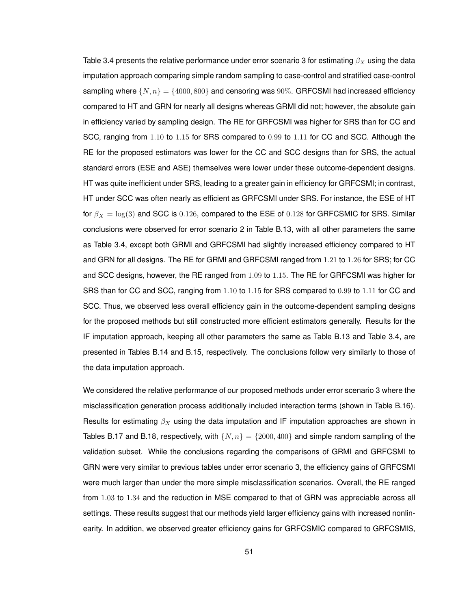Table 3.4 presents the relative performance under error scenario 3 for estimating  $\beta_X$  using the data imputation approach comparing simple random sampling to case-control and stratified case-control sampling where  $\{N, n\} = \{4000, 800\}$  and censoring was 90%. GRFCSMI had increased efficiency compared to HT and GRN for nearly all designs whereas GRMI did not; however, the absolute gain in efficiency varied by sampling design. The RE for GRFCSMI was higher for SRS than for CC and SCC, ranging from 1.10 to 1.15 for SRS compared to 0.99 to 1.11 for CC and SCC. Although the RE for the proposed estimators was lower for the CC and SCC designs than for SRS, the actual standard errors (ESE and ASE) themselves were lower under these outcome-dependent designs. HT was quite inefficient under SRS, leading to a greater gain in efficiency for GRFCSMI; in contrast, HT under SCC was often nearly as efficient as GRFCSMI under SRS. For instance, the ESE of HT for  $\beta_X = \log(3)$  and SCC is 0.126, compared to the ESE of 0.128 for GRFCSMIC for SRS. Similar conclusions were observed for error scenario 2 in Table B.13, with all other parameters the same as Table 3.4, except both GRMI and GRFCSMI had slightly increased efficiency compared to HT and GRN for all designs. The RE for GRMI and GRFCSMI ranged from 1.21 to 1.26 for SRS; for CC and SCC designs, however, the RE ranged from 1.09 to 1.15. The RE for GRFCSMI was higher for SRS than for CC and SCC, ranging from 1.10 to 1.15 for SRS compared to 0.99 to 1.11 for CC and SCC. Thus, we observed less overall efficiency gain in the outcome-dependent sampling designs for the proposed methods but still constructed more efficient estimators generally. Results for the IF imputation approach, keeping all other parameters the same as Table B.13 and Table 3.4, are presented in Tables B.14 and B.15, respectively. The conclusions follow very similarly to those of the data imputation approach.

We considered the relative performance of our proposed methods under error scenario 3 where the misclassification generation process additionally included interaction terms (shown in Table B.16). Results for estimating  $\beta_X$  using the data imputation and IF imputation approaches are shown in Tables B.17 and B.18, respectively, with  $\{N, n\} = \{2000, 400\}$  and simple random sampling of the validation subset. While the conclusions regarding the comparisons of GRMI and GRFCSMI to GRN were very similar to previous tables under error scenario 3, the efficiency gains of GRFCSMI were much larger than under the more simple misclassification scenarios. Overall, the RE ranged from 1.03 to 1.34 and the reduction in MSE compared to that of GRN was appreciable across all settings. These results suggest that our methods yield larger efficiency gains with increased nonlinearity. In addition, we observed greater efficiency gains for GRFCSMIC compared to GRFCSMIS,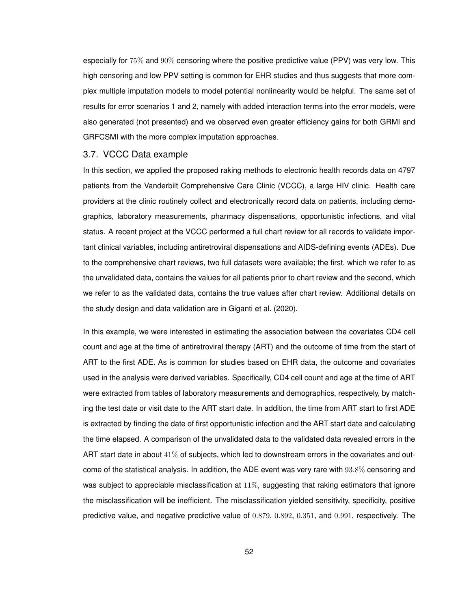especially for 75% and 90% censoring where the positive predictive value (PPV) was very low. This high censoring and low PPV setting is common for EHR studies and thus suggests that more complex multiple imputation models to model potential nonlinearity would be helpful. The same set of results for error scenarios 1 and 2, namely with added interaction terms into the error models, were also generated (not presented) and we observed even greater efficiency gains for both GRMI and GRFCSMI with the more complex imputation approaches.

# 3.7. VCCC Data example

In this section, we applied the proposed raking methods to electronic health records data on 4797 patients from the Vanderbilt Comprehensive Care Clinic (VCCC), a large HIV clinic. Health care providers at the clinic routinely collect and electronically record data on patients, including demographics, laboratory measurements, pharmacy dispensations, opportunistic infections, and vital status. A recent project at the VCCC performed a full chart review for all records to validate important clinical variables, including antiretroviral dispensations and AIDS-defining events (ADEs). Due to the comprehensive chart reviews, two full datasets were available; the first, which we refer to as the unvalidated data, contains the values for all patients prior to chart review and the second, which we refer to as the validated data, contains the true values after chart review. Additional details on the study design and data validation are in Giganti et al. (2020).

In this example, we were interested in estimating the association between the covariates CD4 cell count and age at the time of antiretroviral therapy (ART) and the outcome of time from the start of ART to the first ADE. As is common for studies based on EHR data, the outcome and covariates used in the analysis were derived variables. Specifically, CD4 cell count and age at the time of ART were extracted from tables of laboratory measurements and demographics, respectively, by matching the test date or visit date to the ART start date. In addition, the time from ART start to first ADE is extracted by finding the date of first opportunistic infection and the ART start date and calculating the time elapsed. A comparison of the unvalidated data to the validated data revealed errors in the ART start date in about  $41\%$  of subjects, which led to downstream errors in the covariates and outcome of the statistical analysis. In addition, the ADE event was very rare with 93.8% censoring and was subject to appreciable misclassification at  $11\%$ , suggesting that raking estimators that ignore the misclassification will be inefficient. The misclassification yielded sensitivity, specificity, positive predictive value, and negative predictive value of 0.879, 0.892, 0.351, and 0.991, respectively. The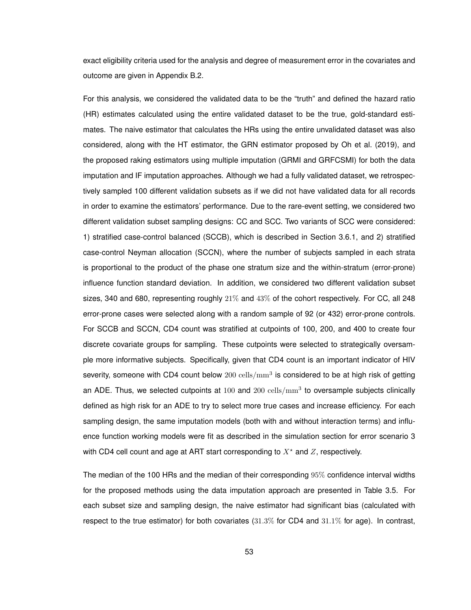exact eligibility criteria used for the analysis and degree of measurement error in the covariates and outcome are given in Appendix B.2.

For this analysis, we considered the validated data to be the "truth" and defined the hazard ratio (HR) estimates calculated using the entire validated dataset to be the true, gold-standard estimates. The naive estimator that calculates the HRs using the entire unvalidated dataset was also considered, along with the HT estimator, the GRN estimator proposed by Oh et al. (2019), and the proposed raking estimators using multiple imputation (GRMI and GRFCSMI) for both the data imputation and IF imputation approaches. Although we had a fully validated dataset, we retrospectively sampled 100 different validation subsets as if we did not have validated data for all records in order to examine the estimators' performance. Due to the rare-event setting, we considered two different validation subset sampling designs: CC and SCC. Two variants of SCC were considered: 1) stratified case-control balanced (SCCB), which is described in Section 3.6.1, and 2) stratified case-control Neyman allocation (SCCN), where the number of subjects sampled in each strata is proportional to the product of the phase one stratum size and the within-stratum (error-prone) influence function standard deviation. In addition, we considered two different validation subset sizes, 340 and 680, representing roughly 21% and 43% of the cohort respectively. For CC, all 248 error-prone cases were selected along with a random sample of 92 (or 432) error-prone controls. For SCCB and SCCN, CD4 count was stratified at cutpoints of 100, 200, and 400 to create four discrete covariate groups for sampling. These cutpoints were selected to strategically oversample more informative subjects. Specifically, given that CD4 count is an important indicator of HIV severity, someone with CD4 count below  $200 \text{ cells/mm}^3$  is considered to be at high risk of getting an ADE. Thus, we selected cutpoints at  $100$  and  $200$   $\text{cells/mm}^3$  to oversample subjects clinically defined as high risk for an ADE to try to select more true cases and increase efficiency. For each sampling design, the same imputation models (both with and without interaction terms) and influence function working models were fit as described in the simulation section for error scenario 3 with CD4 cell count and age at ART start corresponding to  $X^*$  and  $Z$ , respectively.

The median of the 100 HRs and the median of their corresponding 95% confidence interval widths for the proposed methods using the data imputation approach are presented in Table 3.5. For each subset size and sampling design, the naive estimator had significant bias (calculated with respect to the true estimator) for both covariates (31.3% for CD4 and 31.1% for age). In contrast,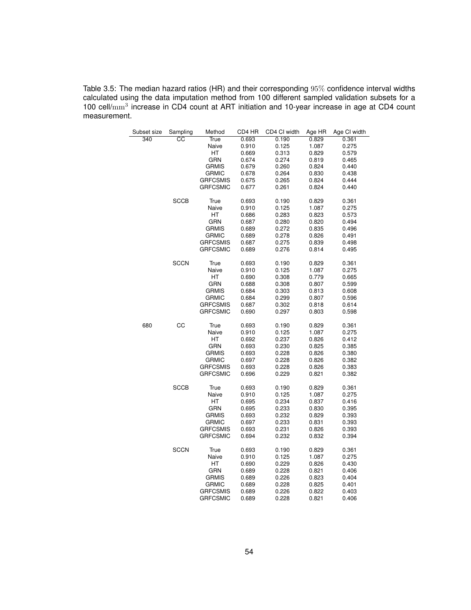Table 3.5: The median hazard ratios (HR) and their corresponding 95% confidence interval widths calculated using the data imputation method from 100 different sampled validation subsets for a 100 cell/ $\text{mm}^3$  increase in CD4 count at ART initiation and 10-year increase in age at CD4 count measurement.

| Subset size | Sampling    | Method          | CD4 HR | CD4 CI width | Age HR | Age CI width |
|-------------|-------------|-----------------|--------|--------------|--------|--------------|
| 340         | CС          | True            | 0.693  | 0.190        | 0.829  | 0.361        |
|             |             | Naive           | 0.910  | 0.125        | 1.087  | 0.275        |
|             |             | НT              | 0.669  | 0.313        | 0.829  | 0.579        |
|             |             | <b>GRN</b>      | 0.674  | 0.274        | 0.819  | 0.465        |
|             |             | GRMIS           | 0.679  | 0.260        | 0.824  | 0.440        |
|             |             | <b>GRMIC</b>    | 0.678  | 0.264        | 0.830  | 0.438        |
|             |             | <b>GRFCSMIS</b> | 0.675  | 0.265        | 0.824  | 0.444        |
|             |             | GRFCSMIC        | 0.677  | 0.261        | 0.824  | 0.440        |
|             |             |                 |        |              |        |              |
|             | <b>SCCB</b> | True            | 0.693  | 0.190        | 0.829  | 0.361        |
|             |             | Naive           | 0.910  | 0.125        | 1.087  | 0.275        |
|             |             | НT              | 0.686  | 0.283        | 0.823  | 0.573        |
|             |             | <b>GRN</b>      | 0.687  | 0.280        | 0.820  | 0.494        |
|             |             | <b>GRMIS</b>    | 0.689  | 0.272        | 0.835  | 0.496        |
|             |             | <b>GRMIC</b>    | 0.689  | 0.278        | 0.826  | 0.491        |
|             |             | <b>GRFCSMIS</b> | 0.687  | 0.275        | 0.839  | 0.498        |
|             |             | <b>GRFCSMIC</b> | 0.689  | 0.276        | 0.814  | 0.495        |
|             |             |                 |        |              |        |              |
|             | <b>SCCN</b> | True            | 0.693  | 0.190        | 0.829  | 0.361        |
|             |             | Naive           | 0.910  | 0.125        | 1.087  | 0.275        |
|             |             | HT              | 0.690  | 0.308        | 0.779  | 0.665        |
|             |             | GRN             | 0.688  | 0.308        | 0.807  | 0.599        |
|             |             | <b>GRMIS</b>    | 0.684  | 0.303        | 0.813  | 0.608        |
|             |             | <b>GRMIC</b>    | 0.684  | 0.299        | 0.807  | 0.596        |
|             |             | <b>GRFCSMIS</b> | 0.687  | 0.302        | 0.818  | 0.614        |
|             |             | <b>GRFCSMIC</b> | 0.690  | 0.297        | 0.803  | 0.598        |
|             |             |                 |        |              |        |              |
| 680         | СC          | True            | 0.693  | 0.190        | 0.829  | 0.361        |
|             |             | Naive           | 0.910  | 0.125        | 1.087  | 0.275        |
|             |             | НT              | 0.692  | 0.237        | 0.826  | 0.412        |
|             |             | GRN             | 0.693  | 0.230        | 0.825  | 0.385        |
|             |             | <b>GRMIS</b>    | 0.693  | 0.228        | 0.826  | 0.380        |
|             |             | <b>GRMIC</b>    | 0.697  | 0.228        | 0.826  | 0.382        |
|             |             | <b>GRFCSMIS</b> | 0.693  | 0.228        | 0.826  | 0.383        |
|             |             | <b>GRFCSMIC</b> | 0.696  | 0.229        | 0.821  | 0.382        |
|             |             |                 |        |              |        |              |
|             | <b>SCCB</b> | True            | 0.693  | 0.190        | 0.829  | 0.361        |
|             |             | Naive           | 0.910  | 0.125        | 1.087  | 0.275        |
|             |             | НT              | 0.695  | 0.234        | 0.837  | 0.416        |
|             |             | <b>GRN</b>      | 0.695  | 0.233        | 0.830  | 0.395        |
|             |             | <b>GRMIS</b>    | 0.693  | 0.232        | 0.829  | 0.393        |
|             |             | <b>GRMIC</b>    | 0.697  | 0.233        | 0.831  | 0.393        |
|             |             | <b>GRFCSMIS</b> | 0.693  | 0.231        | 0.826  | 0.393        |
|             |             | <b>GRFCSMIC</b> | 0.694  | 0.232        | 0.832  | 0.394        |
|             |             |                 |        |              |        |              |
|             | <b>SCCN</b> | True            | 0.693  | 0.190        | 0.829  | 0.361        |
|             |             | Naive           | 0.910  | 0.125        | 1.087  | 0.275        |
|             |             | НT              | 0.690  | 0.229        | 0.826  | 0.430        |
|             |             | <b>GRN</b>      | 0.689  | 0.228        | 0.821  | 0.406        |
|             |             | <b>GRMIS</b>    | 0.689  | 0.226        | 0.823  | 0.404        |
|             |             | <b>GRMIC</b>    | 0.689  | 0.228        | 0.825  | 0.401        |
|             |             | <b>GRFCSMIS</b> | 0.689  | 0.226        | 0.822  | 0.403        |
|             |             | <b>GRFCSMIC</b> |        |              |        | 0.406        |
|             |             |                 | 0.689  | 0.228        | 0.821  |              |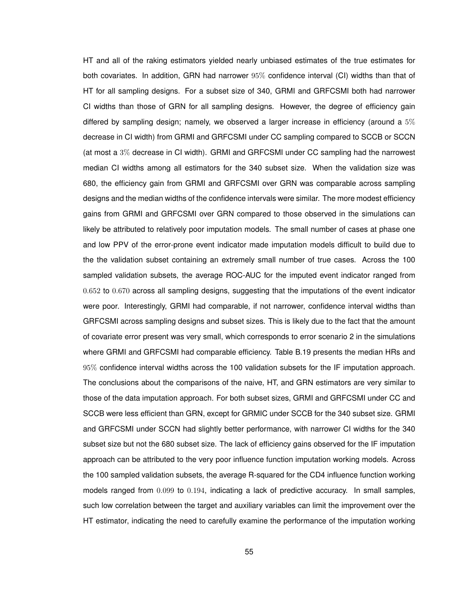HT and all of the raking estimators yielded nearly unbiased estimates of the true estimates for both covariates. In addition, GRN had narrower 95% confidence interval (CI) widths than that of HT for all sampling designs. For a subset size of 340, GRMI and GRFCSMI both had narrower CI widths than those of GRN for all sampling designs. However, the degree of efficiency gain differed by sampling design; namely, we observed a larger increase in efficiency (around a  $5\%$ decrease in CI width) from GRMI and GRFCSMI under CC sampling compared to SCCB or SCCN (at most a 3% decrease in CI width). GRMI and GRFCSMI under CC sampling had the narrowest median CI widths among all estimators for the 340 subset size. When the validation size was 680, the efficiency gain from GRMI and GRFCSMI over GRN was comparable across sampling designs and the median widths of the confidence intervals were similar. The more modest efficiency gains from GRMI and GRFCSMI over GRN compared to those observed in the simulations can likely be attributed to relatively poor imputation models. The small number of cases at phase one and low PPV of the error-prone event indicator made imputation models difficult to build due to the the validation subset containing an extremely small number of true cases. Across the 100 sampled validation subsets, the average ROC-AUC for the imputed event indicator ranged from 0.652 to 0.670 across all sampling designs, suggesting that the imputations of the event indicator were poor. Interestingly, GRMI had comparable, if not narrower, confidence interval widths than GRFCSMI across sampling designs and subset sizes. This is likely due to the fact that the amount of covariate error present was very small, which corresponds to error scenario 2 in the simulations where GRMI and GRFCSMI had comparable efficiency. Table B.19 presents the median HRs and 95% confidence interval widths across the 100 validation subsets for the IF imputation approach. The conclusions about the comparisons of the naive, HT, and GRN estimators are very similar to those of the data imputation approach. For both subset sizes, GRMI and GRFCSMI under CC and SCCB were less efficient than GRN, except for GRMIC under SCCB for the 340 subset size. GRMI and GRFCSMI under SCCN had slightly better performance, with narrower CI widths for the 340 subset size but not the 680 subset size. The lack of efficiency gains observed for the IF imputation approach can be attributed to the very poor influence function imputation working models. Across the 100 sampled validation subsets, the average R-squared for the CD4 influence function working models ranged from 0.099 to 0.194, indicating a lack of predictive accuracy. In small samples, such low correlation between the target and auxiliary variables can limit the improvement over the HT estimator, indicating the need to carefully examine the performance of the imputation working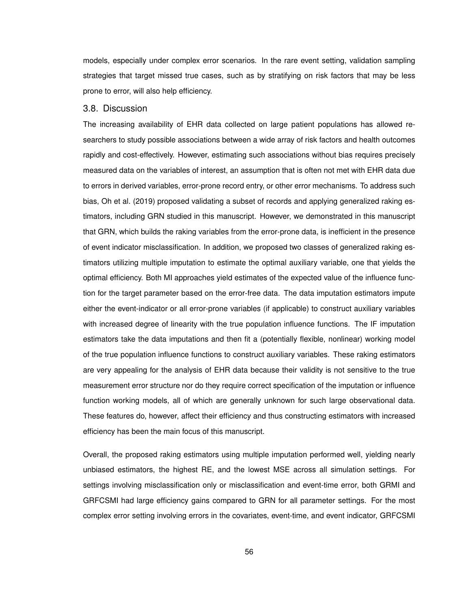models, especially under complex error scenarios. In the rare event setting, validation sampling strategies that target missed true cases, such as by stratifying on risk factors that may be less prone to error, will also help efficiency.

#### 3.8. Discussion

The increasing availability of EHR data collected on large patient populations has allowed researchers to study possible associations between a wide array of risk factors and health outcomes rapidly and cost-effectively. However, estimating such associations without bias requires precisely measured data on the variables of interest, an assumption that is often not met with EHR data due to errors in derived variables, error-prone record entry, or other error mechanisms. To address such bias, Oh et al. (2019) proposed validating a subset of records and applying generalized raking estimators, including GRN studied in this manuscript. However, we demonstrated in this manuscript that GRN, which builds the raking variables from the error-prone data, is inefficient in the presence of event indicator misclassification. In addition, we proposed two classes of generalized raking estimators utilizing multiple imputation to estimate the optimal auxiliary variable, one that yields the optimal efficiency. Both MI approaches yield estimates of the expected value of the influence function for the target parameter based on the error-free data. The data imputation estimators impute either the event-indicator or all error-prone variables (if applicable) to construct auxiliary variables with increased degree of linearity with the true population influence functions. The IF imputation estimators take the data imputations and then fit a (potentially flexible, nonlinear) working model of the true population influence functions to construct auxiliary variables. These raking estimators are very appealing for the analysis of EHR data because their validity is not sensitive to the true measurement error structure nor do they require correct specification of the imputation or influence function working models, all of which are generally unknown for such large observational data. These features do, however, affect their efficiency and thus constructing estimators with increased efficiency has been the main focus of this manuscript.

Overall, the proposed raking estimators using multiple imputation performed well, yielding nearly unbiased estimators, the highest RE, and the lowest MSE across all simulation settings. For settings involving misclassification only or misclassification and event-time error, both GRMI and GRFCSMI had large efficiency gains compared to GRN for all parameter settings. For the most complex error setting involving errors in the covariates, event-time, and event indicator, GRFCSMI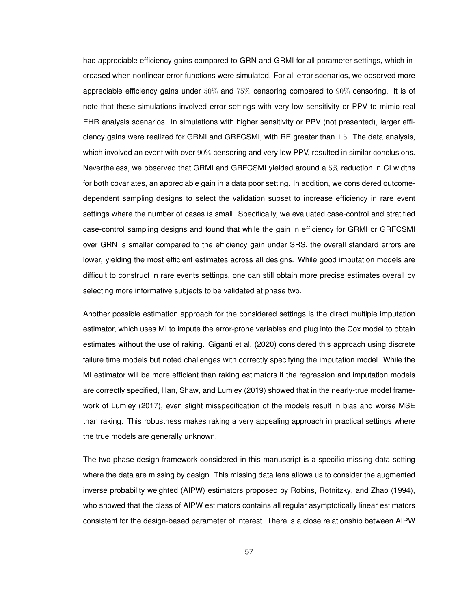had appreciable efficiency gains compared to GRN and GRMI for all parameter settings, which increased when nonlinear error functions were simulated. For all error scenarios, we observed more appreciable efficiency gains under 50% and 75% censoring compared to 90% censoring. It is of note that these simulations involved error settings with very low sensitivity or PPV to mimic real EHR analysis scenarios. In simulations with higher sensitivity or PPV (not presented), larger efficiency gains were realized for GRMI and GRFCSMI, with RE greater than 1.5. The data analysis, which involved an event with over  $90\%$  censoring and very low PPV, resulted in similar conclusions. Nevertheless, we observed that GRMI and GRFCSMI yielded around a 5% reduction in CI widths for both covariates, an appreciable gain in a data poor setting. In addition, we considered outcomedependent sampling designs to select the validation subset to increase efficiency in rare event settings where the number of cases is small. Specifically, we evaluated case-control and stratified case-control sampling designs and found that while the gain in efficiency for GRMI or GRFCSMI over GRN is smaller compared to the efficiency gain under SRS, the overall standard errors are lower, yielding the most efficient estimates across all designs. While good imputation models are difficult to construct in rare events settings, one can still obtain more precise estimates overall by selecting more informative subjects to be validated at phase two.

Another possible estimation approach for the considered settings is the direct multiple imputation estimator, which uses MI to impute the error-prone variables and plug into the Cox model to obtain estimates without the use of raking. Giganti et al. (2020) considered this approach using discrete failure time models but noted challenges with correctly specifying the imputation model. While the MI estimator will be more efficient than raking estimators if the regression and imputation models are correctly specified, Han, Shaw, and Lumley (2019) showed that in the nearly-true model framework of Lumley (2017), even slight misspecification of the models result in bias and worse MSE than raking. This robustness makes raking a very appealing approach in practical settings where the true models are generally unknown.

The two-phase design framework considered in this manuscript is a specific missing data setting where the data are missing by design. This missing data lens allows us to consider the augmented inverse probability weighted (AIPW) estimators proposed by Robins, Rotnitzky, and Zhao (1994), who showed that the class of AIPW estimators contains all regular asymptotically linear estimators consistent for the design-based parameter of interest. There is a close relationship between AIPW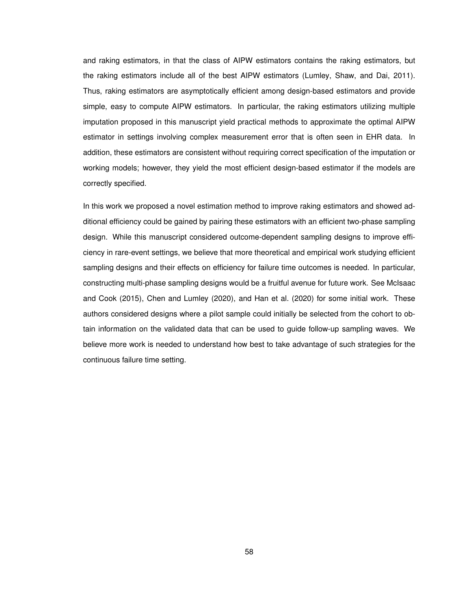and raking estimators, in that the class of AIPW estimators contains the raking estimators, but the raking estimators include all of the best AIPW estimators (Lumley, Shaw, and Dai, 2011). Thus, raking estimators are asymptotically efficient among design-based estimators and provide simple, easy to compute AIPW estimators. In particular, the raking estimators utilizing multiple imputation proposed in this manuscript yield practical methods to approximate the optimal AIPW estimator in settings involving complex measurement error that is often seen in EHR data. In addition, these estimators are consistent without requiring correct specification of the imputation or working models; however, they yield the most efficient design-based estimator if the models are correctly specified.

In this work we proposed a novel estimation method to improve raking estimators and showed additional efficiency could be gained by pairing these estimators with an efficient two-phase sampling design. While this manuscript considered outcome-dependent sampling designs to improve efficiency in rare-event settings, we believe that more theoretical and empirical work studying efficient sampling designs and their effects on efficiency for failure time outcomes is needed. In particular, constructing multi-phase sampling designs would be a fruitful avenue for future work. See McIsaac and Cook (2015), Chen and Lumley (2020), and Han et al. (2020) for some initial work. These authors considered designs where a pilot sample could initially be selected from the cohort to obtain information on the validated data that can be used to guide follow-up sampling waves. We believe more work is needed to understand how best to take advantage of such strategies for the continuous failure time setting.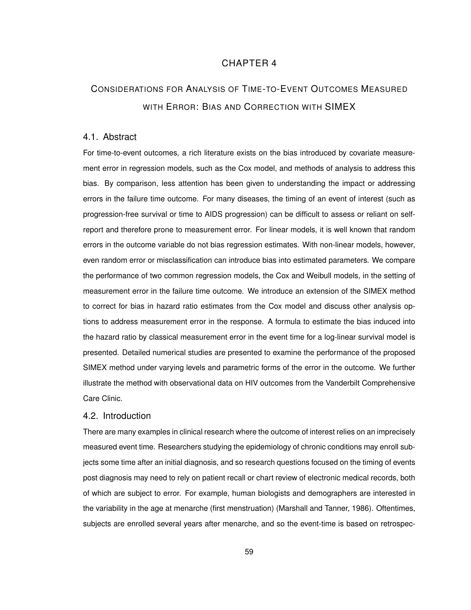# CHAPTER 4

# CONSIDERATIONS FOR ANALYSIS OF TIME-TO-EVENT OUTCOMES MEASURED WITH ERROR: BIAS AND CORRECTION WITH SIMEX

# 4.1. Abstract

For time-to-event outcomes, a rich literature exists on the bias introduced by covariate measurement error in regression models, such as the Cox model, and methods of analysis to address this bias. By comparison, less attention has been given to understanding the impact or addressing errors in the failure time outcome. For many diseases, the timing of an event of interest (such as progression-free survival or time to AIDS progression) can be difficult to assess or reliant on selfreport and therefore prone to measurement error. For linear models, it is well known that random errors in the outcome variable do not bias regression estimates. With non-linear models, however, even random error or misclassification can introduce bias into estimated parameters. We compare the performance of two common regression models, the Cox and Weibull models, in the setting of measurement error in the failure time outcome. We introduce an extension of the SIMEX method to correct for bias in hazard ratio estimates from the Cox model and discuss other analysis options to address measurement error in the response. A formula to estimate the bias induced into the hazard ratio by classical measurement error in the event time for a log-linear survival model is presented. Detailed numerical studies are presented to examine the performance of the proposed SIMEX method under varying levels and parametric forms of the error in the outcome. We further illustrate the method with observational data on HIV outcomes from the Vanderbilt Comprehensive Care Clinic.

#### 4.2. Introduction

There are many examples in clinical research where the outcome of interest relies on an imprecisely measured event time. Researchers studying the epidemiology of chronic conditions may enroll subjects some time after an initial diagnosis, and so research questions focused on the timing of events post diagnosis may need to rely on patient recall or chart review of electronic medical records, both of which are subject to error. For example, human biologists and demographers are interested in the variability in the age at menarche (first menstruation) (Marshall and Tanner, 1986). Oftentimes, subjects are enrolled several years after menarche, and so the event-time is based on retrospec-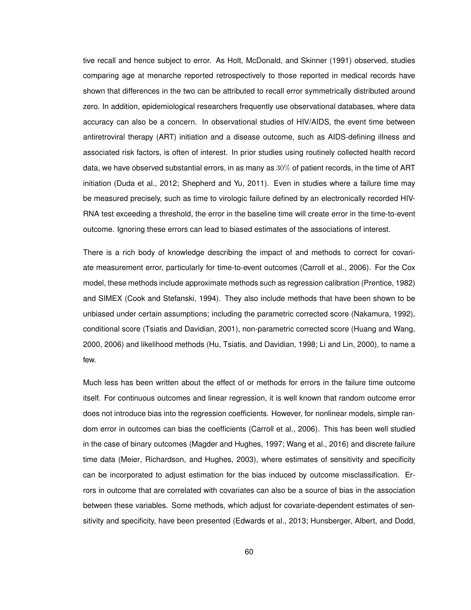tive recall and hence subject to error. As Holt, McDonald, and Skinner (1991) observed, studies comparing age at menarche reported retrospectively to those reported in medical records have shown that differences in the two can be attributed to recall error symmetrically distributed around zero. In addition, epidemiological researchers frequently use observational databases, where data accuracy can also be a concern. In observational studies of HIV/AIDS, the event time between antiretroviral therapy (ART) initiation and a disease outcome, such as AIDS-defining illness and associated risk factors, is often of interest. In prior studies using routinely collected health record data, we have observed substantial errors, in as many as 30% of patient records, in the time of ART initiation (Duda et al., 2012; Shepherd and Yu, 2011). Even in studies where a failure time may be measured precisely, such as time to virologic failure defined by an electronically recorded HIV-RNA test exceeding a threshold, the error in the baseline time will create error in the time-to-event outcome. Ignoring these errors can lead to biased estimates of the associations of interest.

There is a rich body of knowledge describing the impact of and methods to correct for covariate measurement error, particularly for time-to-event outcomes (Carroll et al., 2006). For the Cox model, these methods include approximate methods such as regression calibration (Prentice, 1982) and SIMEX (Cook and Stefanski, 1994). They also include methods that have been shown to be unbiased under certain assumptions; including the parametric corrected score (Nakamura, 1992), conditional score (Tsiatis and Davidian, 2001), non-parametric corrected score (Huang and Wang, 2000, 2006) and likelihood methods (Hu, Tsiatis, and Davidian, 1998; Li and Lin, 2000), to name a few.

Much less has been written about the effect of or methods for errors in the failure time outcome itself. For continuous outcomes and linear regression, it is well known that random outcome error does not introduce bias into the regression coefficients. However, for nonlinear models, simple random error in outcomes can bias the coefficients (Carroll et al., 2006). This has been well studied in the case of binary outcomes (Magder and Hughes, 1997; Wang et al., 2016) and discrete failure time data (Meier, Richardson, and Hughes, 2003), where estimates of sensitivity and specificity can be incorporated to adjust estimation for the bias induced by outcome misclassification. Errors in outcome that are correlated with covariates can also be a source of bias in the association between these variables. Some methods, which adjust for covariate-dependent estimates of sensitivity and specificity, have been presented (Edwards et al., 2013; Hunsberger, Albert, and Dodd,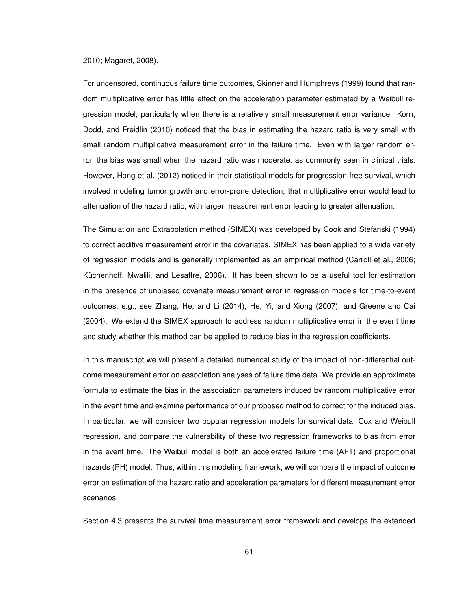2010; Magaret, 2008).

For uncensored, continuous failure time outcomes, Skinner and Humphreys (1999) found that random multiplicative error has little effect on the acceleration parameter estimated by a Weibull regression model, particularly when there is a relatively small measurement error variance. Korn, Dodd, and Freidlin (2010) noticed that the bias in estimating the hazard ratio is very small with small random multiplicative measurement error in the failure time. Even with larger random error, the bias was small when the hazard ratio was moderate, as commonly seen in clinical trials. However, Hong et al. (2012) noticed in their statistical models for progression-free survival, which involved modeling tumor growth and error-prone detection, that multiplicative error would lead to attenuation of the hazard ratio, with larger measurement error leading to greater attenuation.

The Simulation and Extrapolation method (SIMEX) was developed by Cook and Stefanski (1994) to correct additive measurement error in the covariates. SIMEX has been applied to a wide variety of regression models and is generally implemented as an empirical method (Carroll et al., 2006; Küchenhoff, Mwalili, and Lesaffre, 2006). It has been shown to be a useful tool for estimation in the presence of unbiased covariate measurement error in regression models for time-to-event outcomes, e.g., see Zhang, He, and Li (2014), He, Yi, and Xiong (2007), and Greene and Cai (2004). We extend the SIMEX approach to address random multiplicative error in the event time and study whether this method can be applied to reduce bias in the regression coefficients.

In this manuscript we will present a detailed numerical study of the impact of non-differential outcome measurement error on association analyses of failure time data. We provide an approximate formula to estimate the bias in the association parameters induced by random multiplicative error in the event time and examine performance of our proposed method to correct for the induced bias. In particular, we will consider two popular regression models for survival data, Cox and Weibull regression, and compare the vulnerability of these two regression frameworks to bias from error in the event time. The Weibull model is both an accelerated failure time (AFT) and proportional hazards (PH) model. Thus, within this modeling framework, we will compare the impact of outcome error on estimation of the hazard ratio and acceleration parameters for different measurement error scenarios.

Section 4.3 presents the survival time measurement error framework and develops the extended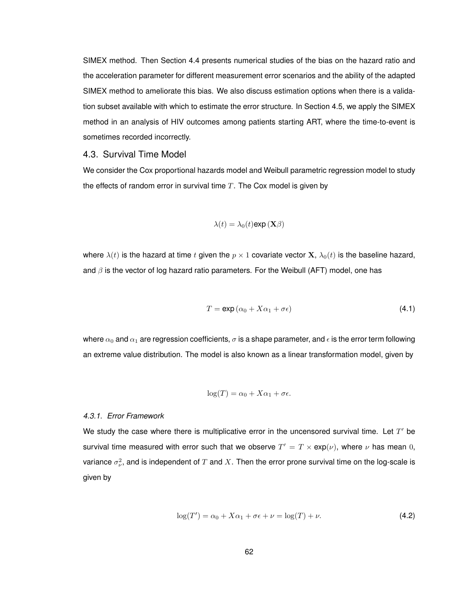SIMEX method. Then Section 4.4 presents numerical studies of the bias on the hazard ratio and the acceleration parameter for different measurement error scenarios and the ability of the adapted SIMEX method to ameliorate this bias. We also discuss estimation options when there is a validation subset available with which to estimate the error structure. In Section 4.5, we apply the SIMEX method in an analysis of HIV outcomes among patients starting ART, where the time-to-event is sometimes recorded incorrectly.

#### 4.3. Survival Time Model

We consider the Cox proportional hazards model and Weibull parametric regression model to study the effects of random error in survival time  $T$ . The Cox model is given by

$$
\lambda(t) = \lambda_0(t) \exp(\mathbf{X}\beta)
$$

where  $\lambda(t)$  is the hazard at time t given the  $p \times 1$  covariate vector **X**,  $\lambda_0(t)$  is the baseline hazard, and  $\beta$  is the vector of log hazard ratio parameters. For the Weibull (AFT) model, one has

$$
T = \exp(\alpha_0 + X\alpha_1 + \sigma \epsilon) \tag{4.1}
$$

where  $\alpha_0$  and  $\alpha_1$  are regression coefficients,  $\sigma$  is a shape parameter, and  $\epsilon$  is the error term following an extreme value distribution. The model is also known as a linear transformation model, given by

$$
\log(T) = \alpha_0 + X\alpha_1 + \sigma \epsilon.
$$

#### *4.3.1. Error Framework*

We study the case where there is multiplicative error in the uncensored survival time. Let  $T'$  be survival time measured with error such that we observe  $T' = T \times \exp(\nu)$ , where  $\nu$  has mean 0, variance  $\sigma_{\nu}^2$ , and is independent of  $T$  and  $X.$  Then the error prone survival time on the log-scale is given by

$$
\log(T') = \alpha_0 + X\alpha_1 + \sigma\epsilon + \nu = \log(T) + \nu.
$$
 (4.2)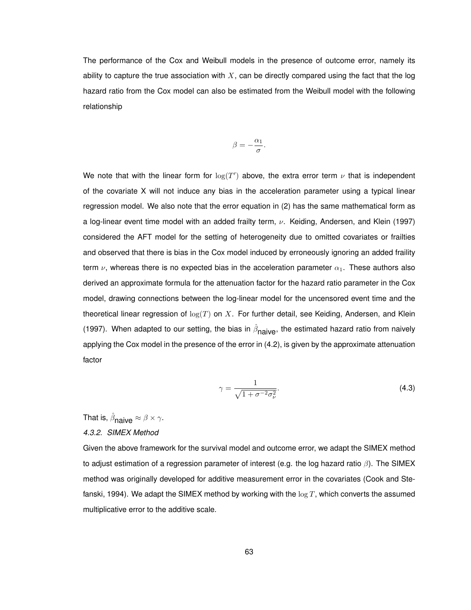The performance of the Cox and Weibull models in the presence of outcome error, namely its ability to capture the true association with  $X$ , can be directly compared using the fact that the log hazard ratio from the Cox model can also be estimated from the Weibull model with the following relationship

$$
\beta=-\frac{\alpha_1}{\sigma}.
$$

We note that with the linear form for  $\log(T')$  above, the extra error term  $\nu$  that is independent of the covariate X will not induce any bias in the acceleration parameter using a typical linear regression model. We also note that the error equation in (2) has the same mathematical form as a log-linear event time model with an added frailty term,  $\nu$ . Keiding, Andersen, and Klein (1997) considered the AFT model for the setting of heterogeneity due to omitted covariates or frailties and observed that there is bias in the Cox model induced by erroneously ignoring an added fraility term  $\nu$ , whereas there is no expected bias in the acceleration parameter  $\alpha_1$ . These authors also derived an approximate formula for the attenuation factor for the hazard ratio parameter in the Cox model, drawing connections between the log-linear model for the uncensored event time and the theoretical linear regression of  $\log(T)$  on X. For further detail, see Keiding, Andersen, and Klein (1997). When adapted to our setting, the bias in  $\hat{\beta}_{\textbf{n} \textbf{a} \textbf{i} \textbf{v} \textbf{e}}$ , the estimated hazard ratio from naively applying the Cox model in the presence of the error in (4.2), is given by the approximate attenuation factor

$$
\gamma = \frac{1}{\sqrt{1 + \sigma^{-2} \sigma_{\nu}^2}}.\tag{4.3}
$$

That is,  $\hat{\beta}_{\sf naive} \approx \beta \times \gamma$ .

#### *4.3.2. SIMEX Method*

Given the above framework for the survival model and outcome error, we adapt the SIMEX method to adjust estimation of a regression parameter of interest (e.g. the log hazard ratio  $\beta$ ). The SIMEX method was originally developed for additive measurement error in the covariates (Cook and Stefanski, 1994). We adapt the SIMEX method by working with the  $\log T$ , which converts the assumed multiplicative error to the additive scale.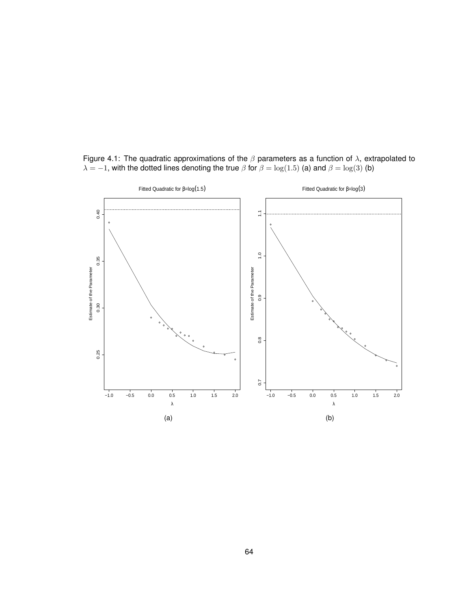

Figure 4.1: The quadratic approximations of the  $\beta$  parameters as a function of  $\lambda$ , extrapolated to  $\lambda = -1$ , with the dotted lines denoting the true  $\beta$  for  $\beta = \log(1.5)$  (a) and  $\beta = \log(3)$  (b)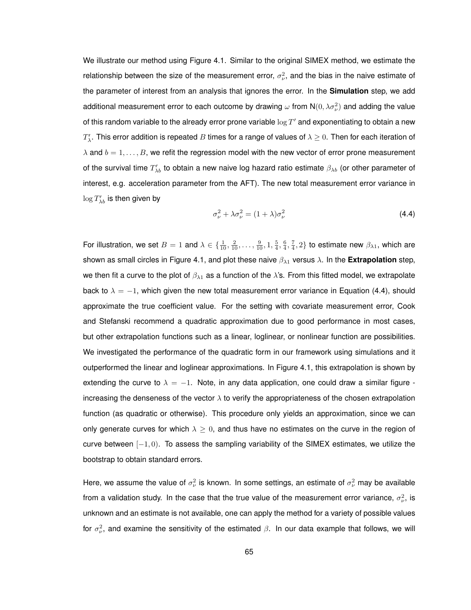We illustrate our method using Figure 4.1. Similar to the original SIMEX method, we estimate the relationship between the size of the measurement error,  $\sigma_{\nu}^2$ , and the bias in the naive estimate of the parameter of interest from an analysis that ignores the error. In the **Simulation** step, we add additional measurement error to each outcome by drawing  $\omega$  from  $\mathsf{N}(0,\lambda\sigma_\nu^2)$  and adding the value of this random variable to the already error prone variable  $\log T'$  and exponentiating to obtain a new  $T'_{\lambda}.$  This error addition is repeated  $B$  times for a range of values of  $\lambda \geq 0.$  Then for each iteration of  $\lambda$  and  $b = 1, \ldots, B$ , we refit the regression model with the new vector of error prone measurement of the survival time  $T'_{\lambda b}$  to obtain a new naive log hazard ratio estimate  $\beta_{\lambda b}$  (or other parameter of interest, e.g. acceleration parameter from the AFT). The new total measurement error variance in  $\log T'_{\lambda b}$  is then given by

$$
\sigma_{\nu}^{2} + \lambda \sigma_{\nu}^{2} = (1 + \lambda)\sigma_{\nu}^{2}
$$
\n(4.4)

For illustration, we set  $B=1$  and  $\lambda\in\{\frac{1}{10},\frac{2}{10},\ldots,\frac{9}{10},1,\frac{5}{4},\frac{6}{4},\frac{7}{4},2\}$  to estimate new  $\beta_{\lambda1}$ , which are shown as small circles in Figure 4.1, and plot these naive  $\beta_{\lambda 1}$  versus  $\lambda$ . In the **Extrapolation** step, we then fit a curve to the plot of  $\beta_{\lambda1}$  as a function of the  $\lambda$ 's. From this fitted model, we extrapolate back to  $\lambda = -1$ , which given the new total measurement error variance in Equation (4.4), should approximate the true coefficient value. For the setting with covariate measurement error, Cook and Stefanski recommend a quadratic approximation due to good performance in most cases, but other extrapolation functions such as a linear, loglinear, or nonlinear function are possibilities. We investigated the performance of the quadratic form in our framework using simulations and it outperformed the linear and loglinear approximations. In Figure 4.1, this extrapolation is shown by extending the curve to  $\lambda = -1$ . Note, in any data application, one could draw a similar figure increasing the denseness of the vector  $\lambda$  to verify the appropriateness of the chosen extrapolation function (as quadratic or otherwise). This procedure only yields an approximation, since we can only generate curves for which  $\lambda \geq 0$ , and thus have no estimates on the curve in the region of curve between [−1, 0). To assess the sampling variability of the SIMEX estimates, we utilize the bootstrap to obtain standard errors.

Here, we assume the value of  $\sigma_\nu^2$  is known. In some settings, an estimate of  $\sigma_\nu^2$  may be available from a validation study. In the case that the true value of the measurement error variance,  $\sigma_{\nu}^2$ , is unknown and an estimate is not available, one can apply the method for a variety of possible values for  $\sigma_{\nu}^2$ , and examine the sensitivity of the estimated  $\beta$ . In our data example that follows, we will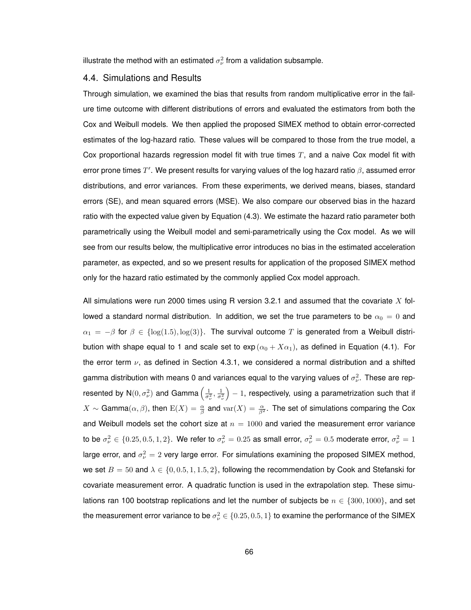illustrate the method with an estimated  $\sigma_{\nu}^2$  from a validation subsample.

## 4.4. Simulations and Results

Through simulation, we examined the bias that results from random multiplicative error in the failure time outcome with different distributions of errors and evaluated the estimators from both the Cox and Weibull models. We then applied the proposed SIMEX method to obtain error-corrected estimates of the log-hazard ratio. These values will be compared to those from the true model, a Cox proportional hazards regression model fit with true times  $T$ , and a naive Cox model fit with error prone times  $T'$ . We present results for varying values of the log hazard ratio  $\beta$ , assumed error distributions, and error variances. From these experiments, we derived means, biases, standard errors (SE), and mean squared errors (MSE). We also compare our observed bias in the hazard ratio with the expected value given by Equation (4.3). We estimate the hazard ratio parameter both parametrically using the Weibull model and semi-parametrically using the Cox model. As we will see from our results below, the multiplicative error introduces no bias in the estimated acceleration parameter, as expected, and so we present results for application of the proposed SIMEX method only for the hazard ratio estimated by the commonly applied Cox model approach.

All simulations were run 2000 times using R version 3.2.1 and assumed that the covariate X followed a standard normal distribution. In addition, we set the true parameters to be  $\alpha_0 = 0$  and  $\alpha_1 = -\beta$  for  $\beta \in \{\log(1.5), \log(3)\}.$  The survival outcome T is generated from a Weibull distribution with shape equal to 1 and scale set to exp  $(\alpha_0 + X\alpha_1)$ , as defined in Equation (4.1). For the error term  $\nu$ , as defined in Section 4.3.1, we considered a normal distribution and a shifted gamma distribution with means 0 and variances equal to the varying values of  $\sigma_{\nu}^2.$  These are represented by  $\mathsf{N}(0,\sigma_{\nu}^2)$  and Gamma  $\left(\frac{1}{\sigma_{\nu}^2},\frac{1}{\sigma_{\nu}^2}\right)$  $(-1, 1)$  respectively, using a parametrization such that if  $X\sim \mathsf{Gamma}(\alpha,\beta)$ , then  $\mathrm{E}(X)=\frac{\alpha}{\beta}$  and  $\mathrm{var}(X)=\frac{\alpha}{\beta^2}$ . The set of simulations comparing the Cox and Weibull models set the cohort size at  $n = 1000$  and varied the measurement error variance to be  $\sigma_\nu^2\in\{0.25,0.5,1,2\}.$  We refer to  $\sigma_\nu^2=0.25$  as small error,  $\sigma_\nu^2=0.5$  moderate error,  $\sigma_\nu^2=1$ large error, and  $\sigma_{\nu}^2=2$  very large error. For simulations examining the proposed SIMEX method, we set  $B = 50$  and  $\lambda \in \{0, 0.5, 1, 1.5, 2\}$ , following the recommendation by Cook and Stefanski for covariate measurement error. A quadratic function is used in the extrapolation step. These simulations ran 100 bootstrap replications and let the number of subjects be  $n \in \{300, 1000\}$ , and set the measurement error variance to be  $\sigma_{\nu}^2 \in \{0.25, 0.5, 1\}$  to examine the performance of the SIMEX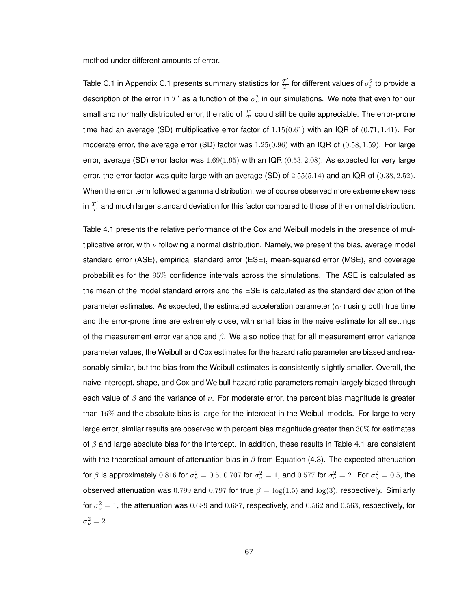method under different amounts of error.

Table C.1 in Appendix C.1 presents summary statistics for  $\frac{T'}{T}$  $\frac{T'}{T}$  for different values of  $\sigma_{\nu}^2$  to provide a description of the error in  $T'$  as a function of the  $\sigma_{\nu}^2$  in our simulations. We note that even for our small and normally distributed error, the ratio of  $\frac{T'}{T}$  $\frac{I^{\tau}}{T}$  could still be quite appreciable. The error-prone time had an average (SD) multiplicative error factor of  $1.15(0.61)$  with an IQR of  $(0.71, 1.41)$ . For moderate error, the average error (SD) factor was  $1.25(0.96)$  with an IQR of  $(0.58, 1.59)$ . For large error, average (SD) error factor was  $1.69(1.95)$  with an IQR  $(0.53, 2.08)$ . As expected for very large error, the error factor was quite large with an average (SD) of 2.55(5.14) and an IQR of (0.38, 2.52). When the error term followed a gamma distribution, we of course observed more extreme skewness in  $\frac{T'}{T}$  $\frac{I^{\prime \prime}}{T}$  and much larger standard deviation for this factor compared to those of the normal distribution.

Table 4.1 presents the relative performance of the Cox and Weibull models in the presence of multiplicative error, with  $\nu$  following a normal distribution. Namely, we present the bias, average model standard error (ASE), empirical standard error (ESE), mean-squared error (MSE), and coverage probabilities for the 95% confidence intervals across the simulations. The ASE is calculated as the mean of the model standard errors and the ESE is calculated as the standard deviation of the parameter estimates. As expected, the estimated acceleration parameter  $(\alpha_1)$  using both true time and the error-prone time are extremely close, with small bias in the naive estimate for all settings of the measurement error variance and  $\beta$ . We also notice that for all measurement error variance parameter values, the Weibull and Cox estimates for the hazard ratio parameter are biased and reasonably similar, but the bias from the Weibull estimates is consistently slightly smaller. Overall, the naive intercept, shape, and Cox and Weibull hazard ratio parameters remain largely biased through each value of  $\beta$  and the variance of  $\nu$ . For moderate error, the percent bias magnitude is greater than 16% and the absolute bias is large for the intercept in the Weibull models. For large to very large error, similar results are observed with percent bias magnitude greater than 30% for estimates of  $\beta$  and large absolute bias for the intercept. In addition, these results in Table 4.1 are consistent with the theoretical amount of attenuation bias in  $\beta$  from Equation (4.3). The expected attenuation for  $\beta$  is approximately  $0.816$  for  $\sigma_\nu^2=0.5,\,0.707$  for  $\sigma_\nu^2=1,$  and  $0.577$  for  $\sigma_\nu^2=2.$  For  $\sigma_\nu^2=0.5,$  the observed attenuation was 0.799 and 0.797 for true  $\beta = \log(1.5)$  and  $\log(3)$ , respectively. Similarly for  $\sigma_{\nu}^2=1$ , the attenuation was  $0.689$  and  $0.687$ , respectively, and  $0.562$  and  $0.563$ , respectively, for  $\sigma_{\nu}^2=2.$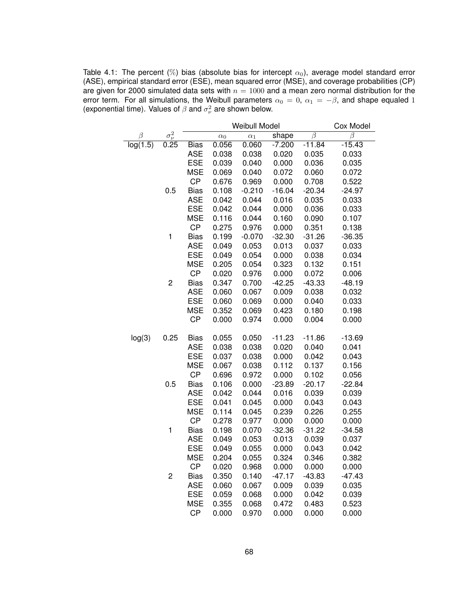Table 4.1: The percent (%) bias (absolute bias for intercept  $\alpha_0$ ), average model standard error (ASE), empirical standard error (ESE), mean squared error (MSE), and coverage probabilities (CP) are given for 2000 simulated data sets with  $n = 1000$  and a mean zero normal distribution for the error term. For all simulations, the Weibull parameters  $\alpha_0 = 0, \, \alpha_1 = -\beta,$  and shape equaled 1 (exponential time). Values of  $\beta$  and  $\sigma_{\nu}^2$  are shown below.

|          |                               |             |            | Weibull Model |          |                    | Cox Model          |
|----------|-------------------------------|-------------|------------|---------------|----------|--------------------|--------------------|
|          | $\frac{\sigma_{\nu}^2}{0.25}$ |             | $\alpha_0$ | $\alpha_1$    | shape    | $\overline{\beta}$ | $\overline{\beta}$ |
| log(1.5) |                               | <b>Bias</b> | 0.056      | 0.060         | $-7.200$ | $-11.84$           | $-15.43$           |
|          |                               | <b>ASE</b>  | 0.038      | 0.038         | 0.020    | 0.035              | 0.033              |
|          |                               | <b>ESE</b>  | 0.039      | 0.040         | 0.000    | 0.036              | 0.035              |
|          |                               | <b>MSE</b>  | 0.069      | 0.040         | 0.072    | 0.060              | 0.072              |
|          |                               | <b>CP</b>   | 0.676      | 0.969         | 0.000    | 0.708              | 0.522              |
|          | 0.5                           | <b>Bias</b> | 0.108      | $-0.210$      | $-16.04$ | $-20.34$           | $-24.97$           |
|          |                               | <b>ASE</b>  | 0.042      | 0.044         | 0.016    | 0.035              | 0.033              |
|          |                               | <b>ESE</b>  | 0.042      | 0.044         | 0.000    | 0.036              | 0.033              |
|          |                               | <b>MSE</b>  | 0.116      | 0.044         | 0.160    | 0.090              | 0.107              |
|          |                               | <b>CP</b>   | 0.275      | 0.976         | 0.000    | 0.351              | 0.138              |
|          | $\mathbf{1}$                  | <b>Bias</b> | 0.199      | $-0.070$      | $-32.30$ | $-31.26$           | $-36.35$           |
|          |                               | <b>ASE</b>  | 0.049      | 0.053         | 0.013    | 0.037              | 0.033              |
|          |                               | <b>ESE</b>  | 0.049      | 0.054         | 0.000    | 0.038              | 0.034              |
|          |                               | <b>MSE</b>  | 0.205      | 0.054         | 0.323    | 0.132              | 0.151              |
|          |                               | <b>CP</b>   | 0.020      | 0.976         | 0.000    | 0.072              | 0.006              |
|          | $\overline{c}$                | <b>Bias</b> | 0.347      | 0.700         | $-42.25$ | $-43.33$           | $-48.19$           |
|          |                               | <b>ASE</b>  | 0.060      | 0.067         | 0.009    | 0.038              | 0.032              |
|          |                               | <b>ESE</b>  | 0.060      | 0.069         | 0.000    | 0.040              | 0.033              |
|          |                               | <b>MSE</b>  | 0.352      | 0.069         | 0.423    | 0.180              | 0.198              |
|          |                               | <b>CP</b>   | 0.000      | 0.974         | 0.000    | 0.004              | 0.000              |
| log(3)   | 0.25                          | <b>Bias</b> | 0.055      | 0.050         | $-11.23$ | $-11.86$           | $-13.69$           |
|          |                               | <b>ASE</b>  | 0.038      | 0.038         | 0.020    | 0.040              | 0.041              |
|          |                               | <b>ESE</b>  | 0.037      | 0.038         | 0.000    | 0.042              | 0.043              |
|          |                               | <b>MSE</b>  | 0.067      | 0.038         | 0.112    | 0.137              | 0.156              |
|          |                               | <b>CP</b>   | 0.696      | 0.972         | 0.000    | 0.102              | 0.056              |
|          | 0.5                           | <b>Bias</b> | 0.106      | 0.000         | $-23.89$ | $-20.17$           | $-22.84$           |
|          |                               | <b>ASE</b>  | 0.042      | 0.044         | 0.016    | 0.039              | 0.039              |
|          |                               | <b>ESE</b>  | 0.041      | 0.045         | 0.000    | 0.043              | 0.043              |
|          |                               | <b>MSE</b>  | 0.114      | 0.045         | 0.239    | 0.226              | 0.255              |
|          |                               | <b>CP</b>   | 0.278      | 0.977         | 0.000    | 0.000              | 0.000              |
|          | $\mathbf{1}$                  | <b>Bias</b> | 0.198      | 0.070         | $-32.36$ | $-31.22$           | $-34.58$           |
|          |                               | <b>ASE</b>  | 0.049      | 0.053         | 0.013    | 0.039              | 0.037              |
|          |                               | <b>ESE</b>  | 0.049      | 0.055         | 0.000    | 0.043              | 0.042              |
|          |                               | <b>MSE</b>  | 0.204      | 0.055         | 0.324    | 0.346              | 0.382              |
|          |                               | CP          | 0.020      | 0.968         | 0.000    | 0.000              | 0.000              |
|          | $\overline{c}$                | <b>Bias</b> | 0.350      | 0.140         | $-47.17$ | $-43.83$           | $-47.43$           |
|          |                               | <b>ASE</b>  | 0.060      | 0.067         | 0.009    | 0.039              | 0.035              |
|          |                               | <b>ESE</b>  | 0.059      | 0.068         | 0.000    | 0.042              | 0.039              |
|          |                               | <b>MSE</b>  | 0.355      | 0.068         | 0.472    | 0.483              | 0.523              |
|          |                               | <b>CP</b>   | 0.000      | 0.970         | 0.000    | 0.000              | 0.000              |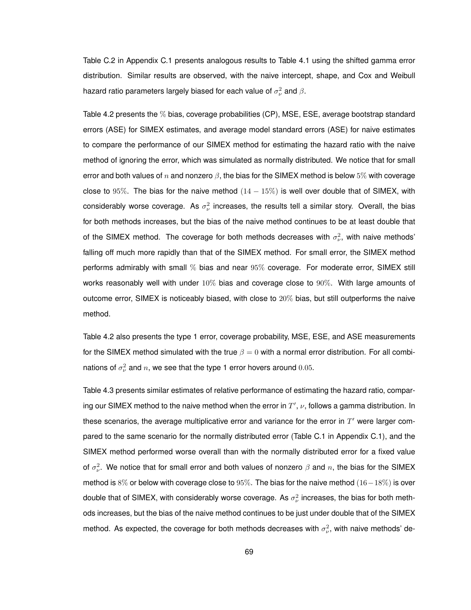Table C.2 in Appendix C.1 presents analogous results to Table 4.1 using the shifted gamma error distribution. Similar results are observed, with the naive intercept, shape, and Cox and Weibull hazard ratio parameters largely biased for each value of  $\sigma_{\nu}^2$  and  $\beta.$ 

Table 4.2 presents the % bias, coverage probabilities (CP), MSE, ESE, average bootstrap standard errors (ASE) for SIMEX estimates, and average model standard errors (ASE) for naive estimates to compare the performance of our SIMEX method for estimating the hazard ratio with the naive method of ignoring the error, which was simulated as normally distributed. We notice that for small error and both values of n and nonzero  $\beta$ , the bias for the SIMEX method is below 5% with coverage close to 95%. The bias for the naive method  $(14 - 15%)$  is well over double that of SIMEX, with considerably worse coverage. As  $\sigma_{\nu}^2$  increases, the results tell a similar story. Overall, the bias for both methods increases, but the bias of the naive method continues to be at least double that of the SIMEX method. The coverage for both methods decreases with  $\sigma_{\nu}^2$ , with naive methods' falling off much more rapidly than that of the SIMEX method. For small error, the SIMEX method performs admirably with small % bias and near 95% coverage. For moderate error, SIMEX still works reasonably well with under 10% bias and coverage close to 90%. With large amounts of outcome error, SIMEX is noticeably biased, with close to 20% bias, but still outperforms the naive method.

Table 4.2 also presents the type 1 error, coverage probability, MSE, ESE, and ASE measurements for the SIMEX method simulated with the true  $\beta = 0$  with a normal error distribution. For all combinations of  $\sigma_{\nu}^2$  and  $n$ , we see that the type 1 error hovers around 0.05.

Table 4.3 presents similar estimates of relative performance of estimating the hazard ratio, comparing our SIMEX method to the naive method when the error in  $T'$ ,  $\nu$ , follows a gamma distribution. In these scenarios, the average multiplicative error and variance for the error in  $T'$  were larger compared to the same scenario for the normally distributed error (Table C.1 in Appendix C.1), and the SIMEX method performed worse overall than with the normally distributed error for a fixed value of  $\sigma_{\nu}^2$ . We notice that for small error and both values of nonzero  $\beta$  and  $n$ , the bias for the SIMEX method is 8% or below with coverage close to 95%. The bias for the naive method  $(16-18%)$  is over double that of SIMEX, with considerably worse coverage. As  $\sigma_{\nu}^2$  increases, the bias for both methods increases, but the bias of the naive method continues to be just under double that of the SIMEX method. As expected, the coverage for both methods decreases with  $\sigma_{\nu}^2$ , with naive methods' de-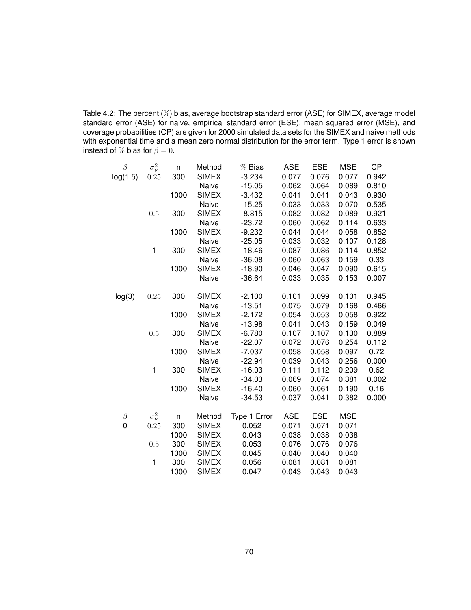Table 4.2: The percent (%) bias, average bootstrap standard error (ASE) for SIMEX, average model standard error (ASE) for naive, empirical standard error (ESE), mean squared error (MSE), and coverage probabilities (CP) are given for 2000 simulated data sets for the SIMEX and naive methods with exponential time and a mean zero normal distribution for the error term. Type 1 error is shown instead of % bias for  $\beta = 0$ .

| $\beta$        | $\frac{\sigma_{\nu}^2}{0.25}$ | n    | Method       | $%$ Bias     | <b>ASE</b> | <b>ESE</b> | <b>MSE</b> | <b>CP</b> |
|----------------|-------------------------------|------|--------------|--------------|------------|------------|------------|-----------|
| log(1.5)       |                               | 300  | <b>SIMEX</b> | $-3.234$     | 0.077      | 0.076      | 0.077      | 0.942     |
|                |                               |      | Naive        | $-15.05$     | 0.062      | 0.064      | 0.089      | 0.810     |
|                |                               | 1000 | <b>SIMEX</b> | $-3.432$     | 0.041      | 0.041      | 0.043      | 0.930     |
|                |                               |      | Naive        | $-15.25$     | 0.033      | 0.033      | 0.070      | 0.535     |
|                | 0.5                           | 300  | <b>SIMEX</b> | $-8.815$     | 0.082      | 0.082      | 0.089      | 0.921     |
|                |                               |      | Naive        | $-23.72$     | 0.060      | 0.062      | 0.114      | 0.633     |
|                |                               | 1000 | <b>SIMEX</b> | $-9.232$     | 0.044      | 0.044      | 0.058      | 0.852     |
|                |                               |      | Naive        | $-25.05$     | 0.033      | 0.032      | 0.107      | 0.128     |
|                | 1                             | 300  | <b>SIMEX</b> | $-18.46$     | 0.087      | 0.086      | 0.114      | 0.852     |
|                |                               |      | Naive        | $-36.08$     | 0.060      | 0.063      | 0.159      | 0.33      |
|                |                               | 1000 | <b>SIMEX</b> | $-18.90$     | 0.046      | 0.047      | 0.090      | 0.615     |
|                |                               |      | Naive        | $-36.64$     | 0.033      | 0.035      | 0.153      | 0.007     |
|                |                               |      |              |              |            |            |            |           |
| log(3)         | $0.25\,$                      | 300  | <b>SIMEX</b> | $-2.100$     | 0.101      | 0.099      | 0.101      | 0.945     |
|                |                               |      | Naive        | $-13.51$     | 0.075      | 0.079      | 0.168      | 0.466     |
|                |                               | 1000 | <b>SIMEX</b> | $-2.172$     | 0.054      | 0.053      | 0.058      | 0.922     |
|                |                               |      | Naive        | $-13.98$     | 0.041      | 0.043      | 0.159      | 0.049     |
|                | 0.5                           | 300  | <b>SIMEX</b> | $-6.780$     | 0.107      | 0.107      | 0.130      | 0.889     |
|                |                               |      | Naive        | $-22.07$     | 0.072      | 0.076      | 0.254      | 0.112     |
|                |                               | 1000 | <b>SIMEX</b> | $-7.037$     | 0.058      | 0.058      | 0.097      | 0.72      |
|                |                               |      | Naive        | $-22.94$     | 0.039      | 0.043      | 0.256      | 0.000     |
|                | 1                             | 300  | <b>SIMEX</b> | $-16.03$     | 0.111      | 0.112      | 0.209      | 0.62      |
|                |                               |      | Naive        | $-34.03$     | 0.069      | 0.074      | 0.381      | 0.002     |
|                |                               | 1000 | <b>SIMEX</b> | $-16.40$     | 0.060      | 0.061      | 0.190      | 0.16      |
|                |                               |      | Naive        | $-34.53$     | 0.037      | 0.041      | 0.382      | 0.000     |
|                |                               |      |              |              |            |            |            |           |
| $\beta$        | $\sigma_{\nu}^2$              | n    | Method       | Type 1 Error | <b>ASE</b> | <b>ESE</b> | <b>MSE</b> |           |
| $\overline{0}$ | 0.25                          | 300  | <b>SIMEX</b> | 0.052        | 0.071      | 0.071      | 0.071      |           |
|                |                               | 1000 | <b>SIMEX</b> | 0.043        | 0.038      | 0.038      | 0.038      |           |
|                | $0.5\,$                       | 300  | <b>SIMEX</b> | 0.053        | 0.076      | 0.076      | 0.076      |           |
|                |                               | 1000 | <b>SIMEX</b> | 0.045        | 0.040      | 0.040      | 0.040      |           |
|                | 1                             | 300  | <b>SIMEX</b> | 0.056        | 0.081      | 0.081      | 0.081      |           |
|                |                               | 1000 | <b>SIMEX</b> | 0.047        | 0.043      | 0.043      | 0.043      |           |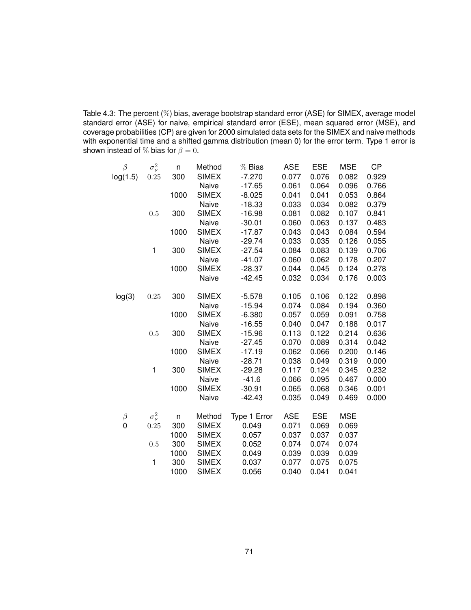Table 4.3: The percent (%) bias, average bootstrap standard error (ASE) for SIMEX, average model standard error (ASE) for naive, empirical standard error (ESE), mean squared error (MSE), and coverage probabilities (CP) are given for 2000 simulated data sets for the SIMEX and naive methods with exponential time and a shifted gamma distribution (mean 0) for the error term. Type 1 error is shown instead of % bias for  $\beta = 0$ .

| $\beta$        | $\frac{\sigma_{\nu}^2}{0.25}$ | n    | Method       | $%$ Bias     | <b>ASE</b> | <b>ESE</b> | <b>MSE</b> | <b>CP</b> |
|----------------|-------------------------------|------|--------------|--------------|------------|------------|------------|-----------|
| log(1.5)       |                               | 300  | <b>SIMEX</b> | $-7.270$     | 0.077      | 0.076      | 0.082      | 0.929     |
|                |                               |      | Naive        | $-17.65$     | 0.061      | 0.064      | 0.096      | 0.766     |
|                |                               | 1000 | <b>SIMEX</b> | $-8.025$     | 0.041      | 0.041      | 0.053      | 0.864     |
|                |                               |      | Naive        | $-18.33$     | 0.033      | 0.034      | 0.082      | 0.379     |
|                | 0.5                           | 300  | <b>SIMEX</b> | $-16.98$     | 0.081      | 0.082      | 0.107      | 0.841     |
|                |                               |      | Naive        | $-30.01$     | 0.060      | 0.063      | 0.137      | 0.483     |
|                |                               | 1000 | <b>SIMEX</b> | $-17.87$     | 0.043      | 0.043      | 0.084      | 0.594     |
|                |                               |      | Naive        | $-29.74$     | 0.033      | 0.035      | 0.126      | 0.055     |
|                | $\mathbf{1}$                  | 300  | <b>SIMEX</b> | $-27.54$     | 0.084      | 0.083      | 0.139      | 0.706     |
|                |                               |      | Naive        | $-41.07$     | 0.060      | 0.062      | 0.178      | 0.207     |
|                |                               | 1000 | <b>SIMEX</b> | $-28.37$     | 0.044      | 0.045      | 0.124      | 0.278     |
|                |                               |      | Naive        | $-42.45$     | 0.032      | 0.034      | 0.176      | 0.003     |
|                |                               |      |              |              |            |            |            |           |
| log(3)         | 0.25                          | 300  | <b>SIMEX</b> | $-5.578$     | 0.105      | 0.106      | 0.122      | 0.898     |
|                |                               |      | Naive        | $-15.94$     | 0.074      | 0.084      | 0.194      | 0.360     |
|                |                               | 1000 | <b>SIMEX</b> | $-6.380$     | 0.057      | 0.059      | 0.091      | 0.758     |
|                |                               |      | Naive        | $-16.55$     | 0.040      | 0.047      | 0.188      | 0.017     |
|                | 0.5                           | 300  | SIMEX        | $-15.96$     | 0.113      | 0.122      | 0.214      | 0.636     |
|                |                               |      | Naive        | $-27.45$     | 0.070      | 0.089      | 0.314      | 0.042     |
|                |                               | 1000 | <b>SIMEX</b> | $-17.19$     | 0.062      | 0.066      | 0.200      | 0.146     |
|                |                               |      | Naive        | $-28.71$     | 0.038      | 0.049      | 0.319      | 0.000     |
|                | $\mathbf{1}$                  | 300  | <b>SIMEX</b> | $-29.28$     | 0.117      | 0.124      | 0.345      | 0.232     |
|                |                               |      | Naive        | $-41.6$      | 0.066      | 0.095      | 0.467      | 0.000     |
|                |                               | 1000 | <b>SIMEX</b> | $-30.91$     | 0.065      | 0.068      | 0.346      | 0.001     |
|                |                               |      | Naive        | $-42.43$     | 0.035      | 0.049      | 0.469      | 0.000     |
|                |                               |      |              |              |            |            |            |           |
| $\beta$        | $\frac{\sigma_{\nu}^2}{0.25}$ | n    | Method       | Type 1 Error | <b>ASE</b> | <b>ESE</b> | <b>MSE</b> |           |
| $\overline{0}$ |                               | 300  | <b>SIMEX</b> | 0.049        | 0.071      | 0.069      | 0.069      |           |
|                |                               | 1000 | <b>SIMEX</b> | 0.057        | 0.037      | 0.037      | 0.037      |           |
|                | 0.5                           | 300  | <b>SIMEX</b> | 0.052        | 0.074      | 0.074      | 0.074      |           |
|                |                               | 1000 | <b>SIMEX</b> | 0.049        | 0.039      | 0.039      | 0.039      |           |
|                | $\mathbf{1}$                  | 300  | <b>SIMEX</b> | 0.037        | 0.077      | 0.075      | 0.075      |           |
|                |                               | 1000 | <b>SIMEX</b> | 0.056        | 0.040      | 0.041      | 0.041      |           |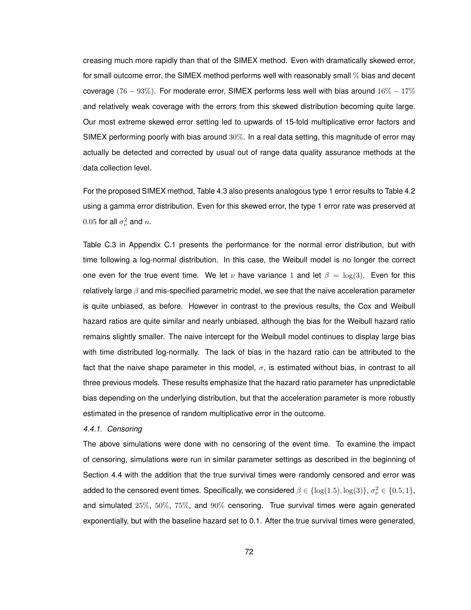creasing much more rapidly than that of the SIMEX method. Even with dramatically skewed error, for small outcome error, the SIMEX method performs well with reasonably small % bias and decent coverage (76 – 93%). For moderate error, SIMEX performs less well with bias around  $16\% - 17\%$ and relatively weak coverage with the errors from this skewed distribution becoming quite large. Our most extreme skewed error setting led to upwards of 15-fold multiplicative error factors and SIMEX performing poorly with bias around 30%. In a real data setting, this magnitude of error may actually be detected and corrected by usual out of range data quality assurance methods at the data collection level.

For the proposed SIMEX method, Table 4.3 also presents analogous type 1 error results to Table 4.2 using a gamma error distribution. Even for this skewed error, the type 1 error rate was preserved at  $0.05$  for all  $\sigma_{\nu}^2$  and  $n$ .

Table C.3 in Appendix C.1 presents the performance for the normal error distribution, but with time following a log-normal distribution. In this case, the Weibull model is no longer the correct one even for the true event time. We let  $\nu$  have variance 1 and let  $\beta = \log(3)$ . Even for this relatively large  $\beta$  and mis-specified parametric model, we see that the naive acceleration parameter is quite unbiased, as before. However in contrast to the previous results, the Cox and Weibull hazard ratios are quite similar and nearly unbiased, although the bias for the Weibull hazard ratio remains slightly smaller. The naive intercept for the Weibull model continues to display large bias with time distributed log-normally. The lack of bias in the hazard ratio can be attributed to the fact that the naive shape parameter in this model,  $\sigma$ , is estimated without bias, in contrast to all three previous models. These results emphasize that the hazard ratio parameter has unpredictable bias depending on the underlying distribution, but that the acceleration parameter is more robustly estimated in the presence of random multiplicative error in the outcome.

#### *4.4.1. Censoring*

The above simulations were done with no censoring of the event time. To examine the impact of censoring, simulations were run in similar parameter settings as described in the beginning of Section 4.4 with the addition that the true survival times were randomly censored and error was added to the censored event times. Specifically, we considered  $\beta \in \{\log(1.5), \log(3)\}, \, \sigma_\nu^2 \in \{0.5, 1\},$ and simulated 25%, 50%, 75%, and 90% censoring. True survival times were again generated exponentially, but with the baseline hazard set to 0.1. After the true survival times were generated,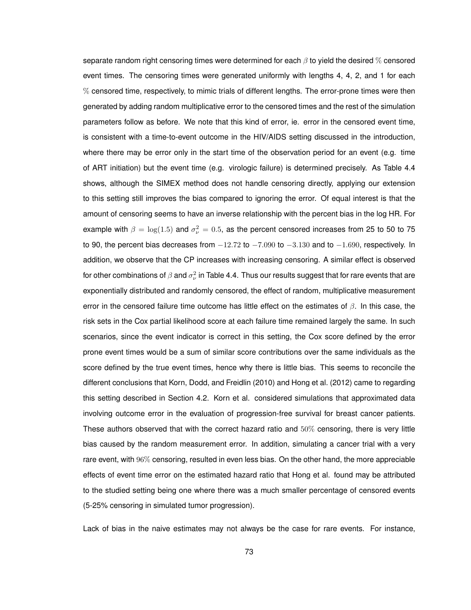separate random right censoring times were determined for each  $\beta$  to yield the desired % censored event times. The censoring times were generated uniformly with lengths 4, 4, 2, and 1 for each % censored time, respectively, to mimic trials of different lengths. The error-prone times were then generated by adding random multiplicative error to the censored times and the rest of the simulation parameters follow as before. We note that this kind of error, ie. error in the censored event time, is consistent with a time-to-event outcome in the HIV/AIDS setting discussed in the introduction, where there may be error only in the start time of the observation period for an event (e.g. time of ART initiation) but the event time (e.g. virologic failure) is determined precisely. As Table 4.4 shows, although the SIMEX method does not handle censoring directly, applying our extension to this setting still improves the bias compared to ignoring the error. Of equal interest is that the amount of censoring seems to have an inverse relationship with the percent bias in the log HR. For example with  $\beta = \log(1.5)$  and  $\sigma_{\nu}^2 = 0.5$ , as the percent censored increases from 25 to 50 to 75 to 90, the percent bias decreases from  $-12.72$  to  $-7.090$  to  $-3.130$  and to  $-1.690$ , respectively. In addition, we observe that the CP increases with increasing censoring. A similar effect is observed for other combinations of  $\beta$  and  $\sigma_\nu^2$  in Table 4.4. Thus our results suggest that for rare events that are exponentially distributed and randomly censored, the effect of random, multiplicative measurement error in the censored failure time outcome has little effect on the estimates of  $\beta$ . In this case, the risk sets in the Cox partial likelihood score at each failure time remained largely the same. In such scenarios, since the event indicator is correct in this setting, the Cox score defined by the error prone event times would be a sum of similar score contributions over the same individuals as the score defined by the true event times, hence why there is little bias. This seems to reconcile the different conclusions that Korn, Dodd, and Freidlin (2010) and Hong et al. (2012) came to regarding this setting described in Section 4.2. Korn et al. considered simulations that approximated data involving outcome error in the evaluation of progression-free survival for breast cancer patients. These authors observed that with the correct hazard ratio and 50% censoring, there is very little bias caused by the random measurement error. In addition, simulating a cancer trial with a very rare event, with 96% censoring, resulted in even less bias. On the other hand, the more appreciable effects of event time error on the estimated hazard ratio that Hong et al. found may be attributed to the studied setting being one where there was a much smaller percentage of censored events (5-25% censoring in simulated tumor progression).

Lack of bias in the naive estimates may not always be the case for rare events. For instance,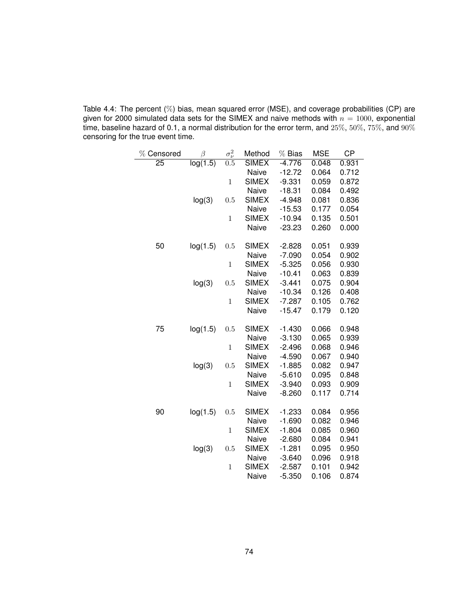Table 4.4: The percent (%) bias, mean squared error (MSE), and coverage probabilities (CP) are given for 2000 simulated data sets for the SIMEX and naive methods with  $n = 1000$ , exponential time, baseline hazard of 0.1, a normal distribution for the error term, and 25%, 50%, 75%, and 90% censoring for the true event time.

| % Censored      | $\beta$  | $\sigma_{\nu}^2$ | Method       | $%$ Bias | <b>MSE</b> | <b>CP</b> |
|-----------------|----------|------------------|--------------|----------|------------|-----------|
| $\overline{25}$ | log(1.5) | $\overline{0.5}$ | <b>SIMEX</b> | $-4.776$ | 0.048      | 0.931     |
|                 |          |                  | Naive        | $-12.72$ | 0.064      | 0.712     |
|                 |          | $\mathbf{1}$     | <b>SIMEX</b> | $-9.331$ | 0.059      | 0.872     |
|                 |          |                  | Naive        | $-18.31$ | 0.084      | 0.492     |
|                 | log(3)   | 0.5              | <b>SIMEX</b> | $-4.948$ | 0.081      | 0.836     |
|                 |          |                  | Naive        | $-15.53$ | 0.177      | 0.054     |
|                 |          | $\mathbf{1}$     | <b>SIMEX</b> | $-10.94$ | 0.135      | 0.501     |
|                 |          |                  | Naive        | $-23.23$ | 0.260      | 0.000     |
| 50              | log(1.5) | 0.5              | <b>SIMEX</b> | $-2.828$ | 0.051      | 0.939     |
|                 |          |                  | Naive        | $-7.090$ | 0.054      | 0.902     |
|                 |          | $\mathbf{1}$     | <b>SIMEX</b> | $-5.325$ | 0.056      | 0.930     |
|                 |          |                  | Naive        | $-10.41$ | 0.063      | 0.839     |
|                 | log(3)   | 0.5              | <b>SIMEX</b> | $-3.441$ | 0.075      | 0.904     |
|                 |          |                  | Naive        | $-10.34$ | 0.126      | 0.408     |
|                 |          | $\mathbf{1}$     | <b>SIMEX</b> | $-7.287$ | 0.105      | 0.762     |
|                 |          |                  | Naive        | $-15.47$ | 0.179      | 0.120     |
| 75              | log(1.5) | 0.5              | <b>SIMEX</b> | $-1.430$ | 0.066      | 0.948     |
|                 |          |                  | Naive        | $-3.130$ | 0.065      | 0.939     |
|                 |          | $\mathbf{1}$     | <b>SIMEX</b> | $-2.496$ | 0.068      | 0.946     |
|                 |          |                  | Naive        | $-4.590$ | 0.067      | 0.940     |
|                 | log(3)   | 0.5              | <b>SIMEX</b> | $-1.885$ | 0.082      | 0.947     |
|                 |          |                  | Naive        | $-5.610$ | 0.095      | 0.848     |
|                 |          | $\overline{1}$   | <b>SIMEX</b> | $-3.940$ | 0.093      | 0.909     |
|                 |          |                  | Naive        | $-8.260$ | 0.117      | 0.714     |
| 90              | log(1.5) | 0.5              | <b>SIMEX</b> | $-1.233$ | 0.084      | 0.956     |
|                 |          |                  | Naive        | $-1.690$ | 0.082      | 0.946     |
|                 |          | $\mathbf{1}$     | <b>SIMEX</b> | $-1.804$ | 0.085      | 0.960     |
|                 |          |                  | Naive        | $-2.680$ | 0.084      | 0.941     |
|                 | log(3)   | 0.5              | <b>SIMEX</b> | $-1.281$ | 0.095      | 0.950     |
|                 |          |                  | Naive        | $-3.640$ | 0.096      | 0.918     |
|                 |          | $\overline{1}$   | <b>SIMEX</b> | $-2.587$ | 0.101      | 0.942     |
|                 |          |                  | Naive        | $-5.350$ | 0.106      | 0.874     |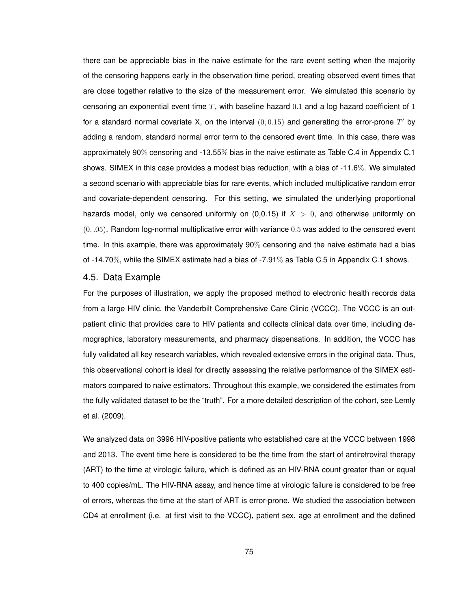there can be appreciable bias in the naive estimate for the rare event setting when the majority of the censoring happens early in the observation time period, creating observed event times that are close together relative to the size of the measurement error. We simulated this scenario by censoring an exponential event time  $T$ , with baseline hazard 0.1 and a log hazard coefficient of 1 for a standard normal covariate X, on the interval  $(0, 0.15)$  and generating the error-prone  $T'$  by adding a random, standard normal error term to the censored event time. In this case, there was approximately 90% censoring and -13.55% bias in the naive estimate as Table C.4 in Appendix C.1 shows. SIMEX in this case provides a modest bias reduction, with a bias of -11.6%. We simulated a second scenario with appreciable bias for rare events, which included multiplicative random error and covariate-dependent censoring. For this setting, we simulated the underlying proportional hazards model, only we censored uniformly on (0,0.15) if  $X > 0$ , and otherwise uniformly on  $(0, .05)$ . Random log-normal multiplicative error with variance 0.5 was added to the censored event time. In this example, there was approximately 90% censoring and the naive estimate had a bias of -14.70%, while the SIMEX estimate had a bias of -7.91% as Table C.5 in Appendix C.1 shows.

#### 4.5. Data Example

For the purposes of illustration, we apply the proposed method to electronic health records data from a large HIV clinic, the Vanderbilt Comprehensive Care Clinic (VCCC). The VCCC is an outpatient clinic that provides care to HIV patients and collects clinical data over time, including demographics, laboratory measurements, and pharmacy dispensations. In addition, the VCCC has fully validated all key research variables, which revealed extensive errors in the original data. Thus, this observational cohort is ideal for directly assessing the relative performance of the SIMEX estimators compared to naive estimators. Throughout this example, we considered the estimates from the fully validated dataset to be the "truth". For a more detailed description of the cohort, see Lemly et al. (2009).

We analyzed data on 3996 HIV-positive patients who established care at the VCCC between 1998 and 2013. The event time here is considered to be the time from the start of antiretroviral therapy (ART) to the time at virologic failure, which is defined as an HIV-RNA count greater than or equal to 400 copies/mL. The HIV-RNA assay, and hence time at virologic failure is considered to be free of errors, whereas the time at the start of ART is error-prone. We studied the association between CD4 at enrollment (i.e. at first visit to the VCCC), patient sex, age at enrollment and the defined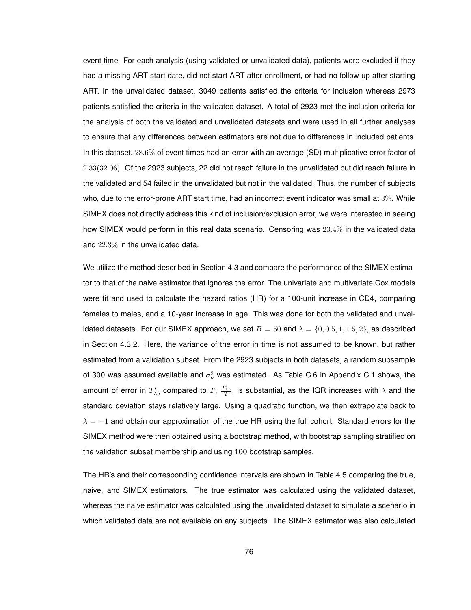event time. For each analysis (using validated or unvalidated data), patients were excluded if they had a missing ART start date, did not start ART after enrollment, or had no follow-up after starting ART. In the unvalidated dataset, 3049 patients satisfied the criteria for inclusion whereas 2973 patients satisfied the criteria in the validated dataset. A total of 2923 met the inclusion criteria for the analysis of both the validated and unvalidated datasets and were used in all further analyses to ensure that any differences between estimators are not due to differences in included patients. In this dataset, 28.6% of event times had an error with an average (SD) multiplicative error factor of 2.33(32.06). Of the 2923 subjects, 22 did not reach failure in the unvalidated but did reach failure in the validated and 54 failed in the unvalidated but not in the validated. Thus, the number of subjects who, due to the error-prone ART start time, had an incorrect event indicator was small at 3%. While SIMEX does not directly address this kind of inclusion/exclusion error, we were interested in seeing how SIMEX would perform in this real data scenario. Censoring was 23.4% in the validated data and 22.3% in the unvalidated data.

We utilize the method described in Section 4.3 and compare the performance of the SIMEX estimator to that of the naive estimator that ignores the error. The univariate and multivariate Cox models were fit and used to calculate the hazard ratios (HR) for a 100-unit increase in CD4, comparing females to males, and a 10-year increase in age. This was done for both the validated and unvalidated datasets. For our SIMEX approach, we set  $B = 50$  and  $\lambda = \{0, 0.5, 1, 1.5, 2\}$ , as described in Section 4.3.2. Here, the variance of the error in time is not assumed to be known, but rather estimated from a validation subset. From the 2923 subjects in both datasets, a random subsample of 300 was assumed available and  $\sigma_{\nu}^2$  was estimated. As Table C.6 in Appendix C.1 shows, the amount of error in  $T'_{\lambda b}$  compared to  $T,~\frac{T'_{\lambda b}}{T},$  is substantial, as the IQR increases with  $\lambda$  and the standard deviation stays relatively large. Using a quadratic function, we then extrapolate back to  $\lambda = -1$  and obtain our approximation of the true HR using the full cohort. Standard errors for the SIMEX method were then obtained using a bootstrap method, with bootstrap sampling stratified on the validation subset membership and using 100 bootstrap samples.

The HR's and their corresponding confidence intervals are shown in Table 4.5 comparing the true, naive, and SIMEX estimators. The true estimator was calculated using the validated dataset, whereas the naive estimator was calculated using the unvalidated dataset to simulate a scenario in which validated data are not available on any subjects. The SIMEX estimator was also calculated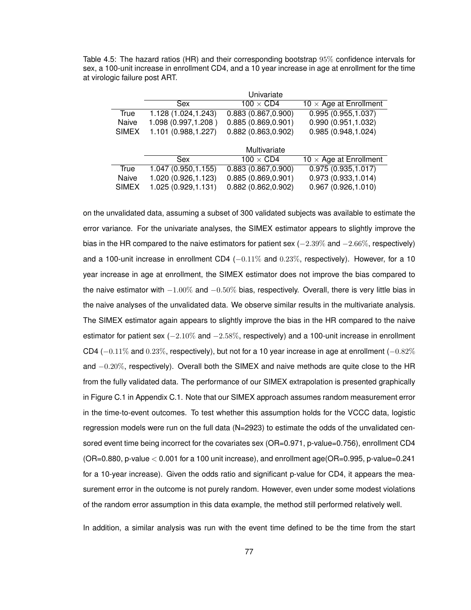Table 4.5: The hazard ratios (HR) and their corresponding bootstrap 95% confidence intervals for sex, a 100-unit increase in enrollment CD4, and a 10 year increase in age at enrollment for the time at virologic failure post ART.

|              |                      | Univariate          |                               |
|--------------|----------------------|---------------------|-------------------------------|
|              | Sex                  | 100 $\times$ CD4.   | 10 $\times$ Age at Enrollment |
| True         | 1.128(1.024, 1.243)  | 0.883(0.867, 0.900) | 0.995(0.955, 1.037)           |
| Naive        | 1.098 (0.997,1.208)  | 0.885(0.869, 0.901) | 0.990(0.951, 1.032)           |
| <b>SIMEX</b> | 1.101 (0.988, 1.227) | 0.882(0.863, 0.902) | 0.985 (0.948,1.024)           |
|              |                      |                     |                               |
|              |                      | Multivariate        |                               |
|              |                      |                     |                               |
|              | <b>Sex</b>           | 100 $\times$ CD4    | 10 $\times$ Age at Enrollment |
| <b>True</b>  | 1.047 (0.950,1.155)  | 0.883(0.867, 0.900) | 0.975(0.935, 1.017)           |
| Naive        | 1.020 (0.926,1.123)  | 0.885(0.869, 0.901) | 0.973(0.933, 1.014)           |

on the unvalidated data, assuming a subset of 300 validated subjects was available to estimate the error variance. For the univariate analyses, the SIMEX estimator appears to slightly improve the bias in the HR compared to the naive estimators for patient sex  $(-2.39\%$  and  $-2.66\%$ , respectively) and a 100-unit increase in enrollment CD4  $(-0.11\%$  and  $0.23\%$ , respectively). However, for a 10 year increase in age at enrollment, the SIMEX estimator does not improve the bias compared to the naive estimator with  $-1.00\%$  and  $-0.50\%$  bias, respectively. Overall, there is very little bias in the naive analyses of the unvalidated data. We observe similar results in the multivariate analysis. The SIMEX estimator again appears to slightly improve the bias in the HR compared to the naive estimator for patient sex (−2.10% and −2.58%, respectively) and a 100-unit increase in enrollment CD4 ( $-0.11\%$  and  $0.23\%$ , respectively), but not for a 10 year increase in age at enrollment ( $-0.82\%$ and −0.20%, respectively). Overall both the SIMEX and naive methods are quite close to the HR from the fully validated data. The performance of our SIMEX extrapolation is presented graphically in Figure C.1 in Appendix C.1. Note that our SIMEX approach assumes random measurement error in the time-to-event outcomes. To test whether this assumption holds for the VCCC data, logistic regression models were run on the full data (N=2923) to estimate the odds of the unvalidated censored event time being incorrect for the covariates sex (OR=0.971, p-value=0.756), enrollment CD4 (OR=0.880, p-value < 0.001 for a 100 unit increase), and enrollment age(OR=0.995, p-value=0.241 for a 10-year increase). Given the odds ratio and significant p-value for CD4, it appears the measurement error in the outcome is not purely random. However, even under some modest violations of the random error assumption in this data example, the method still performed relatively well.

In addition, a similar analysis was run with the event time defined to be the time from the start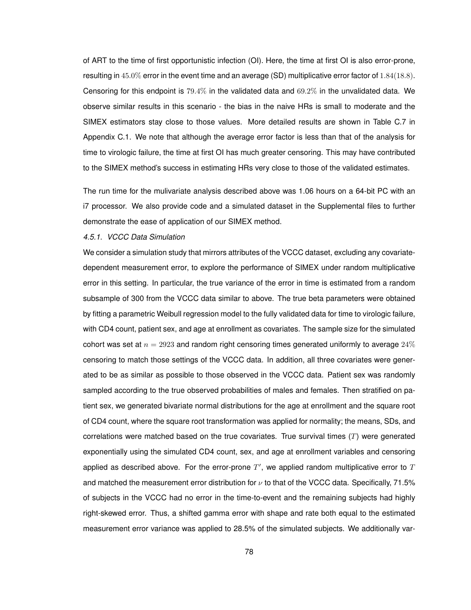of ART to the time of first opportunistic infection (OI). Here, the time at first OI is also error-prone, resulting in 45.0% error in the event time and an average (SD) multiplicative error factor of 1.84(18.8). Censoring for this endpoint is  $79.4\%$  in the validated data and  $69.2\%$  in the unvalidated data. We observe similar results in this scenario - the bias in the naive HRs is small to moderate and the SIMEX estimators stay close to those values. More detailed results are shown in Table C.7 in Appendix C.1. We note that although the average error factor is less than that of the analysis for time to virologic failure, the time at first OI has much greater censoring. This may have contributed to the SIMEX method's success in estimating HRs very close to those of the validated estimates.

The run time for the mulivariate analysis described above was 1.06 hours on a 64-bit PC with an i7 processor. We also provide code and a simulated dataset in the Supplemental files to further demonstrate the ease of application of our SIMEX method.

#### *4.5.1. VCCC Data Simulation*

We consider a simulation study that mirrors attributes of the VCCC dataset, excluding any covariatedependent measurement error, to explore the performance of SIMEX under random multiplicative error in this setting. In particular, the true variance of the error in time is estimated from a random subsample of 300 from the VCCC data similar to above. The true beta parameters were obtained by fitting a parametric Weibull regression model to the fully validated data for time to virologic failure, with CD4 count, patient sex, and age at enrollment as covariates. The sample size for the simulated cohort was set at  $n = 2923$  and random right censoring times generated uniformly to average  $24\%$ censoring to match those settings of the VCCC data. In addition, all three covariates were generated to be as similar as possible to those observed in the VCCC data. Patient sex was randomly sampled according to the true observed probabilities of males and females. Then stratified on patient sex, we generated bivariate normal distributions for the age at enrollment and the square root of CD4 count, where the square root transformation was applied for normality; the means, SDs, and correlations were matched based on the true covariates. True survival times  $(T)$  were generated exponentially using the simulated CD4 count, sex, and age at enrollment variables and censoring applied as described above. For the error-prone  $T'$ , we applied random multiplicative error to  $T$ and matched the measurement error distribution for  $\nu$  to that of the VCCC data. Specifically, 71.5% of subjects in the VCCC had no error in the time-to-event and the remaining subjects had highly right-skewed error. Thus, a shifted gamma error with shape and rate both equal to the estimated measurement error variance was applied to 28.5% of the simulated subjects. We additionally var-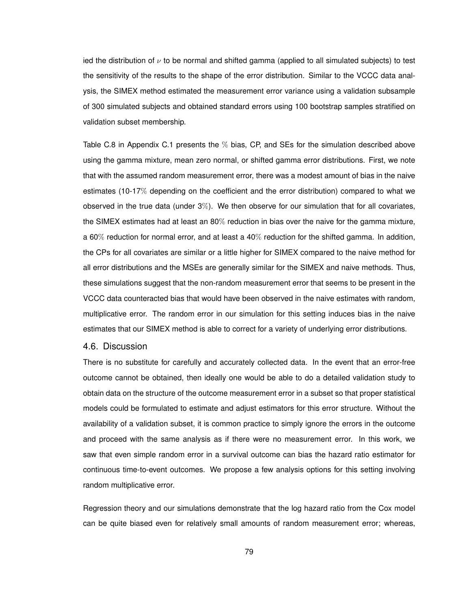ied the distribution of  $\nu$  to be normal and shifted gamma (applied to all simulated subjects) to test the sensitivity of the results to the shape of the error distribution. Similar to the VCCC data analysis, the SIMEX method estimated the measurement error variance using a validation subsample of 300 simulated subjects and obtained standard errors using 100 bootstrap samples stratified on validation subset membership.

Table C.8 in Appendix C.1 presents the  $\%$  bias, CP, and SEs for the simulation described above using the gamma mixture, mean zero normal, or shifted gamma error distributions. First, we note that with the assumed random measurement error, there was a modest amount of bias in the naive estimates (10-17% depending on the coefficient and the error distribution) compared to what we observed in the true data (under 3%). We then observe for our simulation that for all covariates, the SIMEX estimates had at least an 80% reduction in bias over the naive for the gamma mixture, a 60% reduction for normal error, and at least a 40% reduction for the shifted gamma. In addition, the CPs for all covariates are similar or a little higher for SIMEX compared to the naive method for all error distributions and the MSEs are generally similar for the SIMEX and naive methods. Thus, these simulations suggest that the non-random measurement error that seems to be present in the VCCC data counteracted bias that would have been observed in the naive estimates with random, multiplicative error. The random error in our simulation for this setting induces bias in the naive estimates that our SIMEX method is able to correct for a variety of underlying error distributions.

## 4.6. Discussion

There is no substitute for carefully and accurately collected data. In the event that an error-free outcome cannot be obtained, then ideally one would be able to do a detailed validation study to obtain data on the structure of the outcome measurement error in a subset so that proper statistical models could be formulated to estimate and adjust estimators for this error structure. Without the availability of a validation subset, it is common practice to simply ignore the errors in the outcome and proceed with the same analysis as if there were no measurement error. In this work, we saw that even simple random error in a survival outcome can bias the hazard ratio estimator for continuous time-to-event outcomes. We propose a few analysis options for this setting involving random multiplicative error.

Regression theory and our simulations demonstrate that the log hazard ratio from the Cox model can be quite biased even for relatively small amounts of random measurement error; whereas,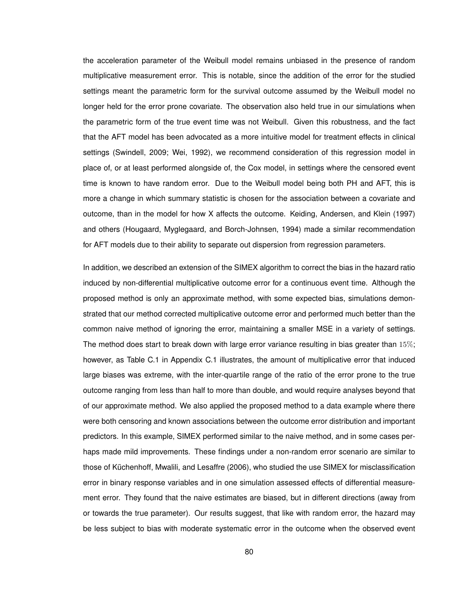the acceleration parameter of the Weibull model remains unbiased in the presence of random multiplicative measurement error. This is notable, since the addition of the error for the studied settings meant the parametric form for the survival outcome assumed by the Weibull model no longer held for the error prone covariate. The observation also held true in our simulations when the parametric form of the true event time was not Weibull. Given this robustness, and the fact that the AFT model has been advocated as a more intuitive model for treatment effects in clinical settings (Swindell, 2009; Wei, 1992), we recommend consideration of this regression model in place of, or at least performed alongside of, the Cox model, in settings where the censored event time is known to have random error. Due to the Weibull model being both PH and AFT, this is more a change in which summary statistic is chosen for the association between a covariate and outcome, than in the model for how X affects the outcome. Keiding, Andersen, and Klein (1997) and others (Hougaard, Myglegaard, and Borch-Johnsen, 1994) made a similar recommendation for AFT models due to their ability to separate out dispersion from regression parameters.

In addition, we described an extension of the SIMEX algorithm to correct the bias in the hazard ratio induced by non-differential multiplicative outcome error for a continuous event time. Although the proposed method is only an approximate method, with some expected bias, simulations demonstrated that our method corrected multiplicative outcome error and performed much better than the common naive method of ignoring the error, maintaining a smaller MSE in a variety of settings. The method does start to break down with large error variance resulting in bias greater than 15%; however, as Table C.1 in Appendix C.1 illustrates, the amount of multiplicative error that induced large biases was extreme, with the inter-quartile range of the ratio of the error prone to the true outcome ranging from less than half to more than double, and would require analyses beyond that of our approximate method. We also applied the proposed method to a data example where there were both censoring and known associations between the outcome error distribution and important predictors. In this example, SIMEX performed similar to the naive method, and in some cases perhaps made mild improvements. These findings under a non-random error scenario are similar to those of Kuchenhoff, Mwalili, and Lesaffre (2006), who studied the use SIMEX for misclassification ¨ error in binary response variables and in one simulation assessed effects of differential measurement error. They found that the naive estimates are biased, but in different directions (away from or towards the true parameter). Our results suggest, that like with random error, the hazard may be less subject to bias with moderate systematic error in the outcome when the observed event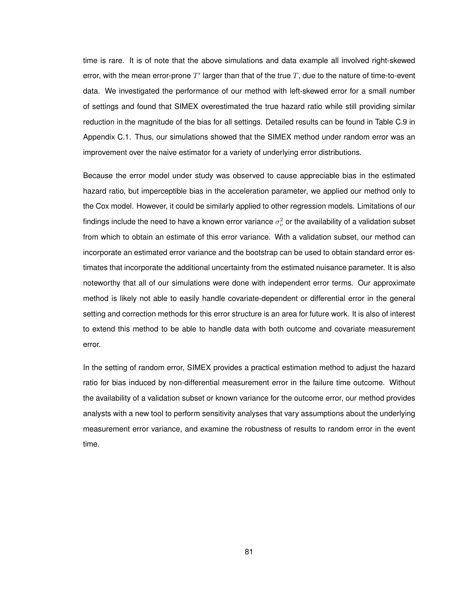time is rare. It is of note that the above simulations and data example all involved right-skewed error, with the mean error-prone  $T'$  larger than that of the true  $T$ , due to the nature of time-to-event data. We investigated the performance of our method with left-skewed error for a small number of settings and found that SIMEX overestimated the true hazard ratio while still providing similar reduction in the magnitude of the bias for all settings. Detailed results can be found in Table C.9 in Appendix C.1. Thus, our simulations showed that the SIMEX method under random error was an improvement over the naive estimator for a variety of underlying error distributions.

Because the error model under study was observed to cause appreciable bias in the estimated hazard ratio, but imperceptible bias in the acceleration parameter, we applied our method only to the Cox model. However, it could be similarly applied to other regression models. Limitations of our findings include the need to have a known error variance  $\sigma_{\nu}^2$  or the availability of a validation subset from which to obtain an estimate of this error variance. With a validation subset, our method can incorporate an estimated error variance and the bootstrap can be used to obtain standard error estimates that incorporate the additional uncertainty from the estimated nuisance parameter. It is also noteworthy that all of our simulations were done with independent error terms. Our approximate method is likely not able to easily handle covariate-dependent or differential error in the general setting and correction methods for this error structure is an area for future work. It is also of interest to extend this method to be able to handle data with both outcome and covariate measurement error.

In the setting of random error, SIMEX provides a practical estimation method to adjust the hazard ratio for bias induced by non-differential measurement error in the failure time outcome. Without the availability of a validation subset or known variance for the outcome error, our method provides analysts with a new tool to perform sensitivity analyses that vary assumptions about the underlying measurement error variance, and examine the robustness of results to random error in the event time.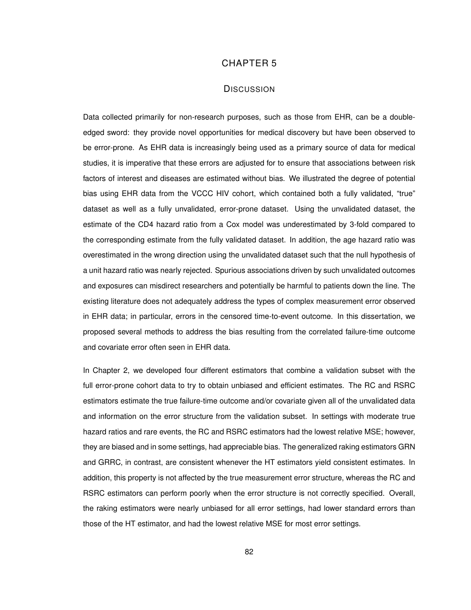# CHAPTER 5

## **DISCUSSION**

Data collected primarily for non-research purposes, such as those from EHR, can be a doubleedged sword: they provide novel opportunities for medical discovery but have been observed to be error-prone. As EHR data is increasingly being used as a primary source of data for medical studies, it is imperative that these errors are adjusted for to ensure that associations between risk factors of interest and diseases are estimated without bias. We illustrated the degree of potential bias using EHR data from the VCCC HIV cohort, which contained both a fully validated, "true" dataset as well as a fully unvalidated, error-prone dataset. Using the unvalidated dataset, the estimate of the CD4 hazard ratio from a Cox model was underestimated by 3-fold compared to the corresponding estimate from the fully validated dataset. In addition, the age hazard ratio was overestimated in the wrong direction using the unvalidated dataset such that the null hypothesis of a unit hazard ratio was nearly rejected. Spurious associations driven by such unvalidated outcomes and exposures can misdirect researchers and potentially be harmful to patients down the line. The existing literature does not adequately address the types of complex measurement error observed in EHR data; in particular, errors in the censored time-to-event outcome. In this dissertation, we proposed several methods to address the bias resulting from the correlated failure-time outcome and covariate error often seen in EHR data.

In Chapter 2, we developed four different estimators that combine a validation subset with the full error-prone cohort data to try to obtain unbiased and efficient estimates. The RC and RSRC estimators estimate the true failure-time outcome and/or covariate given all of the unvalidated data and information on the error structure from the validation subset. In settings with moderate true hazard ratios and rare events, the RC and RSRC estimators had the lowest relative MSE; however, they are biased and in some settings, had appreciable bias. The generalized raking estimators GRN and GRRC, in contrast, are consistent whenever the HT estimators yield consistent estimates. In addition, this property is not affected by the true measurement error structure, whereas the RC and RSRC estimators can perform poorly when the error structure is not correctly specified. Overall, the raking estimators were nearly unbiased for all error settings, had lower standard errors than those of the HT estimator, and had the lowest relative MSE for most error settings.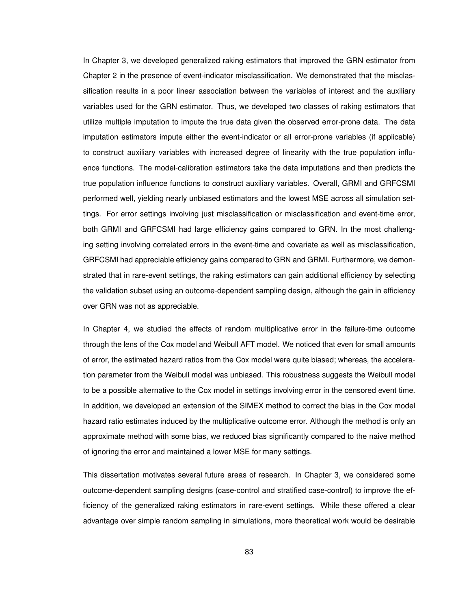In Chapter 3, we developed generalized raking estimators that improved the GRN estimator from Chapter 2 in the presence of event-indicator misclassification. We demonstrated that the misclassification results in a poor linear association between the variables of interest and the auxiliary variables used for the GRN estimator. Thus, we developed two classes of raking estimators that utilize multiple imputation to impute the true data given the observed error-prone data. The data imputation estimators impute either the event-indicator or all error-prone variables (if applicable) to construct auxiliary variables with increased degree of linearity with the true population influence functions. The model-calibration estimators take the data imputations and then predicts the true population influence functions to construct auxiliary variables. Overall, GRMI and GRFCSMI performed well, yielding nearly unbiased estimators and the lowest MSE across all simulation settings. For error settings involving just misclassification or misclassification and event-time error, both GRMI and GRFCSMI had large efficiency gains compared to GRN. In the most challenging setting involving correlated errors in the event-time and covariate as well as misclassification, GRFCSMI had appreciable efficiency gains compared to GRN and GRMI. Furthermore, we demonstrated that in rare-event settings, the raking estimators can gain additional efficiency by selecting the validation subset using an outcome-dependent sampling design, although the gain in efficiency over GRN was not as appreciable.

In Chapter 4, we studied the effects of random multiplicative error in the failure-time outcome through the lens of the Cox model and Weibull AFT model. We noticed that even for small amounts of error, the estimated hazard ratios from the Cox model were quite biased; whereas, the acceleration parameter from the Weibull model was unbiased. This robustness suggests the Weibull model to be a possible alternative to the Cox model in settings involving error in the censored event time. In addition, we developed an extension of the SIMEX method to correct the bias in the Cox model hazard ratio estimates induced by the multiplicative outcome error. Although the method is only an approximate method with some bias, we reduced bias significantly compared to the naive method of ignoring the error and maintained a lower MSE for many settings.

This dissertation motivates several future areas of research. In Chapter 3, we considered some outcome-dependent sampling designs (case-control and stratified case-control) to improve the efficiency of the generalized raking estimators in rare-event settings. While these offered a clear advantage over simple random sampling in simulations, more theoretical work would be desirable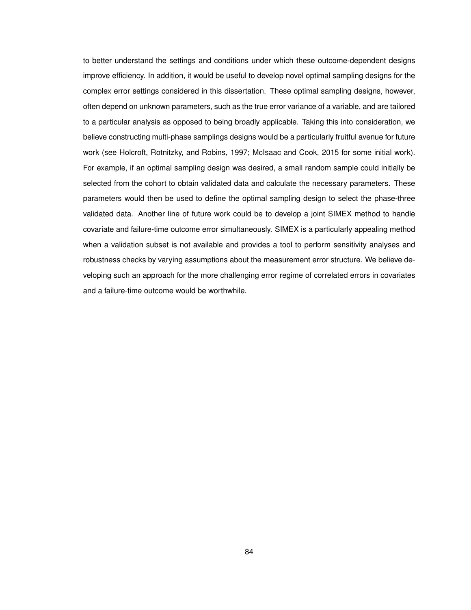to better understand the settings and conditions under which these outcome-dependent designs improve efficiency. In addition, it would be useful to develop novel optimal sampling designs for the complex error settings considered in this dissertation. These optimal sampling designs, however, often depend on unknown parameters, such as the true error variance of a variable, and are tailored to a particular analysis as opposed to being broadly applicable. Taking this into consideration, we believe constructing multi-phase samplings designs would be a particularly fruitful avenue for future work (see Holcroft, Rotnitzky, and Robins, 1997; McIsaac and Cook, 2015 for some initial work). For example, if an optimal sampling design was desired, a small random sample could initially be selected from the cohort to obtain validated data and calculate the necessary parameters. These parameters would then be used to define the optimal sampling design to select the phase-three validated data. Another line of future work could be to develop a joint SIMEX method to handle covariate and failure-time outcome error simultaneously. SIMEX is a particularly appealing method when a validation subset is not available and provides a tool to perform sensitivity analyses and robustness checks by varying assumptions about the measurement error structure. We believe developing such an approach for the more challenging error regime of correlated errors in covariates and a failure-time outcome would be worthwhile.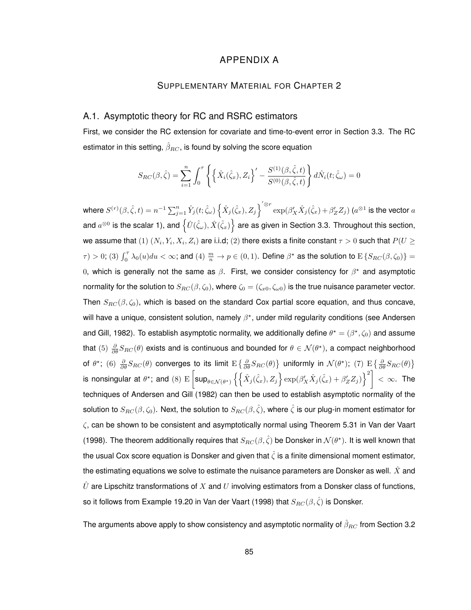## APPENDIX A

## SUPPLEMENTARY MATERIAL FOR CHAPTER 2

#### A.1. Asymptotic theory for RC and RSRC estimators

First, we consider the RC extension for covariate and time-to-event error in Section 3.3. The RC estimator in this setting,  $\hat{\beta}_{RC}$ , is found by solving the score equation

$$
S_{RC}(\beta, \hat{\zeta}) = \sum_{i=1}^{n} \int_{0}^{\tau} \left\{ \left\{ \hat{X}_{i}(\hat{\zeta}_{x}), Z_{i} \right\}' - \frac{S^{(1)}(\beta, \hat{\zeta}, t)}{S^{(0)}(\beta, \hat{\zeta}, t)} \right\} d\hat{N}_{i}(t; \hat{\zeta}_{\omega}) = 0
$$

where  $S^{(r)}(\beta,\hat{\zeta},t)=n^{-1}\sum_{j=1}^n \hat{Y}_j(t;\hat{\zeta}_\omega)\left\{\hat{X}_j(\hat{\zeta}_x),Z_j\right\}^{'\otimes r}\exp(\beta'_X\hat{X}_j(\hat{\zeta}_x)+\beta'_Z Z_j)\ (a^{\otimes 1}$  is the vector  $a$ and  $a^{\otimes 0}$  is the scalar 1), and  $\left\{\hat{U}(\hat{\zeta}_\omega),\hat{X}(\hat{\zeta}_x)\right\}$  are as given in Section 3.3. Throughout this section, we assume that  $(1)$   $(N_i, Y_i, X_i, Z_i)$  are i.i.d;  $(2)$  there exists a finite constant  $\tau > 0$  such that  $P(U \geq$  $\tau$ )  $>$  0; (3)  $\int_0^{\tau} \lambda_0(u) du < \infty$ ; and (4)  $\frac{m}{n} \to p \in (0,1)$ . Define  $\beta^{\star}$  as the solution to  $\text{E} \left\{ S_{RC}(\beta,\zeta_0) \right\} = 0$ 0, which is generally not the same as  $\beta$ . First, we consider consistency for  $\beta^{\star}$  and asymptotic normality for the solution to  $S_{RC}(\beta, \zeta_0)$ , where  $\zeta_0 = (\zeta_{x0}, \zeta_{\omega 0})$  is the true nuisance parameter vector. Then  $S_{RC}(\beta,\zeta_0)$ , which is based on the standard Cox partial score equation, and thus concave, will have a unique, consistent solution, namely  $\beta^*$ , under mild regularity conditions (see Andersen and Gill, 1982). To establish asymptotic normality, we additionally define  $\theta^{\star} = (\beta^{\star}, \zeta_0)$  and assume that  $(5)$   $\frac{\partial}{\partial \theta}S_{RC}(\theta)$  exists and is continuous and bounded for  $\theta\in\mathcal{N}(\theta^{\star}),$  a compact neighborhood of  $\theta^\star$ ;  $(6)$   $\frac{\partial}{\partial \theta} S_{RC}(\theta)$  converges to its limit  $\mathrm{E}\left\{\frac{\partial}{\partial \theta} S_{RC}(\theta)\right\}$  uniformly in  $\mathcal{N}(\theta^\star)$ ;  $(7)$   $\mathrm{E}\left\{\frac{\partial}{\partial \theta} S_{RC}(\theta)\right\}$ is nonsingular at  $\theta^\star$ ; and  $(8) \, \mathrm{E}\left[\sup_{\theta \in \mathcal{N}(\theta^\star)} \left\{\left\{\hat{X}_j(\hat{\zeta}_x), Z_j\right\}\exp(\beta'_X\hat{X}_j(\hat{\zeta}_x)+\beta'_Z Z_j)\right\}^2\right] \, < \, \infty.$  The techniques of Andersen and Gill (1982) can then be used to establish asymptotic normality of the solution to  $S_{RC}(\beta,\zeta_0)$ . Next, the solution to  $S_{RC}(\beta,\hat{\zeta})$ , where  $\hat{\zeta}$  is our plug-in moment estimator for ζ, can be shown to be consistent and asymptotically normal using Theorem 5.31 in Van der Vaart (1998). The theorem additionally requires that  $S_{RC}(\beta,\hat{\zeta})$  be Donsker in  $\mathcal{N}(\theta^{\star})$ . It is well known that the usual Cox score equation is Donsker and given that  $\hat{\zeta}$  is a finite dimensional moment estimator, the estimating equations we solve to estimate the nuisance parameters are Donsker as well.  $\hat{X}$  and  $\hat{U}$  are Lipschitz transformations of  $X$  and  $U$  involving estimators from a Donsker class of functions, so it follows from Example 19.20 in Van der Vaart (1998) that  $S_{RC}(\beta,\hat{\zeta})$  is Donsker.

The arguments above apply to show consistency and asymptotic normality of  $\hat{\beta}_{RC}$  from Section 3.2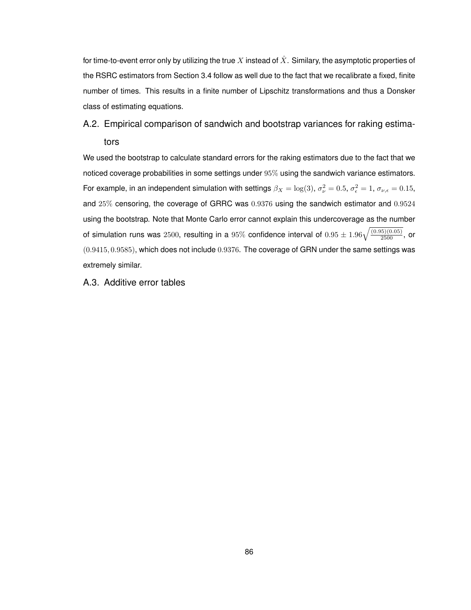for time-to-event error only by utilizing the true  $X$  instead of  $\hat{X}$ . Similary, the asymptotic properties of the RSRC estimators from Section 3.4 follow as well due to the fact that we recalibrate a fixed, finite number of times. This results in a finite number of Lipschitz transformations and thus a Donsker class of estimating equations.

## A.2. Empirical comparison of sandwich and bootstrap variances for raking estima-

tors

We used the bootstrap to calculate standard errors for the raking estimators due to the fact that we noticed coverage probabilities in some settings under 95% using the sandwich variance estimators. For example, in an independent simulation with settings  $\beta_X=\log(3)$ ,  $\sigma_\nu^2=0.5$ ,  $\sigma_\epsilon^2=1$ ,  $\sigma_{\nu,\epsilon}=0.15$ , and 25% censoring, the coverage of GRRC was 0.9376 using the sandwich estimator and 0.9524 using the bootstrap. Note that Monte Carlo error cannot explain this undercoverage as the number of simulation runs was  $2500$ , resulting in a  $95\%$  confidence interval of  $0.95\pm1.96\sqrt{\frac{(0.95)(0.05)}{2500}}$ , or (0.9415, 0.9585), which does not include 0.9376. The coverage of GRN under the same settings was extremely similar.

## A.3. Additive error tables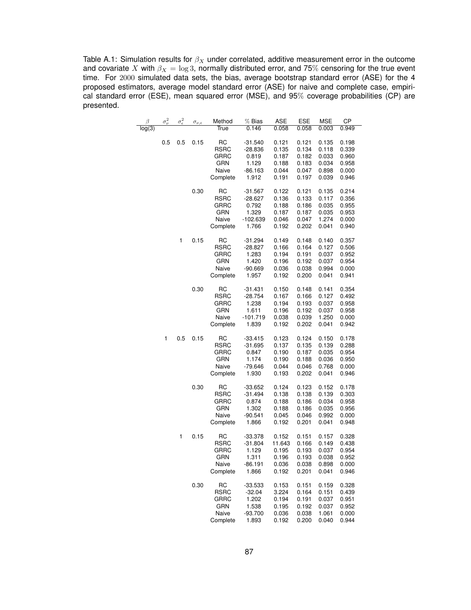Table A.1: Simulation results for  $\beta_X$  under correlated, additive measurement error in the outcome and covariate X with  $\beta_X = \log 3$ , normally distributed error, and 75% censoring for the true event time. For 2000 simulated data sets, the bias, average bootstrap standard error (ASE) for the 4 proposed estimators, average model standard error (ASE) for naive and complete case, empirical standard error (ESE), mean squared error (MSE), and 95% coverage probabilities (CP) are presented.

| β      | $\sigma_{\nu}^2$ | $\sigma^2_{\epsilon}$ | $\sigma_{\nu,\epsilon}$ | Method                                                       | $%$ Bias                                                      | ASE                                                 | ESE                                                | <b>MSE</b>                                         | СP                                                 |
|--------|------------------|-----------------------|-------------------------|--------------------------------------------------------------|---------------------------------------------------------------|-----------------------------------------------------|----------------------------------------------------|----------------------------------------------------|----------------------------------------------------|
| log(3) |                  |                       |                         | True                                                         | 0.146                                                         | 0.058                                               | 0.058                                              | 0.003                                              | 0.949                                              |
|        | 0.5              | 0.5                   | 0.15                    | RC<br><b>RSRC</b><br>GRRC<br>GRN<br>Naive<br>Complete        | $-31.540$<br>$-28.836$<br>0.819<br>1.129<br>-86.163<br>1.912  | 0.121<br>0.135<br>0.187<br>0.188<br>0.044<br>0.191  | 0.121<br>0.134<br>0.182<br>0.183<br>0.047<br>0.197 | 0.135<br>0.118<br>0.033<br>0.034<br>0.898<br>0.039 | 0.198<br>0.339<br>0.960<br>0.958<br>0.000<br>0.946 |
|        |                  |                       | 0.30                    | RC<br><b>RSRC</b><br>GRRC<br>GRN<br>Naive<br>Complete        | -31.567<br>-28.627<br>0.792<br>1.329<br>-102.639<br>1.766     | 0.122<br>0.136<br>0.188<br>0.187<br>0.046<br>0.192  | 0.121<br>0.133<br>0.186<br>0.187<br>0.047<br>0.202 | 0.135<br>0.117<br>0.035<br>0.035<br>1.274<br>0.041 | 0.214<br>0.356<br>0.955<br>0.953<br>0.000<br>0.940 |
|        |                  | 1                     | 0.15                    | RC<br><b>RSRC</b><br>GRRC<br>GRN<br>Naive<br>Complete        | -31.294<br>-28.827<br>1.283<br>1.420<br>$-90.669$<br>1.957    | 0.149<br>0.166<br>0.194<br>0.196<br>0.036<br>0.192  | 0.148<br>0.164<br>0.191<br>0.192<br>0.038<br>0.200 | 0.140<br>0.127<br>0.037<br>0.037<br>0.994<br>0.041 | 0.357<br>0.506<br>0.952<br>0.954<br>0.000<br>0.941 |
|        |                  |                       | 0.30                    | RC<br><b>RSRC</b><br><b>GRRC</b><br>GRN<br>Naive<br>Complete | -31.431<br>-28.754<br>1.238<br>1.611<br>-101.719<br>1.839     | 0.150<br>0.167<br>0.194<br>0.196<br>0.038<br>0.192  | 0.148<br>0.166<br>0.193<br>0.192<br>0.039<br>0.202 | 0.141<br>0.127<br>0.037<br>0.037<br>1.250<br>0.041 | 0.354<br>0.492<br>0.958<br>0.958<br>0.000<br>0.942 |
|        | 1                | 0.5                   | 0.15                    | RC<br><b>RSRC</b><br>GRRC<br>GRN<br>Naive<br>Complete        | $-33.415$<br>-31.695<br>0.847<br>1.174<br>$-79.646$<br>1.930  | 0.123<br>0.137<br>0.190<br>0.190<br>0.044<br>0.193  | 0.124<br>0.135<br>0.187<br>0.188<br>0.046<br>0.202 | 0.150<br>0.139<br>0.035<br>0.036<br>0.768<br>0.041 | 0.178<br>0.288<br>0.954<br>0.950<br>0.000<br>0.946 |
|        |                  |                       | 0.30                    | RC<br><b>RSRC</b><br>GRRC<br>GRN<br>Naive<br>Complete        | -33.652<br>-31.494<br>0.874<br>1.302<br>$-90.541$<br>1.866    | 0.124<br>0.138<br>0.188<br>0.188<br>0.045<br>0.192  | 0.123<br>0.138<br>0.186<br>0.186<br>0.046<br>0.201 | 0.152<br>0.139<br>0.034<br>0.035<br>0.992<br>0.041 | 0.178<br>0.303<br>0.958<br>0.956<br>0.000<br>0.948 |
|        |                  | 1                     | 0.15                    | RC<br><b>RSRC</b><br>GRRC<br>GRN<br>Naive<br>Complete        | -33.378<br>-31.804<br>1.129<br>1.311<br>-86.191<br>1.866      | 0.152<br>11.643<br>0.195<br>0.196<br>0.036<br>0.192 | 0.151<br>0.166<br>0.193<br>0.193<br>0.038<br>0.201 | 0.157<br>0.149<br>0.037<br>0.038<br>0.898<br>0.041 | 0.328<br>0.438<br>0.954<br>0.952<br>0.000<br>0.946 |
|        |                  |                       | 0.30                    | RC<br>RSRC<br>GRRC<br>GRN<br>Naive<br>Complete               | $-33.533$<br>$-32.04$<br>1.202<br>1.538<br>$-93.700$<br>1.893 | 0.153<br>3.224<br>0.194<br>0.195<br>0.036<br>0.192  | 0.151<br>0.164<br>0.191<br>0.192<br>0.038<br>0.200 | 0.159<br>0.151<br>0.037<br>0.037<br>1.061<br>0.040 | 0.328<br>0.439<br>0.951<br>0.952<br>0.000<br>0.944 |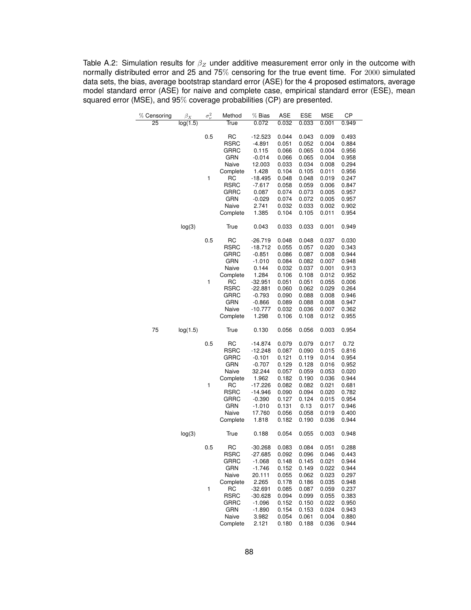Table A.2: Simulation results for  $\beta_Z$  under additive measurement error only in the outcome with normally distributed error and 25 and 75% censoring for the true event time. For 2000 simulated data sets, the bias, average bootstrap standard error (ASE) for the 4 proposed estimators, average model standard error (ASE) for naive and complete case, empirical standard error (ESE), mean squared error (MSE), and 95% coverage probabilities (CP) are presented.

| % Censoring | $\beta_{X}$ | $\sigma_{\nu}^2$ | Method              | $%$ Bias              | ASE            | <b>ESE</b>     | MSE            | СP             |
|-------------|-------------|------------------|---------------------|-----------------------|----------------|----------------|----------------|----------------|
| 25          | log(1.5)    |                  | True                | 0.072                 | 0.032          | 0.033          | 0.001          | 0.949          |
|             |             | 0.5              | RC                  | -12.523               | 0.044          | 0.043          | 0.009          | 0.493          |
|             |             |                  | <b>RSRC</b>         | $-4.891$              | 0.051          | 0.052          | 0.004          | 0.884          |
|             |             |                  | GRRC                | 0.115                 | 0.066          | 0.065          | 0.004          | 0.956          |
|             |             |                  | GRN                 | $-0.014$              | 0.066          | 0.065          | 0.004          | 0.958          |
|             |             |                  | Naive               | 12.003                | 0.033          | 0.034          | 0.008          | 0.294          |
|             |             |                  | Complete            | 1.428                 | 0.104          | 0.105          | 0.011          | 0.956          |
|             |             | 1                | RC                  | $-18.495$             | 0.048          | 0.048          | 0.019          | 0.247          |
|             |             |                  | <b>RSRC</b>         | $-7.617$              | 0.058          | 0.059          | 0.006          | 0.847          |
|             |             |                  | GRRC                | 0.087                 | 0.074          | 0.073          | 0.005          | 0.957          |
|             |             |                  | GRN                 | $-0.029$              | 0.074          | 0.072          | 0.005          | 0.957          |
|             |             |                  | Naive               | 2.741                 | 0.032          | 0.033          | 0.002          | 0.902          |
|             |             |                  | Complete            | 1.385                 | 0.104          | 0.105          | 0.011          | 0.954          |
|             | log(3)      |                  | True                | 0.043                 | 0.033          | 0.033          | 0.001          | 0.949          |
|             |             | 0.5              | RC                  | -26.719               | 0.048          | 0.048          | 0.037          | 0.030          |
|             |             |                  | <b>RSRC</b>         | -18.712               | 0.055          | 0.057          | 0.020          | 0.343          |
|             |             |                  | GRRC                | $-0.851$              | 0.086          | 0.087          | 0.008          | 0.944          |
|             |             |                  | GRN                 | $-1.010$              | 0.084          | 0.082          | 0.007          | 0.948          |
|             |             |                  | Naive               | 0.144                 | 0.032          | 0.037          | 0.001          | 0.913          |
|             |             |                  | Complete            | 1.284                 | 0.106          | 0.108          | 0.012          | 0.952          |
|             |             | 1                | RC                  | $-32.951$             | 0.051          | 0.051          | 0.055          | 0.006          |
|             |             |                  | <b>RSRC</b>         | $-22.881$             | 0.060          | 0.062          | 0.029          | 0.264          |
|             |             |                  | GRRC                | $-0.793$              | 0.090          | 0.088          | 0.008          | 0.946          |
|             |             |                  | GRN                 | $-0.866$              | 0.089          | 0.088          | 0.008          | 0.947          |
|             |             |                  | Naive               | $-10.777$             | 0.032          | 0.036          | 0.007          | 0.362          |
|             |             |                  | Complete            | 1.298                 | 0.106          | 0.108          | 0.012          | 0.955          |
| 75          | log(1.5)    |                  | True                | 0.130                 | 0.056          | 0.056          | 0.003          | 0.954          |
|             |             | 0.5              | RC                  | -14.874               | 0.079          | 0.079          | 0.017          | 0.72           |
|             |             |                  | <b>RSRC</b>         | $-12.248$             | 0.087          | 0.090          | 0.015          | 0.816          |
|             |             |                  | GRRC                | $-0.101$              | 0.121          | 0.119          | 0.014          | 0.954          |
|             |             |                  | GRN                 | $-0.707$              | 0.129          | 0.128          | 0.016          | 0.952          |
|             |             |                  | Naive               | 32.244                | 0.057          | 0.059          | 0.053          | 0.020          |
|             |             |                  | Complete            | 1.962                 | 0.182          | 0.190          | 0.036          | 0.944          |
|             |             | 1                | RC                  | $-17.226$             | 0.082          | 0.082          | 0.021          | 0.681          |
|             |             |                  | <b>RSRC</b>         | $-14.946$             | 0.090          | 0.094          | 0.020          | 0.782          |
|             |             |                  | GRRC                | $-0.390$              | 0.127          | 0.124          | 0.015          | 0.954          |
|             |             |                  | GRN                 | $-1.010$              | 0.131          | 0.13           | 0.017          | 0.946          |
|             |             |                  | Naive<br>Complete   | 17.760<br>1.818       | 0.056          | 0.058          | 0.019          | 0.400          |
|             |             |                  |                     |                       | 0.182          | 0.190          | 0.036          | 0.944          |
|             | log(3)      |                  | True                | 0.188                 | 0.054          | 0.055          | 0.003          | 0.948          |
|             |             | 0.5              | <b>RC</b>           | $-30.268$             | 0.083          | 0.084          | 0.051          | 0.288          |
|             |             |                  | <b>RSRC</b>         | $-27.685$             | 0.092          | 0.096          | 0.046          | 0.443          |
|             |             |                  | GRRC                | $-1.068$              | 0.148          | 0.145          | 0.021          | 0.944          |
|             |             |                  | GRN                 | $-1.746$              | 0.152          | 0.149          | 0.022          | 0.944          |
|             |             |                  | Naive               | 20.111                | 0.055          | 0.062          | 0.023          | 0.297          |
|             |             |                  | Complete            | 2.265                 | 0.178          | 0.186          | 0.035          | 0.948          |
|             |             | 1                | RC                  | $-32.691$             | 0.085          | 0.087          | 0.059          | 0.237          |
|             |             |                  | <b>RSRC</b><br>GRRC | $-30.628$<br>$-1.096$ | 0.094          | 0.099          | 0.055<br>0.022 | 0.383<br>0.950 |
|             |             |                  | <b>GRN</b>          | $-1.890$              | 0.152<br>0.154 | 0.150<br>0.153 | 0.024          | 0.943          |
|             |             |                  | Naive               | 3.982                 | 0.054          | 0.061          | 0.004          | 0.880          |
|             |             |                  | Complete            | 2.121                 | 0.180          | 0.188          | 0.036          | 0.944          |
|             |             |                  |                     |                       |                |                |                |                |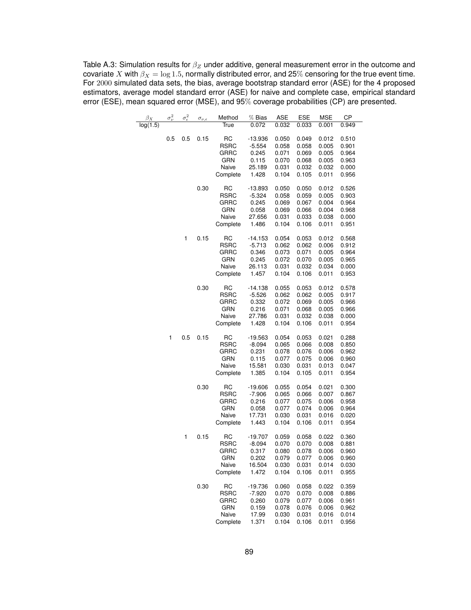Table A.3: Simulation results for  $\beta_Z$  under additive, general measurement error in the outcome and covariate  $X$  with  $\beta_X = \log 1.5,$  normally distributed error, and 25% censoring for the true event time. For 2000 simulated data sets, the bias, average bootstrap standard error (ASE) for the 4 proposed estimators, average model standard error (ASE) for naive and complete case, empirical standard error (ESE), mean squared error (MSE), and 95% coverage probabilities (CP) are presented.

| $\beta_X$ | $\sigma_{\nu}^2$ | $\sigma^2_{\epsilon}$ | $\sigma_{\nu,\epsilon}$ | Method                                                              | $%$ Bias                                                   | <b>ASE</b>                                         | ESE                                                | <b>MSE</b>                                         | СP                                                 |
|-----------|------------------|-----------------------|-------------------------|---------------------------------------------------------------------|------------------------------------------------------------|----------------------------------------------------|----------------------------------------------------|----------------------------------------------------|----------------------------------------------------|
| log(1.5)  |                  |                       |                         | True                                                                | 0.072                                                      | 0.032                                              | 0.033                                              | 0.001                                              | 0.949                                              |
|           | 0.5              | 0.5                   | 0.15                    | <b>RC</b><br><b>RSRC</b><br>GRRC<br>GRN<br>Naive<br>Complete        | -13.936<br>$-5.554$<br>0.245<br>0.115<br>25.189<br>1.428   | 0.050<br>0.058<br>0.071<br>0.070<br>0.031<br>0.104 | 0.049<br>0.058<br>0.069<br>0.068<br>0.032<br>0.105 | 0.012<br>0.005<br>0.005<br>0.005<br>0.032<br>0.011 | 0.510<br>0.901<br>0.964<br>0.963<br>0.000<br>0.956 |
|           |                  |                       | 0.30                    | <b>RC</b><br><b>RSRC</b><br>GRRC<br>GRN<br>Naive<br>Complete        | $-13.893$<br>$-5.324$<br>0.245<br>0.058<br>27.656<br>1.486 | 0.050<br>0.058<br>0.069<br>0.069<br>0.031<br>0.104 | 0.050<br>0.059<br>0.067<br>0.066<br>0.033<br>0.106 | 0.012<br>0.005<br>0.004<br>0.004<br>0.038<br>0.011 | 0.526<br>0.903<br>0.964<br>0.968<br>0.000<br>0.951 |
|           |                  | 1                     | 0.15                    | RC<br><b>RSRC</b><br>GRRC<br><b>GRN</b><br>Naive<br>Complete        | $-14.153$<br>$-5.713$<br>0.346<br>0.245<br>26.113<br>1.457 | 0.054<br>0.062<br>0.073<br>0.072<br>0.031<br>0.104 | 0.053<br>0.062<br>0.071<br>0.070<br>0.032<br>0.106 | 0.012<br>0.006<br>0.005<br>0.005<br>0.034<br>0.011 | 0.568<br>0.912<br>0.964<br>0.965<br>0.000<br>0.953 |
|           |                  |                       | 0.30                    | <b>RC</b><br><b>RSRC</b><br>GRRC<br><b>GRN</b><br>Naive<br>Complete | $-14.138$<br>$-5.526$<br>0.332<br>0.216<br>27.786<br>1.428 | 0.055<br>0.062<br>0.072<br>0.071<br>0.031<br>0.104 | 0.053<br>0.062<br>0.069<br>0.068<br>0.032<br>0.106 | 0.012<br>0.005<br>0.005<br>0.005<br>0.038<br>0.011 | 0.578<br>0.917<br>0.966<br>0.966<br>0.000<br>0.954 |
|           | 1                | 0.5                   | 0.15                    | RC<br><b>RSRC</b><br>GRRC<br><b>GRN</b><br>Naive<br>Complete        | $-19.563$<br>$-8.094$<br>0.231<br>0.115<br>15.581<br>1.385 | 0.054<br>0.065<br>0.078<br>0.077<br>0.030<br>0.104 | 0.053<br>0.066<br>0.076<br>0.075<br>0.031<br>0.105 | 0.021<br>0.008<br>0.006<br>0.006<br>0.013<br>0.011 | 0.288<br>0.850<br>0.962<br>0.960<br>0.047<br>0.954 |
|           |                  |                       | 0.30                    | RC<br><b>RSRC</b><br>GRRC<br>GRN<br>Naive<br>Complete               | $-19.606$<br>$-7.906$<br>0.216<br>0.058<br>17.731<br>1.443 | 0.055<br>0.065<br>0.077<br>0.077<br>0.030<br>0.104 | 0.054<br>0.066<br>0.075<br>0.074<br>0.031<br>0.106 | 0.021<br>0.007<br>0.006<br>0.006<br>0.016<br>0.011 | 0.300<br>0.867<br>0.958<br>0.964<br>0.020<br>0.954 |
|           |                  | 1                     | 0.15                    | RC<br><b>RSRC</b><br>GRRC<br>GRN<br>Naive<br>Complete               | $-19.707$<br>$-8.094$<br>0.317<br>0.202<br>16.504<br>1.472 | 0.059<br>0.070<br>0.080<br>0.079<br>0.030<br>0.104 | 0.058<br>0.070<br>0.078<br>0.077<br>0.031<br>0.106 | 0.022<br>0.008<br>0.006<br>0.006<br>0.014<br>0.011 | 0.360<br>0.881<br>0.960<br>0.960<br>0.030<br>0.955 |
|           |                  |                       | 0.30                    | RC<br><b>RSRC</b><br>GRRC<br><b>GRN</b><br>Naive<br>Complete        | -19.736<br>$-7.920$<br>0.260<br>0.159<br>17.99<br>1.371    | 0.060<br>0.070<br>0.079<br>0.078<br>0.030<br>0.104 | 0.058<br>0.070<br>0.077<br>0.076<br>0.031<br>0.106 | 0.022<br>0.008<br>0.006<br>0.006<br>0.016<br>0.011 | 0.359<br>0.886<br>0.961<br>0.962<br>0.014<br>0.956 |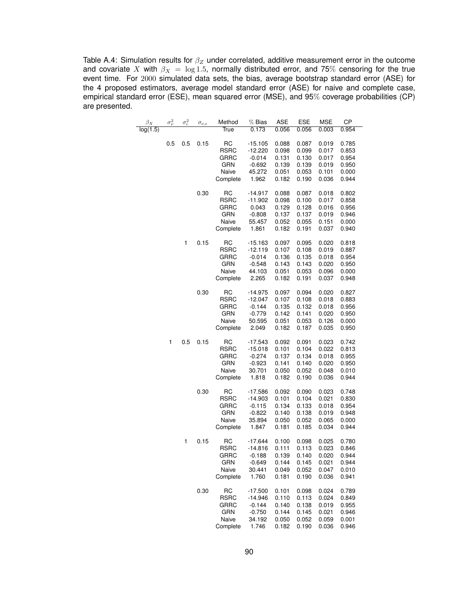Table A.4: Simulation results for  $\beta_Z$  under correlated, additive measurement error in the outcome and covariate X with  $\beta_X = \log 1.5$ , normally distributed error, and 75% censoring for the true event time. For 2000 simulated data sets, the bias, average bootstrap standard error (ASE) for the 4 proposed estimators, average model standard error (ASE) for naive and complete case, empirical standard error (ESE), mean squared error (MSE), and 95% coverage probabilities (CP) are presented.

| $\beta_X$ | $\sigma_{\nu}^2$ | $\sigma^2_{\epsilon}$ | $\sigma_{\nu,\epsilon}$ | Method              | $%$ Bias              | ASE            | ESE            | <b>MSE</b>     | СP             |
|-----------|------------------|-----------------------|-------------------------|---------------------|-----------------------|----------------|----------------|----------------|----------------|
| log(1.5)  |                  |                       |                         | True                | 0.173                 | 0.056          | 0.056          | 0.003          | 0.954          |
|           |                  |                       |                         |                     |                       |                |                |                |                |
|           | 0.5              | 0.5                   | 0.15                    | RC                  | $-15.105$             | 0.088          | 0.087          | 0.019          | 0.785          |
|           |                  |                       |                         | <b>RSRC</b>         | $-12.220$             | 0.098          | 0.099          | 0.017          | 0.853          |
|           |                  |                       |                         | GRRC                | $-0.014$              | 0.131          | 0.130          | 0.017          | 0.954          |
|           |                  |                       |                         | GRN                 | $-0.692$              | 0.139          | 0.139          | 0.019          | 0.950          |
|           |                  |                       |                         | Naive               | 45.272                | 0.051          | 0.053          | 0.101          | 0.000          |
|           |                  |                       |                         | Complete            | 1.962                 | 0.182          | 0.190          | 0.036          | 0.944          |
|           |                  |                       | 0.30                    | RC                  | $-14.917$             | 0.088          | 0.087          | 0.018          | 0.802          |
|           |                  |                       |                         | <b>RSRC</b>         | $-11.902$             | 0.098          | 0.100          | 0.017          | 0.858          |
|           |                  |                       |                         | GRRC                | 0.043                 | 0.129          | 0.128          | 0.016          | 0.956          |
|           |                  |                       |                         | GRN                 | $-0.808$              | 0.137          | 0.137          | 0.019          | 0.946          |
|           |                  |                       |                         | Naive               | 55.457                | 0.052          | 0.055          | 0.151          | 0.000          |
|           |                  |                       |                         | Complete            | 1.861                 | 0.182          | 0.191          | 0.037          | 0.940          |
|           |                  | 1                     | 0.15                    | <b>RC</b>           | $-15.163$             | 0.097          | 0.095          | 0.020          | 0.818          |
|           |                  |                       |                         | <b>RSRC</b>         | $-12.119$             | 0.107          | 0.108          | 0.019          | 0.887          |
|           |                  |                       |                         | GRRC                | $-0.014$              | 0.136          | 0.135          | 0.018          | 0.954          |
|           |                  |                       |                         | GRN                 | $-0.548$              | 0.143          | 0.143          | 0.020          | 0.950          |
|           |                  |                       |                         | Naive               | 44.103                | 0.051          | 0.053          | 0.096          | 0.000          |
|           |                  |                       |                         | Complete            | 2.265                 | 0.182          | 0.191          | 0.037          | 0.948          |
|           |                  |                       | 0.30                    | RC                  | $-14.975$             | 0.097          | 0.094          | 0.020          | 0.827          |
|           |                  |                       |                         | <b>RSRC</b>         | $-12.047$             | 0.107          | 0.108          | 0.018          | 0.883          |
|           |                  |                       |                         | GRRC                | $-0.144$              | 0.135          | 0.132          | 0.018          | 0.956          |
|           |                  |                       |                         | <b>GRN</b>          | $-0.779$              | 0.142          | 0.141          | 0.020          | 0.950          |
|           |                  |                       |                         | Naive               | 50.595                | 0.051          | 0.053          | 0.126          | 0.000          |
|           |                  |                       |                         | Complete            | 2.049                 | 0.182          | 0.187          | 0.035          | 0.950          |
|           | 1                | 0.5                   | 0.15                    | RC                  | $-17.543$             | 0.092          | 0.091          | 0.023          | 0.742          |
|           |                  |                       |                         | <b>RSRC</b>         | $-15.018$             | 0.101          | 0.104          | 0.022          | 0.813          |
|           |                  |                       |                         | GRRC                | $-0.274$              | 0.137          | 0.134          | 0.018          | 0.955          |
|           |                  |                       |                         | <b>GRN</b>          | $-0.923$              | 0.141          | 0.140          | 0.020          | 0.950          |
|           |                  |                       |                         | Naive               | 30.701                | 0.050          | 0.052          | 0.048          | 0.010          |
|           |                  |                       |                         | Complete            | 1.818                 | 0.182          | 0.190          | 0.036          | 0.944          |
|           |                  |                       |                         |                     |                       |                |                |                |                |
|           |                  |                       | 0.30                    | RC                  | $-17.586$             | 0.092          | 0.090          | 0.023          | 0.748          |
|           |                  |                       |                         | <b>RSRC</b><br>GRRC | $-14.903$<br>$-0.115$ | 0.101<br>0.134 | 0.104<br>0.133 | 0.021<br>0.018 | 0.830<br>0.954 |
|           |                  |                       |                         | GRN                 | $-0.822$              | 0.140          | 0.138          | 0.019          | 0.948          |
|           |                  |                       |                         | Naive               | 35.894                | 0.050          | 0.052          | 0.065          | 0.000          |
|           |                  |                       |                         | Complete            | 1.847                 | 0.181          | 0.185          | 0.034          | 0.944          |
|           |                  |                       |                         |                     |                       |                |                |                |                |
|           |                  | 1                     | 0.15                    | RC                  | $-17.644$             | 0.100          | 0.098          | 0.025          | 0.780          |
|           |                  |                       |                         | <b>RSRC</b>         | $-14.816$             | 0.111          | 0.113          | 0.023          | 0.846          |
|           |                  |                       |                         | GRRC                | $-0.188$              | 0.139          | 0.140          | 0.020          | 0.944          |
|           |                  |                       |                         | GRN<br>Naive        | $-0.649$<br>30.441    | 0.144<br>0.049 | 0.145          | 0.021<br>0.047 | 0.944          |
|           |                  |                       |                         | Complete            | 1.760                 | 0.181          | 0.052<br>0.190 | 0.036          | 0.010<br>0.941 |
|           |                  |                       |                         |                     |                       |                |                |                |                |
|           |                  |                       | 0.30                    | RC                  | -17.500               | 0.101          | 0.098          | 0.024          | 0.789          |
|           |                  |                       |                         | <b>RSRC</b>         | -14.946               | 0.110          | 0.113          | 0.024          | 0.849          |
|           |                  |                       |                         | <b>GRRC</b>         | $-0.144$              | 0.140          | 0.138          | 0.019          | 0.955          |
|           |                  |                       |                         | GRN                 | $-0.750$              | 0.144          | 0.145          | 0.021          | 0.946          |
|           |                  |                       |                         | Naive               | 34.192                | 0.050          | 0.052          | 0.059          | 0.001          |
|           |                  |                       |                         | Complete            | 1.746                 | 0.182          | 0.190          | 0.036          | 0.946          |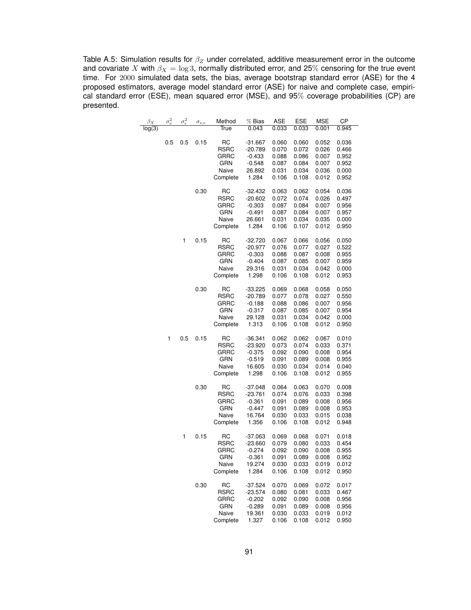Table A.5: Simulation results for  $\beta_Z$  under correlated, additive measurement error in the outcome and covariate X with  $\beta_X = \log 3$ , normally distributed error, and 25% censoring for the true event time. For 2000 simulated data sets, the bias, average bootstrap standard error (ASE) for the 4 proposed estimators, average model standard error (ASE) for naive and complete case, empirical standard error (ESE), mean squared error (MSE), and 95% coverage probabilities (CP) are presented.

| $\beta_X$ | $\sigma_{\nu}^2$ | $\sigma^2_{\epsilon}$ | $\sigma_{\nu,\epsilon}$ | Method      | $%$ Bias  | <b>ASE</b> | ESE   | MSE   | CP    |  |
|-----------|------------------|-----------------------|-------------------------|-------------|-----------|------------|-------|-------|-------|--|
| log(3)    |                  |                       |                         | True        | 0.043     | 0.033      | 0.033 | 0.001 | 0.945 |  |
|           | 0.5              | 0.5                   | 0.15                    | RC          | $-31.667$ | 0.060      | 0.060 | 0.052 | 0.036 |  |
|           |                  |                       |                         | <b>RSRC</b> | $-20.789$ | 0.070      | 0.072 | 0.026 | 0.466 |  |
|           |                  |                       |                         | GRRC        | $-0.433$  | 0.088      | 0.086 | 0.007 | 0.952 |  |
|           |                  |                       |                         | GRN         | $-0.548$  | 0.087      | 0.084 | 0.007 | 0.952 |  |
|           |                  |                       |                         | Naive       | 26.892    | 0.031      | 0.034 | 0.036 | 0.000 |  |
|           |                  |                       |                         | Complete    | 1.284     | 0.106      | 0.108 | 0.012 | 0.952 |  |
|           |                  |                       |                         |             |           |            |       |       |       |  |
|           |                  |                       | 0.30                    | RC          | $-32.432$ | 0.063      | 0.062 | 0.054 | 0.036 |  |
|           |                  |                       |                         | <b>RSRC</b> | $-20.602$ | 0.072      | 0.074 | 0.026 | 0.497 |  |
|           |                  |                       |                         | GRRC        | $-0.303$  | 0.087      | 0.084 | 0.007 | 0.956 |  |
|           |                  |                       |                         | GRN         | $-0.491$  | 0.087      | 0.084 | 0.007 | 0.957 |  |
|           |                  |                       |                         | Naive       | 26.661    | 0.031      | 0.034 | 0.035 | 0.000 |  |
|           |                  |                       |                         | Complete    | 1.284     | 0.106      | 0.107 | 0.012 | 0.950 |  |
|           |                  | 1                     | 0.15                    | RC          | $-32.720$ | 0.067      | 0.066 | 0.056 | 0.050 |  |
|           |                  |                       |                         | <b>RSRC</b> | $-20.977$ | 0.076      | 0.077 | 0.027 | 0.522 |  |
|           |                  |                       |                         | GRRC        | $-0.303$  | 0.088      | 0.087 | 0.008 | 0.955 |  |
|           |                  |                       |                         | GRN         | $-0.404$  | 0.087      | 0.085 | 0.007 | 0.959 |  |
|           |                  |                       |                         | Naive       | 29.316    | 0.031      | 0.034 | 0.042 | 0.000 |  |
|           |                  |                       |                         | Complete    | 1.298     | 0.106      | 0.108 | 0.012 | 0.953 |  |
|           |                  |                       |                         |             |           |            |       |       |       |  |
|           |                  |                       | 0.30                    | RC          | $-33.225$ | 0.069      | 0.068 | 0.058 | 0.050 |  |
|           |                  |                       |                         | <b>RSRC</b> | $-20.789$ | 0.077      | 0.078 | 0.027 | 0.550 |  |
|           |                  |                       |                         | GRRC        | $-0.188$  | 0.088      | 0.086 | 0.007 | 0.956 |  |
|           |                  |                       |                         | GRN         | $-0.317$  | 0.087      | 0.085 | 0.007 | 0.954 |  |
|           |                  |                       |                         | Naive       | 29.128    | 0.031      | 0.034 | 0.042 | 0.000 |  |
|           |                  |                       |                         | Complete    | 1.313     | 0.106      | 0.108 | 0.012 | 0.950 |  |
|           | 1                | 0.5                   | 0.15                    | RC          | $-36.341$ | 0.062      | 0.062 | 0.067 | 0.010 |  |
|           |                  |                       |                         | <b>RSRC</b> | $-23.920$ | 0.073      | 0.074 | 0.033 | 0.371 |  |
|           |                  |                       |                         | GRRC        | $-0.375$  | 0.092      | 0.090 | 0.008 | 0.954 |  |
|           |                  |                       |                         | GRN         | $-0.519$  | 0.091      | 0.089 | 0.008 | 0.955 |  |
|           |                  |                       |                         | Naive       | 16.605    | 0.030      | 0.034 | 0.014 | 0.040 |  |
|           |                  |                       |                         | Complete    | 1.298     | 0.106      | 0.108 | 0.012 | 0.955 |  |
|           |                  |                       | 0.30                    | RC          | $-37.048$ | 0.064      | 0.063 | 0.070 | 0.008 |  |
|           |                  |                       |                         | <b>RSRC</b> | $-23.761$ | 0.074      | 0.076 | 0.033 | 0.398 |  |
|           |                  |                       |                         | GRRC        | $-0.361$  | 0.091      | 0.089 | 0.008 | 0.956 |  |
|           |                  |                       |                         | GRN         | $-0.447$  | 0.091      | 0.089 | 0.008 | 0.953 |  |
|           |                  |                       |                         | Naive       | 16.764    | 0.030      | 0.033 | 0.015 | 0.038 |  |
|           |                  |                       |                         | Complete    | 1.356     | 0.106      | 0.108 | 0.012 | 0.948 |  |
|           |                  |                       |                         |             |           |            |       |       |       |  |
|           |                  | 1                     | 0.15                    | RC          | $-37.063$ | 0.069      | 0.068 | 0.071 | 0.018 |  |
|           |                  |                       |                         | <b>RSRC</b> | $-23.660$ | 0.079      | 0.080 | 0.033 | 0.454 |  |
|           |                  |                       |                         | GRRC        | $-0.274$  | 0.092      | 0.090 | 0.008 | 0.955 |  |
|           |                  |                       |                         | GRN         | $-0.361$  | 0.091      | 0.089 | 0.008 | 0.952 |  |
|           |                  |                       |                         | Naive       | 19.274    | 0.030      | 0.033 | 0.019 | 0.012 |  |
|           |                  |                       |                         | Complete    | 1.284     | 0.106      | 0.108 | 0.012 | 0.950 |  |
|           |                  |                       | 0.30                    | <b>RC</b>   | $-37.524$ | 0.070      | 0.069 | 0.072 | 0.017 |  |
|           |                  |                       |                         | <b>RSRC</b> | $-23.574$ | 0.080      | 0.081 | 0.033 | 0.467 |  |
|           |                  |                       |                         | GRRC        | $-0.202$  | 0.092      | 0.090 | 0.008 | 0.956 |  |
|           |                  |                       |                         | GRN         | $-0.289$  | 0.091      | 0.089 | 0.008 | 0.956 |  |
|           |                  |                       |                         | Naive       | 19.361    | 0.030      | 0.033 | 0.019 | 0.012 |  |
|           |                  |                       |                         | Complete    | 1.327     | 0.106      | 0.108 | 0.012 | 0.950 |  |
|           |                  |                       |                         |             |           |            |       |       |       |  |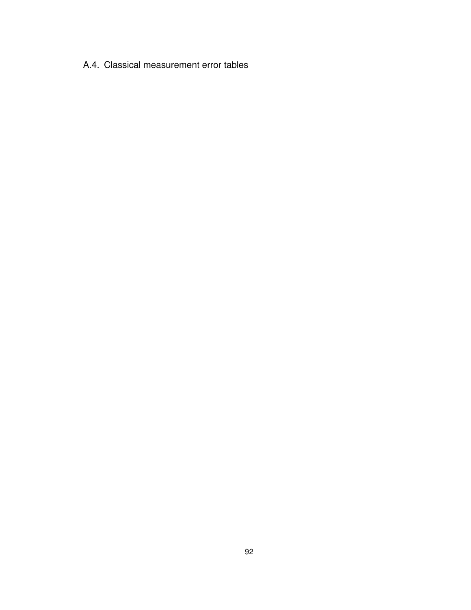A.4. Classical measurement error tables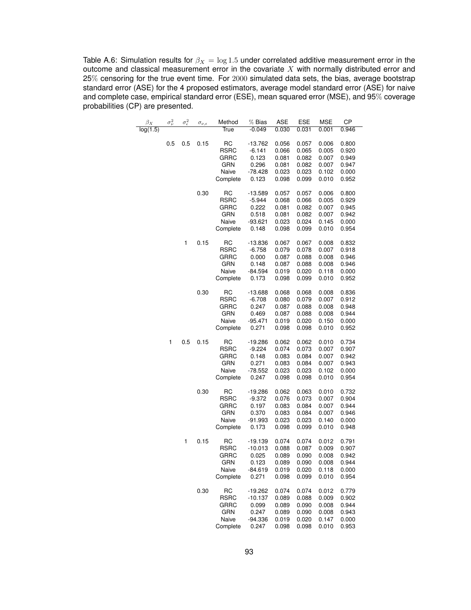Table A.6: Simulation results for  $\beta_X = \log 1.5$  under correlated additive measurement error in the outcome and classical measurement error in the covariate  $X$  with normally distributed error and 25% censoring for the true event time. For 2000 simulated data sets, the bias, average bootstrap standard error (ASE) for the 4 proposed estimators, average model standard error (ASE) for naive and complete case, empirical standard error (ESE), mean squared error (MSE), and 95% coverage probabilities (CP) are presented.

| 0.031<br>0.5<br>0.5<br><b>RC</b><br>0.15<br>$-13.762$<br>0.056<br>0.057<br>0.006<br>0.800<br><b>RSRC</b><br>$-6.141$<br>0.066<br>0.065<br>0.005<br>0.920<br>GRRC<br>0.123<br>0.081<br>0.082<br>0.007<br>0.949<br>0.296<br>0.081<br>0.007<br>GRN<br>0.082<br>0.947<br>Naive<br>$-78.428$<br>0.023<br>0.023<br>0.102<br>0.000<br>Complete<br>0.123<br>0.098<br>0.099<br>0.010<br>0.952<br>0.30<br>RC<br>$-13.589$<br>0.057<br>0.057<br>0.006<br>0.800<br><b>RSRC</b><br>$-5.944$<br>0.929<br>0.068<br>0.066<br>0.005<br>0.081<br>GRRC<br>0.222<br>0.082<br>0.007<br>0.945<br>0.081<br>GRN<br>0.518<br>0.082<br>0.007<br>0.942<br>0.023<br>0.145<br>Naive<br>$-93.621$<br>0.024<br>0.000<br>Complete<br>0.148<br>0.098<br>0.099<br>0.010<br>0.954<br>1<br>0.15<br>RC<br>$-13.836$<br>0.067<br>0.067<br>0.008<br>0.832<br><b>RSRC</b><br>0.079<br>$-6.758$<br>0.078<br>0.007<br>0.918<br>GRRC<br>0.000<br>0.087<br>0.008<br>0.088<br>0.946<br>GRN<br>0.148<br>0.087<br>0.008<br>0.946<br>0.088<br>Naive<br>0.019<br>0.118<br>-84.594<br>0.020<br>0.000<br>0.173<br>0.098<br>0.099<br>0.010<br>0.952<br>Complete<br>0.30<br>RC<br>$-13.688$<br>0.068<br>0.068<br>0.008<br>0.836<br><b>RSRC</b><br>$-6.708$<br>0.080<br>0.007<br>0.912<br>0.079<br>0.247<br>0.087<br>GRRC<br>0.088<br>0.008<br>0.948<br>0.087<br>GRN<br>0.469<br>0.088<br>0.008<br>0.944<br>Naive<br>$-95.471$<br>0.019<br>0.150<br>0.020<br>0.000<br>Complete<br>0.271<br>0.098<br>0.098<br>0.010<br>0.952<br>1<br>0.5<br>0.15<br>0.062<br>0.010<br>RC<br>$-19.286$<br>0.062<br>0.734<br><b>RSRC</b><br>$-9.224$<br>0.074<br>0.073<br>0.007<br>0.907<br>0.083<br>GRRC<br>0.148<br>0.084<br>0.007<br>0.942<br>GRN<br>0.271<br>0.083<br>0.084<br>0.007<br>0.943<br>Naive<br>$-78.552$<br>0.023<br>0.023<br>0.102<br>0.000<br>Complete<br>0.247<br>0.098<br>0.098<br>0.010<br>0.954<br>0.30<br>RC<br>$-19.286$<br>0.062<br>0.063<br>0.010<br>0.732<br><b>RSRC</b><br>$-9.372$<br>0.076<br>0.073<br>0.007<br>0.904<br>0.197<br>0.083<br>GRRC<br>0.084<br>0.007<br>0.944<br>GRN<br>0.370<br>0.083<br>0.007<br>0.084<br>0.946<br>Naive<br>$-91.993$<br>0.023<br>0.023<br>0.140<br>0.000<br>0.173<br>0.098<br>0.099<br>0.010<br>Complete<br>0.948<br>1<br>0.15<br>RC<br>0.074<br>0.074<br>0.012<br>-19.139<br>0.791<br><b>RSRC</b><br>0.088<br>$-10.013$<br>0.087<br>0.009<br>0.907<br>GRRC<br>0.025<br>0.089<br>0.090<br>0.008<br>0.942<br>GRN<br>0.123<br>0.089<br>0.944<br>0.090<br>0.008<br>Naive<br>0.020<br>0.118<br>-84.619<br>0.019<br>0.000<br>Complete<br>0.271<br>0.098<br>0.099<br>0.010<br>0.954<br>0.30<br>RC<br>-19.262<br>0.074<br>0.074<br>0.012<br>0.779<br><b>RSRC</b><br>$-10.137$<br>0.089<br>0.088<br>0.009<br>0.902<br>GRRC<br>0.099<br>0.089<br>0.090<br>0.008<br>0.944<br>GRN<br>0.247<br>0.089<br>0.090<br>0.008<br>0.943<br>0.147<br>Naive<br>$-94.336$<br>0.019<br>0.020<br>0.000<br>Complete<br>0.247<br>0.098<br>0.098<br>0.010<br>0.953 | $\beta_X$ | $\sigma_{\nu}^2$ | $\sigma^2_{\epsilon}$ | $\sigma_{\nu,\epsilon}$ | Method | $\%$ Bias | <b>ASE</b> | <b>ESE</b> | <b>MSE</b> | CP    |
|----------------------------------------------------------------------------------------------------------------------------------------------------------------------------------------------------------------------------------------------------------------------------------------------------------------------------------------------------------------------------------------------------------------------------------------------------------------------------------------------------------------------------------------------------------------------------------------------------------------------------------------------------------------------------------------------------------------------------------------------------------------------------------------------------------------------------------------------------------------------------------------------------------------------------------------------------------------------------------------------------------------------------------------------------------------------------------------------------------------------------------------------------------------------------------------------------------------------------------------------------------------------------------------------------------------------------------------------------------------------------------------------------------------------------------------------------------------------------------------------------------------------------------------------------------------------------------------------------------------------------------------------------------------------------------------------------------------------------------------------------------------------------------------------------------------------------------------------------------------------------------------------------------------------------------------------------------------------------------------------------------------------------------------------------------------------------------------------------------------------------------------------------------------------------------------------------------------------------------------------------------------------------------------------------------------------------------------------------------------------------------------------------------------------------------------------------------------------------------------------------------------------------------------------------------------------------------------------------------------------------------------------------------------------------------------------------------------------------------------------------------------------------------------------------------------------------------------------------------------------------------------------------------------------------|-----------|------------------|-----------------------|-------------------------|--------|-----------|------------|------------|------------|-------|
|                                                                                                                                                                                                                                                                                                                                                                                                                                                                                                                                                                                                                                                                                                                                                                                                                                                                                                                                                                                                                                                                                                                                                                                                                                                                                                                                                                                                                                                                                                                                                                                                                                                                                                                                                                                                                                                                                                                                                                                                                                                                                                                                                                                                                                                                                                                                                                                                                                                                                                                                                                                                                                                                                                                                                                                                                                                                                                                            | log(1.5)  |                  |                       |                         | True   | $-0.049$  | 0.030      |            | 0.001      | 0.946 |
|                                                                                                                                                                                                                                                                                                                                                                                                                                                                                                                                                                                                                                                                                                                                                                                                                                                                                                                                                                                                                                                                                                                                                                                                                                                                                                                                                                                                                                                                                                                                                                                                                                                                                                                                                                                                                                                                                                                                                                                                                                                                                                                                                                                                                                                                                                                                                                                                                                                                                                                                                                                                                                                                                                                                                                                                                                                                                                                            |           |                  |                       |                         |        |           |            |            |            |       |
|                                                                                                                                                                                                                                                                                                                                                                                                                                                                                                                                                                                                                                                                                                                                                                                                                                                                                                                                                                                                                                                                                                                                                                                                                                                                                                                                                                                                                                                                                                                                                                                                                                                                                                                                                                                                                                                                                                                                                                                                                                                                                                                                                                                                                                                                                                                                                                                                                                                                                                                                                                                                                                                                                                                                                                                                                                                                                                                            |           |                  |                       |                         |        |           |            |            |            |       |
|                                                                                                                                                                                                                                                                                                                                                                                                                                                                                                                                                                                                                                                                                                                                                                                                                                                                                                                                                                                                                                                                                                                                                                                                                                                                                                                                                                                                                                                                                                                                                                                                                                                                                                                                                                                                                                                                                                                                                                                                                                                                                                                                                                                                                                                                                                                                                                                                                                                                                                                                                                                                                                                                                                                                                                                                                                                                                                                            |           |                  |                       |                         |        |           |            |            |            |       |
|                                                                                                                                                                                                                                                                                                                                                                                                                                                                                                                                                                                                                                                                                                                                                                                                                                                                                                                                                                                                                                                                                                                                                                                                                                                                                                                                                                                                                                                                                                                                                                                                                                                                                                                                                                                                                                                                                                                                                                                                                                                                                                                                                                                                                                                                                                                                                                                                                                                                                                                                                                                                                                                                                                                                                                                                                                                                                                                            |           |                  |                       |                         |        |           |            |            |            |       |
|                                                                                                                                                                                                                                                                                                                                                                                                                                                                                                                                                                                                                                                                                                                                                                                                                                                                                                                                                                                                                                                                                                                                                                                                                                                                                                                                                                                                                                                                                                                                                                                                                                                                                                                                                                                                                                                                                                                                                                                                                                                                                                                                                                                                                                                                                                                                                                                                                                                                                                                                                                                                                                                                                                                                                                                                                                                                                                                            |           |                  |                       |                         |        |           |            |            |            |       |
|                                                                                                                                                                                                                                                                                                                                                                                                                                                                                                                                                                                                                                                                                                                                                                                                                                                                                                                                                                                                                                                                                                                                                                                                                                                                                                                                                                                                                                                                                                                                                                                                                                                                                                                                                                                                                                                                                                                                                                                                                                                                                                                                                                                                                                                                                                                                                                                                                                                                                                                                                                                                                                                                                                                                                                                                                                                                                                                            |           |                  |                       |                         |        |           |            |            |            |       |
|                                                                                                                                                                                                                                                                                                                                                                                                                                                                                                                                                                                                                                                                                                                                                                                                                                                                                                                                                                                                                                                                                                                                                                                                                                                                                                                                                                                                                                                                                                                                                                                                                                                                                                                                                                                                                                                                                                                                                                                                                                                                                                                                                                                                                                                                                                                                                                                                                                                                                                                                                                                                                                                                                                                                                                                                                                                                                                                            |           |                  |                       |                         |        |           |            |            |            |       |
|                                                                                                                                                                                                                                                                                                                                                                                                                                                                                                                                                                                                                                                                                                                                                                                                                                                                                                                                                                                                                                                                                                                                                                                                                                                                                                                                                                                                                                                                                                                                                                                                                                                                                                                                                                                                                                                                                                                                                                                                                                                                                                                                                                                                                                                                                                                                                                                                                                                                                                                                                                                                                                                                                                                                                                                                                                                                                                                            |           |                  |                       |                         |        |           |            |            |            |       |
|                                                                                                                                                                                                                                                                                                                                                                                                                                                                                                                                                                                                                                                                                                                                                                                                                                                                                                                                                                                                                                                                                                                                                                                                                                                                                                                                                                                                                                                                                                                                                                                                                                                                                                                                                                                                                                                                                                                                                                                                                                                                                                                                                                                                                                                                                                                                                                                                                                                                                                                                                                                                                                                                                                                                                                                                                                                                                                                            |           |                  |                       |                         |        |           |            |            |            |       |
|                                                                                                                                                                                                                                                                                                                                                                                                                                                                                                                                                                                                                                                                                                                                                                                                                                                                                                                                                                                                                                                                                                                                                                                                                                                                                                                                                                                                                                                                                                                                                                                                                                                                                                                                                                                                                                                                                                                                                                                                                                                                                                                                                                                                                                                                                                                                                                                                                                                                                                                                                                                                                                                                                                                                                                                                                                                                                                                            |           |                  |                       |                         |        |           |            |            |            |       |
|                                                                                                                                                                                                                                                                                                                                                                                                                                                                                                                                                                                                                                                                                                                                                                                                                                                                                                                                                                                                                                                                                                                                                                                                                                                                                                                                                                                                                                                                                                                                                                                                                                                                                                                                                                                                                                                                                                                                                                                                                                                                                                                                                                                                                                                                                                                                                                                                                                                                                                                                                                                                                                                                                                                                                                                                                                                                                                                            |           |                  |                       |                         |        |           |            |            |            |       |
|                                                                                                                                                                                                                                                                                                                                                                                                                                                                                                                                                                                                                                                                                                                                                                                                                                                                                                                                                                                                                                                                                                                                                                                                                                                                                                                                                                                                                                                                                                                                                                                                                                                                                                                                                                                                                                                                                                                                                                                                                                                                                                                                                                                                                                                                                                                                                                                                                                                                                                                                                                                                                                                                                                                                                                                                                                                                                                                            |           |                  |                       |                         |        |           |            |            |            |       |
|                                                                                                                                                                                                                                                                                                                                                                                                                                                                                                                                                                                                                                                                                                                                                                                                                                                                                                                                                                                                                                                                                                                                                                                                                                                                                                                                                                                                                                                                                                                                                                                                                                                                                                                                                                                                                                                                                                                                                                                                                                                                                                                                                                                                                                                                                                                                                                                                                                                                                                                                                                                                                                                                                                                                                                                                                                                                                                                            |           |                  |                       |                         |        |           |            |            |            |       |
|                                                                                                                                                                                                                                                                                                                                                                                                                                                                                                                                                                                                                                                                                                                                                                                                                                                                                                                                                                                                                                                                                                                                                                                                                                                                                                                                                                                                                                                                                                                                                                                                                                                                                                                                                                                                                                                                                                                                                                                                                                                                                                                                                                                                                                                                                                                                                                                                                                                                                                                                                                                                                                                                                                                                                                                                                                                                                                                            |           |                  |                       |                         |        |           |            |            |            |       |
|                                                                                                                                                                                                                                                                                                                                                                                                                                                                                                                                                                                                                                                                                                                                                                                                                                                                                                                                                                                                                                                                                                                                                                                                                                                                                                                                                                                                                                                                                                                                                                                                                                                                                                                                                                                                                                                                                                                                                                                                                                                                                                                                                                                                                                                                                                                                                                                                                                                                                                                                                                                                                                                                                                                                                                                                                                                                                                                            |           |                  |                       |                         |        |           |            |            |            |       |
|                                                                                                                                                                                                                                                                                                                                                                                                                                                                                                                                                                                                                                                                                                                                                                                                                                                                                                                                                                                                                                                                                                                                                                                                                                                                                                                                                                                                                                                                                                                                                                                                                                                                                                                                                                                                                                                                                                                                                                                                                                                                                                                                                                                                                                                                                                                                                                                                                                                                                                                                                                                                                                                                                                                                                                                                                                                                                                                            |           |                  |                       |                         |        |           |            |            |            |       |
|                                                                                                                                                                                                                                                                                                                                                                                                                                                                                                                                                                                                                                                                                                                                                                                                                                                                                                                                                                                                                                                                                                                                                                                                                                                                                                                                                                                                                                                                                                                                                                                                                                                                                                                                                                                                                                                                                                                                                                                                                                                                                                                                                                                                                                                                                                                                                                                                                                                                                                                                                                                                                                                                                                                                                                                                                                                                                                                            |           |                  |                       |                         |        |           |            |            |            |       |
|                                                                                                                                                                                                                                                                                                                                                                                                                                                                                                                                                                                                                                                                                                                                                                                                                                                                                                                                                                                                                                                                                                                                                                                                                                                                                                                                                                                                                                                                                                                                                                                                                                                                                                                                                                                                                                                                                                                                                                                                                                                                                                                                                                                                                                                                                                                                                                                                                                                                                                                                                                                                                                                                                                                                                                                                                                                                                                                            |           |                  |                       |                         |        |           |            |            |            |       |
|                                                                                                                                                                                                                                                                                                                                                                                                                                                                                                                                                                                                                                                                                                                                                                                                                                                                                                                                                                                                                                                                                                                                                                                                                                                                                                                                                                                                                                                                                                                                                                                                                                                                                                                                                                                                                                                                                                                                                                                                                                                                                                                                                                                                                                                                                                                                                                                                                                                                                                                                                                                                                                                                                                                                                                                                                                                                                                                            |           |                  |                       |                         |        |           |            |            |            |       |
|                                                                                                                                                                                                                                                                                                                                                                                                                                                                                                                                                                                                                                                                                                                                                                                                                                                                                                                                                                                                                                                                                                                                                                                                                                                                                                                                                                                                                                                                                                                                                                                                                                                                                                                                                                                                                                                                                                                                                                                                                                                                                                                                                                                                                                                                                                                                                                                                                                                                                                                                                                                                                                                                                                                                                                                                                                                                                                                            |           |                  |                       |                         |        |           |            |            |            |       |
|                                                                                                                                                                                                                                                                                                                                                                                                                                                                                                                                                                                                                                                                                                                                                                                                                                                                                                                                                                                                                                                                                                                                                                                                                                                                                                                                                                                                                                                                                                                                                                                                                                                                                                                                                                                                                                                                                                                                                                                                                                                                                                                                                                                                                                                                                                                                                                                                                                                                                                                                                                                                                                                                                                                                                                                                                                                                                                                            |           |                  |                       |                         |        |           |            |            |            |       |
|                                                                                                                                                                                                                                                                                                                                                                                                                                                                                                                                                                                                                                                                                                                                                                                                                                                                                                                                                                                                                                                                                                                                                                                                                                                                                                                                                                                                                                                                                                                                                                                                                                                                                                                                                                                                                                                                                                                                                                                                                                                                                                                                                                                                                                                                                                                                                                                                                                                                                                                                                                                                                                                                                                                                                                                                                                                                                                                            |           |                  |                       |                         |        |           |            |            |            |       |
|                                                                                                                                                                                                                                                                                                                                                                                                                                                                                                                                                                                                                                                                                                                                                                                                                                                                                                                                                                                                                                                                                                                                                                                                                                                                                                                                                                                                                                                                                                                                                                                                                                                                                                                                                                                                                                                                                                                                                                                                                                                                                                                                                                                                                                                                                                                                                                                                                                                                                                                                                                                                                                                                                                                                                                                                                                                                                                                            |           |                  |                       |                         |        |           |            |            |            |       |
|                                                                                                                                                                                                                                                                                                                                                                                                                                                                                                                                                                                                                                                                                                                                                                                                                                                                                                                                                                                                                                                                                                                                                                                                                                                                                                                                                                                                                                                                                                                                                                                                                                                                                                                                                                                                                                                                                                                                                                                                                                                                                                                                                                                                                                                                                                                                                                                                                                                                                                                                                                                                                                                                                                                                                                                                                                                                                                                            |           |                  |                       |                         |        |           |            |            |            |       |
|                                                                                                                                                                                                                                                                                                                                                                                                                                                                                                                                                                                                                                                                                                                                                                                                                                                                                                                                                                                                                                                                                                                                                                                                                                                                                                                                                                                                                                                                                                                                                                                                                                                                                                                                                                                                                                                                                                                                                                                                                                                                                                                                                                                                                                                                                                                                                                                                                                                                                                                                                                                                                                                                                                                                                                                                                                                                                                                            |           |                  |                       |                         |        |           |            |            |            |       |
|                                                                                                                                                                                                                                                                                                                                                                                                                                                                                                                                                                                                                                                                                                                                                                                                                                                                                                                                                                                                                                                                                                                                                                                                                                                                                                                                                                                                                                                                                                                                                                                                                                                                                                                                                                                                                                                                                                                                                                                                                                                                                                                                                                                                                                                                                                                                                                                                                                                                                                                                                                                                                                                                                                                                                                                                                                                                                                                            |           |                  |                       |                         |        |           |            |            |            |       |
|                                                                                                                                                                                                                                                                                                                                                                                                                                                                                                                                                                                                                                                                                                                                                                                                                                                                                                                                                                                                                                                                                                                                                                                                                                                                                                                                                                                                                                                                                                                                                                                                                                                                                                                                                                                                                                                                                                                                                                                                                                                                                                                                                                                                                                                                                                                                                                                                                                                                                                                                                                                                                                                                                                                                                                                                                                                                                                                            |           |                  |                       |                         |        |           |            |            |            |       |
|                                                                                                                                                                                                                                                                                                                                                                                                                                                                                                                                                                                                                                                                                                                                                                                                                                                                                                                                                                                                                                                                                                                                                                                                                                                                                                                                                                                                                                                                                                                                                                                                                                                                                                                                                                                                                                                                                                                                                                                                                                                                                                                                                                                                                                                                                                                                                                                                                                                                                                                                                                                                                                                                                                                                                                                                                                                                                                                            |           |                  |                       |                         |        |           |            |            |            |       |
|                                                                                                                                                                                                                                                                                                                                                                                                                                                                                                                                                                                                                                                                                                                                                                                                                                                                                                                                                                                                                                                                                                                                                                                                                                                                                                                                                                                                                                                                                                                                                                                                                                                                                                                                                                                                                                                                                                                                                                                                                                                                                                                                                                                                                                                                                                                                                                                                                                                                                                                                                                                                                                                                                                                                                                                                                                                                                                                            |           |                  |                       |                         |        |           |            |            |            |       |
|                                                                                                                                                                                                                                                                                                                                                                                                                                                                                                                                                                                                                                                                                                                                                                                                                                                                                                                                                                                                                                                                                                                                                                                                                                                                                                                                                                                                                                                                                                                                                                                                                                                                                                                                                                                                                                                                                                                                                                                                                                                                                                                                                                                                                                                                                                                                                                                                                                                                                                                                                                                                                                                                                                                                                                                                                                                                                                                            |           |                  |                       |                         |        |           |            |            |            |       |
|                                                                                                                                                                                                                                                                                                                                                                                                                                                                                                                                                                                                                                                                                                                                                                                                                                                                                                                                                                                                                                                                                                                                                                                                                                                                                                                                                                                                                                                                                                                                                                                                                                                                                                                                                                                                                                                                                                                                                                                                                                                                                                                                                                                                                                                                                                                                                                                                                                                                                                                                                                                                                                                                                                                                                                                                                                                                                                                            |           |                  |                       |                         |        |           |            |            |            |       |
|                                                                                                                                                                                                                                                                                                                                                                                                                                                                                                                                                                                                                                                                                                                                                                                                                                                                                                                                                                                                                                                                                                                                                                                                                                                                                                                                                                                                                                                                                                                                                                                                                                                                                                                                                                                                                                                                                                                                                                                                                                                                                                                                                                                                                                                                                                                                                                                                                                                                                                                                                                                                                                                                                                                                                                                                                                                                                                                            |           |                  |                       |                         |        |           |            |            |            |       |
|                                                                                                                                                                                                                                                                                                                                                                                                                                                                                                                                                                                                                                                                                                                                                                                                                                                                                                                                                                                                                                                                                                                                                                                                                                                                                                                                                                                                                                                                                                                                                                                                                                                                                                                                                                                                                                                                                                                                                                                                                                                                                                                                                                                                                                                                                                                                                                                                                                                                                                                                                                                                                                                                                                                                                                                                                                                                                                                            |           |                  |                       |                         |        |           |            |            |            |       |
|                                                                                                                                                                                                                                                                                                                                                                                                                                                                                                                                                                                                                                                                                                                                                                                                                                                                                                                                                                                                                                                                                                                                                                                                                                                                                                                                                                                                                                                                                                                                                                                                                                                                                                                                                                                                                                                                                                                                                                                                                                                                                                                                                                                                                                                                                                                                                                                                                                                                                                                                                                                                                                                                                                                                                                                                                                                                                                                            |           |                  |                       |                         |        |           |            |            |            |       |
|                                                                                                                                                                                                                                                                                                                                                                                                                                                                                                                                                                                                                                                                                                                                                                                                                                                                                                                                                                                                                                                                                                                                                                                                                                                                                                                                                                                                                                                                                                                                                                                                                                                                                                                                                                                                                                                                                                                                                                                                                                                                                                                                                                                                                                                                                                                                                                                                                                                                                                                                                                                                                                                                                                                                                                                                                                                                                                                            |           |                  |                       |                         |        |           |            |            |            |       |
|                                                                                                                                                                                                                                                                                                                                                                                                                                                                                                                                                                                                                                                                                                                                                                                                                                                                                                                                                                                                                                                                                                                                                                                                                                                                                                                                                                                                                                                                                                                                                                                                                                                                                                                                                                                                                                                                                                                                                                                                                                                                                                                                                                                                                                                                                                                                                                                                                                                                                                                                                                                                                                                                                                                                                                                                                                                                                                                            |           |                  |                       |                         |        |           |            |            |            |       |
|                                                                                                                                                                                                                                                                                                                                                                                                                                                                                                                                                                                                                                                                                                                                                                                                                                                                                                                                                                                                                                                                                                                                                                                                                                                                                                                                                                                                                                                                                                                                                                                                                                                                                                                                                                                                                                                                                                                                                                                                                                                                                                                                                                                                                                                                                                                                                                                                                                                                                                                                                                                                                                                                                                                                                                                                                                                                                                                            |           |                  |                       |                         |        |           |            |            |            |       |
|                                                                                                                                                                                                                                                                                                                                                                                                                                                                                                                                                                                                                                                                                                                                                                                                                                                                                                                                                                                                                                                                                                                                                                                                                                                                                                                                                                                                                                                                                                                                                                                                                                                                                                                                                                                                                                                                                                                                                                                                                                                                                                                                                                                                                                                                                                                                                                                                                                                                                                                                                                                                                                                                                                                                                                                                                                                                                                                            |           |                  |                       |                         |        |           |            |            |            |       |
|                                                                                                                                                                                                                                                                                                                                                                                                                                                                                                                                                                                                                                                                                                                                                                                                                                                                                                                                                                                                                                                                                                                                                                                                                                                                                                                                                                                                                                                                                                                                                                                                                                                                                                                                                                                                                                                                                                                                                                                                                                                                                                                                                                                                                                                                                                                                                                                                                                                                                                                                                                                                                                                                                                                                                                                                                                                                                                                            |           |                  |                       |                         |        |           |            |            |            |       |
|                                                                                                                                                                                                                                                                                                                                                                                                                                                                                                                                                                                                                                                                                                                                                                                                                                                                                                                                                                                                                                                                                                                                                                                                                                                                                                                                                                                                                                                                                                                                                                                                                                                                                                                                                                                                                                                                                                                                                                                                                                                                                                                                                                                                                                                                                                                                                                                                                                                                                                                                                                                                                                                                                                                                                                                                                                                                                                                            |           |                  |                       |                         |        |           |            |            |            |       |
|                                                                                                                                                                                                                                                                                                                                                                                                                                                                                                                                                                                                                                                                                                                                                                                                                                                                                                                                                                                                                                                                                                                                                                                                                                                                                                                                                                                                                                                                                                                                                                                                                                                                                                                                                                                                                                                                                                                                                                                                                                                                                                                                                                                                                                                                                                                                                                                                                                                                                                                                                                                                                                                                                                                                                                                                                                                                                                                            |           |                  |                       |                         |        |           |            |            |            |       |
|                                                                                                                                                                                                                                                                                                                                                                                                                                                                                                                                                                                                                                                                                                                                                                                                                                                                                                                                                                                                                                                                                                                                                                                                                                                                                                                                                                                                                                                                                                                                                                                                                                                                                                                                                                                                                                                                                                                                                                                                                                                                                                                                                                                                                                                                                                                                                                                                                                                                                                                                                                                                                                                                                                                                                                                                                                                                                                                            |           |                  |                       |                         |        |           |            |            |            |       |
|                                                                                                                                                                                                                                                                                                                                                                                                                                                                                                                                                                                                                                                                                                                                                                                                                                                                                                                                                                                                                                                                                                                                                                                                                                                                                                                                                                                                                                                                                                                                                                                                                                                                                                                                                                                                                                                                                                                                                                                                                                                                                                                                                                                                                                                                                                                                                                                                                                                                                                                                                                                                                                                                                                                                                                                                                                                                                                                            |           |                  |                       |                         |        |           |            |            |            |       |
|                                                                                                                                                                                                                                                                                                                                                                                                                                                                                                                                                                                                                                                                                                                                                                                                                                                                                                                                                                                                                                                                                                                                                                                                                                                                                                                                                                                                                                                                                                                                                                                                                                                                                                                                                                                                                                                                                                                                                                                                                                                                                                                                                                                                                                                                                                                                                                                                                                                                                                                                                                                                                                                                                                                                                                                                                                                                                                                            |           |                  |                       |                         |        |           |            |            |            |       |
|                                                                                                                                                                                                                                                                                                                                                                                                                                                                                                                                                                                                                                                                                                                                                                                                                                                                                                                                                                                                                                                                                                                                                                                                                                                                                                                                                                                                                                                                                                                                                                                                                                                                                                                                                                                                                                                                                                                                                                                                                                                                                                                                                                                                                                                                                                                                                                                                                                                                                                                                                                                                                                                                                                                                                                                                                                                                                                                            |           |                  |                       |                         |        |           |            |            |            |       |
|                                                                                                                                                                                                                                                                                                                                                                                                                                                                                                                                                                                                                                                                                                                                                                                                                                                                                                                                                                                                                                                                                                                                                                                                                                                                                                                                                                                                                                                                                                                                                                                                                                                                                                                                                                                                                                                                                                                                                                                                                                                                                                                                                                                                                                                                                                                                                                                                                                                                                                                                                                                                                                                                                                                                                                                                                                                                                                                            |           |                  |                       |                         |        |           |            |            |            |       |
|                                                                                                                                                                                                                                                                                                                                                                                                                                                                                                                                                                                                                                                                                                                                                                                                                                                                                                                                                                                                                                                                                                                                                                                                                                                                                                                                                                                                                                                                                                                                                                                                                                                                                                                                                                                                                                                                                                                                                                                                                                                                                                                                                                                                                                                                                                                                                                                                                                                                                                                                                                                                                                                                                                                                                                                                                                                                                                                            |           |                  |                       |                         |        |           |            |            |            |       |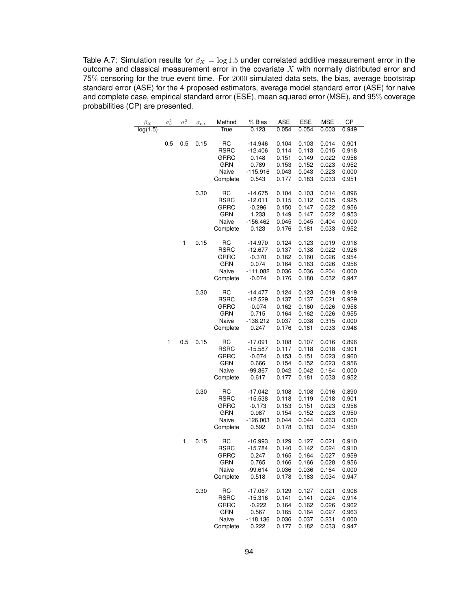Table A.7: Simulation results for  $\beta_X = \log 1.5$  under correlated additive measurement error in the outcome and classical measurement error in the covariate  $X$  with normally distributed error and 75% censoring for the true event time. For 2000 simulated data sets, the bias, average bootstrap standard error (ASE) for the 4 proposed estimators, average model standard error (ASE) for naive and complete case, empirical standard error (ESE), mean squared error (MSE), and 95% coverage probabilities (CP) are presented.

| $\beta_X$ | $\sigma_{\nu}^2$ | $\sigma^2_{\epsilon}$ | $\sigma_{\nu,\epsilon}$ | Method                                                       | $%$ Bias                                                              | ASE                                                | ESE                                                | <b>MSE</b>                                         | CP                                                 |
|-----------|------------------|-----------------------|-------------------------|--------------------------------------------------------------|-----------------------------------------------------------------------|----------------------------------------------------|----------------------------------------------------|----------------------------------------------------|----------------------------------------------------|
| log(1.5)  |                  |                       |                         | True                                                         | 0.123                                                                 | 0.054                                              | 0.054                                              | 0.003                                              | 0.949                                              |
|           | 0.5              | 0.5                   | 0.15                    | RC<br><b>RSRC</b><br>GRRC<br>GRN<br>Naive<br>Complete        | -14.946<br>$-12.406$<br>0.148<br>0.789<br>$-115.916$<br>0.543         | 0.104<br>0.114<br>0.151<br>0.153<br>0.043<br>0.177 | 0.103<br>0.113<br>0.149<br>0.152<br>0.043<br>0.183 | 0.014<br>0.015<br>0.022<br>0.023<br>0.223<br>0.033 | 0.901<br>0.918<br>0.956<br>0.952<br>0.000<br>0.951 |
|           |                  |                       | 0.30                    | RC<br><b>RSRC</b><br>GRRC<br>GRN<br>Naive<br>Complete        | $-14.675$<br>$-12.011$<br>$-0.296$<br>1.233<br>$-156.462$<br>0.123    | 0.104<br>0.115<br>0.150<br>0.149<br>0.045<br>0.176 | 0.103<br>0.112<br>0.147<br>0.147<br>0.045<br>0.181 | 0.014<br>0.015<br>0.022<br>0.022<br>0.404<br>0.033 | 0.896<br>0.925<br>0.956<br>0.953<br>0.000<br>0.952 |
|           |                  | 1                     | 0.15                    | RC<br><b>RSRC</b><br>GRRC<br>GRN<br>Naive<br>Complete        | $-14.970$<br>$-12.677$<br>$-0.370$<br>0.074<br>$-111.082$<br>$-0.074$ | 0.124<br>0.137<br>0.162<br>0.164<br>0.036<br>0.176 | 0.123<br>0.138<br>0.160<br>0.163<br>0.036<br>0.180 | 0.019<br>0.022<br>0.026<br>0.026<br>0.204<br>0.032 | 0.918<br>0.926<br>0.954<br>0.956<br>0.000<br>0.947 |
|           |                  |                       | 0.30                    | RC<br><b>RSRC</b><br>GRRC<br>GRN<br>Naive<br>Complete        | $-14.477$<br>$-12.529$<br>$-0.074$<br>0.715<br>-138.212<br>0.247      | 0.124<br>0.137<br>0.162<br>0.164<br>0.037<br>0.176 | 0.123<br>0.137<br>0.160<br>0.162<br>0.038<br>0.181 | 0.019<br>0.021<br>0.026<br>0.026<br>0.315<br>0.033 | 0.919<br>0.929<br>0.958<br>0.955<br>0.000<br>0.948 |
|           | 1                | 0.5                   | 0.15                    | RC<br><b>RSRC</b><br>GRRC<br>GRN<br>Naive<br>Complete        | $-17.091$<br>$-15.587$<br>$-0.074$<br>0.666<br>$-99.367$<br>0.617     | 0.108<br>0.117<br>0.153<br>0.154<br>0.042<br>0.177 | 0.107<br>0.118<br>0.151<br>0.152<br>0.042<br>0.181 | 0.016<br>0.018<br>0.023<br>0.023<br>0.164<br>0.033 | 0.896<br>0.901<br>0.960<br>0.956<br>0.000<br>0.952 |
|           |                  |                       | 0.30                    | RC<br><b>RSRC</b><br>GRRC<br>GRN<br>Naive<br>Complete        | $-17.042$<br>$-15.538$<br>$-0.173$<br>0.987<br>$-126.003$<br>0.592    | 0.108<br>0.118<br>0.153<br>0.154<br>0.044<br>0.178 | 0.108<br>0.119<br>0.151<br>0.152<br>0.044<br>0.183 | 0.016<br>0.018<br>0.023<br>0.023<br>0.263<br>0.034 | 0.890<br>0.901<br>0.956<br>0.950<br>0.000<br>0.950 |
|           |                  | 1                     | 0.15                    | RC<br><b>RSRC</b><br><b>GRRC</b><br>GRN<br>Naive<br>Complete | -16.993<br>$-15.784$<br>0.247<br>0.765<br>$-99.614$<br>0.518          | 0.129<br>0.140<br>0.165<br>0.166<br>0.036<br>0.178 | 0.127<br>0.142<br>0.164<br>0.166<br>0.036<br>0.183 | 0.021<br>0.024<br>0.027<br>0.028<br>0.164<br>0.034 | 0.910<br>0.910<br>0.959<br>0.956<br>0.000<br>0.947 |
|           |                  |                       | 0.30                    | RC<br><b>RSRC</b><br>GRRC<br>GRN<br>Naive<br>Complete        | $-17.067$<br>$-15.316$<br>$-0.222$<br>0.567<br>$-118.136$<br>0.222    | 0.129<br>0.141<br>0.164<br>0.165<br>0.036<br>0.177 | 0.127<br>0.141<br>0.162<br>0.164<br>0.037<br>0.182 | 0.021<br>0.024<br>0.026<br>0.027<br>0.231<br>0.033 | 0.908<br>0.914<br>0.962<br>0.963<br>0.000<br>0.947 |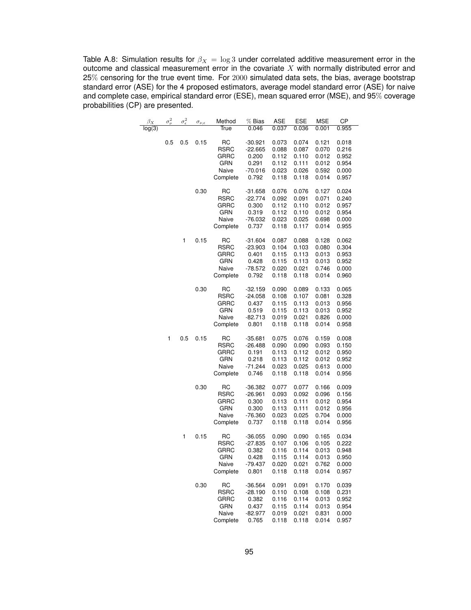Table A.8: Simulation results for  $\beta_X = \log 3$  under correlated additive measurement error in the outcome and classical measurement error in the covariate  $X$  with normally distributed error and 25% censoring for the true event time. For 2000 simulated data sets, the bias, average bootstrap standard error (ASE) for the 4 proposed estimators, average model standard error (ASE) for naive and complete case, empirical standard error (ESE), mean squared error (MSE), and 95% coverage probabilities (CP) are presented.

| $\beta_X$ | $\sigma_{\nu}^2$ | $\sigma^2_{\epsilon}$ | $\sigma_{\nu,\epsilon}$ | Method      | $%$ Bias  | <b>ASE</b> | ESE   | <b>MSE</b> | СP    |
|-----------|------------------|-----------------------|-------------------------|-------------|-----------|------------|-------|------------|-------|
| log(3)    |                  |                       |                         | True        | 0.046     | 0.037      | 0.036 | 0.001      | 0.955 |
|           | 0.5              | 0.5                   | 0.15                    | RC          | -30.921   | 0.073      | 0.074 | 0.121      | 0.018 |
|           |                  |                       |                         | RSRC        | $-22.665$ | 0.088      | 0.087 | 0.070      | 0.216 |
|           |                  |                       |                         | GRRC        | 0.200     | 0.112      | 0.110 | 0.012      | 0.952 |
|           |                  |                       |                         | GRN         | 0.291     | 0.112      | 0.111 | 0.012      | 0.954 |
|           |                  |                       |                         | Naive       | $-70.016$ | 0.023      | 0.026 | 0.592      | 0.000 |
|           |                  |                       |                         | Complete    | 0.792     | 0.118      | 0.118 | 0.014      | 0.957 |
|           |                  |                       |                         |             |           |            |       |            |       |
|           |                  |                       | 0.30                    | RC          | -31.658   | 0.076      | 0.076 | 0.127      | 0.024 |
|           |                  |                       |                         | RSRC        | $-22.774$ | 0.092      | 0.091 | 0.071      | 0.240 |
|           |                  |                       |                         | GRRC        | 0.300     | 0.112      | 0.110 | 0.012      | 0.957 |
|           |                  |                       |                         | GRN         | 0.319     | 0.112      | 0.110 | 0.012      | 0.954 |
|           |                  |                       |                         | Naive       | -76.032   | 0.023      | 0.025 | 0.698      | 0.000 |
|           |                  |                       |                         | Complete    | 0.737     | 0.118      | 0.117 | 0.014      | 0.955 |
|           |                  | $\mathbf{1}$          | 0.15                    | RC          | -31.604   | 0.087      | 0.088 | 0.128      | 0.062 |
|           |                  |                       |                         | <b>RSRC</b> | -23.903   | 0.104      | 0.103 | 0.080      | 0.304 |
|           |                  |                       |                         | GRRC        | 0.401     | 0.115      | 0.113 | 0.013      | 0.953 |
|           |                  |                       |                         | GRN         | 0.428     | 0.115      | 0.113 | 0.013      | 0.952 |
|           |                  |                       |                         | Naive       | -78.572   | 0.020      | 0.021 | 0.746      | 0.000 |
|           |                  |                       |                         | Complete    | 0.792     | 0.118      | 0.118 | 0.014      | 0.960 |
|           |                  |                       | 0.30                    | RC          | -32.159   | 0.090      | 0.089 | 0.133      | 0.065 |
|           |                  |                       |                         | RSRC        | -24.058   | 0.108      | 0.107 | 0.081      | 0.328 |
|           |                  |                       |                         | GRRC        | 0.437     | 0.115      | 0.113 | 0.013      | 0.956 |
|           |                  |                       |                         | GRN         | 0.519     | 0.115      | 0.113 | 0.013      | 0.952 |
|           |                  |                       |                         | Naive       | $-82.713$ | 0.019      | 0.021 | 0.826      | 0.000 |
|           |                  |                       |                         | Complete    | 0.801     | 0.118      | 0.118 | 0.014      | 0.958 |
|           | 1                | 0.5                   | 0.15                    | RC          | -35.681   | 0.075      | 0.076 | 0.159      | 0.008 |
|           |                  |                       |                         | <b>RSRC</b> | -26.488   | 0.090      | 0.090 | 0.093      | 0.150 |
|           |                  |                       |                         | GRRC        | 0.191     | 0.113      | 0.112 | 0.012      | 0.950 |
|           |                  |                       |                         | GRN         | 0.218     | 0.113      | 0.112 | 0.012      | 0.952 |
|           |                  |                       |                         | Naive       | -71.244   | 0.023      | 0.025 | 0.613      | 0.000 |
|           |                  |                       |                         | Complete    | 0.746     | 0.118      | 0.118 | 0.014      | 0.956 |
|           |                  |                       | 0.30                    | RC          | -36.382   | 0.077      | 0.077 | 0.166      | 0.009 |
|           |                  |                       |                         | <b>RSRC</b> | $-26.961$ | 0.093      | 0.092 | 0.096      | 0.156 |
|           |                  |                       |                         | GRRC        | 0.300     | 0.113      | 0.111 | 0.012      | 0.954 |
|           |                  |                       |                         | GRN         | 0.300     | 0.113      | 0.111 | 0.012      | 0.956 |
|           |                  |                       |                         | Naive       | $-76.360$ | 0.023      | 0.025 | 0.704      | 0.000 |
|           |                  |                       |                         | Complete    | 0.737     | 0.118      | 0.118 | 0.014      | 0.956 |
|           |                  | $\mathbf{1}$          | 0.15                    | RC          | $-36.055$ | 0.090      | 0.090 | 0.165      | 0.034 |
|           |                  |                       |                         | <b>RSRC</b> | $-27.835$ | 0.107      | 0.106 | 0.105      | 0.222 |
|           |                  |                       |                         | GRRC        | 0.382     | 0.116      | 0.114 | 0.013      | 0.948 |
|           |                  |                       |                         | GRN         | 0.428     | 0.115      | 0.114 | 0.013      | 0.950 |
|           |                  |                       |                         | Naive       | -79.437   | 0.020      | 0.021 | 0.762      | 0.000 |
|           |                  |                       |                         | Complete    | 0.801     | 0.118      | 0.118 | 0.014      | 0.957 |
|           |                  |                       | 0.30                    | <b>RC</b>   | $-36.564$ | 0.091      | 0.091 | 0.170      | 0.039 |
|           |                  |                       |                         | <b>RSRC</b> | $-28.190$ | 0.110      | 0.108 | 0.108      | 0.231 |
|           |                  |                       |                         | GRRC        | 0.382     | 0.116      | 0.114 | 0.013      | 0.952 |
|           |                  |                       |                         | GRN         | 0.437     | 0.115      | 0.114 | 0.013      | 0.954 |
|           |                  |                       |                         | Naive       | $-82.977$ | 0.019      | 0.021 | 0.831      | 0.000 |
|           |                  |                       |                         | Complete    | 0.765     | 0.118      | 0.118 | 0.014      | 0.957 |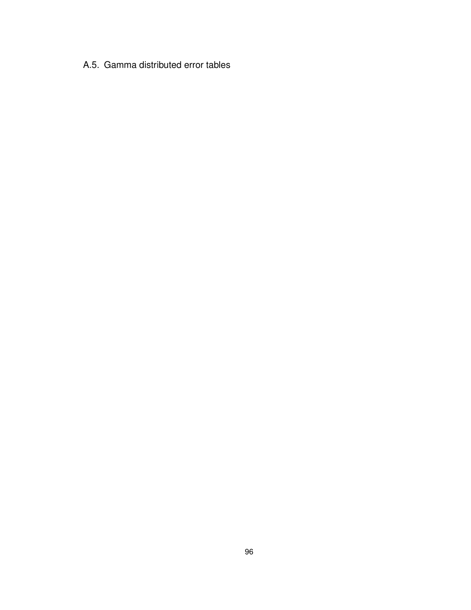# A.5. Gamma distributed error tables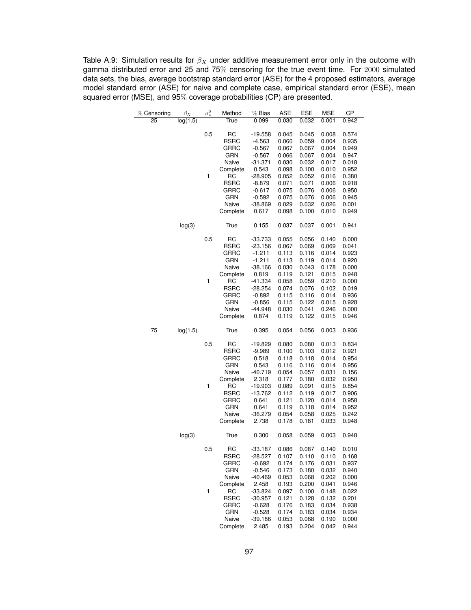Table A.9: Simulation results for  $\beta_X$  under additive measurement error only in the outcome with gamma distributed error and 25 and 75% censoring for the true event time. For 2000 simulated data sets, the bias, average bootstrap standard error (ASE) for the 4 proposed estimators, average model standard error (ASE) for naive and complete case, empirical standard error (ESE), mean squared error (MSE), and 95% coverage probabilities (CP) are presented.

| % Censoring | $\beta_X$ | $\sigma_{\nu}^2$ | Method              | $%$ Bias             | ASE            | ESE            | <b>MSE</b>     | СP             |
|-------------|-----------|------------------|---------------------|----------------------|----------------|----------------|----------------|----------------|
| 25          | log(1.5)  |                  | True                | 0.099                | 0.030          | 0.032          | 0.001          | 0.942          |
|             |           | 0.5              | RC                  | $-19.558$            | 0.045          | 0.045          | 0.008          | 0.574          |
|             |           |                  | <b>RSRC</b>         | $-4.563$             | 0.060          | 0.059          | 0.004          | 0.935          |
|             |           |                  | <b>GRRC</b>         | $-0.567$             | 0.067          | 0.067          | 0.004          | 0.949          |
|             |           |                  | <b>GRN</b>          | $-0.567$             | 0.066          | 0.067          | 0.004          | 0.947          |
|             |           |                  | Naive               | $-31.371$            | 0.030          | 0.032          | 0.017          | 0.018          |
|             |           |                  | Complete            | 0.543                | 0.098          | 0.100          | 0.010          | 0.952          |
|             |           | 1                | RC                  | $-28.905$            | 0.052          | 0.052          | 0.016          | 0.380          |
|             |           |                  | <b>RSRC</b><br>GRRC | -8.879<br>$-0.617$   | 0.071<br>0.075 | 0.071<br>0.076 | 0.006<br>0.006 | 0.918<br>0.950 |
|             |           |                  | GRN                 | $-0.592$             | 0.075          | 0.076          | 0.006          | 0.945          |
|             |           |                  | Naive               | $-38.869$            | 0.029          | 0.032          | 0.026          | 0.001          |
|             |           |                  | Complete            | 0.617                | 0.098          | 0.100          | 0.010          | 0.949          |
|             | log(3)    |                  | True                | 0.155                | 0.037          | 0.037          | 0.001          | 0.941          |
|             |           | 0.5              | RC                  | $-33.733$            | 0.055          | 0.056          | 0.140          | 0.000          |
|             |           |                  | <b>RSRC</b>         | $-23.156$            | 0.067          | 0.069          | 0.069          | 0.041          |
|             |           |                  | GRRC                | $-1.211$             | 0.113          | 0.116          | 0.014          | 0.923          |
|             |           |                  | GRN                 | $-1.211$             | 0.113          | 0.119          | 0.014          | 0.920          |
|             |           |                  | Naive<br>Complete   | $-38.166$<br>0.819   | 0.030<br>0.119 | 0.043<br>0.121 | 0.178<br>0.015 | 0.000<br>0.948 |
|             |           | 1                | RC                  | $-41.334$            | 0.058          | 0.059          | 0.210          | 0.000          |
|             |           |                  | <b>RSRC</b>         | $-28.254$            | 0.074          | 0.076          | 0.102          | 0.019          |
|             |           |                  | GRRC                | $-0.892$             | 0.115          | 0.116          | 0.014          | 0.936          |
|             |           |                  | GRN                 | $-0.856$             | 0.115          | 0.122          | 0.015          | 0.928          |
|             |           |                  | Naive               | $-44.948$            | 0.030          | 0.041          | 0.246          | 0.000          |
|             |           |                  | Complete            | 0.874                | 0.119          | 0.122          | 0.015          | 0.946          |
| 75          | log(1.5)  |                  | True                | 0.395                | 0.054          | 0.056          | 0.003          | 0.936          |
|             |           | 0.5              | RC                  | -19.829              | 0.080          | 0.080          | 0.013          | 0.834          |
|             |           |                  | <b>RSRC</b>         | $-9.989$             | 0.100          | 0.103          | 0.012          | 0.921          |
|             |           |                  | GRRC<br>GRN         | 0.518                | 0.118          | 0.118          | 0.014          | 0.954          |
|             |           |                  | Naive               | 0.543<br>$-40.719$   | 0.116<br>0.054 | 0.116<br>0.057 | 0.014<br>0.031 | 0.956<br>0.156 |
|             |           |                  | Complete            | 2.318                | 0.177          | 0.180          | 0.032          | 0.950          |
|             |           | 1                | RC                  | -19.903              | 0.089          | 0.091          | 0.015          | 0.854          |
|             |           |                  | <b>RSRC</b>         | -13.762              | 0.112          | 0.119          | 0.017          | 0.906          |
|             |           |                  | GRRC                | 0.641                | 0.121          | 0.120          | 0.014          | 0.958          |
|             |           |                  | GRN                 | 0.641                | 0.119          | 0.118          | 0.014          | 0.952          |
|             |           |                  | Naive<br>Complete   | $-36.279$<br>2.738   | 0.054<br>0.178 | 0.058<br>0.181 | 0.025<br>0.033 | 0.242<br>0.948 |
|             |           |                  |                     |                      |                |                |                |                |
|             | log(3)    |                  | True                | 0.300                | 0.058          | 0.059          | 0.003          | 0.948          |
|             |           | 0.5              | RC                  | $-33.187$            | 0.086          | 0.087          | 0.140          | 0.010          |
|             |           |                  | RSRC                | -28.527              | 0.107          | 0.110          | 0.110          | 0.168          |
|             |           |                  | <b>GRRC</b><br>GRN  | $-0.692$<br>$-0.546$ | 0.174<br>0.173 | 0.176<br>0.180 | 0.031<br>0.032 | 0.937<br>0.940 |
|             |           |                  | Naive               | $-40.469$            | 0.053          | 0.068          | 0.202          | 0.000          |
|             |           |                  | Complete            | 2.458                | 0.193          | 0.200          | 0.041          | 0.946          |
|             |           | 1                | RC                  | $-33.824$            | 0.097          | 0.100          | 0.148          | 0.022          |
|             |           |                  | <b>RSRC</b>         | $-30.957$            | 0.121          | 0.128          | 0.132          | 0.201          |
|             |           |                  | GRRC<br><b>GRN</b>  | $-0.628$<br>$-0.528$ | 0.176<br>0.174 | 0.183<br>0.183 | 0.034<br>0.034 | 0.938<br>0.934 |
|             |           |                  | Naive               | $-39.186$            | 0.053          | 0.068          | 0.190          | 0.000          |
|             |           |                  | Complete            | 2.485                | 0.193          | 0.204          | 0.042          | 0.944          |
|             |           |                  |                     |                      |                |                |                |                |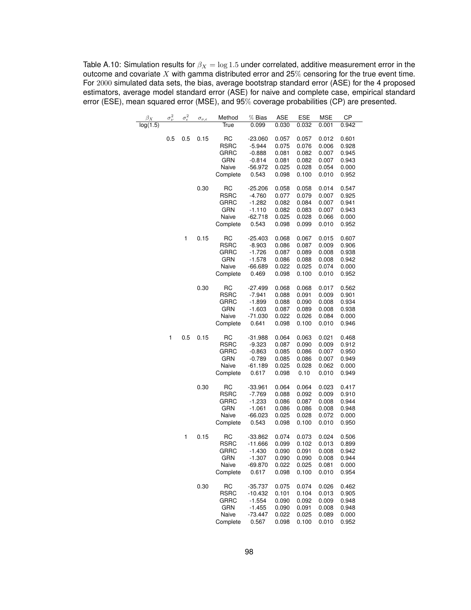Table A.10: Simulation results for  $\beta_X = \log 1.5$  under correlated, additive measurement error in the outcome and covariate  $X$  with gamma distributed error and 25% censoring for the true event time. For 2000 simulated data sets, the bias, average bootstrap standard error (ASE) for the 4 proposed estimators, average model standard error (ASE) for naive and complete case, empirical standard error (ESE), mean squared error (MSE), and 95% coverage probabilities (CP) are presented.

| $\beta_X$ | $\sigma_{\nu}^2$ | $\sigma^2_{\epsilon}$ | $\sigma_{\nu,\epsilon}$ | Method                                                       | $%$ Bias                                                             | <b>ASE</b>                                         | ESE                                                | <b>MSE</b>                                         | CP                                                 |
|-----------|------------------|-----------------------|-------------------------|--------------------------------------------------------------|----------------------------------------------------------------------|----------------------------------------------------|----------------------------------------------------|----------------------------------------------------|----------------------------------------------------|
| log(1.5)  |                  |                       |                         | True                                                         | 0.099                                                                | 0.030                                              | 0.032                                              | 0.001                                              | 0.942                                              |
|           | 0.5              | 0.5                   | 0.15                    | RC<br><b>RSRC</b><br>GRRC<br>GRN<br>Naive<br>Complete        | $-23.060$<br>$-5.944$<br>$-0.888$<br>$-0.814$<br>$-56.972$<br>0.543  | 0.057<br>0.075<br>0.081<br>0.081<br>0.025<br>0.098 | 0.057<br>0.076<br>0.082<br>0.082<br>0.028<br>0.100 | 0.012<br>0.006<br>0.007<br>0.007<br>0.054<br>0.010 | 0.601<br>0.928<br>0.945<br>0.943<br>0.000<br>0.952 |
|           |                  |                       | 0.30                    | RC<br><b>RSRC</b><br>GRRC<br>GRN<br>Naive<br>Complete        | $-25.206$<br>$-4.760$<br>$-1.282$<br>$-1.110$<br>$-62.718$<br>0.543  | 0.058<br>0.077<br>0.082<br>0.082<br>0.025<br>0.098 | 0.058<br>0.079<br>0.084<br>0.083<br>0.028<br>0.099 | 0.014<br>0.007<br>0.007<br>0.007<br>0.066<br>0.010 | 0.547<br>0.925<br>0.941<br>0.943<br>0.000<br>0.952 |
|           |                  | 1                     | 0.15                    | RC<br><b>RSRC</b><br>GRRC<br>GRN<br>Naive<br>Complete        | $-25.403$<br>$-8.903$<br>$-1.726$<br>$-1.578$<br>$-66.689$<br>0.469  | 0.068<br>0.086<br>0.087<br>0.086<br>0.022<br>0.098 | 0.067<br>0.087<br>0.089<br>0.088<br>0.025<br>0.100 | 0.015<br>0.009<br>0.008<br>0.008<br>0.074<br>0.010 | 0.607<br>0.906<br>0.938<br>0.942<br>0.000<br>0.952 |
|           |                  |                       | 0.30                    | RC<br><b>RSRC</b><br>GRRC<br>GRN<br>Naive<br>Complete        | -27.499<br>$-7.941$<br>$-1.899$<br>$-1.603$<br>$-71.030$<br>0.641    | 0.068<br>0.088<br>0.088<br>0.087<br>0.022<br>0.098 | 0.068<br>0.091<br>0.090<br>0.089<br>0.026<br>0.100 | 0.017<br>0.009<br>0.008<br>0.008<br>0.084<br>0.010 | 0.562<br>0.901<br>0.934<br>0.938<br>0.000<br>0.946 |
|           | 1                | 0.5                   | 0.15                    | RC<br><b>RSRC</b><br><b>GRRC</b><br>GRN<br>Naive<br>Complete | $-31.988$<br>$-9.323$<br>$-0.863$<br>$-0.789$<br>$-61.189$<br>0.617  | 0.064<br>0.087<br>0.085<br>0.085<br>0.025<br>0.098 | 0.063<br>0.090<br>0.086<br>0.086<br>0.028<br>0.10  | 0.021<br>0.009<br>0.007<br>0.007<br>0.062<br>0.010 | 0.468<br>0.912<br>0.950<br>0.949<br>0.000<br>0.949 |
|           |                  |                       | 0.30                    | RC<br><b>RSRC</b><br>GRRC<br>GRN<br>Naive<br>Complete        | $-33.961$<br>$-7.769$<br>$-1.233$<br>$-1.061$<br>$-66.023$<br>0.543  | 0.064<br>0.088<br>0.086<br>0.086<br>0.025<br>0.098 | 0.064<br>0.092<br>0.087<br>0.086<br>0.028<br>0.100 | 0.023<br>0.009<br>0.008<br>0.008<br>0.072<br>0.010 | 0.417<br>0.910<br>0.944<br>0.948<br>0.000<br>0.950 |
|           |                  | $\mathbf{1}$          | 0.15                    | RC<br><b>RSRC</b><br><b>GRRC</b><br>GRN<br>Naive<br>Complete | $-33.862$<br>$-11.666$<br>$-1.430$<br>$-1.307$<br>$-69.870$<br>0.617 | 0.074<br>0.099<br>0.090<br>0.090<br>0.022<br>0.098 | 0.073<br>0.102<br>0.091<br>0.090<br>0.025<br>0.100 | 0.024<br>0.013<br>0.008<br>0.008<br>0.081<br>0.010 | 0.506<br>0.899<br>0.942<br>0.944<br>0.000<br>0.954 |
|           |                  |                       | 0.30                    | RC<br>RSRC<br>GRRC<br>GRN<br>Naive<br>Complete               | $-35.737$<br>$-10.432$<br>$-1.554$<br>$-1.455$<br>$-73.447$<br>0.567 | 0.075<br>0.101<br>0.090<br>0.090<br>0.022<br>0.098 | 0.074<br>0.104<br>0.092<br>0.091<br>0.025<br>0.100 | 0.026<br>0.013<br>0.009<br>0.008<br>0.089<br>0.010 | 0.462<br>0.905<br>0.948<br>0.948<br>0.000<br>0.952 |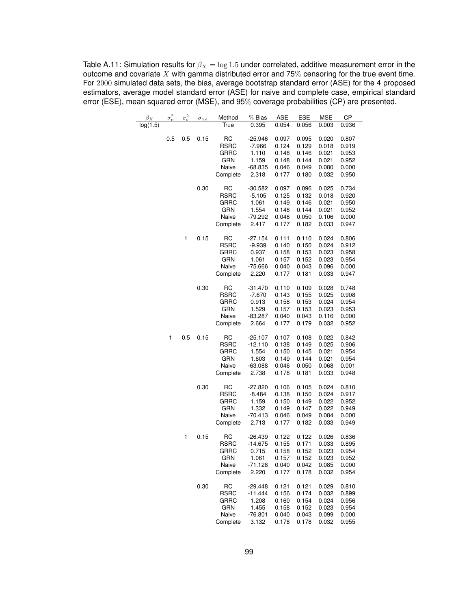Table A.11: Simulation results for  $\beta_X = \log 1.5$  under correlated, additive measurement error in the outcome and covariate  $X$  with gamma distributed error and 75% censoring for the true event time. For 2000 simulated data sets, the bias, average bootstrap standard error (ASE) for the 4 proposed estimators, average model standard error (ASE) for naive and complete case, empirical standard error (ESE), mean squared error (MSE), and 95% coverage probabilities (CP) are presented.

| $\beta_X$ | $\sigma_{\nu}^2$ | $\sigma^2_{\epsilon}$ | $\sigma_{\nu,\epsilon}$ | Method                                                       | $%$ Bias                                                       | <b>ASE</b>                                         | ESE                                                | <b>MSE</b>                                         | СP                                                 |
|-----------|------------------|-----------------------|-------------------------|--------------------------------------------------------------|----------------------------------------------------------------|----------------------------------------------------|----------------------------------------------------|----------------------------------------------------|----------------------------------------------------|
| log(1.5)  |                  |                       |                         | True                                                         | 0.395                                                          | 0.054                                              | 0.056                                              | 0.003                                              | 0.936                                              |
|           | 0.5              | 0.5                   | 0.15                    | RC<br><b>RSRC</b><br>GRRC<br><b>GRN</b><br>Naive<br>Complete | $-25.946$<br>$-7.966$<br>1.110<br>1.159<br>$-68.835$<br>2.318  | 0.097<br>0.124<br>0.148<br>0.148<br>0.046<br>0.177 | 0.095<br>0.129<br>0.146<br>0.144<br>0.049<br>0.180 | 0.020<br>0.018<br>0.021<br>0.021<br>0.080<br>0.032 | 0.807<br>0.919<br>0.953<br>0.952<br>0.000<br>0.950 |
|           |                  |                       | 0.30                    | RC<br>RSRC<br>GRRC<br>GRN<br>Naive<br>Complete               | $-30.582$<br>$-5.105$<br>1.061<br>1.554<br>-79.292<br>2.417    | 0.097<br>0.125<br>0.149<br>0.148<br>0.046<br>0.177 | 0.096<br>0.132<br>0.146<br>0.144<br>0.050<br>0.182 | 0.025<br>0.018<br>0.021<br>0.021<br>0.106<br>0.033 | 0.734<br>0.920<br>0.950<br>0.952<br>0.000<br>0.947 |
|           |                  | 1                     | 0.15                    | RC<br><b>RSRC</b><br>GRRC<br>GRN<br>Naive<br>Complete        | $-27.154$<br>$-9.939$<br>0.937<br>1.061<br>-75.666<br>2.220    | 0.111<br>0.140<br>0.158<br>0.157<br>0.040<br>0.177 | 0.110<br>0.150<br>0.153<br>0.152<br>0.043<br>0.181 | 0.024<br>0.024<br>0.023<br>0.023<br>0.096<br>0.033 | 0.806<br>0.912<br>0.958<br>0.954<br>0.000<br>0.947 |
|           |                  |                       | 0.30                    | RC<br><b>RSRC</b><br><b>GRRC</b><br>GRN<br>Naive<br>Complete | -31.470<br>$-7.670$<br>0.913<br>1.529<br>$-83.287$<br>2.664    | 0.110<br>0.143<br>0.158<br>0.157<br>0.040<br>0.177 | 0.109<br>0.155<br>0.153<br>0.153<br>0.043<br>0.179 | 0.028<br>0.025<br>0.024<br>0.023<br>0.116<br>0.032 | 0.748<br>0.908<br>0.954<br>0.953<br>0.000<br>0.952 |
|           | 1                | 0.5                   | 0.15                    | RC<br><b>RSRC</b><br><b>GRRC</b><br>GRN<br>Naive<br>Complete | $-25.107$<br>$-12.110$<br>1.554<br>1.603<br>$-63.088$<br>2.738 | 0.107<br>0.138<br>0.150<br>0.149<br>0.046<br>0.178 | 0.108<br>0.149<br>0.145<br>0.144<br>0.050<br>0.181 | 0.022<br>0.025<br>0.021<br>0.021<br>0.068<br>0.033 | 0.842<br>0.906<br>0.954<br>0.954<br>0.001<br>0.948 |
|           |                  |                       | 0.30                    | RC<br><b>RSRC</b><br>GRRC<br>GRN<br>Naive<br>Complete        | $-27.820$<br>$-8.484$<br>1.159<br>1.332<br>$-70.413$<br>2.713  | 0.106<br>0.138<br>0.150<br>0.149<br>0.046<br>0.177 | 0.105<br>0.150<br>0.149<br>0.147<br>0.049<br>0.182 | 0.024<br>0.024<br>0.022<br>0.022<br>0.084<br>0.033 | 0.810<br>0.917<br>0.952<br>0.949<br>0.000<br>0.949 |
|           |                  | 1                     | 0.15                    | RC<br><b>RSRC</b><br><b>GRRC</b><br>GRN<br>Naive<br>Complete | -26.439<br>$-14.675$<br>0.715<br>1.061<br>$-71.128$<br>2.220   | 0.122<br>0.155<br>0.158<br>0.157<br>0.040<br>0.177 | 0.122<br>0.171<br>0.152<br>0.152<br>0.042<br>0.178 | 0.026<br>0.033<br>0.023<br>0.023<br>0.085<br>0.032 | 0.836<br>0.895<br>0.954<br>0.952<br>0.000<br>0.954 |
|           |                  |                       | 0.30                    | RC<br>RSRC<br><b>GRRC</b><br>GRN<br>Naive<br>Complete        | $-29.448$<br>$-11.444$<br>1.208<br>1.455<br>$-76.801$<br>3.132 | 0.121<br>0.156<br>0.160<br>0.158<br>0.040<br>0.178 | 0.121<br>0.174<br>0.154<br>0.152<br>0.043<br>0.178 | 0.029<br>0.032<br>0.024<br>0.023<br>0.099<br>0.032 | 0.810<br>0.899<br>0.956<br>0.954<br>0.000<br>0.955 |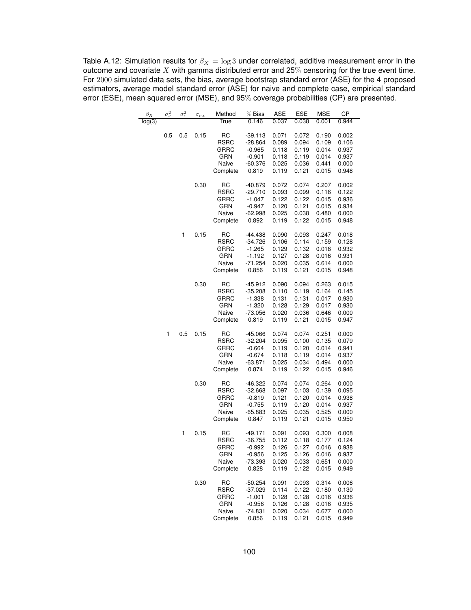Table A.12: Simulation results for  $\beta_X = \log 3$  under correlated, additive measurement error in the outcome and covariate  $X$  with gamma distributed error and 25% censoring for the true event time. For 2000 simulated data sets, the bias, average bootstrap standard error (ASE) for the 4 proposed estimators, average model standard error (ASE) for naive and complete case, empirical standard error (ESE), mean squared error (MSE), and 95% coverage probabilities (CP) are presented.

| $\beta_X$ | $\sigma_{\nu}^2$ | $\sigma_{\epsilon}^2$ | $\sigma_{\nu,\epsilon}$ | Method                                                       | $%$ Bias                                                             | <b>ASE</b>                                         | <b>ESE</b>                                         | <b>MSE</b>                                         | CP                                                 |
|-----------|------------------|-----------------------|-------------------------|--------------------------------------------------------------|----------------------------------------------------------------------|----------------------------------------------------|----------------------------------------------------|----------------------------------------------------|----------------------------------------------------|
| log(3)    |                  |                       |                         | True                                                         | 0.146                                                                | 0.037                                              | 0.038                                              | 0.001                                              | 0.944                                              |
|           | 0.5              | 0.5                   | 0.15                    | RC<br><b>RSRC</b><br>GRRC<br>GRN<br>Naive<br>Complete        | -39.113<br>-28.864<br>$-0.965$<br>$-0.901$<br>$-60.376$<br>0.819     | 0.071<br>0.089<br>0.118<br>0.118<br>0.025<br>0.119 | 0.072<br>0.094<br>0.119<br>0.119<br>0.036<br>0.121 | 0.190<br>0.109<br>0.014<br>0.014<br>0.441<br>0.015 | 0.002<br>0.106<br>0.937<br>0.937<br>0.000<br>0.948 |
|           |                  |                       | 0.30                    | RC<br><b>RSRC</b><br>GRRC<br>GRN<br>Naive<br>Complete        | -40.879<br>$-29.710$<br>$-1.047$<br>$-0.947$<br>$-62.998$<br>0.892   | 0.072<br>0.093<br>0.122<br>0.120<br>0.025<br>0.119 | 0.074<br>0.099<br>0.122<br>0.121<br>0.038<br>0.122 | 0.207<br>0.116<br>0.015<br>0.015<br>0.480<br>0.015 | 0.002<br>0.122<br>0.936<br>0.934<br>0.000<br>0.948 |
|           |                  | 1                     | 0.15                    | RC<br><b>RSRC</b><br>GRRC<br>GRN<br>Naive<br>Complete        | -44.438<br>$-34.726$<br>$-1.265$<br>$-1.192$<br>$-71.254$<br>0.856   | 0.090<br>0.106<br>0.129<br>0.127<br>0.020<br>0.119 | 0.093<br>0.114<br>0.132<br>0.128<br>0.035<br>0.121 | 0.247<br>0.159<br>0.018<br>0.016<br>0.614<br>0.015 | 0.018<br>0.128<br>0.932<br>0.931<br>0.000<br>0.948 |
|           |                  |                       | 0.30                    | RC<br><b>RSRC</b><br>GRRC<br>GRN<br>Naive<br>Complete        | -45.912<br>$-35.208$<br>$-1.338$<br>$-1.320$<br>-73.056<br>0.819     | 0.090<br>0.110<br>0.131<br>0.128<br>0.020<br>0.119 | 0.094<br>0.119<br>0.131<br>0.129<br>0.036<br>0.121 | 0.263<br>0.164<br>0.017<br>0.017<br>0.646<br>0.015 | 0.015<br>0.145<br>0.930<br>0.930<br>0.000<br>0.947 |
|           | 1                | 0.5                   | 0.15                    | RC<br><b>RSRC</b><br>GRRC<br>GRN<br>Naive<br>Complete        | -45.066<br>$-32.204$<br>$-0.664$<br>$-0.674$<br>$-63.871$<br>0.874   | 0.074<br>0.095<br>0.119<br>0.118<br>0.025<br>0.119 | 0.074<br>0.100<br>0.120<br>0.119<br>0.034<br>0.122 | 0.251<br>0.135<br>0.014<br>0.014<br>0.494<br>0.015 | 0.000<br>0.079<br>0.941<br>0.937<br>0.000<br>0.946 |
|           |                  |                       | 0.30                    | RC<br><b>RSRC</b><br>GRRC<br>GRN<br>Naive<br>Complete        | $-46.322$<br>$-32.668$<br>$-0.819$<br>$-0.755$<br>$-65.883$<br>0.847 | 0.074<br>0.097<br>0.121<br>0.119<br>0.025<br>0.119 | 0.074<br>0.103<br>0.120<br>0.120<br>0.035<br>0.121 | 0.264<br>0.139<br>0.014<br>0.014<br>0.525<br>0.015 | 0.000<br>0.095<br>0.938<br>0.937<br>0.000<br>0.950 |
|           |                  | 1                     | 0.15                    | RC<br><b>RSRC</b><br>GRRC<br>GRN<br>Naive<br>Complete        | -49.171<br>$-36.755$<br>$-0.992$<br>$-0.956$<br>-73.393<br>0.828     | 0.091<br>0.112<br>0.126<br>0.125<br>0.020<br>0.119 | 0.093<br>0.118<br>0.127<br>0.126<br>0.033<br>0.122 | 0.300<br>0.177<br>0.016<br>0.016<br>0.651<br>0.015 | 0.008<br>0.124<br>0.938<br>0.937<br>0.000<br>0.949 |
|           |                  |                       | 0.30                    | RC<br><b>RSRC</b><br>GRRC<br><b>GRN</b><br>Naive<br>Complete | $-50.254$<br>$-37.029$<br>$-1.001$<br>$-0.956$<br>-74.831<br>0.856   | 0.091<br>0.114<br>0.128<br>0.126<br>0.020<br>0.119 | 0.093<br>0.122<br>0.128<br>0.128<br>0.034<br>0.121 | 0.314<br>0.180<br>0.016<br>0.016<br>0.677<br>0.015 | 0.006<br>0.130<br>0.936<br>0.935<br>0.000<br>0.949 |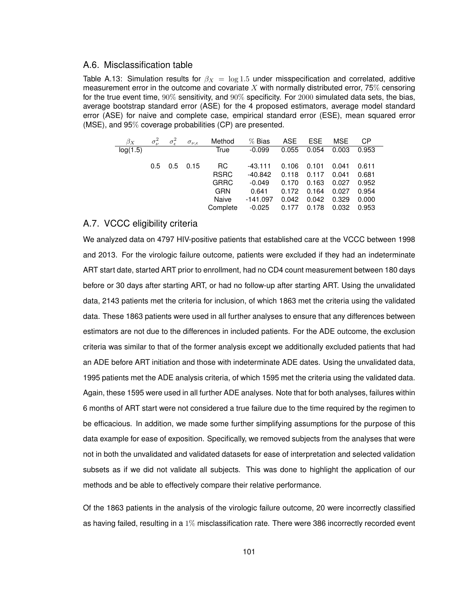#### A.6. Misclassification table

Table A.13: Simulation results for  $\beta_X = \log 1.5$  under misspecification and correlated, additive measurement error in the outcome and covariate  $X$  with normally distributed error, 75% censoring for the true event time, 90% sensitivity, and 90% specificity. For 2000 simulated data sets, the bias, average bootstrap standard error (ASE) for the 4 proposed estimators, average model standard error (ASE) for naive and complete case, empirical standard error (ESE), mean squared error (MSE), and 95% coverage probabilities (CP) are presented.

| $\beta_X$ | $\sigma_{\nu}^2$ | $\sigma_{\epsilon}^2$ | $\sigma_{\nu,\epsilon}$ | Method      | $%$ Bias   | <b>ASE</b> | ESE.  | MSE   | СP    |
|-----------|------------------|-----------------------|-------------------------|-------------|------------|------------|-------|-------|-------|
| log(1.5)  |                  |                       |                         | True        | $-0.099$   | 0.055      | 0.054 | 0.003 | 0.953 |
|           |                  |                       |                         |             |            |            |       |       |       |
|           |                  |                       | $0.5$ 0.5 0.15          | RC.         | $-43.111$  | 0.106      | 0.101 | 0.041 | 0.611 |
|           |                  |                       |                         | <b>RSRC</b> | -40.842    | 0.118      | 0.117 | 0.041 | 0.681 |
|           |                  |                       |                         | <b>GRRC</b> | $-0.049$   | 0.170      | 0.163 | 0.027 | 0.952 |
|           |                  |                       |                         | <b>GRN</b>  | 0.641      | 0.172      | 0.164 | 0.027 | 0.954 |
|           |                  |                       |                         | Naive       | $-141.097$ | 0.042      | 0.042 | 0.329 | 0.000 |
|           |                  |                       |                         | Complete    | $-0.025$   | 0.177      | 0.178 | 0.032 | 0.953 |

### A.7. VCCC eligibility criteria

We analyzed data on 4797 HIV-positive patients that established care at the VCCC between 1998 and 2013. For the virologic failure outcome, patients were excluded if they had an indeterminate ART start date, started ART prior to enrollment, had no CD4 count measurement between 180 days before or 30 days after starting ART, or had no follow-up after starting ART. Using the unvalidated data, 2143 patients met the criteria for inclusion, of which 1863 met the criteria using the validated data. These 1863 patients were used in all further analyses to ensure that any differences between estimators are not due to the differences in included patients. For the ADE outcome, the exclusion criteria was similar to that of the former analysis except we additionally excluded patients that had an ADE before ART initiation and those with indeterminate ADE dates. Using the unvalidated data, 1995 patients met the ADE analysis criteria, of which 1595 met the criteria using the validated data. Again, these 1595 were used in all further ADE analyses. Note that for both analyses, failures within 6 months of ART start were not considered a true failure due to the time required by the regimen to be efficacious. In addition, we made some further simplifying assumptions for the purpose of this data example for ease of exposition. Specifically, we removed subjects from the analyses that were not in both the unvalidated and validated datasets for ease of interpretation and selected validation subsets as if we did not validate all subjects. This was done to highlight the application of our methods and be able to effectively compare their relative performance.

Of the 1863 patients in the analysis of the virologic failure outcome, 20 were incorrectly classified as having failed, resulting in a 1% misclassification rate. There were 386 incorrectly recorded event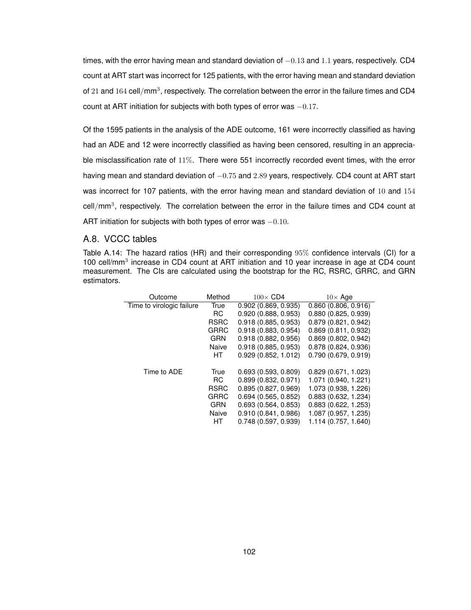times, with the error having mean and standard deviation of  $-0.13$  and 1.1 years, respectively. CD4 count at ART start was incorrect for 125 patients, with the error having mean and standard deviation of 21 and 164 cell/mm<sup>3</sup>, respectively. The correlation between the error in the failure times and CD4 count at ART initiation for subjects with both types of error was −0.17.

Of the 1595 patients in the analysis of the ADE outcome, 161 were incorrectly classified as having had an ADE and 12 were incorrectly classified as having been censored, resulting in an appreciable misclassification rate of 11%. There were 551 incorrectly recorded event times, with the error having mean and standard deviation of  $-0.75$  and 2.89 years, respectively. CD4 count at ART start was incorrect for 107 patients, with the error having mean and standard deviation of 10 and 154 cell/mm<sup>3</sup>, respectively. The correlation between the error in the failure times and CD4 count at ART initiation for subjects with both types of error was  $-0.10$ .

### A.8. VCCC tables

Table A.14: The hazard ratios (HR) and their corresponding 95% confidence intervals (CI) for a 100 cell/mm<sup>3</sup> increase in CD4 count at ART initiation and 10 year increase in age at CD4 count measurement. The CIs are calculated using the bootstrap for the RC, RSRC, GRRC, and GRN estimators.

| Outcome                   | Method       | $100\times$ CD4        | $10\times$ Age       |
|---------------------------|--------------|------------------------|----------------------|
| Time to virologic failure | True         | $0.902$ (0.869, 0.935) | 0.860(0.806, 0.916)  |
|                           | RC.          | 0.920(0.888, 0.953)    | 0.880(0.825, 0.939)  |
|                           | <b>RSRC</b>  | 0.918(0.885, 0.953)    | 0.879(0.821, 0.942)  |
|                           | <b>GRRC</b>  | 0.918(0.883, 0.954)    | 0.869(0.811, 0.932)  |
|                           | <b>GRN</b>   | 0.918(0.882, 0.956)    | 0.869(0.802, 0.942)  |
|                           | <b>Naive</b> | 0.918(0.885, 0.953)    | 0.878(0.824, 0.936)  |
|                           | HT           | 0.929(0.852, 1.012)    | 0.790(0.679, 0.919)  |
|                           |              |                        |                      |
| Time to ADE               | True         | 0.693(0.593, 0.809)    | 0.829(0.671, 1.023)  |
|                           | RC.          | 0.899(0.832, 0.971)    | 1.071 (0.940, 1.221) |
|                           | <b>RSRC</b>  | 0.895(0.827, 0.969)    | 1.073 (0.938, 1.226) |
|                           | <b>GRRC</b>  | 0.694(0.565, 0.852)    | 0.883(0.632, 1.234)  |
|                           | <b>GRN</b>   | 0.693(0.564, 0.853)    | 0.883(0.622, 1.253)  |
|                           | Naive        | 0.910(0.841, 0.986)    | 1.087 (0.957, 1.235) |
|                           | HT           | 0.748(0.597, 0.939)    | 1.114 (0.757, 1.640) |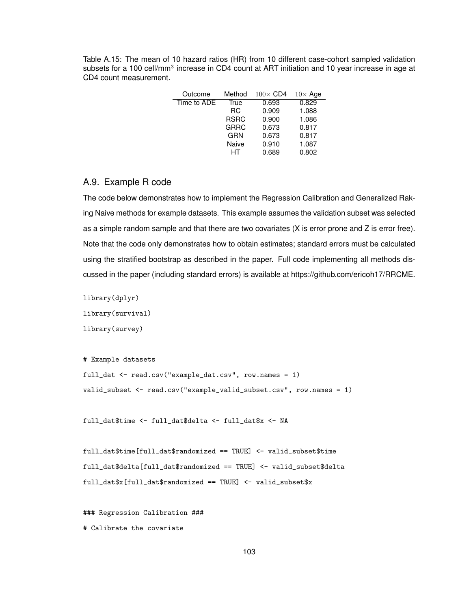Table A.15: The mean of 10 hazard ratios (HR) from 10 different case-cohort sampled validation subsets for a 100 cell/mm<sup>3</sup> increase in CD4 count at ART initiation and 10 year increase in age at CD4 count measurement.

| Outcome     | Method      | $100 \times$ CD4 | $10\times$ Age |
|-------------|-------------|------------------|----------------|
| Time to ADE | True        | 0.693            | 0.829          |
|             | RC          | 0.909            | 1.088          |
|             | <b>RSRC</b> | 0.900            | 1.086          |
|             | <b>GRRC</b> | 0.673            | 0.817          |
|             | <b>GRN</b>  | 0.673            | 0.817          |
|             | Naive       | 0.910            | 1.087          |
|             | HТ          | 0.689            | 0.802          |

#### A.9. Example R code

The code below demonstrates how to implement the Regression Calibration and Generalized Raking Naive methods for example datasets. This example assumes the validation subset was selected as a simple random sample and that there are two covariates (X is error prone and Z is error free). Note that the code only demonstrates how to obtain estimates; standard errors must be calculated using the stratified bootstrap as described in the paper. Full code implementing all methods discussed in the paper (including standard errors) is available at https://github.com/ericoh17/RRCME.

library(dplyr) library(survival) library(survey)

```
# Example datasets
full_dat <- read.csv("example_dat.csv", row.names = 1)
valid_subset <- read.csv("example_valid_subset.csv", row.names = 1)
```
full\_dat\$time <- full\_dat\$delta <- full\_dat\$x <- NA

```
full_dat$time[full_dat$randomized == TRUE] <- valid_subset$time
full_dat$delta[full_dat$randomized == TRUE] <- valid_subset$delta
full_dat$x[full_dat$randomized == TRUE] <- valid_subset$x
```
### Regression Calibration ###

# Calibrate the covariate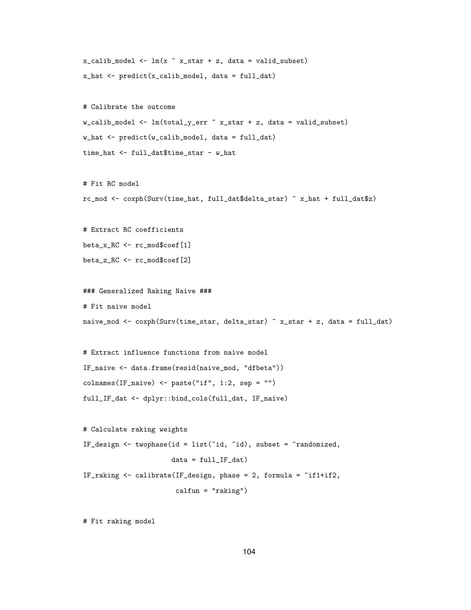```
x_calib_model <- lm(x \tilde{x} _x_{star} + z, data = valid_subset)x_hat <- predict(x_calib_model, data = full_dat)
```

```
# Calibrate the outcome
w\_calib\_model \leq \ln(total_y\_err \text{ x\_star} + z, data = valid\_subset)w_hat <- predict(w_calib_model, data = full_dat)
time_hat <- full_dat$time_star - w_hat
```
# Fit RC model rc\_mod <- coxph(Surv(time\_hat, full\_dat\$delta\_star) ~ x\_hat + full\_dat\$z)

# Extract RC coefficients beta\_x\_RC <- rc\_mod\$coef[1] beta\_z\_RC <- rc\_mod\$coef[2]

```
### Generalized Raking Naive ###
# Fit naive model
naive_mod <- coxph(Surv(time_star, delta_star) ~ x_star + z, data = full_dat)
```

```
# Extract influence functions from naive model
IF_naive <- data.frame(resid(naive_mod, "dfbeta"))
colnames(IF_naive) <- paste("if", 1:2, sep = "")
full_IF_dat <- dplyr::bind_cols(full_dat, IF_naive)
```

```
# Calculate raking weights
IF_design \le twophase(id = list(\tilde{i}d, \tilde{j}d), subset = \tilde{i}randomized,
                        data = full_IF_data)IF_raking <- calibrate(IF_design, phase = 2, formula = ~if1+if2,
                         calfun = "raking")
```
# Fit raking model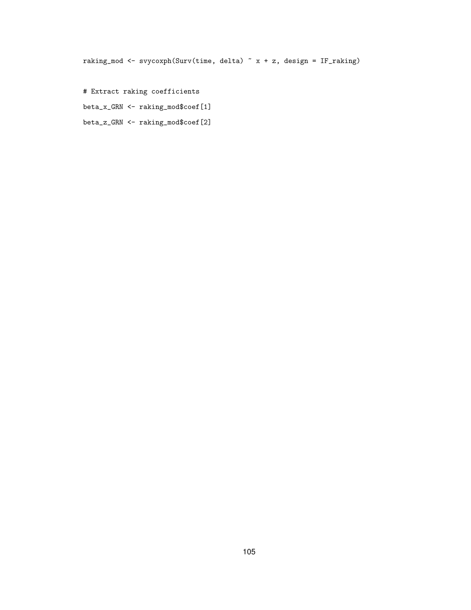raking\_mod <- svycoxph(Surv(time, delta)  $x + z$ , design = IF\_raking)

# Extract raking coefficients

beta\_x\_GRN <- raking\_mod\$coef[1]

beta\_z\_GRN <- raking\_mod\$coef[2]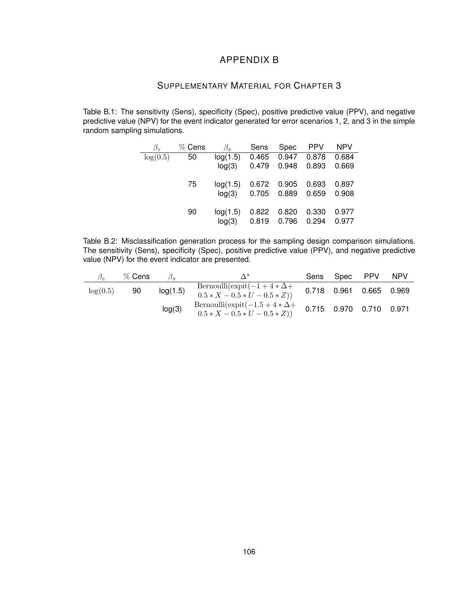## APPENDIX B

# SUPPLEMENTARY MATERIAL FOR CHAPTER 3

Table B.1: The sensitivity (Sens), specificity (Spec), positive predictive value (PPV), and negative predictive value (NPV) for the event indicator generated for error scenarios 1, 2, and 3 in the simple random sampling simulations.

| $\beta_z$ | $%$ Cens | $\beta_{\bm{x}}$   | Sens                       | <b>Spec</b>    | <b>PPV</b>     | <b>NPV</b>     |
|-----------|----------|--------------------|----------------------------|----------------|----------------|----------------|
| log(0.5)  | - 50     | $log(1.5)$ 0.465   |                            | 0.947 0.878    |                | 0.684          |
|           |          | log(3)             | 0.479                      | 0.948          | 0.893          | 0.669          |
|           | 75       | log(1.5)<br>log(3) | 0.672 0.905<br>0.705 0.889 |                | 0.693<br>0.659 | 0.897<br>0.908 |
|           | 90       | log(1.5)<br>log(3) | 0.822<br>0.819             | 0.820<br>0.796 | 0.330<br>0.294 | 0.977<br>0.977 |

Table B.2: Misclassification generation process for the sampling design comparison simulations. The sensitivity (Sens), specificity (Spec), positive predictive value (PPV), and negative predictive value (NPV) for the event indicator are presented.

| ß.,      | $\%$ Cens | $\beta_r$ | ∧∗                                                                       | Sens Spec                  | <b>PPV</b> | <b>NPV</b> |
|----------|-----------|-----------|--------------------------------------------------------------------------|----------------------------|------------|------------|
| log(0.5) | 90        | log(1.5)  | Bernoulli(expit( $-1+4*\Delta$ +<br>$0.5 * X - 0.5 * U - 0.5 * Z)$       | 0.718  0.961  0.665  0.969 |            |            |
|          |           | log(3)    | Bernoulli(expit( $-1.5 + 4 * \Delta +$<br>$0.5 * X - 0.5 * U - 0.5 * Z)$ | 0.715  0.970  0.710  0.971 |            |            |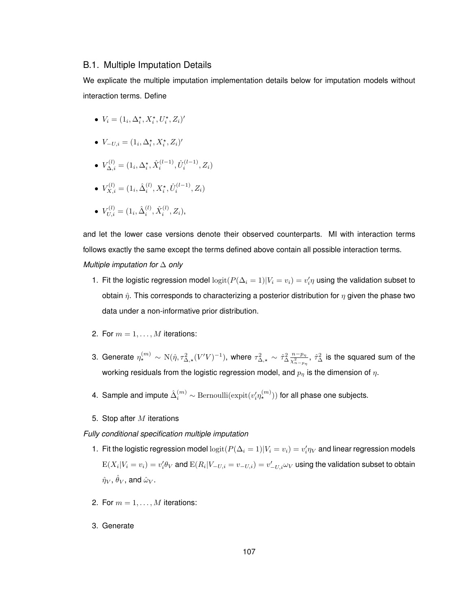#### B.1. Multiple Imputation Details

We explicate the multiple imputation implementation details below for imputation models without interaction terms. Define

- $V_i = (1_i, \Delta_i^*, X_i^*, U_i^*, Z_i)'$
- $V_{-U,i} = (1_i, \Delta_i^*, X_i^*, Z_i)'$
- $V_{\Delta,i}^{(l)} = (1_i, \Delta_i^*, \hat{X}_i^{(l-1)}, \hat{U}_i^{(l-1)}, Z_i)$
- $V_{X,i}^{(l)} = (1_i, \hat{\Delta}_i^{(l)}, X_i^{\star}, \hat{U}_i^{(l-1)}, Z_i)$
- $V_{U,i}^{(l)} = (1_i, \hat{\Delta}_i^{(l)}, \hat{X}_i^{(l)}, Z_i),$

and let the lower case versions denote their observed counterparts. MI with interaction terms follows exactly the same except the terms defined above contain all possible interaction terms. *Multiple imputation for* ∆ *only*

- 1. Fit the logistic regression model  $\text{logit}(P(\Delta_i = 1)|V_i = v_i) = v_i' \eta$  using the validation subset to obtain  $\hat{\eta}$ . This corresponds to characterizing a posterior distribution for  $\eta$  given the phase two data under a non-informative prior distribution.
- 2. For  $m = 1, \ldots, M$  iterations:
- 3. Generate  $\eta_{\star}^{(m)}\sim \text{N}(\hat{\eta},\tau_{\Delta,\star}^2(V'V)^{-1}),$  where  $\tau_{\Delta,\star}^2\sim \hat{\tau}_{\Delta}^2\frac{n-p_{\eta}}{\chi_{\pi-\star}^2}$  $\frac{n-p_{\eta}}{\chi^2_{n-p_{\eta}}},$   $\hat{\tau}^2_{\Delta}$  is the squared sum of the working residuals from the logistic regression model, and  $p_n$  is the dimension of  $\eta$ .
- 4. Sample and impute  $\hat{\Delta}^{(m)}_i \sim \text{Bernoulli}(\expit(v'_i \eta^{(m)}_*))$  for all phase one subjects.
- 5. Stop after  $M$  iterations
- *Fully conditional specification multiple imputation*
	- 1. Fit the logistic regression model  $\text{logit}(P(\Delta_i = 1)|V_i = v_i) = v_i' \eta_V$  and linear regression models  $\text{E}(X_i|V_i=v_i)=v_i'\theta_V$  and  $\text{E}(R_i|V_{-U,i}=v_{-U,i})=v_{-U,i}'\omega_V$  using the validation subset to obtain  $\hat{\eta}_V, \, \hat{\theta}_V,$  and  $\hat{\omega}_V.$
	- 2. For  $m = 1, \ldots, M$  iterations:
	- 3. Generate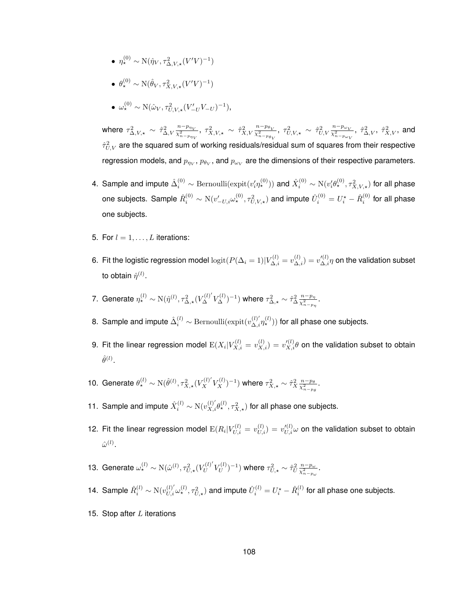- $\bullet~~ \eta^{(0)}_{\star} \sim \mathrm{N}(\hat{\eta}_V, \tau^2_{\Delta, V, \star}(V'V)^{-1})$
- $\bullet$   $\theta_{\star}^{(0)} \sim \mathrm{N}(\hat{\theta}_V, \tau_{X, V, \star}^2 (V'V)^{-1})$
- $\omega_{\star}^{(0)} \sim \text{N}(\hat{\omega}_V, \tau_{U,V,\star}^2 (V'_{-U}V_{-U})^{-1}),$

where  $\tau_{\Delta,V,\star}^2 \sim \hat{\tau}_{\Delta,V}^2 \frac{n - p_{\eta_V}}{\chi_{n - p_{\eta_V}}^2}, \tau_{X,V,\star}^2 \sim \hat{\tau}_{X,V}^2 \frac{n - p_{\theta_V}}{\chi_{n - p_{\theta_V}}^2}$ ,  $\tau_{U,V,\star}^2 \sim \hat{\tau}_{U,V}^2 \frac{n-p_{\omega_V}}{\chi_{n-p_{\omega_V}}^2}$ ,  $\hat{\tau}_{\Delta,V}^2$ ,  $\hat{\tau}_{X,V}^2$ , and  $\hat{\tau}_{U,V}^2$  are the squared sum of working residuals/residual sum of squares from their respective regression models, and  $p_{\eta_V},\,p_{\theta_V},$  and  $p_{\omega_V}$  are the dimensions of their respective parameters.

- 4. Sample and impute  $\hat\Delta_i^{(0)}\sim\text{Bernoulli}(\text{expit}(v_i'\eta_\star^{(0)}))$  and  $\hat X_i^{(0)}\sim\text{N}(v_i'\theta_\star^{(0)},\tau_{X,V,\star}^2)$  for all phase one subjects. Sample  $\hat R_i^{(0)}\sim N(v'_{-U,i}\omega_\star^{(0)},\tau_{U,V,\star}^2)$  and impute  $\hat U_i^{(0)}=U_i^\star-\hat R_i^{(0)}$  for all phase one subjects.
- 5. For  $l = 1, \ldots, L$  iterations:
- 6. Fit the logistic regression model  $\text{logit}(P(\Delta_i=1)|V^{(l)}_{\Delta,i}=v^{(l)}_{\Delta,i})=v'^{(l)}_{\Delta,i}\eta$  on the validation subset to obtain  $\hat{\eta}^{(l)}.$
- 7. Generate  $\eta^{(l)}_\star \sim \text{N}(\hat{\eta}^{(l)}, \tau^2_{\Delta,\star} (V^{(l)'}_{\Delta} V^{(l)}_{\Delta})^{-1})$  where  $\tau^2_{\Delta,\star} \sim \hat{\tau}^2_{\Delta} \frac{n-p_{\eta}}{\chi^2_{\pi-\pi}}$  $rac{n-p_{\eta}}{\chi^2_{n-p_{\eta}}}$ .
- 8. Sample and impute  $\hat{\Delta}_i^{(l)}\sim\text{Bernoulli}(\expit(v_{\Delta,i}^{(l)'}\eta_\star^{(l)}))$  for all phase one subjects.
- 9. Fit the linear regression model  $\mathrm{E}(X_i|V_{X,i}^{(l)}=v_{X,i}^{(l)})=v_{X,i}^{\prime (l)}\theta$  on the validation subset to obtain  $\hat{\theta}^{(l)}$ .
- 10. Generate  $\theta_{\star}^{(l)} \sim N(\hat{\theta}^{(l)}, \tau_{X,\star}^2 (V_X^{(l)'} V_X^{(l)})^{-1})$  where  $\tau_{X,\star}^2 \sim \hat{\tau}_X^2 \frac{n-p_\theta}{\chi_{n-p_\theta}^2}$ .
- 11. Sample and impute  $\hat{X}_i^{(l)} \sim \text{N}(v_{X,i}^{(l)'}\theta_\star^{(l)}, \tau_{X,\star}^2)$  for all phase one subjects.
- 12. Fit the linear regression model  $\text{E}(R_i|V_{U,i}^{(l)}=v_{U,i}^{(l)})=v_{U,i}^{\prime (l)}\omega$  on the validation subset to obtain  $\hat{\omega}^{(l)}.$
- 13. Generate  $\omega_{\star}^{(l)} \sim \text{N}(\hat{\omega}^{(l)}, \tau_{U,\star}^2 (V_U^{(l)})^2)$  $U^{(l)'}V_U^{(l)}$  $(\bar{U}^{(l)})^{-1}$ ) where  $\tau_{U,\star}^2 \sim \hat{\tau}_U^2 \frac{n-p_\omega}{\chi_{n-p_\omega}^2}$ .
- 14. Sample  $\hat{R}_i^{(l)}\sim\text{N}(v_{U,i}^{(l)'}\omega_\star^{(l)},\tau_{U,\star}^2)$  and impute  $\hat{U}_i^{(l)}=U^\star_i-\hat{R}_i^{(l)}$  for all phase one subjects.
- 15. Stop after  $L$  iterations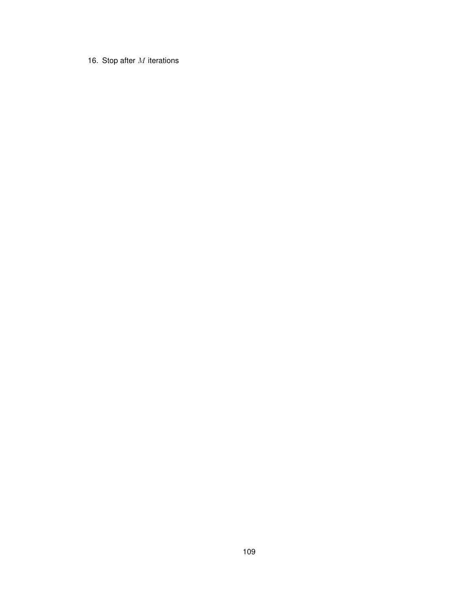16. Stop after  $M$  iterations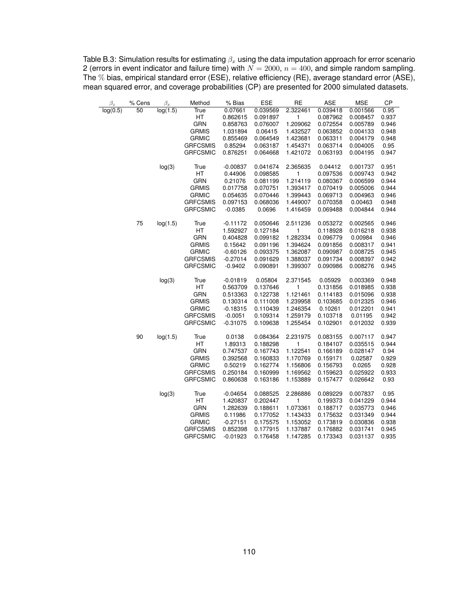Table B.3: Simulation results for estimating  $\beta_x$  using the data imputation approach for error scenario 2 (errors in event indicator and failure time) with  $N = 2000$ ,  $n = 400$ , and simple random sampling. The % bias, empirical standard error (ESE), relative efficiency (RE), average standard error (ASE), mean squared error, and coverage probabilities (CP) are presented for 2000 simulated datasets.

| $\beta_z$ | % Cens          | $\beta_x$ | Method          | % Bias     | ESE      | <b>RE</b> | ASE      | <b>MSE</b> | CP    |
|-----------|-----------------|-----------|-----------------|------------|----------|-----------|----------|------------|-------|
| log(0.5)  | $\overline{50}$ | log(1.5)  | True            | 0.07661    | 0.039569 | 2.322461  | 0.039418 | 0.001566   | 0.95  |
|           |                 |           | HT              | 0.862615   | 0.091897 | 1         | 0.087962 | 0.008457   | 0.937 |
|           |                 |           | GRN             | 0.858763   | 0.076007 | 1.209062  | 0.072554 | 0.005789   | 0.946 |
|           |                 |           | <b>GRMIS</b>    | 1.031894   | 0.06415  | 1.432527  | 0.063852 | 0.004133   | 0.948 |
|           |                 |           | <b>GRMIC</b>    | 0.855469   | 0.064549 | 1.423681  | 0.063311 | 0.004179   | 0.948 |
|           |                 |           | <b>GRFCSMIS</b> | 0.85294    | 0.063187 | 1.454371  | 0.063714 | 0.004005   | 0.95  |
|           |                 |           | <b>GRFCSMIC</b> | 0.876251   | 0.064668 | 1.421072  | 0.063193 | 0.004195   | 0.947 |
|           |                 | log(3)    | True            | $-0.00837$ | 0.041674 | 2.365635  | 0.04412  | 0.001737   | 0.951 |
|           |                 |           | HT              | 0.44906    | 0.098585 | 1         | 0.097536 | 0.009743   | 0.942 |
|           |                 |           | <b>GRN</b>      | 0.21076    | 0.081199 | 1.214119  | 0.080367 | 0.006599   | 0.944 |
|           |                 |           | <b>GRMIS</b>    | 0.017758   | 0.070751 | 1.393417  | 0.070419 | 0.005006   | 0.944 |
|           |                 |           | <b>GRMIC</b>    | 0.054635   | 0.070446 | 1.399443  | 0.069713 | 0.004963   | 0.946 |
|           |                 |           | <b>GRFCSMIS</b> | 0.097153   | 0.068036 | 1.449007  | 0.070358 | 0.00463    | 0.948 |
|           |                 |           | <b>GRFCSMIC</b> | $-0.0385$  | 0.0696   | 1.416459  | 0.069488 | 0.004844   | 0.944 |
|           | 75              | log(1.5)  | True            | $-0.11172$ | 0.050646 | 2.511236  | 0.053272 | 0.002565   | 0.946 |
|           |                 |           | HT              | 1.592927   | 0.127184 | 1         | 0.118928 | 0.016218   | 0.938 |
|           |                 |           | <b>GRN</b>      | 0.404828   | 0.099182 | 1.282334  | 0.096779 | 0.00984    | 0.946 |
|           |                 |           | <b>GRMIS</b>    | 0.15642    | 0.091196 | 1.394624  | 0.091856 | 0.008317   | 0.941 |
|           |                 |           | <b>GRMIC</b>    | $-0.60126$ | 0.093375 | 1.362087  | 0.090987 | 0.008725   | 0.945 |
|           |                 |           | <b>GRFCSMIS</b> | $-0.27014$ | 0.091629 | 1.388037  | 0.091734 | 0.008397   | 0.942 |
|           |                 |           | <b>GRFCSMIC</b> | $-0.9402$  | 0.090891 | 1.399307  | 0.090986 | 0.008276   | 0.945 |
|           |                 | log(3)    | True            | $-0.01819$ | 0.05804  | 2.371545  | 0.05929  | 0.003369   | 0.948 |
|           |                 |           | HT              | 0.563709   | 0.137646 | 1         | 0.131856 | 0.018985   | 0.938 |
|           |                 |           | <b>GRN</b>      | 0.513363   | 0.122738 | 1.121461  | 0.114183 | 0.015096   | 0.938 |
|           |                 |           | <b>GRMIS</b>    | 0.130314   | 0.111008 | 1.239958  | 0.103685 | 0.012325   | 0.946 |
|           |                 |           | <b>GRMIC</b>    | $-0.18315$ | 0.110439 | 1.246354  | 0.10261  | 0.012201   | 0.941 |
|           |                 |           | <b>GRFCSMIS</b> | $-0.0051$  | 0.109314 | 1.259179  | 0.103718 | 0.01195    | 0.942 |
|           |                 |           | <b>GRFCSMIC</b> | $-0.31075$ | 0.109638 | 1.255454  | 0.102901 | 0.012032   | 0.939 |
|           | 90              | log(1.5)  | True            | 0.0138     | 0.084364 | 2.231975  | 0.083155 | 0.007117   | 0.947 |
|           |                 |           | HT              | 1.89313    | 0.188298 | 1         | 0.184107 | 0.035515   | 0.944 |
|           |                 |           | <b>GRN</b>      | 0.747537   | 0.167743 | 1.122541  | 0.166189 | 0.028147   | 0.94  |
|           |                 |           | <b>GRMIS</b>    | 0.392568   | 0.160833 | 1.170769  | 0.159171 | 0.02587    | 0.929 |
|           |                 |           | <b>GRMIC</b>    | 0.50219    | 0.162774 | 1.156806  | 0.156793 | 0.0265     | 0.928 |
|           |                 |           | <b>GRFCSMIS</b> | 0.250184   | 0.160999 | 1.169562  | 0.159623 | 0.025922   | 0.933 |
|           |                 |           | <b>GRFCSMIC</b> | 0.860638   | 0.163186 | 1.153889  | 0.157477 | 0.026642   | 0.93  |
|           |                 | log(3)    | True            | $-0.04654$ | 0.088525 | 2.286886  | 0.089229 | 0.007837   | 0.95  |
|           |                 |           | HT              | 1.420837   | 0.202447 | 1         | 0.199373 | 0.041229   | 0.944 |
|           |                 |           | <b>GRN</b>      | 1.282639   | 0.188611 | 1.073361  | 0.188717 | 0.035773   | 0.946 |
|           |                 |           | <b>GRMIS</b>    | 0.11986    | 0.177052 | 1.143433  | 0.175632 | 0.031349   | 0.944 |
|           |                 |           | <b>GRMIC</b>    | $-0.27151$ | 0.175575 | 1.153052  | 0.173819 | 0.030836   | 0.938 |
|           |                 |           | <b>GRFCSMIS</b> | 0.852398   | 0.177915 | 1.137887  | 0.176882 | 0.031741   | 0.945 |
|           |                 |           | <b>GRFCSMIC</b> | $-0.01923$ | 0.176458 | 1.147285  | 0.173343 | 0.031137   | 0.935 |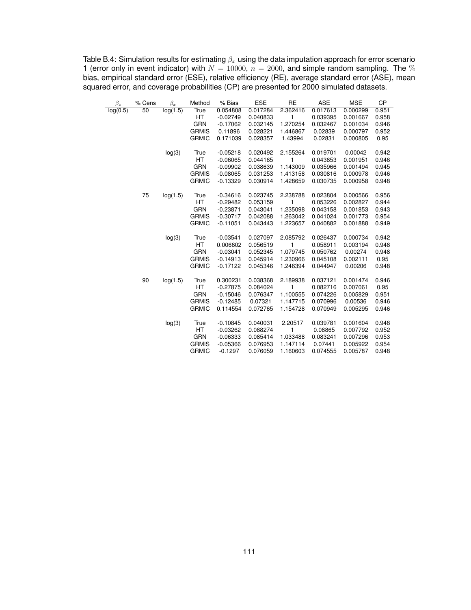Table B.4: Simulation results for estimating  $\beta_x$  using the data imputation approach for error scenario 1 (error only in event indicator) with  $N = 10000$ ,  $n = 2000$ , and simple random sampling. The % bias, empirical standard error (ESE), relative efficiency (RE), average standard error (ASE), mean squared error, and coverage probabilities (CP) are presented for 2000 simulated datasets.

| $\beta_z$ | % Cens | $\beta_x$ | Method       | % Bias     | <b>ESE</b> | <b>RE</b>    | <b>ASE</b> | <b>MSE</b> | <b>CP</b> |
|-----------|--------|-----------|--------------|------------|------------|--------------|------------|------------|-----------|
| log(0.5)  | 50     | log(1.5)  | <b>True</b>  | 0.054808   | 0.017284   | 2.362416     | 0.017613   | 0.000299   | 0.951     |
|           |        |           | HT           | $-0.02749$ | 0.040833   | 1            | 0.039395   | 0.001667   | 0.958     |
|           |        |           | <b>GRN</b>   | $-0.17062$ | 0.032145   | 1.270254     | 0.032467   | 0.001034   | 0.946     |
|           |        |           | <b>GRMIS</b> | 0.11896    | 0.028221   | 1.446867     | 0.02839    | 0.000797   | 0.952     |
|           |        |           | <b>GRMIC</b> | 0.171039   | 0.028357   | 1.43994      | 0.02831    | 0.000805   | 0.95      |
|           |        | log(3)    | True         | $-0.05218$ | 0.020492   | 2.155264     | 0.019701   | 0.00042    | 0.942     |
|           |        |           | HT           | $-0.06065$ | 0.044165   | 1            | 0.043853   | 0.001951   | 0.946     |
|           |        |           | <b>GRN</b>   | $-0.09902$ | 0.038639   | 1.143009     | 0.035966   | 0.001494   | 0.945     |
|           |        |           | <b>GRMIS</b> | $-0.08065$ | 0.031253   | 1.413158     | 0.030816   | 0.000978   | 0.946     |
|           |        |           | <b>GRMIC</b> | $-0.13329$ | 0.030914   | 1.428659     | 0.030735   | 0.000958   | 0.948     |
|           | 75     | log(1.5)  | True         | $-0.34616$ | 0.023745   | 2.238788     | 0.023804   | 0.000566   | 0.956     |
|           |        |           | <b>HT</b>    | $-0.29482$ | 0.053159   | 1            | 0.053226   | 0.002827   | 0.944     |
|           |        |           | <b>GRN</b>   | $-0.23871$ | 0.043041   | 1.235098     | 0.043158   | 0.001853   | 0.943     |
|           |        |           | <b>GRMIS</b> | $-0.30717$ | 0.042088   | 1.263042     | 0.041024   | 0.001773   | 0.954     |
|           |        |           | <b>GRMIC</b> | $-0.11051$ | 0.043443   | 1.223657     | 0.040882   | 0.001888   | 0.949     |
|           |        | log(3)    | True         | $-0.03541$ | 0.027097   | 2.085792     | 0.026437   | 0.000734   | 0.942     |
|           |        |           | НT           | 0.006602   | 0.056519   | 1            | 0.058911   | 0.003194   | 0.948     |
|           |        |           | <b>GRN</b>   | $-0.03041$ | 0.052345   | 1.079745     | 0.050762   | 0.00274    | 0.948     |
|           |        |           | <b>GRMIS</b> | $-0.14913$ | 0.045914   | 1.230966     | 0.045108   | 0.002111   | 0.95      |
|           |        |           | <b>GRMIC</b> | $-0.17122$ | 0.045346   | 1.246394     | 0.044947   | 0.00206    | 0.948     |
|           | 90     | log(1.5)  | True         | 0.300231   | 0.038368   | 2.189938     | 0.037121   | 0.001474   | 0.946     |
|           |        |           | HT.          | $-0.27875$ | 0.084024   | $\mathbf{1}$ | 0.082716   | 0.007061   | 0.95      |
|           |        |           | <b>GRN</b>   | $-0.15046$ | 0.076347   | 1.100555     | 0.074226   | 0.005829   | 0.951     |
|           |        |           | <b>GRMIS</b> | $-0.12485$ | 0.07321    | 1.147715     | 0.070996   | 0.00536    | 0.946     |
|           |        |           | <b>GRMIC</b> | 0.114554   | 0.072765   | 1.154728     | 0.070949   | 0.005295   | 0.946     |
|           |        | log(3)    | True         | $-0.10845$ | 0.040031   | 2.20517      | 0.039781   | 0.001604   | 0.948     |
|           |        |           | HT.          | $-0.03262$ | 0.088274   | 1            | 0.08865    | 0.007792   | 0.952     |
|           |        |           | <b>GRN</b>   | $-0.06333$ | 0.085414   | 1.033488     | 0.083241   | 0.007296   | 0.953     |
|           |        |           | <b>GRMIS</b> | $-0.05366$ | 0.076953   | 1.147114     | 0.07441    | 0.005922   | 0.954     |
|           |        |           | <b>GRMIC</b> | $-0.1297$  | 0.076059   | 1.160603     | 0.074555   | 0.005787   | 0.948     |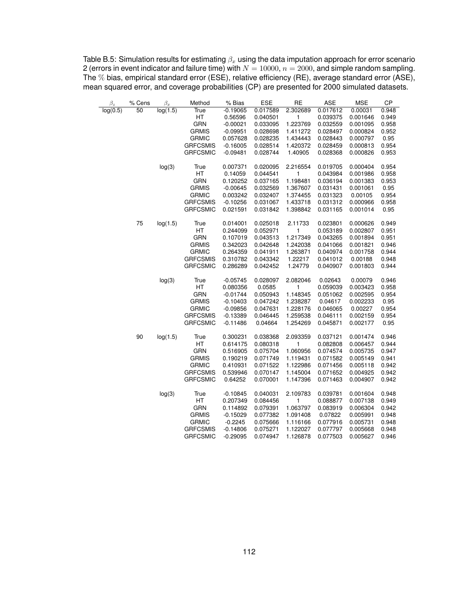Table B.5: Simulation results for estimating  $\beta_x$  using the data imputation approach for error scenario 2 (errors in event indicator and failure time) with  $N = 10000$ ,  $n = 2000$ , and simple random sampling. The % bias, empirical standard error (ESE), relative efficiency (RE), average standard error (ASE), mean squared error, and coverage probabilities (CP) are presented for 2000 simulated datasets.

| $\beta_z$ | % Cens | $\beta_x$ | Method           | % Bias     | <b>ESE</b> | <b>RE</b> | ASE      | <b>MSE</b> | CP    |
|-----------|--------|-----------|------------------|------------|------------|-----------|----------|------------|-------|
| log(0.5)  | 50     | log(1.5)  | True             | $-0.19065$ | 0.017589   | 2.302689  | 0.017612 | 0.00031    | 0.948 |
|           |        |           | HT               | 0.56596    | 0.040501   | 1         | 0.039375 | 0.001646   | 0.949 |
|           |        |           | <b>GRN</b>       | $-0.00021$ | 0.033095   | 1.223769  | 0.032559 | 0.001095   | 0.958 |
|           |        |           | <b>GRMIS</b>     | $-0.09951$ | 0.028698   | 1.411272  | 0.028497 | 0.000824   | 0.952 |
|           |        |           | <b>GRMIC</b>     | 0.057628   | 0.028235   | 1.434443  | 0.028443 | 0.000797   | 0.95  |
|           |        |           | <b>GRFCSMIS</b>  | $-0.16005$ | 0.028514   | 1.420372  | 0.028459 | 0.000813   | 0.954 |
|           |        |           | <b>GRFCSMIC</b>  | $-0.09481$ | 0.028744   | 1.40905   | 0.028368 | 0.000826   | 0.953 |
|           |        |           |                  |            |            |           |          |            |       |
|           |        | log(3)    | True             | 0.007371   | 0.020095   | 2.216554  | 0.019705 | 0.000404   | 0.954 |
|           |        |           | HT<br><b>GRN</b> | 0.14059    | 0.044541   | 1         | 0.043984 | 0.001986   | 0.958 |
|           |        |           |                  | 0.120252   | 0.037165   | 1.198481  | 0.036194 | 0.001383   | 0.953 |
|           |        |           | <b>GRMIS</b>     | $-0.00645$ | 0.032569   | 1.367607  | 0.031431 | 0.001061   | 0.95  |
|           |        |           | <b>GRMIC</b>     | 0.003242   | 0.032407   | 1.374455  | 0.031323 | 0.00105    | 0.954 |
|           |        |           | <b>GRFCSMIS</b>  | $-0.10256$ | 0.031067   | 1.433718  | 0.031312 | 0.000966   | 0.958 |
|           |        |           | <b>GRFCSMIC</b>  | 0.021591   | 0.031842   | 1.398842  | 0.031165 | 0.001014   | 0.95  |
|           | 75     | log(1.5)  | True             | 0.014001   | 0.025018   | 2.11733   | 0.023801 | 0.000626   | 0.949 |
|           |        |           | HT               | 0.244099   | 0.052971   | 1         | 0.053189 | 0.002807   | 0.951 |
|           |        |           | <b>GRN</b>       | 0.107019   | 0.043513   | 1.217349  | 0.043265 | 0.001894   | 0.951 |
|           |        |           | <b>GRMIS</b>     | 0.342023   | 0.042648   | 1.242038  | 0.041066 | 0.001821   | 0.946 |
|           |        |           | <b>GRMIC</b>     | 0.264359   | 0.041911   | 1.263871  | 0.040974 | 0.001758   | 0.944 |
|           |        |           | <b>GRFCSMIS</b>  | 0.310782   | 0.043342   | 1.22217   | 0.041012 | 0.00188    | 0.948 |
|           |        |           | <b>GRFCSMIC</b>  | 0.286289   | 0.042452   | 1.24779   | 0.040907 | 0.001803   | 0.944 |
|           |        |           |                  |            |            |           |          |            |       |
|           |        | log(3)    | True             | $-0.05745$ | 0.028097   | 2.082046  | 0.02643  | 0.00079    | 0.946 |
|           |        |           | HT               | 0.080356   | 0.0585     | 1         | 0.059039 | 0.003423   | 0.958 |
|           |        |           | <b>GRN</b>       | $-0.01744$ | 0.050943   | 1.148345  | 0.051062 | 0.002595   | 0.954 |
|           |        |           | <b>GRMIS</b>     | $-0.10403$ | 0.047242   | 1.238287  | 0.04617  | 0.002233   | 0.95  |
|           |        |           | <b>GRMIC</b>     | $-0.09856$ | 0.047631   | 1.228176  | 0.046065 | 0.00227    | 0.954 |
|           |        |           | <b>GRFCSMIS</b>  | $-0.13389$ | 0.046445   | 1.259538  | 0.046111 | 0.002159   | 0.954 |
|           |        |           | <b>GRFCSMIC</b>  | $-0.11486$ | 0.04664    | 1.254269  | 0.045871 | 0.002177   | 0.95  |
|           | 90     | log(1.5)  | True             | 0.300231   | 0.038368   | 2.093359  | 0.037121 | 0.001474   | 0.946 |
|           |        |           | HT               | 0.614175   | 0.080318   | 1         | 0.082808 | 0.006457   | 0.944 |
|           |        |           | <b>GRN</b>       | 0.516905   | 0.075704   | 1.060956  | 0.074574 | 0.005735   | 0.947 |
|           |        |           | <b>GRMIS</b>     | 0.190219   | 0.071749   | 1.119431  | 0.071582 | 0.005149   | 0.941 |
|           |        |           | <b>GRMIC</b>     | 0.410931   | 0.071522   | 1.122986  | 0.071456 | 0.005118   | 0.942 |
|           |        |           | <b>GRFCSMIS</b>  | 0.539946   | 0.070147   | 1.145004  | 0.071652 | 0.004925   | 0.942 |
|           |        |           | <b>GRFCSMIC</b>  | 0.64252    | 0.070001   | 1.147396  | 0.071463 | 0.004907   | 0.942 |
|           |        |           |                  |            |            |           |          |            |       |
|           |        | log(3)    | True             | $-0.10845$ | 0.040031   | 2.109783  | 0.039781 | 0.001604   | 0.948 |
|           |        |           | HT               | 0.207349   | 0.084456   | 1         | 0.088877 | 0.007138   | 0.949 |
|           |        |           | <b>GRN</b>       | 0.114892   | 0.079391   | 1.063797  | 0.083919 | 0.006304   | 0.942 |
|           |        |           | <b>GRMIS</b>     | $-0.15029$ | 0.077382   | 1.091408  | 0.07822  | 0.005991   | 0.948 |
|           |        |           | <b>GRMIC</b>     | $-0.2245$  | 0.075666   | 1.116166  | 0.077916 | 0.005731   | 0.948 |
|           |        |           | <b>GRFCSMIS</b>  | $-0.14806$ | 0.075271   | 1.122027  | 0.077797 | 0.005668   | 0.948 |
|           |        |           | <b>GRFCSMIC</b>  | $-0.29095$ | 0.074947   | 1.126878  | 0.077503 | 0.005627   | 0.946 |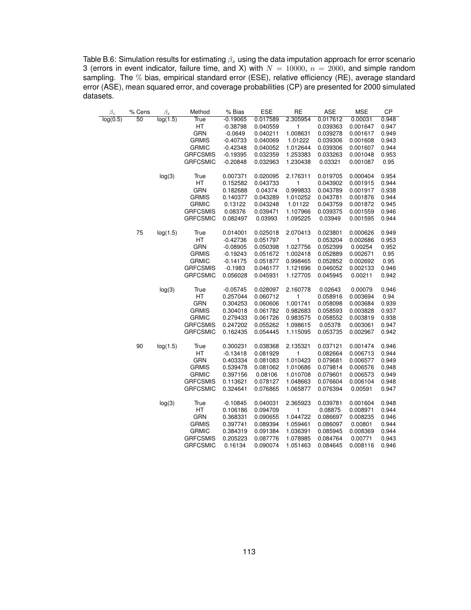Table B.6: Simulation results for estimating  $\beta_x$  using the data imputation approach for error scenario 3 (errors in event indicator, failure time, and X) with  $N = 10000, n = 2000$ , and simple random sampling. The % bias, empirical standard error (ESE), relative efficiency (RE), average standard error (ASE), mean squared error, and coverage probabilities (CP) are presented for 2000 simulated datasets.

| $\beta_z$ | % Cens | $\beta_x$ | Method          | % Bias     | <b>ESE</b> | <b>RE</b>    | <b>ASE</b> | <b>MSE</b> | CP    |
|-----------|--------|-----------|-----------------|------------|------------|--------------|------------|------------|-------|
| log(0.5)  | 50     | log(1.5)  | <b>True</b>     | $-0.19065$ | 0.017589   | 2.305954     | 0.017612   | 0.00031    | 0.948 |
|           |        |           | HT              | $-0.38798$ | 0.040559   | 1            | 0.039363   | 0.001647   | 0.947 |
|           |        |           | <b>GRN</b>      | $-0.0649$  | 0.040211   | 1.008631     | 0.039278   | 0.001617   | 0.949 |
|           |        |           | <b>GRMIS</b>    | $-0.40733$ | 0.040069   | 1.01222      | 0.039306   | 0.001608   | 0.943 |
|           |        |           | <b>GRMIC</b>    | $-0.42348$ | 0.040052   | 1.012644     | 0.039306   | 0.001607   | 0.944 |
|           |        |           | <b>GRFCSMIS</b> | $-0.19395$ | 0.032359   | 1.253383     | 0.033263   | 0.001048   | 0.953 |
|           |        |           | <b>GRFCSMIC</b> | $-0.20848$ | 0.032963   | 1.230438     | 0.03321    | 0.001087   | 0.95  |
|           |        | log(3)    | True            | 0.007371   | 0.020095   | 2.176311     | 0.019705   | 0.000404   | 0.954 |
|           |        |           | HT              | 0.152582   | 0.043733   | 1            | 0.043902   | 0.001915   | 0.944 |
|           |        |           | <b>GRN</b>      | 0.182688   | 0.04374    | 0.999833     | 0.043789   | 0.001917   | 0.938 |
|           |        |           | <b>GRMIS</b>    | 0.140377   | 0.043289   | 1.010252     | 0.043781   | 0.001876   | 0.944 |
|           |        |           | <b>GRMIC</b>    | 0.13122    | 0.043248   | 1.01122      | 0.043759   | 0.001872   | 0.945 |
|           |        |           | <b>GRFCSMIS</b> | 0.08376    | 0.039471   | 1.107966     | 0.039375   | 0.001559   | 0.946 |
|           |        |           | <b>GRFCSMIC</b> | 0.082497   | 0.03993    | 1.095225     | 0.03949    | 0.001595   | 0.944 |
|           | 75     | log(1.5)  | True            | 0.014001   | 0.025018   | 2.070413     | 0.023801   | 0.000626   | 0.949 |
|           |        |           | HT              | $-0.42736$ | 0.051797   | $\mathbf{1}$ | 0.053204   | 0.002686   | 0.953 |
|           |        |           | <b>GRN</b>      | $-0.08905$ | 0.050398   | 1.027756     | 0.052399   | 0.00254    | 0.952 |
|           |        |           | <b>GRMIS</b>    | $-0.19243$ | 0.051672   | 1.002418     | 0.052889   | 0.002671   | 0.95  |
|           |        |           | <b>GRMIC</b>    | $-0.14175$ | 0.051877   | 0.998465     | 0.052852   | 0.002692   | 0.95  |
|           |        |           | <b>GRFCSMIS</b> | $-0.1983$  | 0.046177   | 1.121696     | 0.046052   | 0.002133   | 0.946 |
|           |        |           | <b>GRFCSMIC</b> | 0.056028   | 0.045931   | 1.127705     | 0.045945   | 0.00211    | 0.942 |
|           |        | log(3)    | True            | $-0.05745$ | 0.028097   | 2.160778     | 0.02643    | 0.00079    | 0.946 |
|           |        |           | HT              | 0.257044   | 0.060712   | 1            | 0.058916   | 0.003694   | 0.94  |
|           |        |           | <b>GRN</b>      | 0.304253   | 0.060606   | 1.001741     | 0.058098   | 0.003684   | 0.939 |
|           |        |           | <b>GRMIS</b>    | 0.304018   | 0.061782   | 0.982683     | 0.058593   | 0.003828   | 0.937 |
|           |        |           | <b>GRMIC</b>    | 0.279433   | 0.061726   | 0.983575     | 0.058552   | 0.003819   | 0.938 |
|           |        |           | <b>GRFCSMIS</b> | 0.247202   | 0.055262   | 1.098615     | 0.05378    | 0.003061   | 0.947 |
|           |        |           | <b>GRFCSMIC</b> | 0.162435   | 0.054445   | 1.115095     | 0.053735   | 0.002967   | 0.942 |
|           | 90     | log(1.5)  | True            | 0.300231   | 0.038368   | 2.135321     | 0.037121   | 0.001474   | 0.946 |
|           |        |           | НT              | $-0.13418$ | 0.081929   | $\mathbf{1}$ | 0.082664   | 0.006713   | 0.944 |
|           |        |           | <b>GRN</b>      | 0.403334   | 0.081083   | 1.010423     | 0.079681   | 0.006577   | 0.949 |
|           |        |           | <b>GRMIS</b>    | 0.539478   | 0.081062   | 1.010686     | 0.079814   | 0.006576   | 0.948 |
|           |        |           | <b>GRMIC</b>    | 0.397156   | 0.08106    | 1.010708     | 0.079601   | 0.006573   | 0.949 |
|           |        |           | <b>GRFCSMIS</b> | 0.113621   | 0.078127   | 1.048663     | 0.076604   | 0.006104   | 0.948 |
|           |        |           | <b>GRFCSMIC</b> | 0.324641   | 0.076865   | 1.065877     | 0.076394   | 0.00591    | 0.947 |
|           |        | log(3)    | True            | $-0.10845$ | 0.040031   | 2.365923     | 0.039781   | 0.001604   | 0.948 |
|           |        |           | НT              | 0.106186   | 0.094709   | 1            | 0.08875    | 0.008971   | 0.944 |
|           |        |           | <b>GRN</b>      | 0.368331   | 0.090655   | 1.044722     | 0.086697   | 0.008235   | 0.946 |
|           |        |           | <b>GRMIS</b>    | 0.397741   | 0.089394   | 1.059461     | 0.086097   | 0.00801    | 0.944 |
|           |        |           | <b>GRMIC</b>    | 0.384319   | 0.091384   | 1.036391     | 0.085945   | 0.008369   | 0.944 |
|           |        |           | <b>GRFCSMIS</b> | 0.205223   | 0.087776   | 1.078985     | 0.084764   | 0.00771    | 0.943 |
|           |        |           | <b>GRFCSMIC</b> | 0.16134    | 0.090074   | 1.051463     | 0.084645   | 0.008116   | 0.946 |
|           |        |           |                 |            |            |              |            |            |       |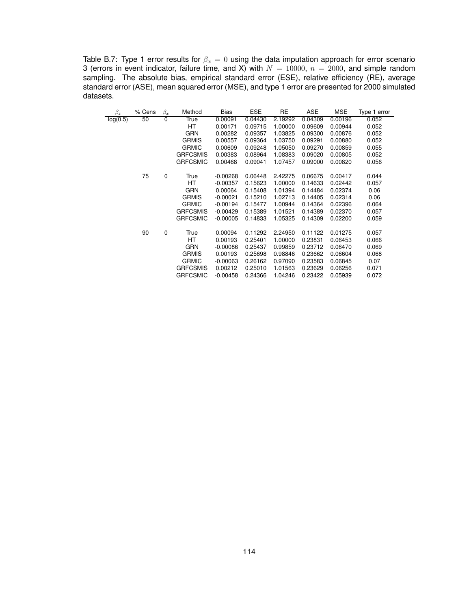Table B.7: Type 1 error results for  $\beta_x = 0$  using the data imputation approach for error scenario 3 (errors in event indicator, failure time, and X) with  $N = 10000$ ,  $n = 2000$ , and simple random sampling. The absolute bias, empirical standard error (ESE), relative efficiency (RE), average standard error (ASE), mean squared error (MSE), and type 1 error are presented for 2000 simulated datasets.

| $\beta_z$ | % Cens | $\beta_x$   | Method          | Bias       | <b>ESE</b> | RE      | ASE     | <b>MSE</b> | Type 1 error |
|-----------|--------|-------------|-----------------|------------|------------|---------|---------|------------|--------------|
| log(0.5)  | 50     | $\mathbf 0$ | True            | 0.00091    | 0.04430    | 2.19292 | 0.04309 | 0.00196    | 0.052        |
|           |        |             | HT              | 0.00171    | 0.09715    | 1.00000 | 0.09609 | 0.00944    | 0.052        |
|           |        |             | <b>GRN</b>      | 0.00282    | 0.09357    | 1.03825 | 0.09300 | 0.00876    | 0.052        |
|           |        |             | <b>GRMIS</b>    | 0.00557    | 0.09364    | 1.03750 | 0.09291 | 0.00880    | 0.052        |
|           |        |             | <b>GRMIC</b>    | 0.00609    | 0.09248    | 1.05050 | 0.09270 | 0.00859    | 0.055        |
|           |        |             | <b>GRFCSMIS</b> | 0.00383    | 0.08964    | 1.08383 | 0.09020 | 0.00805    | 0.052        |
|           |        |             | <b>GRFCSMIC</b> | 0.00468    | 0.09041    | 1.07457 | 0.09000 | 0.00820    | 0.056        |
|           |        |             |                 |            |            |         |         |            |              |
|           | 75     | 0           | True            | $-0.00268$ | 0.06448    | 2.42275 | 0.06675 | 0.00417    | 0.044        |
|           |        |             | HT              | $-0.00357$ | 0.15623    | 1.00000 | 0.14633 | 0.02442    | 0.057        |
|           |        |             | <b>GRN</b>      | 0.00064    | 0.15408    | 1.01394 | 0.14484 | 0.02374    | 0.06         |
|           |        |             | <b>GRMIS</b>    | $-0.00021$ | 0.15210    | 1.02713 | 0.14405 | 0.02314    | 0.06         |
|           |        |             | <b>GRMIC</b>    | $-0.00194$ | 0.15477    | 1.00944 | 0.14364 | 0.02396    | 0.064        |
|           |        |             | <b>GRFCSMIS</b> | $-0.00429$ | 0.15389    | 1.01521 | 0.14389 | 0.02370    | 0.057        |
|           |        |             | <b>GRFCSMIC</b> | $-0.00005$ | 0.14833    | 1.05325 | 0.14309 | 0.02200    | 0.059        |
|           | 90     | 0           | True            | 0.00094    | 0.11292    | 2.24950 | 0.11122 | 0.01275    | 0.057        |
|           |        |             | НT              | 0.00193    | 0.25401    | 1.00000 | 0.23831 | 0.06453    | 0.066        |
|           |        |             | GRN             | $-0.00086$ | 0.25437    | 0.99859 | 0.23712 | 0.06470    | 0.069        |
|           |        |             | <b>GRMIS</b>    | 0.00193    | 0.25698    | 0.98846 | 0.23662 | 0.06604    |              |
|           |        |             |                 |            |            |         |         |            | 0.068        |
|           |        |             | <b>GRMIC</b>    | $-0.00063$ | 0.26162    | 0.97090 | 0.23583 | 0.06845    | 0.07         |
|           |        |             | <b>GRFCSMIS</b> | 0.00212    | 0.25010    | 1.01563 | 0.23629 | 0.06256    | 0.071        |
|           |        |             | <b>GRFCSMIC</b> | $-0.00458$ | 0.24366    | 1.04246 | 0.23422 | 0.05939    | 0.072        |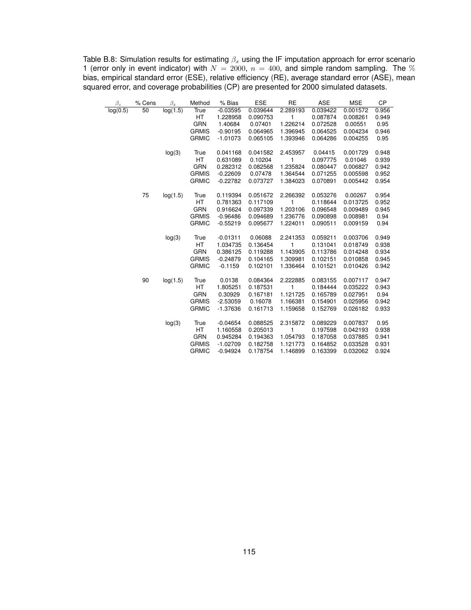Table B.8: Simulation results for estimating  $\beta_x$  using the IF imputation approach for error scenario 1 (error only in event indicator) with  $N = 2000$ ,  $n = 400$ , and simple random sampling. The % bias, empirical standard error (ESE), relative efficiency (RE), average standard error (ASE), mean squared error, and coverage probabilities (CP) are presented for 2000 simulated datasets.

| $\beta_z$ | % Cens | $\beta_x$ | Method       | % Bias                 | <b>ESE</b>           | RE            | <b>ASE</b>           | <b>MSE</b>           | CP             |
|-----------|--------|-----------|--------------|------------------------|----------------------|---------------|----------------------|----------------------|----------------|
| log(0.5)  | 50     | log(1.5)  | True<br>HT   | $-0.03595$<br>1.228958 | 0.039644<br>0.090753 | 2.289193<br>1 | 0.039422<br>0.087874 | 0.001572<br>0.008261 | 0.956<br>0.949 |
|           |        |           | <b>GRN</b>   | 1.40684                | 0.07401              | 1.226214      | 0.072528             | 0.00551              | 0.95           |
|           |        |           | <b>GRMIS</b> | $-0.90195$             | 0.064965             | 1.396945      | 0.064525             | 0.004234             | 0.946          |
|           |        |           | <b>GRMIC</b> | $-1.01073$             | 0.065105             | 1.393946      | 0.064286             | 0.004255             | 0.95           |
|           |        | log(3)    | True<br>HT.  | 0.041168<br>0.631089   | 0.041582<br>0.10204  | 2.453957<br>1 | 0.04415<br>0.097775  | 0.001729<br>0.01046  | 0.948<br>0.939 |
|           |        |           | <b>GRN</b>   | 0.282312               | 0.082568             | 1.235824      | 0.080447             | 0.006827             | 0.942          |
|           |        |           | <b>GRMIS</b> | $-0.22609$             | 0.07478              | 1.364544      | 0.071255             | 0.005598             | 0.952          |
|           |        |           | <b>GRMIC</b> | $-0.22782$             | 0.073727             | 1.384023      | 0.070891             | 0.005442             | 0.954          |
|           | 75     | log(1.5)  | True<br>HT.  | 0.119394<br>0.781363   | 0.051672<br>0.117109 | 2.266392<br>1 | 0.053276<br>0.118644 | 0.00267<br>0.013725  | 0.954<br>0.952 |
|           |        |           | <b>GRN</b>   | 0.916624               | 0.097339             | 1.203106      | 0.096548             | 0.009489             | 0.945          |
|           |        |           | <b>GRMIS</b> | $-0.96486$             | 0.094689             | 1.236776      | 0.090898             | 0.008981             | 0.94           |
|           |        |           | <b>GRMIC</b> | $-0.55219$             | 0.095677             | 1.224011      | 0.090511             | 0.009159             | 0.94           |
|           |        |           |              |                        |                      |               |                      |                      |                |
|           |        | log(3)    | True         | $-0.01311$             | 0.06088              | 2.241353      | 0.059211             | 0.003706             | 0.949          |
|           |        |           | HT           | 1.034735               | 0.136454             | 1             | 0.131041             | 0.018749             | 0.938          |
|           |        |           | <b>GRN</b>   | 0.386125               | 0.119288             | 1.143905      | 0.113786             | 0.014248             | 0.934          |
|           |        |           | <b>GRMIS</b> | $-0.24879$             | 0.104165             | 1.309981      | 0.102151             | 0.010858             | 0.945          |
|           |        |           | <b>GRMIC</b> | $-0.1159$              | 0.102101             | 1.336464      | 0.101521             | 0.010426             | 0.942          |
|           | 90     | log(1.5)  | True         | 0.0138                 | 0.084364             | 2.222885      | 0.083155             | 0.007117             | 0.947          |
|           |        |           | HT.          | 1.805251               | 0.187531             | $\mathbf{1}$  | 0.184444             | 0.035222             | 0.943          |
|           |        |           | <b>GRN</b>   | 0.30929                | 0.167181             | 1.121725      | 0.165789             | 0.027951             | 0.94           |
|           |        |           | <b>GRMIS</b> | $-2.53059$             | 0.16078              | 1.166381      | 0.154901             | 0.025956             | 0.942          |
|           |        |           | <b>GRMIC</b> | $-1.37636$             | 0.161713             | 1.159658      | 0.152769             | 0.026182             | 0.933          |
|           |        | log(3)    | True         | $-0.04654$             | 0.088525             | 2.315872      | 0.089229             | 0.007837             | 0.95           |
|           |        |           | HT.          | 1.160558               | 0.205013             | 1             | 0.197598             | 0.042193             | 0.938          |
|           |        |           | GRN          | 0.945284               | 0.194363             | 1.054793      | 0.187058             | 0.037885             | 0.941          |
|           |        |           | <b>GRMIS</b> | $-1.02709$             | 0.182758             | 1.121773      | 0.164852             | 0.033528             | 0.931          |
|           |        |           | <b>GRMIC</b> | $-0.94924$             | 0.178754             | 1.146899      | 0.163399             | 0.032062             | 0.924          |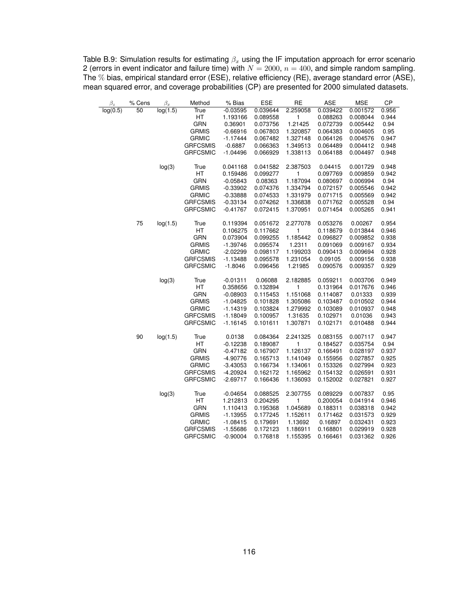Table B.9: Simulation results for estimating  $\beta_x$  using the IF imputation approach for error scenario 2 (errors in event indicator and failure time) with  $N = 2000$ ,  $n = 400$ , and simple random sampling. The % bias, empirical standard error (ESE), relative efficiency (RE), average standard error (ASE), mean squared error, and coverage probabilities (CP) are presented for 2000 simulated datasets.

| $\beta_z$ | % Cens | $\beta_x$ | Method          | % Bias     | <b>ESE</b> | <b>RE</b> | <b>ASE</b> | <b>MSE</b> | CP    |
|-----------|--------|-----------|-----------------|------------|------------|-----------|------------|------------|-------|
| log(0.5)  | 50     | log(1.5)  | True            | $-0.03595$ | 0.039644   | 2.259058  | 0.039422   | 0.001572   | 0.956 |
|           |        |           | HT              | 1.193166   | 0.089558   | 1         | 0.088263   | 0.008044   | 0.944 |
|           |        |           | GRN             | 0.36901    | 0.073756   | 1.21425   | 0.072739   | 0.005442   | 0.94  |
|           |        |           | <b>GRMIS</b>    | $-0.66916$ | 0.067803   | 1.320857  | 0.064383   | 0.004605   | 0.95  |
|           |        |           | <b>GRMIC</b>    | $-1.17444$ | 0.067482   | 1.327148  | 0.064126   | 0.004576   | 0.947 |
|           |        |           | <b>GRFCSMIS</b> | $-0.6887$  | 0.066363   | 1.349513  | 0.064489   | 0.004412   | 0.948 |
|           |        |           | <b>GRFCSMIC</b> | $-1.04496$ | 0.066929   | 1.338113  | 0.064188   | 0.004497   | 0.948 |
|           |        | log(3)    | True            | 0.041168   | 0.041582   | 2.387503  | 0.04415    | 0.001729   | 0.948 |
|           |        |           | HT              | 0.159486   | 0.099277   | 1         | 0.097769   | 0.009859   | 0.942 |
|           |        |           | GRN             | $-0.05843$ | 0.08363    | 1.187094  | 0.080697   | 0.006994   | 0.94  |
|           |        |           | <b>GRMIS</b>    | $-0.33902$ | 0.074376   | 1.334794  | 0.072157   | 0.005546   | 0.942 |
|           |        |           | <b>GRMIC</b>    | $-0.33888$ | 0.074533   | 1.331979  | 0.071715   | 0.005569   | 0.942 |
|           |        |           | <b>GRFCSMIS</b> | $-0.33134$ | 0.074262   | 1.336838  | 0.071762   | 0.005528   | 0.94  |
|           |        |           | <b>GRFCSMIC</b> | $-0.41767$ | 0.072415   | 1.370951  | 0.071454   | 0.005265   | 0.941 |
|           | 75     |           | True            | 0.119394   | 0.051672   | 2.277078  | 0.053276   | 0.00267    | 0.954 |
|           |        | log(1.5)  | HT              | 0.106275   | 0.117662   | 1         | 0.118679   | 0.013844   | 0.946 |
|           |        |           | <b>GRN</b>      | 0.073904   |            | 1.185442  |            |            | 0.938 |
|           |        |           | <b>GRMIS</b>    |            | 0.099255   |           | 0.096827   | 0.009852   |       |
|           |        |           |                 | $-1.39746$ | 0.095574   | 1.2311    | 0.091069   | 0.009167   | 0.934 |
|           |        |           | <b>GRMIC</b>    | $-2.02299$ | 0.098117   | 1.199203  | 0.090413   | 0.009694   | 0.928 |
|           |        |           | <b>GRFCSMIS</b> | $-1.13488$ | 0.095578   | 1.231054  | 0.09105    | 0.009156   | 0.938 |
|           |        |           | <b>GRFCSMIC</b> | $-1.8046$  | 0.096456   | 1.21985   | 0.090576   | 0.009357   | 0.929 |
|           |        | log(3)    | True            | $-0.01311$ | 0.06088    | 2.182885  | 0.059211   | 0.003706   | 0.949 |
|           |        |           | HT              | 0.358656   | 0.132894   | 1         | 0.131964   | 0.017676   | 0.946 |
|           |        |           | GRN             | $-0.08903$ | 0.115453   | 1.151068  | 0.114087   | 0.01333    | 0.939 |
|           |        |           | <b>GRMIS</b>    | $-1.04825$ | 0.101828   | 1.305086  | 0.103487   | 0.010502   | 0.944 |
|           |        |           | <b>GRMIC</b>    | $-1.14319$ | 0.103824   | 1.279992  | 0.103089   | 0.010937   | 0.948 |
|           |        |           | <b>GRFCSMIS</b> | $-1.18049$ | 0.100957   | 1.31635   | 0.102971   | 0.01036    | 0.943 |
|           |        |           | <b>GRFCSMIC</b> | $-1.16145$ | 0.101611   | 1.307871  | 0.102171   | 0.010488   | 0.944 |
|           | 90     | log(1.5)  | True            | 0.0138     | 0.084364   | 2.241325  | 0.083155   | 0.007117   | 0.947 |
|           |        |           | НT              | $-0.12238$ | 0.189087   | 1         | 0.184527   | 0.035754   | 0.94  |
|           |        |           | <b>GRN</b>      | $-0.47182$ | 0.167907   | 1.126137  | 0.166491   | 0.028197   | 0.937 |
|           |        |           | <b>GRMIS</b>    | $-4.90776$ | 0.165713   | 1.141049  | 0.155956   | 0.027857   | 0.925 |
|           |        |           | <b>GRMIC</b>    | $-3.43053$ | 0.166734   | 1.134061  | 0.153326   | 0.027994   | 0.923 |
|           |        |           | <b>GRFCSMIS</b> | -4.20924   | 0.162172   | 1.165962  | 0.154132   | 0.026591   | 0.931 |
|           |        |           | <b>GRFCSMIC</b> | $-2.69717$ | 0.166436   | 1.136093  | 0.152002   | 0.027821   | 0.927 |
|           |        |           |                 |            |            |           |            |            |       |
|           |        | log(3)    | True            | $-0.04654$ | 0.088525   | 2.307755  | 0.089229   | 0.007837   | 0.95  |
|           |        |           | HT              | 1.212813   | 0.204295   | 1         | 0.200054   | 0.041914   | 0.946 |
|           |        |           | GRN             | 1.110413   | 0.195368   | 1.045689  | 0.188311   | 0.038318   | 0.942 |
|           |        |           | <b>GRMIS</b>    | $-1.13955$ | 0.177245   | 1.152611  | 0.171462   | 0.031573   | 0.929 |
|           |        |           | <b>GRMIC</b>    | $-1.08415$ | 0.179691   | 1.13692   | 0.16897    | 0.032431   | 0.923 |
|           |        |           | <b>GRFCSMIS</b> | $-1.55686$ | 0.172123   | 1.186911  | 0.168801   | 0.029919   | 0.928 |
|           |        |           | <b>GRFCSMIC</b> | $-0.90004$ | 0.176818   | 1.155395  | 0.166461   | 0.031362   | 0.926 |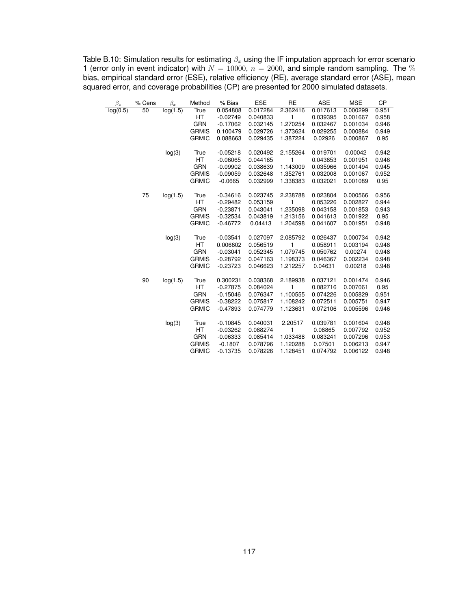Table B.10: Simulation results for estimating  $\beta_x$  using the IF imputation approach for error scenario 1 (error only in event indicator) with  $N = 10000$ ,  $n = 2000$ , and simple random sampling. The % bias, empirical standard error (ESE), relative efficiency (RE), average standard error (ASE), mean squared error, and coverage probabilities (CP) are presented for 2000 simulated datasets.

| $\beta_z$ | % Cens | $\beta_x$ | Method       | % Bias     | <b>ESE</b> | <b>RE</b> | <b>ASE</b> | <b>MSE</b> | CP    |
|-----------|--------|-----------|--------------|------------|------------|-----------|------------|------------|-------|
| log(0.5)  | 50     | log(1.5)  | <b>True</b>  | 0.054808   | 0.017284   | 2.362416  | 0.017613   | 0.000299   | 0.951 |
|           |        |           | HT.          | $-0.02749$ | 0.040833   |           | 0.039395   | 0.001667   | 0.958 |
|           |        |           | <b>GRN</b>   | $-0.17062$ | 0.032145   | 1.270254  | 0.032467   | 0.001034   | 0.946 |
|           |        |           | <b>GRMIS</b> | 0.100479   | 0.029726   | 1.373624  | 0.029255   | 0.000884   | 0.949 |
|           |        |           | <b>GRMIC</b> | 0.088663   | 0.029435   | 1.387224  | 0.02926    | 0.000867   | 0.95  |
|           |        | log(3)    | True         | $-0.05218$ | 0.020492   | 2.155264  | 0.019701   | 0.00042    | 0.942 |
|           |        |           | HT           | $-0.06065$ | 0.044165   | 1         | 0.043853   | 0.001951   | 0.946 |
|           |        |           | <b>GRN</b>   | $-0.09902$ | 0.038639   | 1.143009  | 0.035966   | 0.001494   | 0.945 |
|           |        |           | <b>GRMIS</b> | $-0.09059$ | 0.032648   | 1.352761  | 0.032008   | 0.001067   | 0.952 |
|           |        |           | <b>GRMIC</b> | $-0.0665$  | 0.032999   | 1.338383  | 0.032021   | 0.001089   | 0.95  |
|           | 75     | log(1.5)  | True         | $-0.34616$ | 0.023745   | 2.238788  | 0.023804   | 0.000566   | 0.956 |
|           |        |           | <b>HT</b>    | $-0.29482$ | 0.053159   | 1         | 0.053226   | 0.002827   | 0.944 |
|           |        |           | <b>GRN</b>   | $-0.23871$ | 0.043041   | 1.235098  | 0.043158   | 0.001853   | 0.943 |
|           |        |           | <b>GRMIS</b> | $-0.32534$ | 0.043819   | 1.213156  | 0.041613   | 0.001922   | 0.95  |
|           |        |           | <b>GRMIC</b> | $-0.46772$ | 0.04413    | 1.204598  | 0.041607   | 0.001951   | 0.948 |
|           |        | log(3)    | True         | $-0.03541$ | 0.027097   | 2.085792  | 0.026437   | 0.000734   | 0.942 |
|           |        |           | HT           | 0.006602   | 0.056519   | 1         | 0.058911   | 0.003194   | 0.948 |
|           |        |           | <b>GRN</b>   | $-0.03041$ | 0.052345   | 1.079745  | 0.050762   | 0.00274    | 0.948 |
|           |        |           | <b>GRMIS</b> | $-0.28792$ | 0.047163   | 1.198373  | 0.046367   | 0.002234   | 0.948 |
|           |        |           | <b>GRMIC</b> | $-0.23723$ | 0.046623   | 1.212257  | 0.04631    | 0.00218    | 0.948 |
|           | 90     | log(1.5)  | True         | 0.300231   | 0.038368   | 2.189938  | 0.037121   | 0.001474   | 0.946 |
|           |        |           | <b>HT</b>    | $-0.27875$ | 0.084024   | 1         | 0.082716   | 0.007061   | 0.95  |
|           |        |           | <b>GRN</b>   | $-0.15046$ | 0.076347   | 1.100555  | 0.074226   | 0.005829   | 0.951 |
|           |        |           | <b>GRMIS</b> | $-0.38222$ | 0.075817   | 1.108242  | 0.072511   | 0.005751   | 0.947 |
|           |        |           | <b>GRMIC</b> | $-0.47893$ | 0.074779   | 1.123631  | 0.072106   | 0.005596   | 0.946 |
|           |        | log(3)    | True         | $-0.10845$ | 0.040031   | 2.20517   | 0.039781   | 0.001604   | 0.948 |
|           |        |           | HT           | $-0.03262$ | 0.088274   |           | 0.08865    | 0.007792   | 0.952 |
|           |        |           | <b>GRN</b>   | $-0.06333$ | 0.085414   | 1.033488  | 0.083241   | 0.007296   | 0.953 |
|           |        |           | <b>GRMIS</b> | $-0.1807$  | 0.078796   | 1.120288  | 0.07501    | 0.006213   | 0.947 |
|           |        |           | <b>GRMIC</b> | $-0.13735$ | 0.078226   | 1.128451  | 0.074792   | 0.006122   | 0.948 |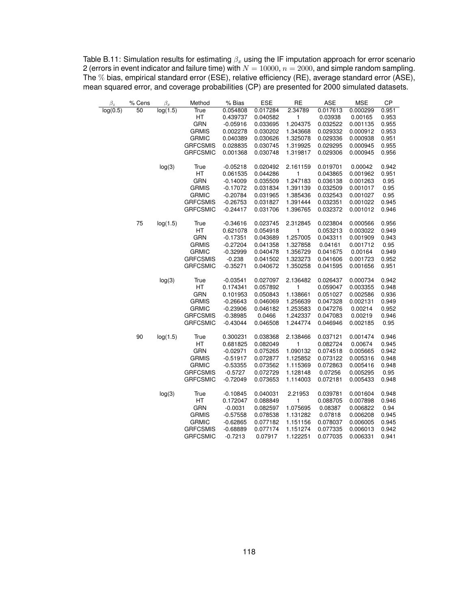Table B.11: Simulation results for estimating  $\beta_x$  using the IF imputation approach for error scenario 2 (errors in event indicator and failure time) with  $N = 10000$ ,  $n = 2000$ , and simple random sampling. The % bias, empirical standard error (ESE), relative efficiency (RE), average standard error (ASE), mean squared error, and coverage probabilities (CP) are presented for 2000 simulated datasets.

| $\beta_z$ | % Cens | $\beta_x$ | Method          | % Bias     | ESE      | <b>RE</b> | <b>ASE</b> | <b>MSE</b> | CP    |
|-----------|--------|-----------|-----------------|------------|----------|-----------|------------|------------|-------|
| log(0.5)  | 50     | log(1.5)  | True            | 0.054808   | 0.017284 | 2.34789   | 0.017613   | 0.000299   | 0.951 |
|           |        |           | HT              | 0.439737   | 0.040582 | 1         | 0.03938    | 0.00165    | 0.953 |
|           |        |           | GRN             | $-0.05916$ | 0.033695 | 1.204375  | 0.032522   | 0.001135   | 0.955 |
|           |        |           | <b>GRMIS</b>    | 0.002278   | 0.030202 | 1.343668  | 0.029332   | 0.000912   | 0.953 |
|           |        |           | <b>GRMIC</b>    | 0.040389   | 0.030626 | 1.325078  | 0.029336   | 0.000938   | 0.951 |
|           |        |           | <b>GRFCSMIS</b> | 0.028835   | 0.030745 | 1.319925  | 0.029295   | 0.000945   | 0.955 |
|           |        |           | <b>GRFCSMIC</b> | 0.001368   | 0.030748 | 1.319817  | 0.029306   | 0.000945   | 0.956 |
|           |        |           |                 |            |          |           |            |            |       |
|           |        | log(3)    | True            | $-0.05218$ | 0.020492 | 2.161159  | 0.019701   | 0.00042    | 0.942 |
|           |        |           | HT              | 0.061535   | 0.044286 | 1         | 0.043865   | 0.001962   | 0.951 |
|           |        |           | GRN             | $-0.14009$ | 0.035509 | 1.247183  | 0.036138   | 0.001263   | 0.95  |
|           |        |           | <b>GRMIS</b>    | $-0.17072$ | 0.031834 | 1.391139  | 0.032509   | 0.001017   | 0.95  |
|           |        |           | <b>GRMIC</b>    | $-0.20784$ | 0.031965 | 1.385436  | 0.032543   | 0.001027   | 0.95  |
|           |        |           | <b>GRFCSMIS</b> | $-0.26753$ | 0.031827 | 1.391444  | 0.032351   | 0.001022   | 0.945 |
|           |        |           | <b>GRFCSMIC</b> | $-0.24417$ | 0.031706 | 1.396765  | 0.032372   | 0.001012   | 0.946 |
|           |        |           |                 |            |          |           |            |            |       |
|           | 75     | log(1.5)  | True            | $-0.34616$ | 0.023745 | 2.312845  | 0.023804   | 0.000566   | 0.956 |
|           |        |           | HT              | 0.621078   | 0.054918 | 1         | 0.053213   | 0.003022   | 0.949 |
|           |        |           | <b>GRN</b>      | $-0.17351$ | 0.043689 | 1.257005  | 0.043311   | 0.001909   | 0.943 |
|           |        |           | <b>GRMIS</b>    | $-0.27204$ | 0.041358 | 1.327858  | 0.04161    | 0.001712   | 0.95  |
|           |        |           | <b>GRMIC</b>    | $-0.32999$ | 0.040478 | 1.356729  | 0.041675   | 0.00164    | 0.949 |
|           |        |           | <b>GRFCSMIS</b> | $-0.238$   | 0.041502 | 1.323273  | 0.041606   | 0.001723   | 0.952 |
|           |        |           | <b>GRFCSMIC</b> | $-0.35271$ | 0.040672 | 1.350258  | 0.041595   | 0.001656   | 0.951 |
|           |        |           |                 |            |          |           |            |            |       |
|           |        | log(3)    | True            | $-0.03541$ | 0.027097 | 2.136482  | 0.026437   | 0.000734   | 0.942 |
|           |        |           | HT              | 0.174341   | 0.057892 | 1         | 0.059047   | 0.003355   | 0.948 |
|           |        |           | GRN             | 0.101953   | 0.050843 | 1.138661  | 0.051027   | 0.002586   | 0.936 |
|           |        |           | <b>GRMIS</b>    | $-0.26643$ | 0.046069 | 1.256639  | 0.047328   | 0.002131   | 0.949 |
|           |        |           | <b>GRMIC</b>    | $-0.23906$ | 0.046182 | 1.253583  | 0.047276   | 0.00214    | 0.952 |
|           |        |           | <b>GRFCSMIS</b> | $-0.38985$ | 0.0466   | 1.242337  | 0.047083   | 0.00219    | 0.946 |
|           |        |           | <b>GRFCSMIC</b> | $-0.43044$ | 0.046508 | 1.244774  | 0.046946   |            | 0.95  |
|           |        |           |                 |            |          |           |            | 0.002185   |       |
|           | 90     | log(1.5)  | True            | 0.300231   | 0.038368 | 2.138466  | 0.037121   | 0.001474   | 0.946 |
|           |        |           | НT              | 0.681825   | 0.082049 | 1         | 0.082724   | 0.00674    | 0.945 |
|           |        |           | <b>GRN</b>      | $-0.02971$ | 0.075265 | 1.090132  | 0.074518   | 0.005665   | 0.942 |
|           |        |           |                 |            |          |           |            |            |       |
|           |        |           | <b>GRMIS</b>    | $-0.51917$ | 0.072877 | 1.125852  | 0.073122   | 0.005316   | 0.948 |
|           |        |           | <b>GRMIC</b>    | $-0.53355$ | 0.073562 | 1.115369  | 0.072863   | 0.005416   | 0.948 |
|           |        |           | <b>GRFCSMIS</b> | $-0.5727$  | 0.072729 | 1.128148  | 0.07256    | 0.005295   | 0.95  |
|           |        |           | <b>GRFCSMIC</b> | $-0.72049$ | 0.073653 | 1.114003  | 0.072181   | 0.005433   | 0.948 |
|           |        |           |                 |            |          |           |            |            |       |
|           |        | log(3)    | True<br>HT      | $-0.10845$ | 0.040031 | 2.21953   | 0.039781   | 0.001604   | 0.948 |
|           |        |           |                 | 0.172047   | 0.088849 | 1         | 0.088705   | 0.007898   | 0.946 |
|           |        |           | <b>GRN</b>      | $-0.0031$  | 0.082597 | 1.075695  | 0.08387    | 0.006822   | 0.94  |
|           |        |           | <b>GRMIS</b>    | $-0.57558$ | 0.078538 | 1.131282  | 0.07818    | 0.006208   | 0.945 |
|           |        |           | <b>GRMIC</b>    | $-0.62865$ | 0.077182 | 1.151156  | 0.078037   | 0.006005   | 0.945 |
|           |        |           | <b>GRFCSMIS</b> | $-0.68889$ | 0.077174 | 1.151274  | 0.077335   | 0.006013   | 0.942 |
|           |        |           | <b>GRFCSMIC</b> | $-0.7213$  | 0.07917  | 1.122251  | 0.077035   | 0.006331   | 0.941 |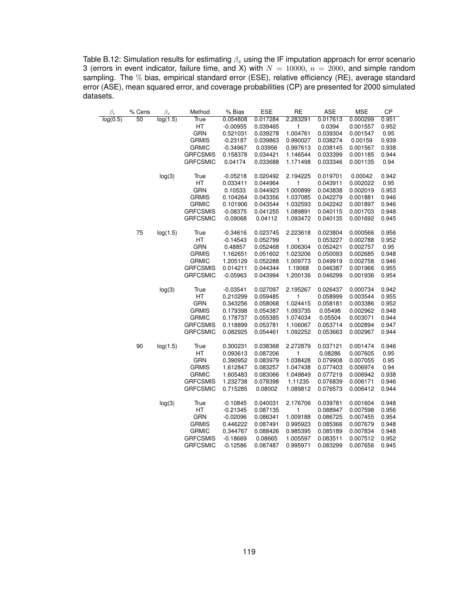Table B.12: Simulation results for estimating  $\beta_x$  using the IF imputation approach for error scenario 3 (errors in event indicator, failure time, and X) with  $N = 10000$ ,  $n = 2000$ , and simple random sampling. The % bias, empirical standard error (ESE), relative efficiency (RE), average standard error (ASE), mean squared error, and coverage probabilities (CP) are presented for 2000 simulated datasets.

| $\beta_z$ | % Cens | $\beta_x$ | Method          | % Bias     | <b>ESE</b> | <b>RE</b> | <b>ASE</b> | <b>MSE</b> | CP    |
|-----------|--------|-----------|-----------------|------------|------------|-----------|------------|------------|-------|
| log(0.5)  | 50     | log(1.5)  | <b>True</b>     | 0.054808   | 0.017284   | 2.283291  | 0.017613   | 0.000299   | 0.951 |
|           |        |           | HT              | $-0.00955$ | 0.039465   | 1         | 0.0394     | 0.001557   | 0.952 |
|           |        |           | GRN             | 0.521031   | 0.039278   | 1.004761  | 0.039304   | 0.001547   | 0.95  |
|           |        |           | <b>GRMIS</b>    | $-0.23187$ | 0.039863   | 0.990027  | 0.038274   | 0.00159    | 0.939 |
|           |        |           | <b>GRMIC</b>    | $-0.34967$ | 0.03956    | 0.997613  | 0.038145   | 0.001567   | 0.938 |
|           |        |           | <b>GRFCSMIS</b> | 0.158378   | 0.034421   | 1.146544  | 0.033399   | 0.001185   | 0.944 |
|           |        |           | <b>GRFCSMIC</b> | 0.04174    | 0.033688   | 1.171498  | 0.033346   | 0.001135   | 0.94  |
|           |        | log(3)    | True            | $-0.05218$ | 0.020492   | 2.194225  | 0.019701   | 0.00042    | 0.942 |
|           |        |           | HT              | 0.033411   | 0.044964   | 1         | 0.043911   | 0.002022   | 0.95  |
|           |        |           | <b>GRN</b>      | 0.10533    | 0.044923   | 1.000899  | 0.043838   | 0.002019   | 0.953 |
|           |        |           | <b>GRMIS</b>    | 0.104264   | 0.043356   | 1.037085  | 0.042279   | 0.001881   | 0.946 |
|           |        |           | <b>GRMIC</b>    | 0.101906   | 0.043544   | 1.032593  | 0.042242   | 0.001897   | 0.946 |
|           |        |           | <b>GRFCSMIS</b> | $-0.08375$ | 0.041255   | 1.089891  | 0.040115   | 0.001703   | 0.948 |
|           |        |           | <b>GRFCSMIC</b> | $-0.09068$ | 0.04112    | 1.093472  | 0.040135   | 0.001692   | 0.945 |
|           | 75     | log(1.5)  | True            | $-0.34616$ | 0.023745   | 2.223618  | 0.023804   | 0.000566   | 0.956 |
|           |        |           | HT              | $-0.14543$ | 0.052799   | 1         | 0.053227   | 0.002788   | 0.952 |
|           |        |           | <b>GRN</b>      | 0.48857    | 0.052468   | 1.006304  | 0.052421   | 0.002757   | 0.95  |
|           |        |           | <b>GRMIS</b>    | 1.162651   | 0.051602   | 1.023206  | 0.050093   | 0.002685   | 0.948 |
|           |        |           | <b>GRMIC</b>    | 1.205129   | 0.052288   | 1.009773  | 0.049919   | 0.002758   | 0.946 |
|           |        |           | GRFCSMIS        | 0.014211   | 0.044344   | 1.19068   | 0.046387   | 0.001966   | 0.955 |
|           |        |           | <b>GRFCSMIC</b> | $-0.05963$ | 0.043994   | 1.200136  | 0.046299   | 0.001936   | 0.954 |
|           |        | log(3)    | True            | $-0.03541$ | 0.027097   | 2.195267  | 0.026437   | 0.000734   | 0.942 |
|           |        |           | HT              | 0.210299   | 0.059485   | 1         | 0.058999   | 0.003544   | 0.955 |
|           |        |           | GRN             | 0.343256   | 0.058068   | 1.024415  | 0.058181   | 0.003386   | 0.952 |
|           |        |           | <b>GRMIS</b>    | 0.179398   | 0.054387   | 1.093735  | 0.05498    | 0.002962   | 0.948 |
|           |        |           | <b>GRMIC</b>    | 0.178737   | 0.055385   | 1.074034  | 0.05504    | 0.003071   | 0.944 |
|           |        |           | <b>GRFCSMIS</b> | 0.118899   | 0.053781   | 1.106067  | 0.053714   | 0.002894   | 0.947 |
|           |        |           | <b>GRFCSMIC</b> | 0.082925   | 0.054461   | 1.092252  | 0.053663   | 0.002967   | 0.944 |
|           | 90     | log(1.5)  | True            | 0.300231   | 0.038368   | 2.272879  | 0.037121   | 0.001474   | 0.946 |
|           |        |           | HT              | 0.093613   | 0.087206   | 1         | 0.08286    | 0.007605   | 0.95  |
|           |        |           | <b>GRN</b>      | 0.390952   | 0.083979   | 1.038428  | 0.079908   | 0.007055   | 0.95  |
|           |        |           | <b>GRMIS</b>    | 1.612847   | 0.083257   | 1.047438  | 0.077403   | 0.006974   | 0.94  |
|           |        |           | <b>GRMIC</b>    | 1.605483   | 0.083066   | 1.049849  | 0.077219   | 0.006942   | 0.938 |
|           |        |           | <b>GRFCSMIS</b> | 1.232738   | 0.078398   | 1.11235   | 0.076839   | 0.006171   | 0.946 |
|           |        |           | <b>GRFCSMIC</b> | 0.715285   | 0.08002    | 1.089812  | 0.076573   | 0.006412   | 0.944 |
|           |        | log(3)    | True            | $-0.10845$ | 0.040031   | 2.176706  | 0.039781   | 0.001604   | 0.948 |
|           |        |           | НT              | $-0.21345$ | 0.087135   | 1         | 0.088947   | 0.007598   | 0.956 |
|           |        |           | <b>GRN</b>      | $-0.02096$ | 0.086341   | 1.009188  | 0.086725   | 0.007455   | 0.954 |
|           |        |           | <b>GRMIS</b>    | 0.446222   | 0.087491   | 0.995923  | 0.085366   | 0.007679   | 0.948 |
|           |        |           | <b>GRMIC</b>    | 0.344767   | 0.088426   | 0.985395  | 0.085189   | 0.007834   | 0.948 |
|           |        |           | <b>GRFCSMIS</b> | $-0.18669$ | 0.08665    | 1.005597  | 0.083511   | 0.007512   | 0.952 |
|           |        |           | <b>GRFCSMIC</b> | $-0.12586$ | 0.087487   | 0.995971  | 0.083299   | 0.007656   | 0.945 |
|           |        |           |                 |            |            |           |            |            |       |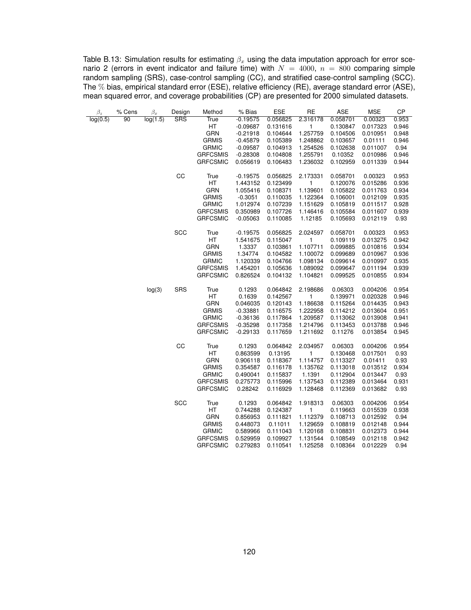Table B.13: Simulation results for estimating  $\beta_x$  using the data imputation approach for error scenario 2 (errors in event indicator and failure time) with  $N = 4000$ ,  $n = 800$  comparing simple random sampling (SRS), case-control sampling (CC), and stratified case-control sampling (SCC). The % bias, empirical standard error (ESE), relative efficiency (RE), average standard error (ASE), mean squared error, and coverage probabilities (CP) are presented for 2000 simulated datasets.

| $\beta_z$ | % Cens | $\beta_x$ | Design                  | Method          | % Bias     | ESE      | <b>RE</b> | <b>ASE</b> | <b>MSE</b> | <b>CP</b> |
|-----------|--------|-----------|-------------------------|-----------------|------------|----------|-----------|------------|------------|-----------|
| log(0.5)  | 90     | log(1.5)  | $\overline{\text{SRS}}$ | True            | $-0.19575$ | 0.056825 | 2.316178  | 0.058701   | 0.00323    | 0.953     |
|           |        |           |                         | HT.             | $-0.09687$ | 0.131616 | 1         | 0.130847   | 0.017323   | 0.946     |
|           |        |           |                         | GRN             | $-0.21918$ | 0.104644 | 1.257759  | 0.104506   | 0.010951   | 0.948     |
|           |        |           |                         | <b>GRMIS</b>    | $-0.45879$ | 0.105389 | 1.248862  | 0.103657   | 0.01111    | 0.946     |
|           |        |           |                         | <b>GRMIC</b>    | $-0.09587$ | 0.104913 | 1.254526  | 0.102638   | 0.011007   | 0.94      |
|           |        |           |                         | <b>GRFCSMIS</b> | $-0.28308$ | 0.104808 | 1.255791  | 0.10352    | 0.010986   | 0.946     |
|           |        |           |                         | <b>GRFCSMIC</b> | 0.056619   | 0.106483 | 1.236032  | 0.102959   | 0.011339   | 0.944     |
|           |        |           | CC                      | True            | $-0.19575$ | 0.056825 | 2.173331  | 0.058701   | 0.00323    | 0.953     |
|           |        |           |                         | HT              | 1.443152   | 0.123499 | 1         | 0.120076   | 0.015286   | 0.936     |
|           |        |           |                         | GRN             | 1.055416   | 0.108371 | 1.139601  | 0.105822   | 0.011763   | 0.934     |
|           |        |           |                         | <b>GRMIS</b>    | $-0.3051$  | 0.110035 | 1.122364  | 0.106001   | 0.012109   | 0.935     |
|           |        |           |                         | <b>GRMIC</b>    | 1.012974   | 0.107239 | 1.151629  | 0.105819   | 0.011517   | 0.928     |
|           |        |           |                         | <b>GRFCSMIS</b> | 0.350989   | 0.107726 | 1.146416  | 0.105584   | 0.011607   | 0.939     |
|           |        |           |                         | <b>GRFCSMIC</b> | $-0.05063$ | 0.110085 | 1.12185   | 0.105693   | 0.012119   | 0.93      |
|           |        |           | SCC                     | True            | $-0.19575$ | 0.056825 | 2.024597  | 0.058701   | 0.00323    | 0.953     |
|           |        |           |                         | HT              | 1.541675   | 0.115047 | 1         | 0.109119   | 0.013275   | 0.942     |
|           |        |           |                         | GRN             | 1.3337     | 0.103861 | 1.107711  | 0.099885   | 0.010816   | 0.934     |
|           |        |           |                         | <b>GRMIS</b>    | 1.34774    | 0.104582 | 1.100072  | 0.099689   | 0.010967   | 0.936     |
|           |        |           |                         | <b>GRMIC</b>    | 1.120339   | 0.104766 | 1.098134  | 0.099614   | 0.010997   | 0.935     |
|           |        |           |                         | <b>GRFCSMIS</b> | 1.454201   | 0.105636 | 1.089092  | 0.099647   | 0.011194   | 0.939     |
|           |        |           |                         | <b>GRFCSMIC</b> | 0.826524   | 0.104132 | 1.104821  | 0.099525   | 0.010855   | 0.934     |
|           |        | log(3)    | <b>SRS</b>              | True            | 0.1293     | 0.064842 | 2.198686  | 0.06303    | 0.004206   | 0.954     |
|           |        |           |                         | HT              | 0.1639     | 0.142567 | 1         | 0.139971   | 0.020328   | 0.946     |
|           |        |           |                         | <b>GRN</b>      | 0.046035   | 0.120143 | 1.186638  | 0.115264   | 0.014435   | 0.943     |
|           |        |           |                         | <b>GRMIS</b>    | $-0.33881$ | 0.116575 | 1.222958  | 0.114212   | 0.013604   | 0.951     |
|           |        |           |                         | <b>GRMIC</b>    | $-0.36136$ | 0.117864 | 1.209587  | 0.113062   | 0.013908   | 0.941     |
|           |        |           |                         | <b>GRFCSMIS</b> | $-0.35298$ | 0.117358 | 1.214796  | 0.113453   | 0.013788   | 0.946     |
|           |        |           |                         | <b>GRFCSMIC</b> | $-0.29133$ | 0.117659 | 1.211692  | 0.11276    | 0.013854   | 0.945     |
|           |        |           | CC                      | True            | 0.1293     | 0.064842 | 2.034957  | 0.06303    | 0.004206   | 0.954     |
|           |        |           |                         | HT.             | 0.863599   | 0.13195  | 1         | 0.130468   | 0.017501   | 0.93      |
|           |        |           |                         | <b>GRN</b>      | 0.906118   | 0.118367 | 1.114757  | 0.113327   | 0.01411    | 0.93      |
|           |        |           |                         | <b>GRMIS</b>    | 0.354587   | 0.116178 | 1.135762  | 0.113018   | 0.013512   | 0.934     |
|           |        |           |                         | <b>GRMIC</b>    | 0.490041   | 0.115837 | 1.1391    | 0.112904   | 0.013447   | 0.93      |
|           |        |           |                         | <b>GRFCSMIS</b> | 0.275773   | 0.115996 | 1.137543  | 0.112389   | 0.013464   | 0.931     |
|           |        |           |                         | <b>GRFCSMIC</b> | 0.28242    | 0.116929 | 1.128468  | 0.112369   | 0.013682   | 0.93      |
|           |        |           | SCC                     | True            | 0.1293     | 0.064842 | 1.918313  | 0.06303    | 0.004206   | 0.954     |
|           |        |           |                         | HT              | 0.744288   | 0.124387 | 1         | 0.119663   | 0.015539   | 0.938     |
|           |        |           |                         | GRN             | 0.856953   | 0.111821 | 1.112379  | 0.108713   | 0.012592   | 0.94      |
|           |        |           |                         | <b>GRMIS</b>    | 0.448073   | 0.11011  | 1.129659  | 0.108819   | 0.012148   | 0.944     |
|           |        |           |                         | <b>GRMIC</b>    | 0.589966   | 0.111043 | 1.120168  | 0.108831   | 0.012373   | 0.944     |
|           |        |           |                         | <b>GRFCSMIS</b> | 0.529959   | 0.109927 | 1.131544  | 0.108549   | 0.012118   | 0.942     |
|           |        |           |                         | <b>GRFCSMIC</b> | 0.279283   | 0.110541 | 1.125258  | 0.108364   | 0.012229   | 0.94      |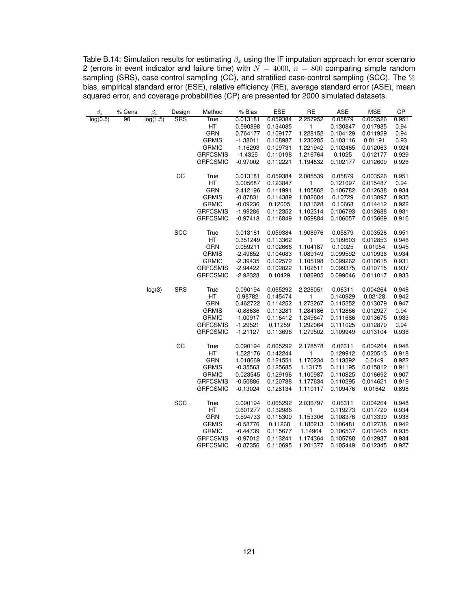Table B.14: Simulation results for estimating  $\beta_x$  using the IF imputation approach for error scenario 2 (errors in event indicator and failure time) with  $N = 4000$ ,  $n = 800$  comparing simple random sampling (SRS), case-control sampling (CC), and stratified case-control sampling (SCC). The % bias, empirical standard error (ESE), relative efficiency (RE), average standard error (ASE), mean squared error, and coverage probabilities (CP) are presented for 2000 simulated datasets.

| $\beta_z$ | % Cens | $\beta_x$ | Design                  | Method          | % Bias     | <b>ESE</b> | <b>RE</b> | <b>ASE</b> | <b>MSE</b> | CP    |
|-----------|--------|-----------|-------------------------|-----------------|------------|------------|-----------|------------|------------|-------|
| log(0.5)  | 90     | log(1.5)  | $\overline{\text{SRS}}$ | <b>True</b>     | 0.013181   | 0.059384   | 2.257952  | 0.05879    | 0.003526   | 0.951 |
|           |        |           |                         | <b>HT</b>       | 0.590898   | 0.134085   | 1         | 0.130847   | 0.017985   | 0.94  |
|           |        |           |                         | GRN             | 0.764177   | 0.109177   | 1.228152  | 0.104129   | 0.011929   | 0.94  |
|           |        |           |                         | <b>GRMIS</b>    | $-1.38011$ | 0.108987   | 1.230285  | 0.103116   | 0.01191    | 0.93  |
|           |        |           |                         | <b>GRMIC</b>    | $-1.16293$ | 0.109731   | 1.221942  | 0.102465   | 0.012063   | 0.924 |
|           |        |           |                         | <b>GRFCSMIS</b> | $-1.4325$  | 0.110198   | 1.216764  | 0.1025     | 0.012177   | 0.929 |
|           |        |           |                         | <b>GRFCSMIC</b> | $-0.97002$ | 0.112221   | 1.194832  | 0.102177   | 0.012609   | 0.926 |
|           |        |           | CC                      | True            | 0.013181   | 0.059384   | 2.085539  | 0.05879    | 0.003526   | 0.951 |
|           |        |           |                         | HT              | 3.005687   | 0.123847   | 1         | 0.121097   | 0.015487   | 0.94  |
|           |        |           |                         | GRN             | 2.412196   | 0.111991   | 1.105862  | 0.106782   | 0.012638   | 0.934 |
|           |        |           |                         | <b>GRMIS</b>    | $-0.87831$ | 0.114389   | 1.082684  | 0.10729    | 0.013097   | 0.935 |
|           |        |           |                         | <b>GRMIC</b>    | $-0.09236$ | 0.12005    | 1.031628  | 0.10668    | 0.014412   | 0.922 |
|           |        |           |                         | <b>GRFCSMIS</b> | $-1.99286$ | 0.112352   | 1.102314  | 0.106793   | 0.012688   | 0.931 |
|           |        |           |                         | <b>GRFCSMIC</b> | $-0.97418$ | 0.116849   | 1.059884  | 0.106057   | 0.013669   | 0.916 |
|           |        |           | SCC                     | True            | 0.013181   | 0.059384   | 1.908976  | 0.05879    | 0.003526   | 0.951 |
|           |        |           |                         | HT              | 0.351249   | 0.113362   | 1         | 0.109603   | 0.012853   | 0.946 |
|           |        |           |                         | GRN             | 0.059211   | 0.102666   | 1.104187  | 0.10025    | 0.01054    | 0.945 |
|           |        |           |                         | <b>GRMIS</b>    | $-2.49652$ | 0.104083   | 1.089149  | 0.099592   | 0.010936   | 0.934 |
|           |        |           |                         | <b>GRMIC</b>    | $-2.39435$ | 0.102572   | 1.105198  | 0.099262   | 0.010615   | 0.931 |
|           |        |           |                         | <b>GRFCSMIS</b> | $-2.94422$ | 0.102822   | 1.102511  | 0.099375   | 0.010715   | 0.937 |
|           |        |           |                         | <b>GRFCSMIC</b> | $-2.92328$ | 0.10429    | 1.086985  | 0.099046   | 0.011017   | 0.933 |
|           |        | log(3)    | <b>SRS</b>              | True            | 0.090194   | 0.065292   | 2.228051  | 0.06311    | 0.004264   | 0.948 |
|           |        |           |                         | HT              | 0.98782    | 0.145474   | 1         | 0.140929   | 0.02128    | 0.942 |
|           |        |           |                         | GRN             | 0.462722   | 0.114252   | 1.273267  | 0.115252   | 0.013079   | 0.947 |
|           |        |           |                         | <b>GRMIS</b>    | $-0.88636$ | 0.113281   | 1.284186  | 0.112866   | 0.012927   | 0.94  |
|           |        |           |                         | <b>GRMIC</b>    | $-1.00917$ | 0.116412   | 1.249647  | 0.111686   | 0.013675   | 0.933 |
|           |        |           |                         | <b>GRFCSMIS</b> | $-1.29521$ | 0.11259    | 1.292064  | 0.111025   | 0.012879   | 0.94  |
|           |        |           |                         | <b>GRFCSMIC</b> | $-1.21127$ | 0.113696   | 1.279502  | 0.109949   | 0.013104   | 0.936 |
|           |        |           | CC                      | True            | 0.090194   | 0.065292   | 2.178578  | 0.06311    | 0.004264   | 0.948 |
|           |        |           |                         | <b>HT</b>       | 1.522176   | 0.142244   | 1         | 0.129912   | 0.020513   | 0.918 |
|           |        |           |                         | GRN             | 1.018669   | 0.121551   | 1.170234  | 0.113392   | 0.0149     | 0.922 |
|           |        |           |                         | <b>GRMIS</b>    | $-0.35563$ | 0.125685   | 1.13175   | 0.111195   | 0.015812   | 0.911 |
|           |        |           |                         | <b>GRMIC</b>    | 0.023545   | 0.129196   | 1.100987  | 0.110825   | 0.016692   | 0.907 |
|           |        |           |                         | <b>GRFCSMIS</b> | $-0.50886$ | 0.120788   | 1.177634  | 0.110295   | 0.014621   | 0.919 |
|           |        |           |                         | <b>GRFCSMIC</b> | $-0.13024$ | 0.128134   | 1.110117  | 0.109476   | 0.01642    | 0.898 |
|           |        |           | SCC                     | True            | 0.090194   | 0.065292   | 2.036797  | 0.06311    | 0.004264   | 0.948 |
|           |        |           |                         | <b>HT</b>       | 0.601277   | 0.132986   | 1         | 0.119273   | 0.017729   | 0.934 |
|           |        |           |                         | GRN             | 0.594733   | 0.115309   | 1.153306  | 0.108376   | 0.013339   | 0.938 |
|           |        |           |                         | <b>GRMIS</b>    | $-0.58776$ | 0.11268    | 1.180213  | 0.106481   | 0.012738   | 0.942 |
|           |        |           |                         | <b>GRMIC</b>    | $-0.44739$ | 0.115677   | 1.14964   | 0.106537   | 0.013405   | 0.935 |
|           |        |           |                         | <b>GRFCSMIS</b> | $-0.97012$ | 0.113241   | 1.174364  | 0.105788   | 0.012937   | 0.934 |
|           |        |           |                         | <b>GRFCSMIC</b> | $-0.87356$ | 0.110695   | 1.201377  | 0.105449   | 0.012345   | 0.927 |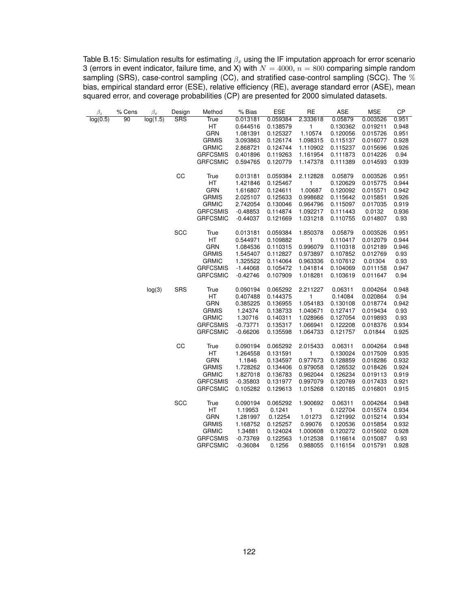Table B.15: Simulation results for estimating  $\beta_x$  using the IF imputation approach for error scenario 3 (errors in event indicator, failure time, and X) with  $N = 4000$ ,  $n = 800$  comparing simple random sampling (SRS), case-control sampling (CC), and stratified case-control sampling (SCC). The % bias, empirical standard error (ESE), relative efficiency (RE), average standard error (ASE), mean squared error, and coverage probabilities (CP) are presented for 2000 simulated datasets.

| $\beta_z$ | % Cens | $\beta_x$ | Design                  | Method                          | % Bias               | <b>ESE</b>           | <b>RE</b>            | <b>ASE</b>           | <b>MSE</b>           | <b>CP</b>     |
|-----------|--------|-----------|-------------------------|---------------------------------|----------------------|----------------------|----------------------|----------------------|----------------------|---------------|
| log(0.5)  | 90     | log(1.5)  | $\overline{\text{SRS}}$ | <b>True</b>                     | 0.013181             | 0.059384             | 2.333618             | 0.05879              | 0.003526             | 0.951         |
|           |        |           |                         | HT                              | 0.644516             | 0.138579             | 1                    | 0.130362             | 0.019211             | 0.948         |
|           |        |           |                         | GRN                             | 1.081391             | 0.125327             | 1.10574              | 0.120056             | 0.015726             | 0.951         |
|           |        |           |                         | <b>GRMIS</b>                    | 3.093863             | 0.126174             | 1.098315             | 0.115137             | 0.016077             | 0.928         |
|           |        |           |                         | <b>GRMIC</b><br><b>GRFCSMIS</b> | 2.868721<br>0.401896 | 0.124744<br>0.119263 | 1.110902<br>1.161954 | 0.115237<br>0.111873 | 0.015696<br>0.014226 | 0.926<br>0.94 |
|           |        |           |                         | <b>GRFCSMIC</b>                 | 0.594765             | 0.120779             | 1.147378             | 0.111389             | 0.014593             | 0.939         |
|           |        |           |                         |                                 |                      |                      |                      |                      |                      |               |
|           |        |           | CC                      | True                            | 0.013181             | 0.059384             | 2.112828             | 0.05879              | 0.003526             | 0.951         |
|           |        |           |                         | <b>HT</b>                       | 1.421846             | 0.125467             | 1                    | 0.120629             | 0.015775             | 0.944         |
|           |        |           |                         | GRN                             | 1.616807             | 0.124611             | 1.00687              | 0.120092             | 0.015571             | 0.942         |
|           |        |           |                         | <b>GRMIS</b>                    | 2.025107             | 0.125633             | 0.998682             | 0.115642             | 0.015851             | 0.926         |
|           |        |           |                         | <b>GRMIC</b>                    | 2.742054             | 0.130046             | 0.964796             | 0.115097             | 0.017035             | 0.919         |
|           |        |           |                         | <b>GRFCSMIS</b>                 | $-0.48853$           | 0.114874             | 1.092217             | 0.111443             | 0.0132               | 0.936         |
|           |        |           |                         | <b>GRFCSMIC</b>                 | $-0.44037$           | 0.121669             | 1.031218             | 0.110755             | 0.014807             | 0.93          |
|           |        |           | <b>SCC</b>              | True                            | 0.013181             | 0.059384             | 1.850378             | 0.05879              | 0.003526             | 0.951         |
|           |        |           |                         | HT                              | 0.544971             | 0.109882             | $\mathbf{1}$         | 0.110417             | 0.012079             | 0.944         |
|           |        |           |                         | GRN                             | 1.084536             | 0.110315             | 0.996079             | 0.110318             | 0.012189             | 0.946         |
|           |        |           |                         | <b>GRMIS</b>                    | 1.545407             | 0.112827             | 0.973897             | 0.107852             | 0.012769             | 0.93          |
|           |        |           |                         | <b>GRMIC</b>                    | 1.325522             | 0.114064             | 0.963336             | 0.107612             | 0.01304              | 0.93          |
|           |        |           |                         | <b>GRFCSMIS</b>                 | $-1.44068$           | 0.105472             | 1.041814             | 0.104069             | 0.011158             | 0.947         |
|           |        |           |                         | <b>GRFCSMIC</b>                 | $-0.42746$           | 0.107909             | 1.018281             | 0.103619             | 0.011647             | 0.94          |
|           |        | log(3)    | <b>SRS</b>              | True                            | 0.090194             | 0.065292             | 2.211227             | 0.06311              | 0.004264             | 0.948         |
|           |        |           |                         | HT                              | 0.407488             | 0.144375             | 1                    | 0.14084              | 0.020864             | 0.94          |
|           |        |           |                         | GRN                             | 0.385225             | 0.136955             | 1.054183             | 0.130108             | 0.018774             | 0.942         |
|           |        |           |                         | <b>GRMIS</b>                    | 1.24374              | 0.138733             | 1.040671             | 0.127417             | 0.019434             | 0.93          |
|           |        |           |                         | <b>GRMIC</b>                    | 1.30716              | 0.140311             | 1.028966             | 0.127054             | 0.019893             | 0.93          |
|           |        |           |                         | <b>GRFCSMIS</b>                 | $-0.73771$           | 0.135317             | 1.066941             | 0.122208             | 0.018376             | 0.934         |
|           |        |           |                         | <b>GRFCSMIC</b>                 | $-0.66206$           | 0.135598             | 1.064733             | 0.121757             | 0.01844              | 0.925         |
|           |        |           | CC                      | True                            | 0.090194             | 0.065292             | 2.015433             | 0.06311              | 0.004264             | 0.948         |
|           |        |           |                         | HT                              | 1.264558             | 0.131591             | 1                    | 0.130024             | 0.017509             | 0.935         |
|           |        |           |                         | GRN                             | 1.1846               | 0.134597             | 0.977673             | 0.128859             | 0.018286             | 0.932         |
|           |        |           |                         | <b>GRMIS</b>                    | 1.728262             | 0.134406             | 0.979058             | 0.126532             | 0.018426             | 0.924         |
|           |        |           |                         | <b>GRMIC</b>                    | 1.827018             | 0.136783             | 0.962044             | 0.126234             | 0.019113             | 0.919         |
|           |        |           |                         | <b>GRFCSMIS</b>                 | $-0.35803$           | 0.131977             | 0.997079             | 0.120769             | 0.017433             | 0.921         |
|           |        |           |                         | <b>GRFCSMIC</b>                 | 0.105282             | 0.129613             | 1.015268             | 0.120185             | 0.016801             | 0.915         |
|           |        |           | SCC                     | True                            | 0.090194             | 0.065292             | 1.900692             | 0.06311              | 0.004264             | 0.948         |
|           |        |           |                         | HT                              | 1.19953              | 0.1241               | 1                    | 0.122704             | 0.015574             | 0.934         |
|           |        |           |                         | <b>GRN</b>                      | 1.281997             | 0.12254              | 1.01273              | 0.121992             | 0.015214             | 0.934         |
|           |        |           |                         | <b>GRMIS</b>                    | 1.168752             | 0.125257             | 0.99076              | 0.120536             | 0.015854             | 0.932         |
|           |        |           |                         | <b>GRMIC</b>                    | 1.34881              | 0.124024             | 1.000608             | 0.120272             | 0.015602             | 0.928         |
|           |        |           |                         | <b>GRFCSMIS</b>                 | $-0.73769$           | 0.122563             | 1.012538             | 0.116614             | 0.015087             | 0.93          |
|           |        |           |                         | <b>GRFCSMIC</b>                 | $-0.36084$           | 0.1256               | 0.988055             | 0.116154             | 0.015791             | 0.928         |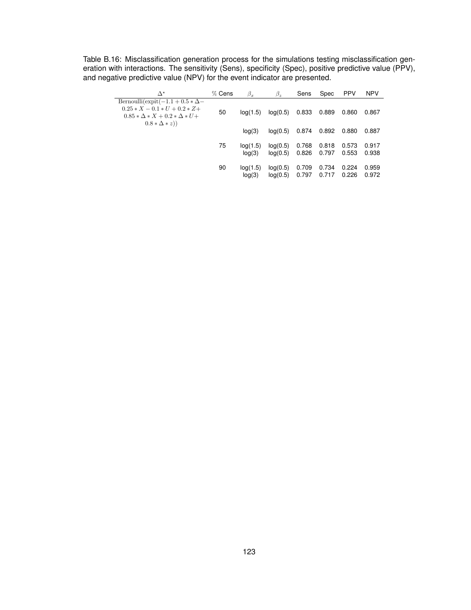Table B.16: Misclassification generation process for the simulations testing misclassification generation with interactions. The sensitivity (Sens), specificity (Spec), positive predictive value (PPV), and negative predictive value (NPV) for the event indicator are presented.

| Δ*                                                                | $%$ Cens | $\beta_x$          | $\beta_z$            | Sens           | Spec           | <b>PPV</b>     | <b>NPV</b>     |
|-------------------------------------------------------------------|----------|--------------------|----------------------|----------------|----------------|----------------|----------------|
| Bernoulli(expit( $-1.1 + 0.5 * \Delta -$                          |          |                    |                      |                |                |                |                |
| $0.25*X-0.1*U+0.2*Z+$<br>$0.85 * \Delta * X + 0.2 * \Delta * U +$ | 50       | log(1.5)           | log(0.5)             | 0.833          | 0.889          | 0.860          | 0.867          |
| $(0.8 * \Delta * z))$                                             |          | log(3)             | log(0.5)             | 0.874          | 0.892          | 0.880          | 0.887          |
|                                                                   | 75       | log(1.5)<br>log(3) | log(0.5)<br>log(0.5) | 0.768<br>0.826 | 0.818<br>0.797 | 0.573<br>0.553 | 0.917<br>0.938 |
|                                                                   | 90       | log(1.5)<br>log(3) | log(0.5)<br>log(0.5) | 0.709<br>0.797 | 0.734<br>0.717 | 0.224<br>0.226 | 0.959<br>0.972 |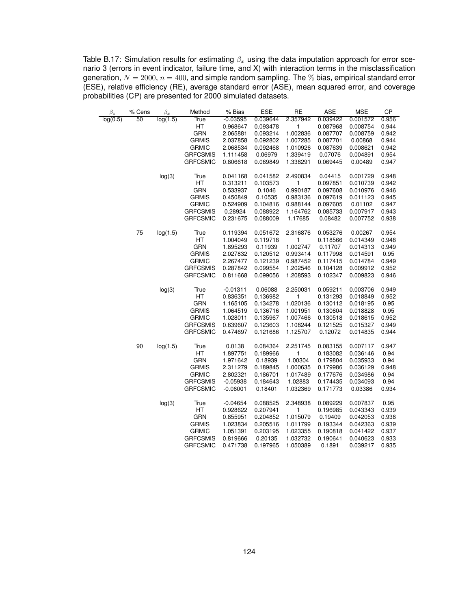Table B.17: Simulation results for estimating  $\beta_x$  using the data imputation approach for error scenario 3 (errors in event indicator, failure time, and X) with interaction terms in the misclassification generation,  $N = 2000$ ,  $n = 400$ , and simple random sampling. The % bias, empirical standard error (ESE), relative efficiency (RE), average standard error (ASE), mean squared error, and coverage probabilities (CP) are presented for 2000 simulated datasets.

| $\beta_z$ | % Cens | $\beta_x$ | Method          | % Bias     | ESE      | <b>RE</b> | <b>ASE</b> | <b>MSE</b> | CP    |
|-----------|--------|-----------|-----------------|------------|----------|-----------|------------|------------|-------|
| log(0.5)  | 50     | log(1.5)  | True            | $-0.03595$ | 0.039644 | 2.357942  | 0.039422   | 0.001572   | 0.956 |
|           |        |           | HT              | 0.968647   | 0.093478 | 1         | 0.087968   | 0.008754   | 0.944 |
|           |        |           | GRN             | 2.065881   | 0.093214 | 1.002836  | 0.087707   | 0.008759   | 0.942 |
|           |        |           | <b>GRMIS</b>    | 2.037858   | 0.092802 | 1.007285  | 0.087701   | 0.00868    | 0.944 |
|           |        |           | <b>GRMIC</b>    | 2.068534   | 0.092468 | 1.010926  | 0.087639   | 0.008621   | 0.942 |
|           |        |           | <b>GRFCSMIS</b> | 1.111458   | 0.06979  | 1.339419  | 0.07076    | 0.004891   | 0.954 |
|           |        |           | <b>GRFCSMIC</b> | 0.806618   | 0.069849 | 1.338291  | 0.069445   | 0.00489    | 0.947 |
|           |        |           |                 |            |          |           |            |            |       |
|           |        | log(3)    | True            | 0.041168   | 0.041582 | 2.490834  | 0.04415    | 0.001729   | 0.948 |
|           |        |           | НT              | 0.313211   | 0.103573 | 1         | 0.097851   | 0.010739   | 0.942 |
|           |        |           | GRN             | 0.533937   | 0.1046   | 0.990187  | 0.097608   | 0.010976   | 0.946 |
|           |        |           | <b>GRMIS</b>    | 0.450849   | 0.10535  | 0.983136  | 0.097619   | 0.011123   | 0.945 |
|           |        |           | <b>GRMIC</b>    | 0.524909   | 0.104816 | 0.988144  | 0.097605   | 0.01102    | 0.947 |
|           |        |           | <b>GRFCSMIS</b> | 0.28924    | 0.088922 | 1.164762  | 0.085733   | 0.007917   | 0.943 |
|           |        |           | <b>GRFCSMIC</b> | 0.231675   | 0.088009 | 1.17685   | 0.08482    | 0.007752   | 0.938 |
|           |        |           |                 |            |          |           |            |            |       |
|           | 75     | log(1.5)  | True            | 0.119394   | 0.051672 | 2.316876  | 0.053276   | 0.00267    | 0.954 |
|           |        |           | HT              | 1.004049   | 0.119718 | 1         | 0.118566   | 0.014349   | 0.948 |
|           |        |           | <b>GRN</b>      | 1.895293   | 0.11939  | 1.002747  | 0.11707    | 0.014313   | 0.949 |
|           |        |           | <b>GRMIS</b>    | 2.027832   | 0.120512 | 0.993414  | 0.117998   | 0.014591   | 0.95  |
|           |        |           | <b>GRMIC</b>    | 2.267477   | 0.121239 | 0.987452  | 0.117415   | 0.014784   | 0.949 |
|           |        |           | <b>GRFCSMIS</b> | 0.287842   | 0.099554 | 1.202546  | 0.104128   | 0.009912   | 0.952 |
|           |        |           | <b>GRFCSMIC</b> | 0.811668   | 0.099056 | 1.208593  | 0.102347   | 0.009823   | 0.946 |
|           |        |           |                 |            |          |           |            |            |       |
|           |        | log(3)    | True            | $-0.01311$ | 0.06088  | 2.250031  | 0.059211   | 0.003706   | 0.949 |
|           |        |           | HT              | 0.836351   | 0.136982 | 1         | 0.131293   | 0.018849   | 0.952 |
|           |        |           | GRN             | 1.165105   | 0.134278 | 1.020136  | 0.130112   | 0.018195   | 0.95  |
|           |        |           | <b>GRMIS</b>    | 1.064519   | 0.136716 | 1.001951  | 0.130604   | 0.018828   | 0.95  |
|           |        |           | <b>GRMIC</b>    | 1.028011   | 0.135967 | 1.007466  | 0.130518   | 0.018615   | 0.952 |
|           |        |           | <b>GRFCSMIS</b> | 0.639607   | 0.123603 | 1.108244  | 0.121525   | 0.015327   | 0.949 |
|           |        |           | <b>GRFCSMIC</b> | 0.474697   | 0.121686 | 1.125707  | 0.12072    | 0.014835   | 0.944 |
|           |        |           |                 |            |          |           |            |            |       |
|           | 90     | log(1.5)  | True            | 0.0138     | 0.084364 | 2.251745  | 0.083155   | 0.007117   | 0.947 |
|           |        |           | НT              | 1.897751   | 0.189966 | 1         | 0.183082   | 0.036146   | 0.94  |
|           |        |           | <b>GRN</b>      | 1.971642   | 0.18939  | 1.00304   | 0.179804   | 0.035933   | 0.94  |
|           |        |           | <b>GRMIS</b>    | 2.311279   | 0.189845 | 1.000635  | 0.179986   | 0.036129   | 0.948 |
|           |        |           | <b>GRMIC</b>    | 2.802321   | 0.186701 | 1.017489  | 0.177676   | 0.034986   | 0.94  |
|           |        |           | <b>GRFCSMIS</b> | $-0.05938$ | 0.184643 | 1.02883   | 0.174435   | 0.034093   | 0.94  |
|           |        |           | <b>GRFCSMIC</b> | $-0.06001$ | 0.18401  | 1.032369  | 0.171773   | 0.03386    | 0.934 |
|           |        |           |                 |            |          |           |            |            |       |
|           |        | log(3)    | True            | $-0.04654$ | 0.088525 | 2.348938  | 0.089229   | 0.007837   | 0.95  |
|           |        |           | HT              | 0.928622   | 0.207941 | 1         | 0.196985   | 0.043343   | 0.939 |
|           |        |           | GRN             |            |          | 1.015079  |            |            | 0.938 |
|           |        |           |                 | 0.855951   | 0.204852 |           | 0.19409    | 0.042053   |       |
|           |        |           | <b>GRMIS</b>    | 1.023834   | 0.205516 | 1.011799  | 0.193344   | 0.042363   | 0.939 |
|           |        |           | <b>GRMIC</b>    | 1.051391   | 0.203195 | 1.023355  | 0.190818   | 0.041422   | 0.937 |
|           |        |           | <b>GRFCSMIS</b> | 0.819666   | 0.20135  | 1.032732  | 0.190641   | 0.040623   | 0.933 |
|           |        |           | <b>GRFCSMIC</b> | 0.471738   | 0.197965 | 1.050389  | 0.1891     | 0.039217   | 0.935 |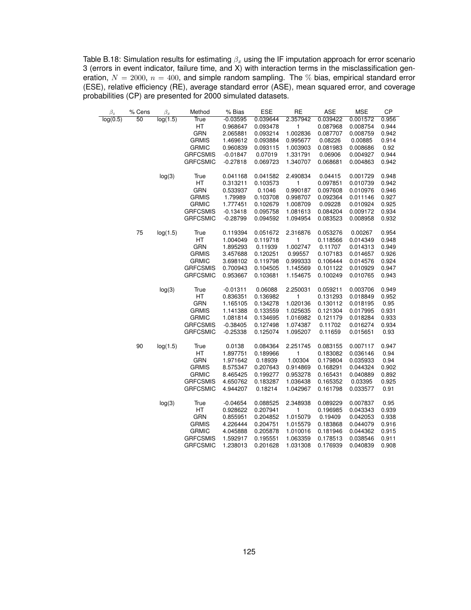Table B.18: Simulation results for estimating  $\beta_x$  using the IF imputation approach for error scenario 3 (errors in event indicator, failure time, and X) with interaction terms in the misclassification generation,  $N = 2000$ ,  $n = 400$ , and simple random sampling. The % bias, empirical standard error (ESE), relative efficiency (RE), average standard error (ASE), mean squared error, and coverage probabilities (CP) are presented for 2000 simulated datasets.

| $\beta_z$ | % Cens | $\beta_x$ | Method          | % Bias     | <b>ESE</b> | <b>RE</b> | <b>ASE</b> | <b>MSE</b> | CP    |
|-----------|--------|-----------|-----------------|------------|------------|-----------|------------|------------|-------|
| log(0.5)  | 50     | log(1.5)  | <b>True</b>     | $-0.03595$ | 0.039644   | 2.357942  | 0.039422   | 0.001572   | 0.956 |
|           |        |           | HT              | 0.968647   | 0.093478   | 1         | 0.087968   | 0.008754   | 0.944 |
|           |        |           | GRN             | 2.065881   | 0.093214   | 1.002836  | 0.087707   | 0.008759   | 0.942 |
|           |        |           | <b>GRMIS</b>    | 1.469612   | 0.093884   | 0.995677  | 0.08226    | 0.00885    | 0.914 |
|           |        |           | <b>GRMIC</b>    | 0.960839   | 0.093115   | 1.003903  | 0.081983   | 0.008686   | 0.92  |
|           |        |           | <b>GRFCSMIS</b> | $-0.01847$ | 0.07019    | 1.331791  | 0.06906    | 0.004927   | 0.944 |
|           |        |           | <b>GRFCSMIC</b> | $-0.27818$ | 0.069723   | 1.340707  | 0.068681   | 0.004863   | 0.942 |
|           |        | log(3)    | True            | 0.041168   | 0.041582   | 2.490834  | 0.04415    | 0.001729   | 0.948 |
|           |        |           | HT              | 0.313211   | 0.103573   | 1         | 0.097851   | 0.010739   | 0.942 |
|           |        |           | <b>GRN</b>      | 0.533937   | 0.1046     | 0.990187  | 0.097608   | 0.010976   | 0.946 |
|           |        |           | <b>GRMIS</b>    | 1.79989    | 0.103708   | 0.998707  | 0.092364   | 0.011146   | 0.927 |
|           |        |           | <b>GRMIC</b>    | 1.777451   | 0.102679   | 1.008709  | 0.09228    | 0.010924   | 0.925 |
|           |        |           | <b>GRFCSMIS</b> | $-0.13418$ | 0.095758   | 1.081613  | 0.084204   | 0.009172   | 0.934 |
|           |        |           | <b>GRFCSMIC</b> | $-0.28799$ | 0.094592   | 1.094954  | 0.083523   | 0.008958   | 0.932 |
|           | 75     | log(1.5)  | True            | 0.119394   | 0.051672   | 2.316876  | 0.053276   | 0.00267    | 0.954 |
|           |        |           | HT              | 1.004049   | 0.119718   | 1         | 0.118566   | 0.014349   | 0.948 |
|           |        |           | GRN             | 1.895293   | 0.11939    | 1.002747  | 0.11707    | 0.014313   | 0.949 |
|           |        |           | <b>GRMIS</b>    | 3.457688   | 0.120251   | 0.99557   | 0.107183   | 0.014657   | 0.926 |
|           |        |           | <b>GRMIC</b>    | 3.698102   | 0.119798   | 0.999333  | 0.106444   | 0.014576   | 0.924 |
|           |        |           | <b>GRFCSMIS</b> | 0.700943   | 0.104505   | 1.145569  | 0.101122   | 0.010929   | 0.947 |
|           |        |           | <b>GRFCSMIC</b> | 0.953667   | 0.103681   | 1.154675  | 0.100249   | 0.010765   | 0.943 |
|           |        | log(3)    | True            | $-0.01311$ | 0.06088    | 2.250031  | 0.059211   | 0.003706   | 0.949 |
|           |        |           | HT              | 0.836351   | 0.136982   | 1         | 0.131293   | 0.018849   | 0.952 |
|           |        |           | GRN             | 1.165105   | 0.134278   | 1.020136  | 0.130112   | 0.018195   | 0.95  |
|           |        |           | <b>GRMIS</b>    | 1.141388   | 0.133559   | 1.025635  | 0.121304   | 0.017995   | 0.931 |
|           |        |           | <b>GRMIC</b>    | 1.081814   | 0.134695   | 1.016982  | 0.121179   | 0.018284   | 0.933 |
|           |        |           | <b>GRFCSMIS</b> | $-0.38405$ | 0.127498   | 1.074387  | 0.11702    | 0.016274   | 0.934 |
|           |        |           | <b>GRFCSMIC</b> | $-0.25338$ | 0.125074   | 1.095207  | 0.11659    | 0.015651   | 0.93  |
|           | 90     | log(1.5)  | True            | 0.0138     | 0.084364   | 2.251745  | 0.083155   | 0.007117   | 0.947 |
|           |        |           | НT              | 1.897751   | 0.189966   | 1         | 0.183082   | 0.036146   | 0.94  |
|           |        |           | <b>GRN</b>      | 1.971642   | 0.18939    | 1.00304   | 0.179804   | 0.035933   | 0.94  |
|           |        |           | <b>GRMIS</b>    | 8.575347   | 0.207643   | 0.914869  | 0.168291   | 0.044324   | 0.902 |
|           |        |           | <b>GRMIC</b>    | 8.465425   | 0.199277   | 0.953278  | 0.165431   | 0.040889   | 0.892 |
|           |        |           | <b>GRFCSMIS</b> | 4.650762   | 0.183287   | 1.036438  | 0.165352   | 0.03395    | 0.925 |
|           |        |           | <b>GRFCSMIC</b> | 4.944207   | 0.18214    | 1.042967  | 0.161798   | 0.033577   | 0.91  |
|           |        | log(3)    | True            | $-0.04654$ | 0.088525   | 2.348938  | 0.089229   | 0.007837   | 0.95  |
|           |        |           | НT              | 0.928622   | 0.207941   | 1         | 0.196985   | 0.043343   | 0.939 |
|           |        |           | <b>GRN</b>      | 0.855951   | 0.204852   | 1.015079  | 0.19409    | 0.042053   | 0.938 |
|           |        |           | <b>GRMIS</b>    | 4.226444   | 0.204751   | 1.015579  | 0.183868   | 0.044079   | 0.916 |
|           |        |           | <b>GRMIC</b>    | 4.045888   | 0.205878   | 1.010016  | 0.181946   | 0.044362   | 0.915 |
|           |        |           | <b>GRFCSMIS</b> | 1.592917   | 0.195551   | 1.063359  | 0.178513   | 0.038546   | 0.911 |
|           |        |           | <b>GRFCSMIC</b> | 1.238013   | 0.201628   | 1.031308  | 0.176939   | 0.040839   | 0.908 |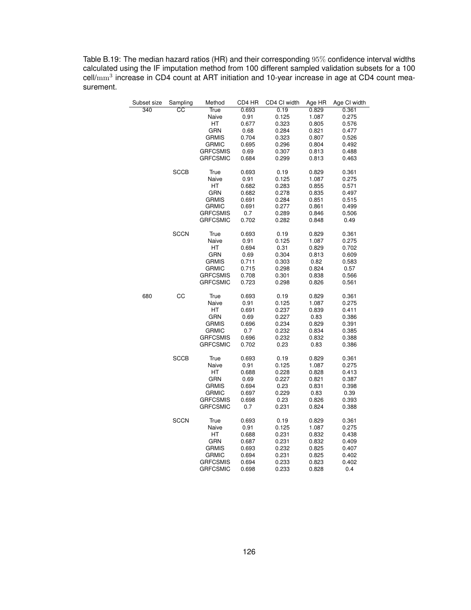Table B.19: The median hazard ratios (HR) and their corresponding 95% confidence interval widths calculated using the IF imputation method from 100 different sampled validation subsets for a 100 cell/ $\mathrm{mm}^{3}$  increase in CD4 count at ART initiation and 10-year increase in age at CD4 count measurement.

| Subset size | Sampling    | Method          | CD4 HR | CD4 CI width | Age HR | Age CI width |
|-------------|-------------|-----------------|--------|--------------|--------|--------------|
| 340         | СC          | True            | 0.693  | 0.19         | 0.829  | 0.361        |
|             |             | Naive           | 0.91   | 0.125        | 1.087  | 0.275        |
|             |             | НT              | 0.677  | 0.323        | 0.805  | 0.576        |
|             |             | <b>GRN</b>      | 0.68   | 0.284        | 0.821  | 0.477        |
|             |             | <b>GRMIS</b>    | 0.704  | 0.323        | 0.807  | 0.526        |
|             |             | <b>GRMIC</b>    | 0.695  | 0.296        | 0.804  | 0.492        |
|             |             | <b>GRFCSMIS</b> | 0.69   | 0.307        | 0.813  | 0.488        |
|             |             | <b>GRFCSMIC</b> | 0.684  | 0.299        | 0.813  | 0.463        |
|             | <b>SCCB</b> | True            | 0.693  | 0.19         | 0.829  | 0.361        |
|             |             | Naive           | 0.91   | 0.125        | 1.087  | 0.275        |
|             |             | НT              | 0.682  | 0.283        | 0.855  | 0.571        |
|             |             | <b>GRN</b>      | 0.682  | 0.278        | 0.835  | 0.497        |
|             |             | <b>GRMIS</b>    | 0.691  | 0.284        | 0.851  | 0.515        |
|             |             | <b>GRMIC</b>    | 0.691  | 0.277        | 0.861  | 0.499        |
|             |             | <b>GRFCSMIS</b> | 0.7    | 0.289        | 0.846  | 0.506        |
|             |             | <b>GRFCSMIC</b> | 0.702  | 0.282        | 0.848  | 0.49         |
|             | <b>SCCN</b> | True            | 0.693  | 0.19         | 0.829  | 0.361        |
|             |             | Naive           | 0.91   | 0.125        | 1.087  | 0.275        |
|             |             | НT              | 0.694  | 0.31         | 0.829  | 0.702        |
|             |             | GRN             | 0.69   | 0.304        | 0.813  | 0.609        |
|             |             | <b>GRMIS</b>    | 0.711  | 0.303        | 0.82   | 0.583        |
|             |             | <b>GRMIC</b>    | 0.715  | 0.298        | 0.824  | 0.57         |
|             |             | <b>GRFCSMIS</b> | 0.708  | 0.301        | 0.838  | 0.566        |
|             |             | <b>GRFCSMIC</b> | 0.723  | 0.298        | 0.826  | 0.561        |
| 680         | CC          | True            | 0.693  | 0.19         | 0.829  | 0.361        |
|             |             | Naive           | 0.91   | 0.125        | 1.087  | 0.275        |
|             |             | НT              | 0.691  | 0.237        | 0.839  | 0.411        |
|             |             | GRN             | 0.69   | 0.227        | 0.83   | 0.386        |
|             |             | <b>GRMIS</b>    | 0.696  | 0.234        | 0.829  | 0.391        |
|             |             | <b>GRMIC</b>    | 0.7    | 0.232        | 0.834  | 0.385        |
|             |             | <b>GRFCSMIS</b> | 0.696  | 0.232        | 0.832  | 0.388        |
|             |             | <b>GRFCSMIC</b> | 0.702  | 0.23         | 0.83   | 0.386        |
|             | <b>SCCB</b> | True            | 0.693  | 0.19         | 0.829  | 0.361        |
|             |             | Naive           | 0.91   | 0.125        | 1.087  | 0.275        |
|             |             | НT              | 0.688  | 0.228        | 0.828  | 0.413        |
|             |             | GRN             | 0.69   | 0.227        | 0.821  | 0.387        |
|             |             | <b>GRMIS</b>    | 0.694  | 0.23         | 0.831  | 0.398        |
|             |             | <b>GRMIC</b>    | 0.697  | 0.229        | 0.83   | 0.39         |
|             |             | <b>GRFCSMIS</b> | 0.698  | 0.23         | 0.826  | 0.393        |
|             |             | <b>GRFCSMIC</b> | 0.7    | 0.231        | 0.824  | 0.388        |
|             | <b>SCCN</b> | True            | 0.693  | 0.19         | 0.829  | 0.361        |
|             |             | Naive           | 0.91   | 0.125        | 1.087  | 0.275        |
|             |             | НT              | 0.688  | 0.231        | 0.832  | 0.438        |
|             |             | GRN             | 0.687  | 0.231        | 0.832  | 0.409        |
|             |             | <b>GRMIS</b>    | 0.693  | 0.232        | 0.825  | 0.407        |
|             |             | <b>GRMIC</b>    | 0.694  | 0.231        | 0.825  | 0.402        |
|             |             | <b>GRFCSMIS</b> | 0.694  | 0.233        | 0.823  | 0.402        |
|             |             | <b>GRFCSMIC</b> | 0.698  | 0.233        | 0.828  | 0.4          |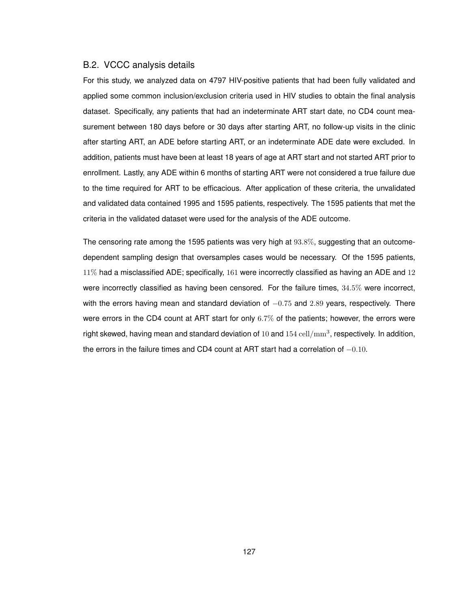### B.2. VCCC analysis details

For this study, we analyzed data on 4797 HIV-positive patients that had been fully validated and applied some common inclusion/exclusion criteria used in HIV studies to obtain the final analysis dataset. Specifically, any patients that had an indeterminate ART start date, no CD4 count measurement between 180 days before or 30 days after starting ART, no follow-up visits in the clinic after starting ART, an ADE before starting ART, or an indeterminate ADE date were excluded. In addition, patients must have been at least 18 years of age at ART start and not started ART prior to enrollment. Lastly, any ADE within 6 months of starting ART were not considered a true failure due to the time required for ART to be efficacious. After application of these criteria, the unvalidated and validated data contained 1995 and 1595 patients, respectively. The 1595 patients that met the criteria in the validated dataset were used for the analysis of the ADE outcome.

The censoring rate among the 1595 patients was very high at 93.8%, suggesting that an outcomedependent sampling design that oversamples cases would be necessary. Of the 1595 patients,  $11\%$  had a misclassified ADE; specifically, 161 were incorrectly classified as having an ADE and 12 were incorrectly classified as having been censored. For the failure times, 34.5% were incorrect, with the errors having mean and standard deviation of  $-0.75$  and 2.89 years, respectively. There were errors in the CD4 count at ART start for only 6.7% of the patients; however, the errors were right skewed, having mean and standard deviation of  $10$  and  $154$   $\mathrm{cell/mm^3}$ , respectively. In addition, the errors in the failure times and CD4 count at ART start had a correlation of  $-0.10$ .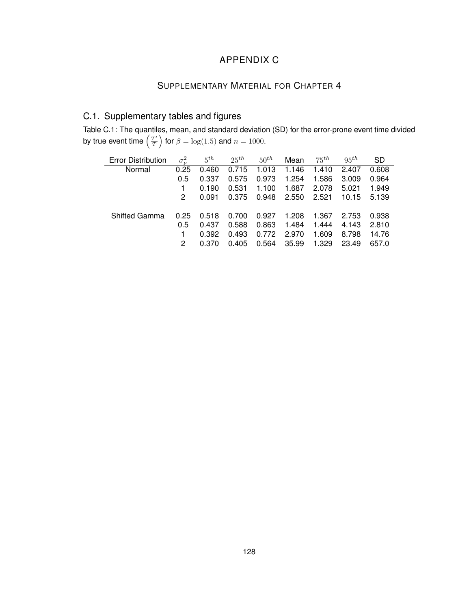## APPENDIX C

### SUPPLEMENTARY MATERIAL FOR CHAPTER 4

# C.1. Supplementary tables and figures

Table C.1: The quantiles, mean, and standard deviation (SD) for the error-prone event time divided by true event time  $\left(\frac{T'}{T}\right)$  $\left(\frac{T'}{T}\right)$  for  $\beta = \log(1.5)$  and  $n = 1000$ .

| <b>Error Distribution</b> | $\sigma_{\nu}^2$ | $5^{th}$ | $25^{th}$ | $50^{th}$ | Mean  | $75^{th}$ | $95^{th}$ | SD    |
|---------------------------|------------------|----------|-----------|-----------|-------|-----------|-----------|-------|
| Normal                    | 0.25             | 0.460    | 0.715     | 1.013     | 1.146 | 1.410     | 2.407     | 0.608 |
|                           | 0.5              | 0.337    | 0.575     | 0.973     | 1.254 | 1.586     | 3.009     | 0.964 |
|                           |                  | 0.190    | 0.531     | 1.100     | 1.687 | 2.078     | 5.021     | 1.949 |
|                           | 2                | 0.091    | 0.375     | 0.948     | 2.550 | 2.521     | 10.15     | 5.139 |
| <b>Shifted Gamma</b>      | 0.25             | 0.518    | 0.700     | 0.927     | 1.208 | 1.367     | 2.753     | 0.938 |
|                           | 0.5              | 0.437    | 0.588     | 0.863     | 1.484 | 1.444     | 4.143     | 2.810 |
|                           |                  | 0.392    | 0.493     | 0.772     | 2.970 | 1.609     | 8.798     | 14.76 |
|                           | 2                | 0.370    | 0.405     | 0.564     | 35.99 | 1.329     | 23.49     | 657.0 |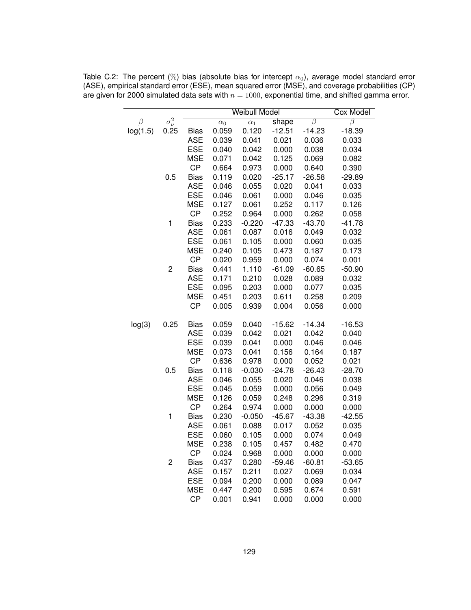Table C.2: The percent (%) bias (absolute bias for intercept  $\alpha_0$ ), average model standard error (ASE), empirical standard error (ESE), mean squared error (MSE), and coverage probabilities (CP) are given for 2000 simulated data sets with  $n = 1000$ , exponential time, and shifted gamma error.

|                             |                           | <b>Cox Model</b> |                   |                   |                    |                    |
|-----------------------------|---------------------------|------------------|-------------------|-------------------|--------------------|--------------------|
| $\sigma_{\nu}^2$<br>$\beta$ |                           | $\alpha_0$       | $\alpha_1$        | shape             | $\overline{\beta}$ | $\overline{\beta}$ |
| log(1.5)<br>0.25            | <b>Bias</b>               | 0.059            | 0.120             | $-12.51$          | $-14.23$           | $-18.39$           |
|                             | <b>ASE</b>                | 0.039            | 0.041             | 0.021             | 0.036              | 0.033              |
|                             | <b>ESE</b>                | 0.040            | 0.042             | 0.000             | 0.038              | 0.034              |
|                             | <b>MSE</b>                | 0.071            | 0.042             | 0.125             | 0.069              | 0.082              |
|                             | <b>CP</b>                 | 0.664            | 0.973             | 0.000             | 0.640              | 0.390              |
| 0.5                         | <b>Bias</b>               | 0.119            | 0.020             | $-25.17$          | $-26.58$           | $-29.89$           |
|                             | <b>ASE</b>                | 0.046            | 0.055             | 0.020             | 0.041              | 0.033              |
|                             | <b>ESE</b>                | 0.046            | 0.061             | 0.000             | 0.046              | 0.035              |
|                             | <b>MSE</b>                | 0.127            | 0.061             | 0.252             | 0.117              | 0.126              |
|                             | CP                        | 0.252            | 0.964             | 0.000             | 0.262              | 0.058              |
| $\mathbf{1}$                | <b>Bias</b>               | 0.233            | $-0.220$          | $-47.33$          | $-43.70$           | $-41.78$           |
|                             | <b>ASE</b>                | 0.061            | 0.087             | 0.016             | 0.049              | 0.032              |
|                             | <b>ESE</b>                | 0.061            | 0.105             | 0.000             | 0.060              | 0.035              |
|                             | <b>MSE</b>                | 0.240            | 0.105             | 0.473             | 0.187              | 0.173              |
|                             | <b>CP</b>                 | 0.020            | 0.959             | 0.000             | 0.074              | 0.001              |
| $\overline{c}$              | <b>Bias</b>               | 0.441            | 1.110             | $-61.09$          | $-60.65$           | $-50.90$           |
|                             | <b>ASE</b>                | 0.171            | 0.210             | 0.028             | 0.089              | 0.032              |
|                             | <b>ESE</b>                | 0.095            | 0.203             | 0.000             | 0.077              | 0.035              |
|                             | <b>MSE</b>                | 0.451            | 0.203             | 0.611             | 0.258              | 0.209              |
|                             | <b>CP</b>                 | 0.005            | 0.939             | 0.004             | 0.056              | 0.000              |
|                             |                           |                  |                   |                   |                    |                    |
| log(3)<br>0.25              | <b>Bias</b>               | 0.059            | 0.040             | $-15.62$          | $-14.34$           | $-16.53$           |
|                             | <b>ASE</b><br><b>ESE</b>  | 0.039            | 0.042             | 0.021             | 0.042              | 0.040              |
|                             |                           | 0.039            | 0.041             | 0.000             | 0.046              | 0.046              |
|                             | <b>MSE</b><br><b>CP</b>   | 0.073            | 0.041             | 0.156             | 0.164              | 0.187              |
| 0.5                         |                           | 0.636            | 0.978             | 0.000             | 0.052              | 0.021              |
|                             | <b>Bias</b><br><b>ASE</b> | 0.118<br>0.046   | $-0.030$<br>0.055 | $-24.78$<br>0.020 | $-26.43$           | $-28.70$           |
|                             | <b>ESE</b>                | 0.045            | 0.059             | 0.000             | 0.046              | 0.038              |
|                             | <b>MSE</b>                | 0.126            | 0.059             | 0.248             | 0.056<br>0.296     | 0.049<br>0.319     |
|                             | CP                        | 0.264            | 0.974             | 0.000             | 0.000              | 0.000              |
| $\mathbf{1}$                | <b>Bias</b>               | 0.230            | $-0.050$          | $-45.67$          | $-43.38$           | $-42.55$           |
|                             | <b>ASE</b>                | 0.061            | 0.088             | 0.017             | 0.052              | 0.035              |
|                             | <b>ESE</b>                | 0.060            | 0.105             | 0.000             | 0.074              | 0.049              |
|                             | <b>MSE</b>                | 0.238            | 0.105             | 0.457             | 0.482              | 0.470              |
|                             | <b>CP</b>                 | 0.024            | 0.968             | 0.000             | 0.000              | 0.000              |
| $\overline{c}$              | <b>Bias</b>               | 0.437            | 0.280             | $-59.46$          | $-60.81$           | $-53.65$           |
|                             | <b>ASE</b>                | 0.157            | 0.211             | 0.027             | 0.069              | 0.034              |
|                             |                           |                  |                   |                   |                    |                    |
|                             |                           |                  |                   |                   |                    |                    |
|                             | <b>ESE</b><br><b>MSE</b>  | 0.094<br>0.447   | 0.200<br>0.200    | 0.000<br>0.595    | 0.089<br>0.674     | 0.047<br>0.591     |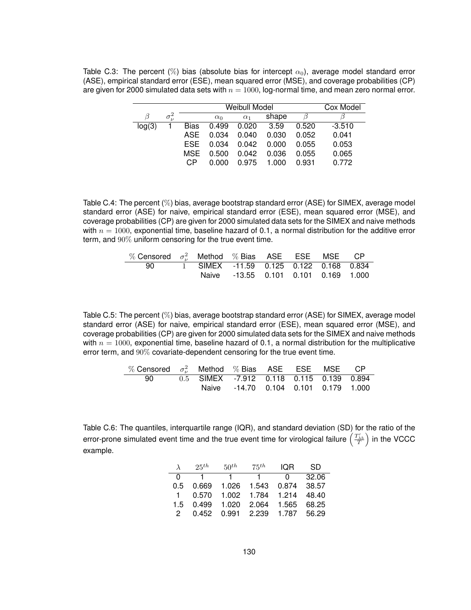Table C.3: The percent (%) bias (absolute bias for intercept  $\alpha_0$ ), average model standard error (ASE), empirical standard error (ESE), mean squared error (MSE), and coverage probabilities (CP) are given for 2000 simulated data sets with  $n = 1000$ , log-normal time, and mean zero normal error.

|        |                  | Weibull Model |            |            |       |       | Cox Model |
|--------|------------------|---------------|------------|------------|-------|-------|-----------|
|        | $\sigma_{\nu}^2$ |               | $\alpha_0$ | $\alpha_1$ | shape |       |           |
| log(3) |                  | Bias          | 0.499      | 0.020      | 3.59  | 0.520 | $-3.510$  |
|        |                  | ASE           | 0.034      | 0.040      | 0.030 | 0.052 | 0.041     |
|        |                  | ESE.          | 0.034      | 0.042      | 0.000 | 0.055 | 0.053     |
|        |                  | MSE           | 0.500      | 0.042      | 0.036 | 0.055 | 0.065     |
|        |                  | СP            | 0.000      | 0.975      | 1.000 | 0.931 | 0.772     |

Table C.4: The percent (%) bias, average bootstrap standard error (ASE) for SIMEX, average model standard error (ASE) for naive, empirical standard error (ESE), mean squared error (MSE), and coverage probabilities (CP) are given for 2000 simulated data sets for the SIMEX and naive methods with  $n = 1000$ , exponential time, baseline hazard of 0.1, a normal distribution for the additive error term, and 90% uniform censoring for the true event time.

| % Censored $\sigma_v^2$ Method % Bias ASE ESE MSE CP |                                           |                                          |  |  |
|------------------------------------------------------|-------------------------------------------|------------------------------------------|--|--|
|                                                      | 90 1 SIMEX -11.59 0.125 0.122 0.168 0.834 |                                          |  |  |
|                                                      |                                           | Naive -13.55  0.101  0.101  0.169  1.000 |  |  |

Table C.5: The percent (%) bias, average bootstrap standard error (ASE) for SIMEX, average model standard error (ASE) for naive, empirical standard error (ESE), mean squared error (MSE), and coverage probabilities (CP) are given for 2000 simulated data sets for the SIMEX and naive methods with  $n = 1000$ , exponential time, baseline hazard of 0.1, a normal distribution for the multiplicative error term, and 90% covariate-dependent censoring for the true event time.

| % Censored $\sigma_v^2$ Method % Bias ASE ESE MSE CP |                                          |                                      |  |  |
|------------------------------------------------------|------------------------------------------|--------------------------------------|--|--|
| 90 —                                                 | 0.5 SIMEX -7.912 0.118 0.115 0.139 0.894 |                                      |  |  |
|                                                      |                                          | Naive -14.70 0.104 0.101 0.179 1.000 |  |  |

Table C.6: The quantiles, interquartile range (IQR), and standard deviation (SD) for the ratio of the error-prone simulated event time and the true event time for virological failure  $\left(\frac{T'_{\lambda b}}{T}\right)$  in the VCCC example.

|     | $25^{th}$ | $50^{th}$   | 75 <sup>th</sup> | IQR          | -SD   |
|-----|-----------|-------------|------------------|--------------|-------|
| U   |           | $\mathbf 1$ |                  | <sup>0</sup> | 32.06 |
| 0.5 | 0.669     | 1.026       | 1.543            | 0.874        | 38.57 |
| 1.  | 0.570     | 1.002       | 1.784            | 1.214        | 48.40 |
| 1.5 | 0.499     | 1.020       | 2.064            | 1.565        | 68.25 |
| 2.  | 0.452     | 0.991       | 2.239            | 1.787        | 56.29 |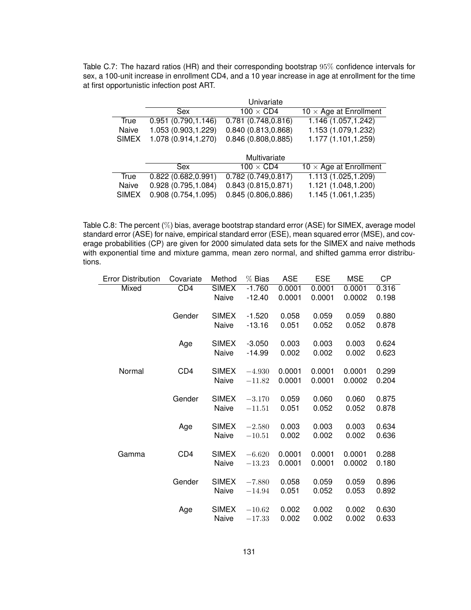Table C.7: The hazard ratios (HR) and their corresponding bootstrap 95% confidence intervals for sex, a 100-unit increase in enrollment CD4, and a 10 year increase in age at enrollment for the time at first opportunistic infection post ART.

|              |                     | Univariate          |                               |
|--------------|---------------------|---------------------|-------------------------------|
|              | Sex                 | 100 $\times$ CD4.   | 10 $\times$ Age at Enrollment |
| True         | 0.951(0.790, 1.146) | 0.781(0.748, 0.816) | 1.146(1.057, 1.242)           |
| Naive        | 1.053 (0.903,1.229) | 0.840 (0.813,0.868) | 1.153 (1.079,1.232)           |
| <b>SIMEX</b> | 1.078 (0.914,1.270) | 0.846(0.808, 0.885) | 1.177 (1.101,1.259)           |
|              |                     |                     |                               |
|              |                     |                     |                               |
|              |                     | Multivariate        |                               |
|              | Sex                 | 100 $\times$ CD4    | 10 $\times$ Age at Enrollment |
| True         | 0.822(0.682, 0.991) | 0.782(0.749, 0.817) | 1.113(1.025, 1.209)           |
| Naive        | 0.928 (0.795,1.084) | 0.843(0.815, 0.871) | 1.121 (1.048,1.200)           |

Table C.8: The percent (%) bias, average bootstrap standard error (ASE) for SIMEX, average model standard error (ASE) for naive, empirical standard error (ESE), mean squared error (MSE), and coverage probabilities (CP) are given for 2000 simulated data sets for the SIMEX and naive methods with exponential time and mixture gamma, mean zero normal, and shifted gamma error distributions.

| <b>Error Distribution</b> | Covariate       | Method       | $%$ Bias | <b>ASE</b> | <b>ESE</b> | <b>MSE</b> | <b>CP</b> |
|---------------------------|-----------------|--------------|----------|------------|------------|------------|-----------|
| Mixed                     | CD4             | <b>SIMEX</b> | $-1.760$ | 0.0001     | 0.0001     | 0.0001     | 0.316     |
|                           |                 | Naive        | $-12.40$ | 0.0001     | 0.0001     | 0.0002     | 0.198     |
|                           |                 |              |          |            |            |            |           |
|                           | Gender          | <b>SIMEX</b> | $-1.520$ | 0.058      | 0.059      | 0.059      | 0.880     |
|                           |                 | Naive        | $-13.16$ | 0.051      | 0.052      | 0.052      | 0.878     |
|                           |                 |              |          |            |            |            |           |
|                           | Age             | <b>SIMEX</b> | $-3.050$ | 0.003      | 0.003      | 0.003      | 0.624     |
|                           |                 | Naive        | $-14.99$ | 0.002      | 0.002      | 0.002      | 0.623     |
|                           |                 |              |          |            |            |            |           |
| Normal                    | CD4             | <b>SIMEX</b> | $-4.930$ | 0.0001     | 0.0001     | 0.0001     | 0.299     |
|                           |                 | Naive        | $-11.82$ | 0.0001     | 0.0001     | 0.0002     | 0.204     |
|                           | Gender          | <b>SIMEX</b> |          |            |            |            |           |
|                           |                 |              | $-3.170$ | 0.059      | 0.060      | 0.060      | 0.875     |
|                           |                 | Naive        | $-11.51$ | 0.051      | 0.052      | 0.052      | 0.878     |
|                           | Age             | <b>SIMEX</b> | $-2.580$ | 0.003      | 0.003      | 0.003      | 0.634     |
|                           |                 | Naive        | $-10.51$ | 0.002      | 0.002      | 0.002      | 0.636     |
|                           |                 |              |          |            |            |            |           |
| Gamma                     | CD <sub>4</sub> | <b>SIMEX</b> | $-6.620$ | 0.0001     | 0.0001     | 0.0001     | 0.288     |
|                           |                 | Naive        | $-13.23$ | 0.0001     | 0.0001     | 0.0002     | 0.180     |
|                           |                 |              |          |            |            |            |           |
|                           | Gender          | <b>SIMEX</b> | $-7.880$ | 0.058      | 0.059      | 0.059      | 0.896     |
|                           |                 | Naive        | $-14.94$ | 0.051      | 0.052      | 0.053      | 0.892     |
|                           |                 |              |          |            |            |            |           |
|                           | Age             | <b>SIMEX</b> | $-10.62$ | 0.002      | 0.002      | 0.002      | 0.630     |
|                           |                 | Naive        | $-17.33$ | 0.002      | 0.002      | 0.002      | 0.633     |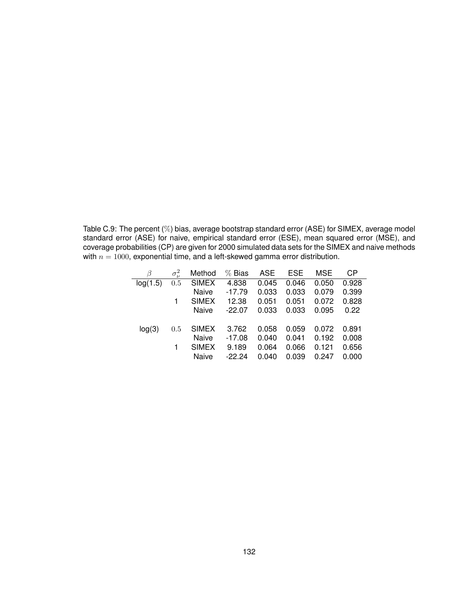Table C.9: The percent (%) bias, average bootstrap standard error (ASE) for SIMEX, average model standard error (ASE) for naive, empirical standard error (ESE), mean squared error (MSE), and coverage probabilities (CP) are given for 2000 simulated data sets for the SIMEX and naive methods with  $n = 1000$ , exponential time, and a left-skewed gamma error distribution.

| B        | $\sigma_{\nu}^2$ | Method       | $%$ Bias | <b>ASE</b> | <b>ESE</b> | MSE   | СP    |
|----------|------------------|--------------|----------|------------|------------|-------|-------|
| log(1.5) | 0.5              | <b>SIMEX</b> | 4.838    | 0.045      | 0.046      | 0.050 | 0.928 |
|          |                  | Naive        | $-17.79$ | 0.033      | 0.033      | 0.079 | 0.399 |
|          |                  | <b>SIMEX</b> | 12.38    | 0.051      | 0.051      | 0.072 | 0.828 |
|          |                  | Naive        | $-22.07$ | 0.033      | 0.033      | 0.095 | 0.22  |
| log(3)   | 0.5              | <b>SIMEX</b> | 3.762    | 0.058      | 0.059      | 0.072 | 0.891 |
|          |                  | Naive        | $-17.08$ | 0.040      | 0.041      | 0.192 | 0.008 |
|          |                  | <b>SIMEX</b> | 9.189    | 0.064      | 0.066      | 0.121 | 0.656 |
|          |                  | Naive        | $-22.24$ | 0.040      | 0.039      | 0.247 | 0.000 |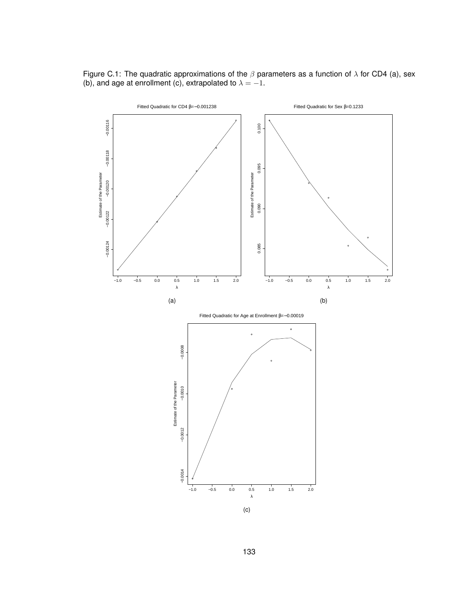Figure C.1: The quadratic approximations of the  $\beta$  parameters as a function of  $\lambda$  for CD4 (a), sex (b), and age at enrollment (c), extrapolated to  $\lambda = -1$ .

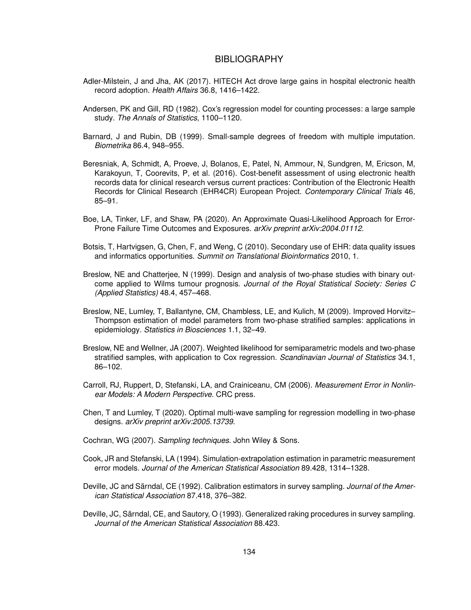### **BIBLIOGRAPHY**

- Adler-Milstein, J and Jha, AK (2017). HITECH Act drove large gains in hospital electronic health record adoption. *Health Affairs* 36.8, 1416–1422.
- Andersen, PK and Gill, RD (1982). Cox's regression model for counting processes: a large sample study. *The Annals of Statistics*, 1100–1120.
- Barnard, J and Rubin, DB (1999). Small-sample degrees of freedom with multiple imputation. *Biometrika* 86.4, 948–955.
- Beresniak, A, Schmidt, A, Proeve, J, Bolanos, E, Patel, N, Ammour, N, Sundgren, M, Ericson, M, Karakoyun, T, Coorevits, P, et al. (2016). Cost-benefit assessment of using electronic health records data for clinical research versus current practices: Contribution of the Electronic Health Records for Clinical Research (EHR4CR) European Project. *Contemporary Clinical Trials* 46, 85–91.
- Boe, LA, Tinker, LF, and Shaw, PA (2020). An Approximate Quasi-Likelihood Approach for Error-Prone Failure Time Outcomes and Exposures. *arXiv preprint arXiv:2004.01112*.
- Botsis, T, Hartvigsen, G, Chen, F, and Weng, C (2010). Secondary use of EHR: data quality issues and informatics opportunities. *Summit on Translational Bioinformatics* 2010, 1.
- Breslow, NE and Chatterjee, N (1999). Design and analysis of two-phase studies with binary outcome applied to Wilms tumour prognosis. *Journal of the Royal Statistical Society: Series C (Applied Statistics)* 48.4, 457–468.
- Breslow, NE, Lumley, T, Ballantyne, CM, Chambless, LE, and Kulich, M (2009). Improved Horvitz– Thompson estimation of model parameters from two-phase stratified samples: applications in epidemiology. *Statistics in Biosciences* 1.1, 32–49.
- Breslow, NE and Wellner, JA (2007). Weighted likelihood for semiparametric models and two-phase stratified samples, with application to Cox regression. *Scandinavian Journal of Statistics* 34.1, 86–102.
- Carroll, RJ, Ruppert, D, Stefanski, LA, and Crainiceanu, CM (2006). *Measurement Error in Nonlinear Models: A Modern Perspective*. CRC press.
- Chen, T and Lumley, T (2020). Optimal multi-wave sampling for regression modelling in two-phase designs. *arXiv preprint arXiv:2005.13739*.
- Cochran, WG (2007). *Sampling techniques*. John Wiley & Sons.
- Cook, JR and Stefanski, LA (1994). Simulation-extrapolation estimation in parametric measurement error models. *Journal of the American Statistical Association* 89.428, 1314–1328.
- Deville, JC and Särndal, CE (1992). Calibration estimators in survey sampling. Journal of the Amer*ican Statistical Association* 87.418, 376–382.
- Deville, JC, Särndal, CE, and Sautory, O (1993). Generalized raking procedures in survey sampling. *Journal of the American Statistical Association* 88.423.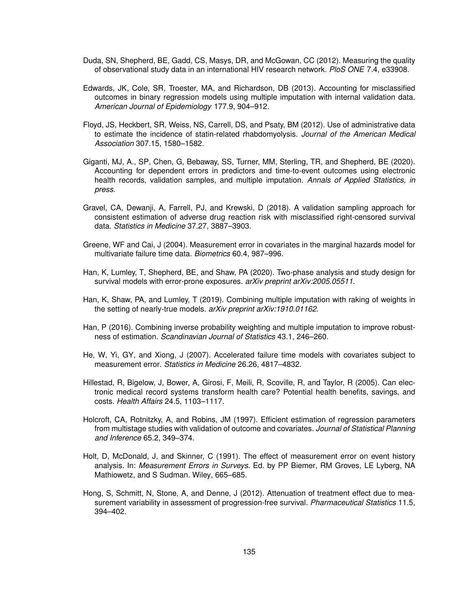- Duda, SN, Shepherd, BE, Gadd, CS, Masys, DR, and McGowan, CC (2012). Measuring the quality of observational study data in an international HIV research network. *PloS ONE* 7.4, e33908.
- Edwards, JK, Cole, SR, Troester, MA, and Richardson, DB (2013). Accounting for misclassified outcomes in binary regression models using multiple imputation with internal validation data. *American Journal of Epidemiology* 177.9, 904–912.
- Floyd, JS, Heckbert, SR, Weiss, NS, Carrell, DS, and Psaty, BM (2012). Use of administrative data to estimate the incidence of statin-related rhabdomyolysis. *Journal of the American Medical Association* 307.15, 1580–1582.
- Giganti, MJ, A., SP, Chen, G, Bebaway, SS, Turner, MM, Sterling, TR, and Shepherd, BE (2020). Accounting for dependent errors in predictors and time-to-event outcomes using electronic health records, validation samples, and multiple imputation. *Annals of Applied Statistics, in press*.
- Gravel, CA, Dewanji, A, Farrell, PJ, and Krewski, D (2018). A validation sampling approach for consistent estimation of adverse drug reaction risk with misclassified right-censored survival data. *Statistics in Medicine* 37.27, 3887–3903.
- Greene, WF and Cai, J (2004). Measurement error in covariates in the marginal hazards model for multivariate failure time data. *Biometrics* 60.4, 987–996.
- Han, K, Lumley, T, Shepherd, BE, and Shaw, PA (2020). Two-phase analysis and study design for survival models with error-prone exposures. *arXiv preprint arXiv:2005.05511*.
- Han, K, Shaw, PA, and Lumley, T (2019). Combining multiple imputation with raking of weights in the setting of nearly-true models. *arXiv preprint arXiv:1910.01162*.
- Han, P (2016). Combining inverse probability weighting and multiple imputation to improve robustness of estimation. *Scandinavian Journal of Statistics* 43.1, 246–260.
- He, W, Yi, GY, and Xiong, J (2007). Accelerated failure time models with covariates subject to measurement error. *Statistics in Medicine* 26.26, 4817–4832.
- Hillestad, R, Bigelow, J, Bower, A, Girosi, F, Meili, R, Scoville, R, and Taylor, R (2005). Can electronic medical record systems transform health care? Potential health benefits, savings, and costs. *Health Affairs* 24.5, 1103–1117.
- Holcroft, CA, Rotnitzky, A, and Robins, JM (1997). Efficient estimation of regression parameters from multistage studies with validation of outcome and covariates. *Journal of Statistical Planning and Inference* 65.2, 349–374.
- Holt, D, McDonald, J, and Skinner, C (1991). The effect of measurement error on event history analysis. In: *Measurement Errors in Surveys*. Ed. by PP Biemer, RM Groves, LE Lyberg, NA Mathiowetz, and S Sudman. Wiley, 665–685.
- Hong, S, Schmitt, N, Stone, A, and Denne, J (2012). Attenuation of treatment effect due to measurement variability in assessment of progression-free survival. *Pharmaceutical Statistics* 11.5, 394–402.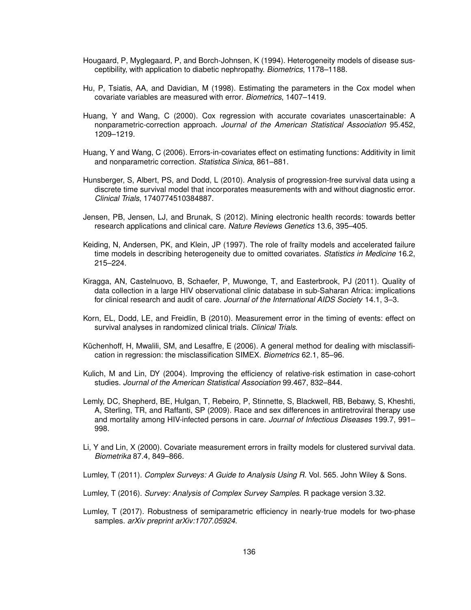- Hougaard, P, Myglegaard, P, and Borch-Johnsen, K (1994). Heterogeneity models of disease susceptibility, with application to diabetic nephropathy. *Biometrics*, 1178–1188.
- Hu, P, Tsiatis, AA, and Davidian, M (1998). Estimating the parameters in the Cox model when covariate variables are measured with error. *Biometrics*, 1407–1419.
- Huang, Y and Wang, C (2000). Cox regression with accurate covariates unascertainable: A nonparametric-correction approach. *Journal of the American Statistical Association* 95.452, 1209–1219.
- Huang, Y and Wang, C (2006). Errors-in-covariates effect on estimating functions: Additivity in limit and nonparametric correction. *Statistica Sinica*, 861–881.
- Hunsberger, S, Albert, PS, and Dodd, L (2010). Analysis of progression-free survival data using a discrete time survival model that incorporates measurements with and without diagnostic error. *Clinical Trials*, 1740774510384887.
- Jensen, PB, Jensen, LJ, and Brunak, S (2012). Mining electronic health records: towards better research applications and clinical care. *Nature Reviews Genetics* 13.6, 395–405.
- Keiding, N, Andersen, PK, and Klein, JP (1997). The role of frailty models and accelerated failure time models in describing heterogeneity due to omitted covariates. *Statistics in Medicine* 16.2, 215–224.
- Kiragga, AN, Castelnuovo, B, Schaefer, P, Muwonge, T, and Easterbrook, PJ (2011). Quality of data collection in a large HIV observational clinic database in sub-Saharan Africa: implications for clinical research and audit of care. *Journal of the International AIDS Society* 14.1, 3–3.
- Korn, EL, Dodd, LE, and Freidlin, B (2010). Measurement error in the timing of events: effect on survival analyses in randomized clinical trials. *Clinical Trials*.
- Küchenhoff, H, Mwalili, SM, and Lesaffre, E (2006). A general method for dealing with misclassification in regression: the misclassification SIMEX. *Biometrics* 62.1, 85–96.
- Kulich, M and Lin, DY (2004). Improving the efficiency of relative-risk estimation in case-cohort studies. *Journal of the American Statistical Association* 99.467, 832–844.
- Lemly, DC, Shepherd, BE, Hulgan, T, Rebeiro, P, Stinnette, S, Blackwell, RB, Bebawy, S, Kheshti, A, Sterling, TR, and Raffanti, SP (2009). Race and sex differences in antiretroviral therapy use and mortality among HIV-infected persons in care. *Journal of Infectious Diseases* 199.7, 991– 998.
- Li, Y and Lin, X (2000). Covariate measurement errors in frailty models for clustered survival data. *Biometrika* 87.4, 849–866.
- Lumley, T (2011). *Complex Surveys: A Guide to Analysis Using R*. Vol. 565. John Wiley & Sons.
- Lumley, T (2016). *Survey: Analysis of Complex Survey Samples*. R package version 3.32.
- Lumley, T (2017). Robustness of semiparametric efficiency in nearly-true models for two-phase samples. *arXiv preprint arXiv:1707.05924*.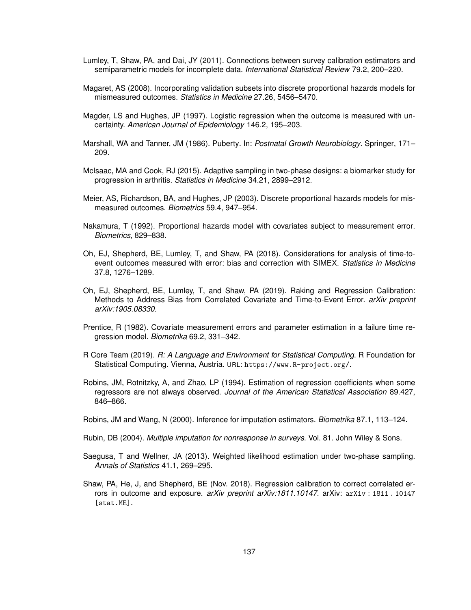- Lumley, T, Shaw, PA, and Dai, JY (2011). Connections between survey calibration estimators and semiparametric models for incomplete data. *International Statistical Review* 79.2, 200–220.
- Magaret, AS (2008). Incorporating validation subsets into discrete proportional hazards models for mismeasured outcomes. *Statistics in Medicine* 27.26, 5456–5470.
- Magder, LS and Hughes, JP (1997). Logistic regression when the outcome is measured with uncertainty. *American Journal of Epidemiology* 146.2, 195–203.
- Marshall, WA and Tanner, JM (1986). Puberty. In: *Postnatal Growth Neurobiology*. Springer, 171– 209.
- McIsaac, MA and Cook, RJ (2015). Adaptive sampling in two-phase designs: a biomarker study for progression in arthritis. *Statistics in Medicine* 34.21, 2899–2912.
- Meier, AS, Richardson, BA, and Hughes, JP (2003). Discrete proportional hazards models for mismeasured outcomes. *Biometrics* 59.4, 947–954.
- Nakamura, T (1992). Proportional hazards model with covariates subject to measurement error. *Biometrics*, 829–838.
- Oh, EJ, Shepherd, BE, Lumley, T, and Shaw, PA (2018). Considerations for analysis of time-toevent outcomes measured with error: bias and correction with SIMEX. *Statistics in Medicine* 37.8, 1276–1289.
- Oh, EJ, Shepherd, BE, Lumley, T, and Shaw, PA (2019). Raking and Regression Calibration: Methods to Address Bias from Correlated Covariate and Time-to-Event Error. *arXiv preprint arXiv:1905.08330*.
- Prentice, R (1982). Covariate measurement errors and parameter estimation in a failure time regression model. *Biometrika* 69.2, 331–342.
- R Core Team (2019). *R: A Language and Environment for Statistical Computing*. R Foundation for Statistical Computing. Vienna, Austria. URL: https://www.R-project.org/.
- Robins, JM, Rotnitzky, A, and Zhao, LP (1994). Estimation of regression coefficients when some regressors are not always observed. *Journal of the American Statistical Association* 89.427, 846–866.
- Robins, JM and Wang, N (2000). Inference for imputation estimators. *Biometrika* 87.1, 113–124.
- Rubin, DB (2004). *Multiple imputation for nonresponse in surveys*. Vol. 81. John Wiley & Sons.
- Saegusa, T and Wellner, JA (2013). Weighted likelihood estimation under two-phase sampling. *Annals of Statistics* 41.1, 269–295.
- Shaw, PA, He, J, and Shepherd, BE (Nov. 2018). Regression calibration to correct correlated errors in outcome and exposure. *arXiv preprint arXiv:1811.10147*. arXiv: arXiv : 1811 . 10147 [stat.ME].